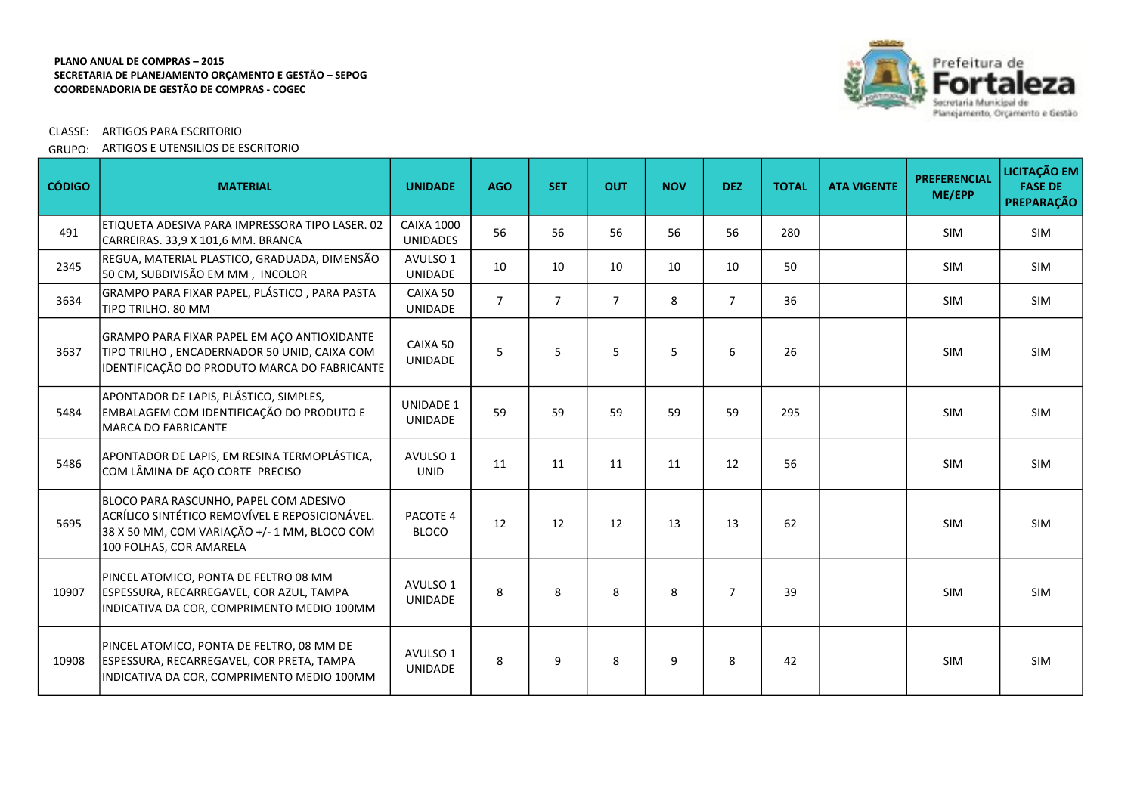

# CLASSE: ARTIGOS PARA ESCRITORIO

GRUPO: ARTIGOS E UTENSILIOS DE ESCRITORIO

| <b>CÓDIGO</b> | <b>MATERIAL</b>                                                                                                                                                     | <b>UNIDADE</b>                       | <b>AGO</b>     | <b>SET</b>     | <b>OUT</b>     | <b>NOV</b> | <b>DEZ</b>     | <b>TOTAL</b> | <b>ATA VIGENTE</b> | <b>PREFERENCIAL</b><br>ME/EPP | LICITAÇÃO EM<br><b>FASE DE</b><br><b>PREPARAÇÃO</b> |
|---------------|---------------------------------------------------------------------------------------------------------------------------------------------------------------------|--------------------------------------|----------------|----------------|----------------|------------|----------------|--------------|--------------------|-------------------------------|-----------------------------------------------------|
| 491           | ETIQUETA ADESIVA PARA IMPRESSORA TIPO LASER. 02<br>CARREIRAS. 33,9 X 101,6 MM. BRANCA                                                                               | <b>CAIXA 1000</b><br><b>UNIDADES</b> | 56             | 56             | 56             | 56         | 56             | 280          |                    | <b>SIM</b>                    | <b>SIM</b>                                          |
| 2345          | REGUA, MATERIAL PLASTICO, GRADUADA, DIMENSÃO<br>50 CM, SUBDIVISÃO EM MM, INCOLOR                                                                                    | AVULSO 1<br>UNIDADE                  | 10             | 10             | 10             | 10         | 10             | 50           |                    | <b>SIM</b>                    | <b>SIM</b>                                          |
| 3634          | GRAMPO PARA FIXAR PAPEL, PLÁSTICO, PARA PASTA<br>TIPO TRILHO. 80 MM                                                                                                 | CAIXA 50<br><b>UNIDADE</b>           | $\overline{7}$ | $\overline{7}$ | $\overline{7}$ | 8          | $\overline{7}$ | 36           |                    | <b>SIM</b>                    | <b>SIM</b>                                          |
| 3637          | GRAMPO PARA FIXAR PAPEL EM ACO ANTIOXIDANTE<br>TIPO TRILHO, ENCADERNADOR 50 UNID, CAIXA COM<br>IDENTIFICAÇÃO DO PRODUTO MARCA DO FABRICANTE                         | CAIXA 50<br><b>UNIDADE</b>           | 5              | 5              | 5              | 5          | 6              | 26           |                    | <b>SIM</b>                    | <b>SIM</b>                                          |
| 5484          | APONTADOR DE LAPIS, PLÁSTICO, SIMPLES,<br>EMBALAGEM COM IDENTIFICAÇÃO DO PRODUTO E<br><b>MARCA DO FABRICANTE</b>                                                    | <b>UNIDADE 1</b><br><b>UNIDADE</b>   | 59             | 59             | 59             | 59         | 59             | 295          |                    | SIM                           | <b>SIM</b>                                          |
| 5486          | APONTADOR DE LAPIS, EM RESINA TERMOPLÁSTICA,<br>COM LÂMINA DE AÇO CORTE PRECISO                                                                                     | AVULSO 1<br><b>UNID</b>              | 11             | 11             | 11             | 11         | 12             | 56           |                    | <b>SIM</b>                    | <b>SIM</b>                                          |
| 5695          | BLOCO PARA RASCUNHO, PAPEL COM ADESIVO<br>ACRÍLICO SINTÉTICO REMOVÍVEL E REPOSICIONÁVEL.<br>38 X 50 MM, COM VARIAÇÃO +/- 1 MM, BLOCO COM<br>100 FOLHAS, COR AMARELA | PACOTE 4<br><b>BLOCO</b>             | 12             | 12             | 12             | 13         | 13             | 62           |                    | <b>SIM</b>                    | SIM                                                 |
| 10907         | PINCEL ATOMICO, PONTA DE FELTRO 08 MM<br>ESPESSURA, RECARREGAVEL, COR AZUL, TAMPA<br>INDICATIVA DA COR, COMPRIMENTO MEDIO 100MM                                     | AVULSO 1<br><b>UNIDADE</b>           | 8              | 8              | 8              | 8          | $\overline{7}$ | 39           |                    | <b>SIM</b>                    | <b>SIM</b>                                          |
| 10908         | PINCEL ATOMICO, PONTA DE FELTRO, 08 MM DE<br>ESPESSURA, RECARREGAVEL, COR PRETA, TAMPA<br>INDICATIVA DA COR, COMPRIMENTO MEDIO 100MM                                | AVULSO 1<br><b>UNIDADE</b>           | 8              | 9              | 8              | 9          | 8              | 42           |                    | <b>SIM</b>                    | <b>SIM</b>                                          |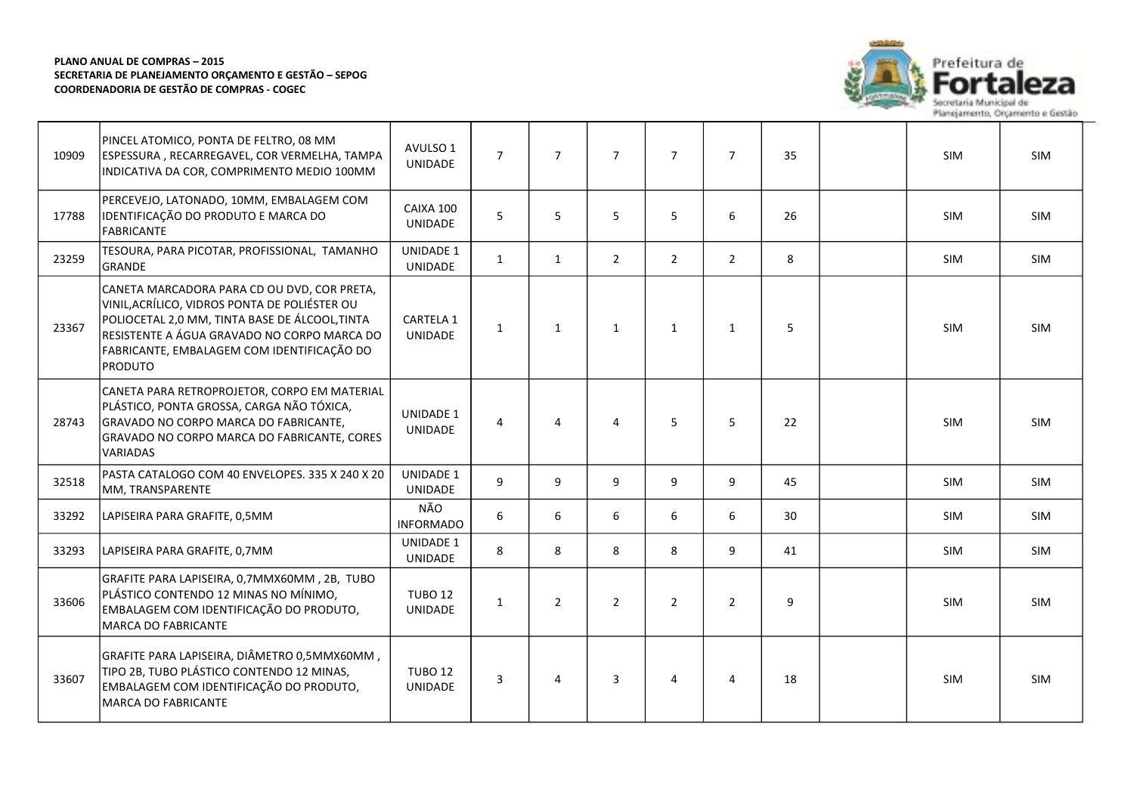

| 10909 | PINCEL ATOMICO, PONTA DE FELTRO, 08 MM<br>ESPESSURA, RECARREGAVEL, COR VERMELHA, TAMPA<br>INDICATIVA DA COR, COMPRIMENTO MEDIO 100MM                                                                                                                          | AVULSO 1<br><b>UNIDADE</b>       | $\overline{7}$ | $\overline{7}$ | $\overline{7}$ | $\overline{7}$ | $\overline{7}$ | 35 | <b>SIM</b> | <b>SIM</b> |
|-------|---------------------------------------------------------------------------------------------------------------------------------------------------------------------------------------------------------------------------------------------------------------|----------------------------------|----------------|----------------|----------------|----------------|----------------|----|------------|------------|
| 17788 | PERCEVEJO, LATONADO, 10MM, EMBALAGEM COM<br>IDENTIFICAÇÃO DO PRODUTO E MARCA DO<br><b>FABRICANTE</b>                                                                                                                                                          | CAIXA 100<br><b>UNIDADE</b>      | 5              | 5              | 5              | 5              | 6              | 26 | <b>SIM</b> | <b>SIM</b> |
| 23259 | TESOURA, PARA PICOTAR, PROFISSIONAL, TAMANHO<br><b>GRANDE</b>                                                                                                                                                                                                 | <b>UNIDADE 1</b><br>UNIDADE      | $\mathbf{1}$   | $\mathbf{1}$   | 2              | $\overline{2}$ | 2              | 8  | <b>SIM</b> | SIM        |
| 23367 | CANETA MARCADORA PARA CD OU DVD, COR PRETA,<br>VINIL, ACRÍLICO, VIDROS PONTA DE POLIÉSTER OU<br>POLIOCETAL 2,0 MM, TINTA BASE DE ÁLCOOL, TINTA<br>RESISTENTE A ÁGUA GRAVADO NO CORPO MARCA DO<br>FABRICANTE, EMBALAGEM COM IDENTIFICAÇÃO DO<br><b>PRODUTO</b> | CARTELA 1<br><b>UNIDADE</b>      | $\mathbf{1}$   | $\mathbf{1}$   | $\mathbf{1}$   | $\mathbf{1}$   | $\mathbf{1}$   | 5  | <b>SIM</b> | <b>SIM</b> |
| 28743 | CANETA PARA RETROPROJETOR, CORPO EM MATERIAL<br>PLÁSTICO, PONTA GROSSA, CARGA NÃO TÓXICA,<br>GRAVADO NO CORPO MARCA DO FABRICANTE,<br>GRAVADO NO CORPO MARCA DO FABRICANTE, CORES<br><b>VARIADAS</b>                                                          | <b>UNIDADE 1</b><br>UNIDADE      | 4              | 4              | 4              | 5              | 5              | 22 | <b>SIM</b> | <b>SIM</b> |
| 32518 | PASTA CATALOGO COM 40 ENVELOPES. 335 X 240 X 20<br>MM, TRANSPARENTE                                                                                                                                                                                           | <b>UNIDADE 1</b><br>UNIDADE      | 9              | 9              | 9              | 9              | 9              | 45 | <b>SIM</b> | SIM        |
| 33292 | LAPISEIRA PARA GRAFITE, 0,5MM                                                                                                                                                                                                                                 | NÃO<br><b>INFORMADO</b>          | 6              | 6              | 6              | 6              | 6              | 30 | <b>SIM</b> | SIM        |
| 33293 | LAPISEIRA PARA GRAFITE, 0,7MM                                                                                                                                                                                                                                 | <b>UNIDADE 1</b><br>UNIDADE      | 8              | 8              | 8              | 8              | 9              | 41 | <b>SIM</b> | <b>SIM</b> |
| 33606 | GRAFITE PARA LAPISEIRA, 0,7MMX60MM, 2B, TUBO<br>PLÁSTICO CONTENDO 12 MINAS NO MÍNIMO,<br>EMBALAGEM COM IDENTIFICAÇÃO DO PRODUTO,<br><b>MARCA DO FABRICANTE</b>                                                                                                | <b>TUBO 12</b><br><b>UNIDADE</b> | $\mathbf{1}$   | $\overline{2}$ | $\overline{2}$ | $\overline{2}$ | $\overline{2}$ | 9  | SIM        | <b>SIM</b> |
| 33607 | GRAFITE PARA LAPISEIRA, DIÂMETRO 0,5MMX60MM,<br>TIPO 2B, TUBO PLÁSTICO CONTENDO 12 MINAS,<br>EMBALAGEM COM IDENTIFICAÇÃO DO PRODUTO,<br>MARCA DO FABRICANTE                                                                                                   | <b>TUBO 12</b><br><b>UNIDADE</b> | 3              | 4              | 3              | 4              | $\overline{a}$ | 18 | <b>SIM</b> | <b>SIM</b> |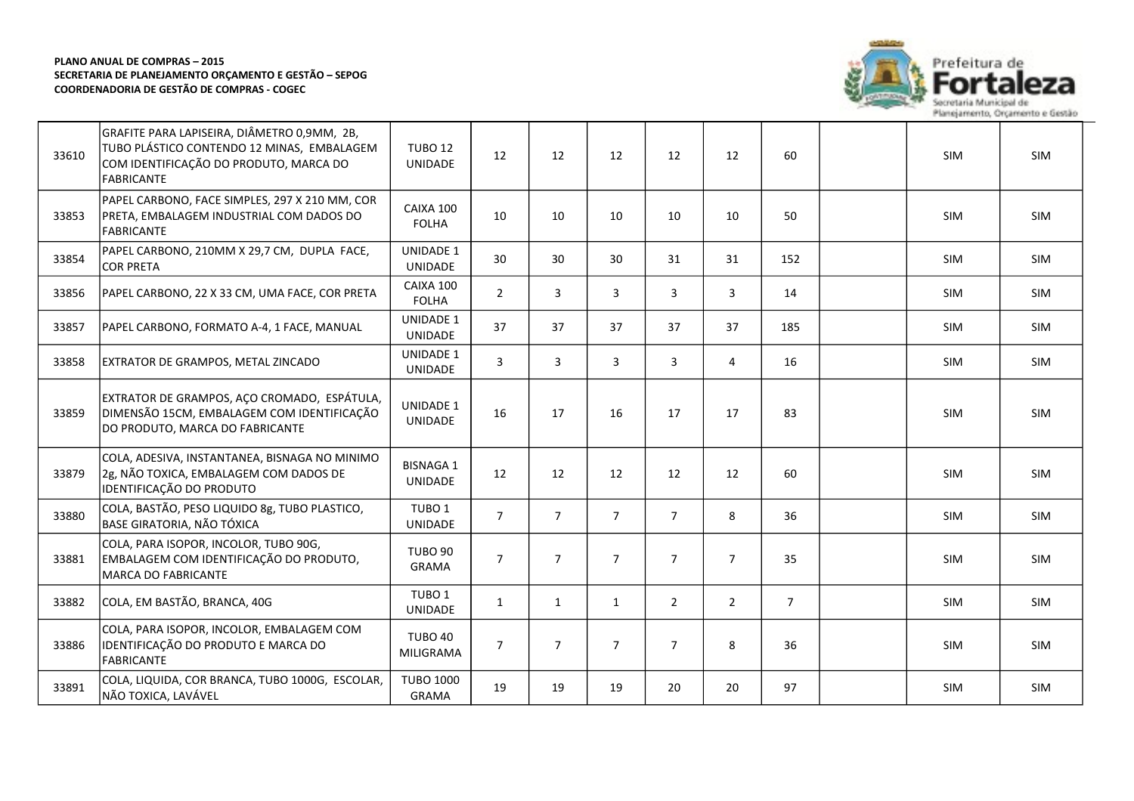

| 33610 | GRAFITE PARA LAPISEIRA, DIÂMETRO 0,9MM, 2B,<br>TUBO PLÁSTICO CONTENDO 12 MINAS, EMBALAGEM<br>COM IDENTIFICAÇÃO DO PRODUTO, MARCA DO<br>FABRICANTE | <b>TUBO 12</b><br><b>UNIDADE</b>   | 12             | 12             | 12             | 12             | 12             | 60             | <b>SIM</b> | <b>SIM</b> |
|-------|---------------------------------------------------------------------------------------------------------------------------------------------------|------------------------------------|----------------|----------------|----------------|----------------|----------------|----------------|------------|------------|
| 33853 | PAPEL CARBONO, FACE SIMPLES, 297 X 210 MM, COR<br>PRETA, EMBALAGEM INDUSTRIAL COM DADOS DO<br><b>FABRICANTE</b>                                   | CAIXA 100<br><b>FOLHA</b>          | 10             | 10             | 10             | 10             | 10             | 50             | SIM        | SIM        |
| 33854 | PAPEL CARBONO, 210MM X 29,7 CM, DUPLA FACE,<br><b>COR PRETA</b>                                                                                   | <b>UNIDADE 1</b><br><b>UNIDADE</b> | 30             | 30             | 30             | 31             | 31             | 152            | SIM        | SIM        |
| 33856 | PAPEL CARBONO, 22 X 33 CM, UMA FACE, COR PRETA                                                                                                    | CAIXA 100<br><b>FOLHA</b>          | $\overline{2}$ | 3              | 3              | 3              | 3              | 14             | <b>SIM</b> | SIM        |
| 33857 | PAPEL CARBONO, FORMATO A-4, 1 FACE, MANUAL                                                                                                        | <b>UNIDADE 1</b><br>UNIDADE        | 37             | 37             | 37             | 37             | 37             | 185            | <b>SIM</b> | SIM        |
| 33858 | <b>EXTRATOR DE GRAMPOS, METAL ZINCADO</b>                                                                                                         | <b>UNIDADE 1</b><br><b>UNIDADE</b> | 3              | 3              | 3              | 3              | 4              | 16             | SIM        | SIM        |
| 33859 | EXTRATOR DE GRAMPOS, AÇO CROMADO, ESPÁTULA,<br>DIMENSÃO 15CM, EMBALAGEM COM IDENTIFICAÇÃO<br>DO PRODUTO, MARCA DO FABRICANTE                      | <b>UNIDADE 1</b><br><b>UNIDADE</b> | 16             | 17             | 16             | 17             | 17             | 83             | SIM        | SIM        |
| 33879 | COLA, ADESIVA, INSTANTANEA, BISNAGA NO MINIMO<br>2g, NÃO TOXICA, EMBALAGEM COM DADOS DE<br>IDENTIFICAÇÃO DO PRODUTO                               | <b>BISNAGA 1</b><br>UNIDADE        | 12             | 12             | 12             | 12             | 12             | 60             | <b>SIM</b> | <b>SIM</b> |
| 33880 | COLA, BASTÃO, PESO LIQUIDO 8g, TUBO PLASTICO,<br><b>BASE GIRATORIA, NÃO TÓXICA</b>                                                                | TUBO <sub>1</sub><br>UNIDADE       | $\overline{7}$ | $\overline{7}$ | $\overline{7}$ | $\overline{7}$ | 8              | 36             | SIM        | SIM        |
| 33881 | COLA, PARA ISOPOR, INCOLOR, TUBO 90G,<br>EMBALAGEM COM IDENTIFICAÇÃO DO PRODUTO,<br>MARCA DO FABRICANTE                                           | <b>TUBO 90</b><br><b>GRAMA</b>     | $\overline{7}$ | $\overline{7}$ | $\overline{7}$ | $\overline{7}$ | $\overline{7}$ | 35             | SIM        | SIM        |
| 33882 | COLA, EM BASTÃO, BRANCA, 40G                                                                                                                      | TUBO <sub>1</sub><br>UNIDADE       | $\mathbf{1}$   | 1              | $\mathbf{1}$   | $\overline{2}$ | $\overline{2}$ | $\overline{7}$ | SIM        | SIM        |
| 33886 | COLA, PARA ISOPOR, INCOLOR, EMBALAGEM COM<br>IDENTIFICAÇÃO DO PRODUTO E MARCA DO<br>FABRICANTE                                                    | TUBO 40<br>MILIGRAMA               | $\overline{7}$ | $\overline{7}$ | $\overline{7}$ | $\overline{7}$ | 8              | 36             | SIM        | SIM        |
| 33891 | COLA, LIQUIDA, COR BRANCA, TUBO 1000G, ESCOLAR,<br>NÃO TOXICA, LAVÁVEL                                                                            | <b>TUBO 1000</b><br><b>GRAMA</b>   | 19             | 19             | 19             | 20             | 20             | 97             | <b>SIM</b> | SIM        |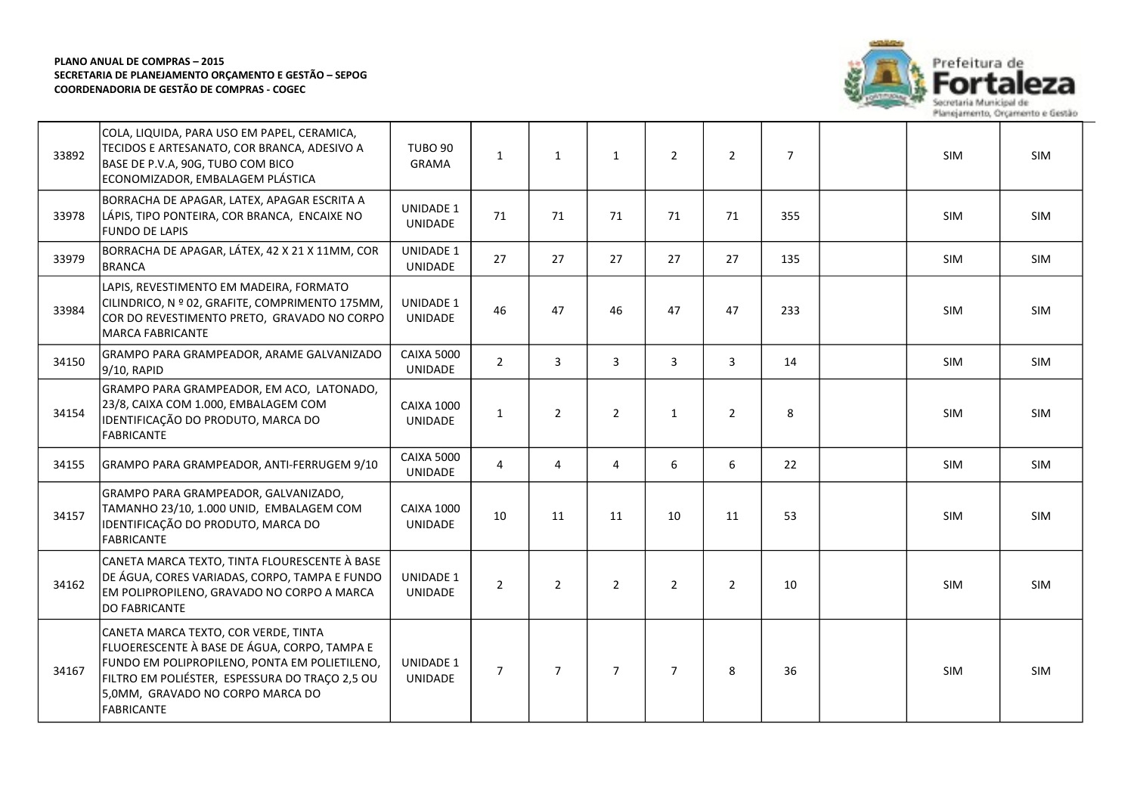

| 33892 | COLA, LIQUIDA, PARA USO EM PAPEL, CERAMICA,<br>TECIDOS E ARTESANATO, COR BRANCA, ADESIVO A<br>BASE DE P.V.A, 90G, TUBO COM BICO<br>ECONOMIZADOR, EMBALAGEM PLÁSTICA                                                                              | <b>TUBO 90</b><br><b>GRAMA</b>      | $\mathbf{1}$   | $\mathbf{1}$   | $\mathbf{1}$   | $\overline{2}$ | $\overline{2}$ | $\overline{7}$ | SIM        | SIM        |
|-------|--------------------------------------------------------------------------------------------------------------------------------------------------------------------------------------------------------------------------------------------------|-------------------------------------|----------------|----------------|----------------|----------------|----------------|----------------|------------|------------|
| 33978 | BORRACHA DE APAGAR, LATEX, APAGAR ESCRITA A<br>LÁPIS, TIPO PONTEIRA, COR BRANCA, ENCAIXE NO<br><b>FUNDO DE LAPIS</b>                                                                                                                             | UNIDADE 1<br><b>UNIDADE</b>         | 71             | 71             | 71             | 71             | 71             | 355            | SIM        | SIM        |
| 33979 | BORRACHA DE APAGAR, LÁTEX, 42 X 21 X 11MM, COR<br><b>BRANCA</b>                                                                                                                                                                                  | UNIDADE 1<br>UNIDADE                | 27             | 27             | 27             | 27             | 27             | 135            | SIM        | SIM        |
| 33984 | LAPIS, REVESTIMENTO EM MADEIRA, FORMATO<br>CILINDRICO, N º 02, GRAFITE, COMPRIMENTO 175MM,<br>COR DO REVESTIMENTO PRETO, GRAVADO NO CORPO<br><b>MARCA FABRICANTE</b>                                                                             | UNIDADE 1<br><b>UNIDADE</b>         | 46             | 47             | 46             | 47             | 47             | 233            | SIM        | <b>SIM</b> |
| 34150 | GRAMPO PARA GRAMPEADOR, ARAME GALVANIZADO<br>9/10, RAPID                                                                                                                                                                                         | <b>CAIXA 5000</b><br><b>UNIDADE</b> | $\overline{2}$ | 3              | 3              | 3              | 3              | 14             | SIM        | SIM        |
| 34154 | GRAMPO PARA GRAMPEADOR, EM ACO, LATONADO,<br>23/8, CAIXA COM 1.000, EMBALAGEM COM<br>IDENTIFICAÇÃO DO PRODUTO, MARCA DO<br><b>FABRICANTE</b>                                                                                                     | <b>CAIXA 1000</b><br><b>UNIDADE</b> | $\mathbf{1}$   | $\overline{2}$ | $\overline{2}$ | $\mathbf{1}$   | $\overline{2}$ | 8              | SIM        | SIM        |
| 34155 | GRAMPO PARA GRAMPEADOR, ANTI-FERRUGEM 9/10                                                                                                                                                                                                       | <b>CAIXA 5000</b><br><b>UNIDADE</b> | 4              | 4              | 4              | 6              | 6              | 22             | SIM        | SIM        |
| 34157 | GRAMPO PARA GRAMPEADOR, GALVANIZADO,<br>TAMANHO 23/10, 1.000 UNID, EMBALAGEM COM<br>IDENTIFICAÇÃO DO PRODUTO, MARCA DO<br><b>FABRICANTE</b>                                                                                                      | <b>CAIXA 1000</b><br><b>UNIDADE</b> | 10             | 11             | 11             | 10             | 11             | 53             | SIM        | <b>SIM</b> |
| 34162 | CANETA MARCA TEXTO, TINTA FLOURESCENTE À BASE<br>DE ÁGUA, CORES VARIADAS, CORPO, TAMPA E FUNDO<br>EM POLIPROPILENO, GRAVADO NO CORPO A MARCA<br><b>DO FABRICANTE</b>                                                                             | UNIDADE 1<br><b>UNIDADE</b>         | $\overline{2}$ | $\overline{2}$ | $\overline{2}$ | $\overline{2}$ | $\overline{2}$ | 10             | <b>SIM</b> | <b>SIM</b> |
| 34167 | CANETA MARCA TEXTO, COR VERDE, TINTA<br>FLUOERESCENTE À BASE DE ÁGUA, CORPO, TAMPA E<br>FUNDO EM POLIPROPILENO, PONTA EM POLIETILENO,<br>FILTRO EM POLIÉSTER, ESPESSURA DO TRAÇO 2,5 OU<br>5,0MM, GRAVADO NO CORPO MARCA DO<br><b>FABRICANTE</b> | <b>UNIDADE 1</b><br><b>UNIDADE</b>  | $\overline{7}$ | $\overline{7}$ | $\overline{7}$ | $\overline{7}$ | 8              | 36             | <b>SIM</b> | <b>SIM</b> |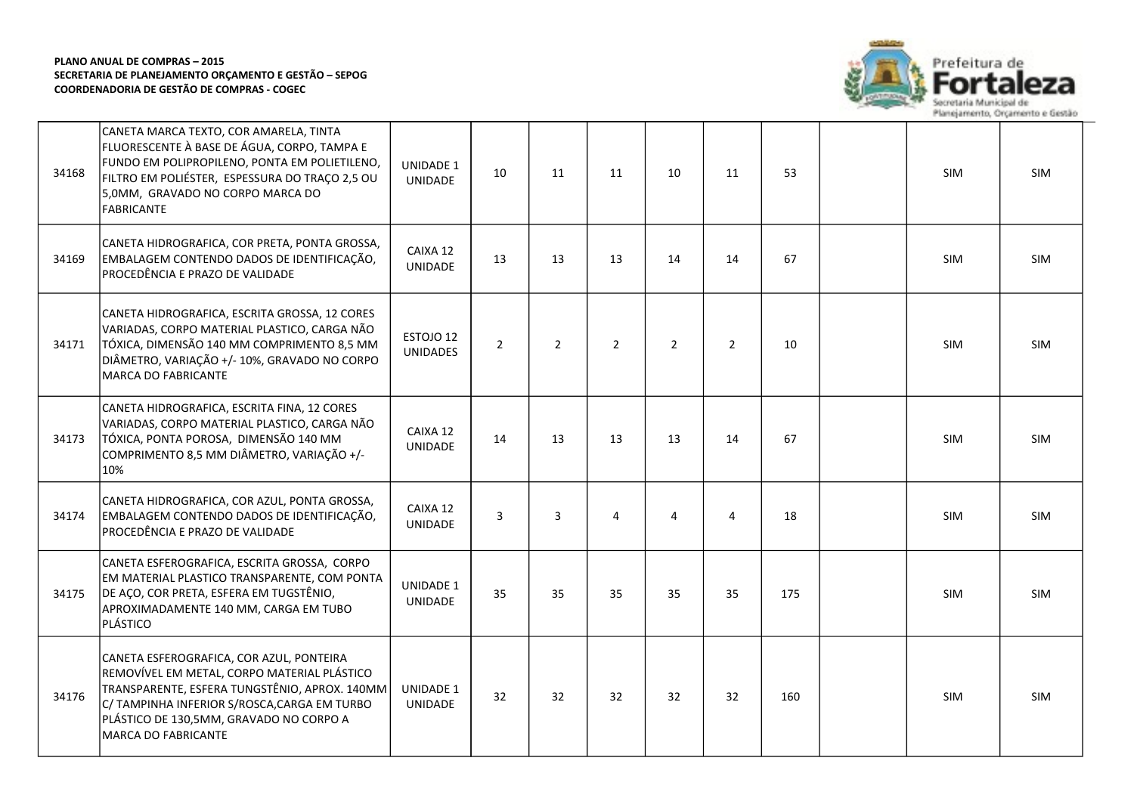

| 34168 | CANETA MARCA TEXTO, COR AMARELA, TINTA<br>FLUORESCENTE À BASE DE ÁGUA, CORPO, TAMPA E<br>FUNDO EM POLIPROPILENO, PONTA EM POLIETILENO,<br>FILTRO EM POLIÉSTER, ESPESSURA DO TRAÇO 2,5 OU<br>5,0MM, GRAVADO NO CORPO MARCA DO<br><b>FABRICANTE</b>          | <b>UNIDADE 1</b><br>UNIDADE  | 10             | 11             | 11             | 10             | 11             | 53  | SIM        | SIM        |
|-------|------------------------------------------------------------------------------------------------------------------------------------------------------------------------------------------------------------------------------------------------------------|------------------------------|----------------|----------------|----------------|----------------|----------------|-----|------------|------------|
| 34169 | CANETA HIDROGRAFICA, COR PRETA, PONTA GROSSA,<br>EMBALAGEM CONTENDO DADOS DE IDENTIFICAÇÃO,<br>PROCEDÊNCIA E PRAZO DE VALIDADE                                                                                                                             | CAIXA 12<br><b>UNIDADE</b>   | 13             | 13             | 13             | 14             | 14             | 67  | SIM        | SIM        |
| 34171 | CANETA HIDROGRAFICA, ESCRITA GROSSA, 12 CORES<br>VARIADAS, CORPO MATERIAL PLASTICO, CARGA NÃO<br>TÓXICA, DIMENSÃO 140 MM COMPRIMENTO 8,5 MM<br>DIÂMETRO, VARIAÇÃO +/- 10%, GRAVADO NO CORPO<br><b>MARCA DO FABRICANTE</b>                                  | ESTOJO 12<br><b>UNIDADES</b> | $\overline{2}$ | $\overline{2}$ | $\overline{2}$ | $\overline{2}$ | $\overline{2}$ | 10  | SIM        | SIM        |
| 34173 | CANETA HIDROGRAFICA, ESCRITA FINA, 12 CORES<br>VARIADAS, CORPO MATERIAL PLASTICO, CARGA NÃO<br>TÓXICA, PONTA POROSA, DIMENSÃO 140 MM<br>COMPRIMENTO 8,5 MM DIÂMETRO, VARIAÇÃO +/-<br>10%                                                                   | CAIXA 12<br>UNIDADE          | 14             | 13             | 13             | 13             | 14             | 67  | <b>SIM</b> | <b>SIM</b> |
| 34174 | CANETA HIDROGRAFICA, COR AZUL, PONTA GROSSA,<br>EMBALAGEM CONTENDO DADOS DE IDENTIFICAÇÃO,<br>PROCEDÊNCIA E PRAZO DE VALIDADE                                                                                                                              | CAIXA 12<br>UNIDADE          | 3              | 3              | 4              | 4              | $\overline{4}$ | 18  | SIM        | <b>SIM</b> |
| 34175 | CANETA ESFEROGRAFICA, ESCRITA GROSSA, CORPO<br>EM MATERIAL PLASTICO TRANSPARENTE, COM PONTA<br>DE AÇO, COR PRETA, ESFERA EM TUGSTÊNIO,<br>APROXIMADAMENTE 140 MM, CARGA EM TUBO<br>PLÁSTICO                                                                | UNIDADE 1<br>UNIDADE         | 35             | 35             | 35             | 35             | 35             | 175 | SIM        | SIM        |
| 34176 | CANETA ESFEROGRAFICA, COR AZUL, PONTEIRA<br>REMOVÍVEL EM METAL, CORPO MATERIAL PLÁSTICO<br>TRANSPARENTE, ESFERA TUNGSTÊNIO, APROX. 140MM<br>C/ TAMPINHA INFERIOR S/ROSCA, CARGA EM TURBO<br>PLÁSTICO DE 130,5MM, GRAVADO NO CORPO A<br>MARCA DO FABRICANTE | UNIDADE 1<br>UNIDADE         | 32             | 32             | 32             | 32             | 32             | 160 | <b>SIM</b> | <b>SIM</b> |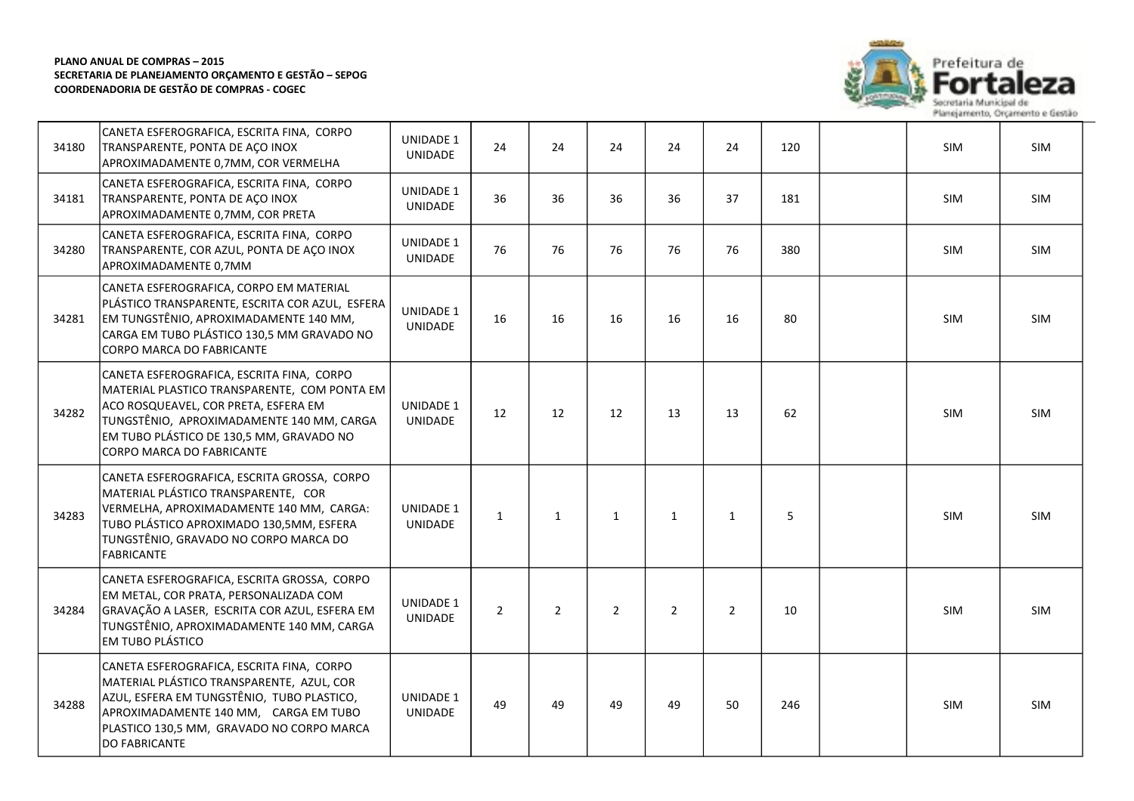

| 34180 | CANETA ESFEROGRAFICA, ESCRITA FINA, CORPO<br>TRANSPARENTE, PONTA DE AÇO INOX<br>APROXIMADAMENTE 0,7MM, COR VERMELHA                                                                                                                                     | UNIDADE 1<br>UNIDADE               | 24             | 24             | 24             | 24             | 24             | 120 | <b>SIM</b> | SIM        |
|-------|---------------------------------------------------------------------------------------------------------------------------------------------------------------------------------------------------------------------------------------------------------|------------------------------------|----------------|----------------|----------------|----------------|----------------|-----|------------|------------|
| 34181 | CANETA ESFEROGRAFICA, ESCRITA FINA, CORPO<br>TRANSPARENTE, PONTA DE AÇO INOX<br>APROXIMADAMENTE 0,7MM, COR PRETA                                                                                                                                        | <b>UNIDADE 1</b><br><b>UNIDADE</b> | 36             | 36             | 36             | 36             | 37             | 181 | <b>SIM</b> | <b>SIM</b> |
| 34280 | CANETA ESFEROGRAFICA, ESCRITA FINA, CORPO<br>TRANSPARENTE, COR AZUL, PONTA DE AÇO INOX<br>APROXIMADAMENTE 0,7MM                                                                                                                                         | UNIDADE 1<br><b>UNIDADE</b>        | 76             | 76             | 76             | 76             | 76             | 380 | <b>SIM</b> | <b>SIM</b> |
| 34281 | CANETA ESFEROGRAFICA, CORPO EM MATERIAL<br>PLÁSTICO TRANSPARENTE, ESCRITA COR AZUL, ESFERA<br>EM TUNGSTÊNIO, APROXIMADAMENTE 140 MM,<br>CARGA EM TUBO PLÁSTICO 130,5 MM GRAVADO NO<br>CORPO MARCA DO FABRICANTE                                         | UNIDADE 1<br><b>UNIDADE</b>        | 16             | 16             | 16             | 16             | 16             | 80  | SIM        | SIM        |
| 34282 | CANETA ESFEROGRAFICA, ESCRITA FINA, CORPO<br>MATERIAL PLASTICO TRANSPARENTE, COM PONTA EM<br>ACO ROSQUEAVEL, COR PRETA, ESFERA EM<br>TUNGSTÊNIO, APROXIMADAMENTE 140 MM, CARGA<br>EM TUBO PLÁSTICO DE 130,5 MM, GRAVADO NO<br>CORPO MARCA DO FABRICANTE | UNIDADE 1<br>UNIDADE               | 12             | 12             | 12             | 13             | 13             | 62  | <b>SIM</b> | <b>SIM</b> |
| 34283 | CANETA ESFEROGRAFICA, ESCRITA GROSSA, CORPO<br>MATERIAL PLÁSTICO TRANSPARENTE. COR<br>VERMELHA, APROXIMADAMENTE 140 MM, CARGA:<br>TUBO PLÁSTICO APROXIMADO 130,5MM, ESFERA<br>TUNGSTÊNIO, GRAVADO NO CORPO MARCA DO<br><b>FABRICANTE</b>                | UNIDADE 1<br>UNIDADE               | $\mathbf{1}$   | 1              | $\mathbf{1}$   | $\mathbf{1}$   | $\mathbf{1}$   | 5   | <b>SIM</b> | <b>SIM</b> |
| 34284 | CANETA ESFEROGRAFICA, ESCRITA GROSSA, CORPO<br>EM METAL, COR PRATA, PERSONALIZADA COM<br>GRAVAÇÃO A LASER, ESCRITA COR AZUL, ESFERA EM<br>TUNGSTÊNIO, APROXIMADAMENTE 140 MM, CARGA<br>EM TUBO PLÁSTICO                                                 | UNIDADE 1<br><b>UNIDADE</b>        | $\overline{2}$ | $\overline{2}$ | $\overline{2}$ | $\overline{2}$ | $\overline{2}$ | 10  | SIM        | SIM        |
| 34288 | CANETA ESFEROGRAFICA, ESCRITA FINA, CORPO<br>MATERIAL PLÁSTICO TRANSPARENTE, AZUL, COR<br>AZUL, ESFERA EM TUNGSTÊNIO, TUBO PLASTICO,<br>APROXIMADAMENTE 140 MM, CARGA EM TUBO<br>PLASTICO 130,5 MM, GRAVADO NO CORPO MARCA<br>DO FABRICANTE             | UNIDADE 1<br><b>UNIDADE</b>        | 49             | 49             | 49             | 49             | 50             | 246 | SIM        | SIM        |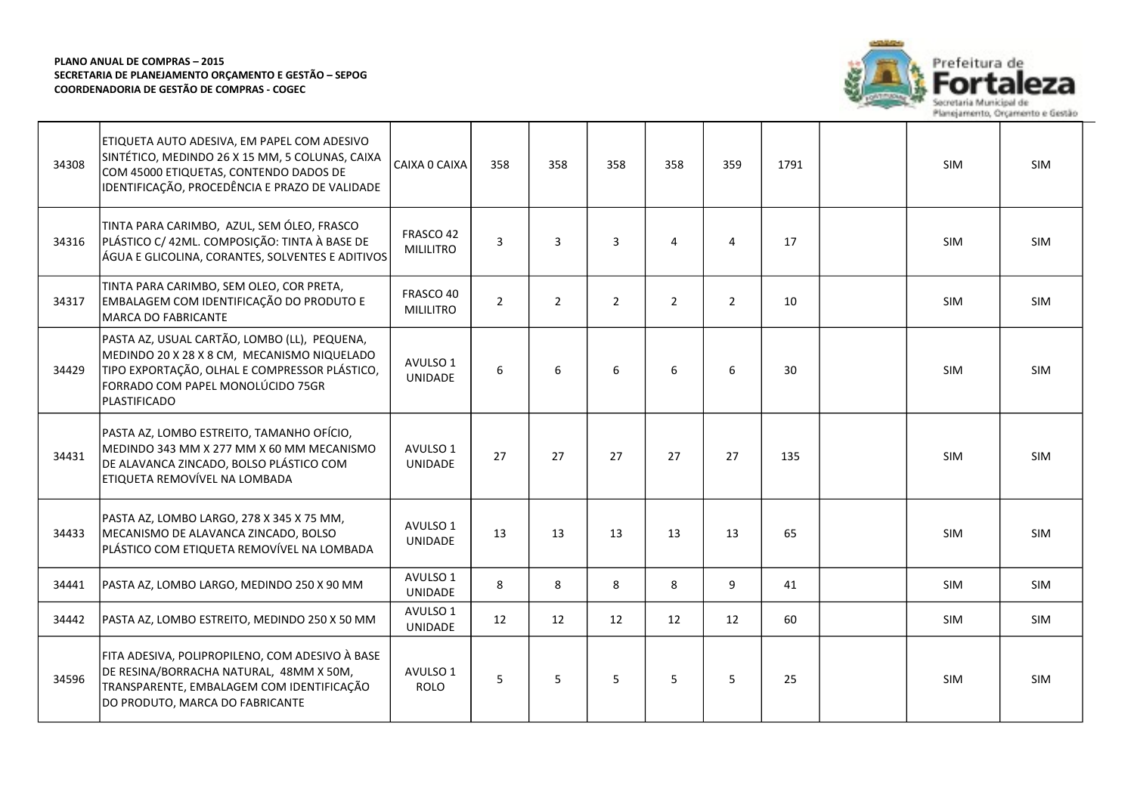

| 34308 | ETIQUETA AUTO ADESIVA, EM PAPEL COM ADESIVO<br>SINTÉTICO, MEDINDO 26 X 15 MM, 5 COLUNAS, CAIXA<br>COM 45000 ETIQUETAS, CONTENDO DADOS DE<br>IDENTIFICAÇÃO, PROCEDÊNCIA E PRAZO DE VALIDADE               | CAIXA O CAIXA                 | 358            | 358            | 358            | 358            | 359            | 1791 | <b>SIM</b> | <b>SIM</b> |
|-------|----------------------------------------------------------------------------------------------------------------------------------------------------------------------------------------------------------|-------------------------------|----------------|----------------|----------------|----------------|----------------|------|------------|------------|
| 34316 | TINTA PARA CARIMBO, AZUL, SEM ÓLEO, FRASCO<br>PLÁSTICO C/ 42ML. COMPOSIÇÃO: TINTA À BASE DE<br>ÁGUA E GLICOLINA, CORANTES, SOLVENTES E ADITIVOS                                                          | FRASCO 42<br><b>MILILITRO</b> | $\overline{3}$ | 3              | $\overline{3}$ | 4              | $\overline{4}$ | 17   | SIM        | <b>SIM</b> |
| 34317 | TINTA PARA CARIMBO, SEM OLEO, COR PRETA,<br>EMBALAGEM COM IDENTIFICAÇÃO DO PRODUTO E<br><b>MARCA DO FABRICANTE</b>                                                                                       | FRASCO 40<br><b>MILILITRO</b> | $\overline{2}$ | $\overline{2}$ | $\overline{2}$ | $\overline{2}$ | $\overline{2}$ | 10   | SIM        | SIM        |
| 34429 | PASTA AZ, USUAL CARTÃO, LOMBO (LL), PEQUENA,<br>MEDINDO 20 X 28 X 8 CM, MECANISMO NIQUELADO<br>TIPO EXPORTAÇÃO, OLHAL E COMPRESSOR PLÁSTICO,<br>FORRADO COM PAPEL MONOLÚCIDO 75GR<br><b>PLASTIFICADO</b> | AVULSO 1<br><b>UNIDADE</b>    | 6              | 6              | 6              | 6              | 6              | 30   | SIM        | <b>SIM</b> |
| 34431 | PASTA AZ, LOMBO ESTREITO, TAMANHO OFÍCIO,<br>MEDINDO 343 MM X 277 MM X 60 MM MECANISMO<br>DE ALAVANCA ZINCADO, BOLSO PLÁSTICO COM<br>ETIQUETA REMOVÍVEL NA LOMBADA                                       | AVULSO 1<br><b>UNIDADE</b>    | 27             | 27             | 27             | 27             | 27             | 135  | <b>SIM</b> | <b>SIM</b> |
| 34433 | PASTA AZ, LOMBO LARGO, 278 X 345 X 75 MM,<br>MECANISMO DE ALAVANCA ZINCADO, BOLSO<br>PLÁSTICO COM ETIQUETA REMOVÍVEL NA LOMBADA                                                                          | AVULSO 1<br><b>UNIDADE</b>    | 13             | 13             | 13             | 13             | 13             | 65   | SIM        | <b>SIM</b> |
| 34441 | PASTA AZ, LOMBO LARGO, MEDINDO 250 X 90 MM                                                                                                                                                               | AVULSO 1<br>UNIDADE           | 8              | 8              | 8              | 8              | 9              | 41   | <b>SIM</b> | <b>SIM</b> |
| 34442 | PASTA AZ, LOMBO ESTREITO, MEDINDO 250 X 50 MM                                                                                                                                                            | AVULSO 1<br>UNIDADE           | 12             | 12             | 12             | 12             | 12             | 60   | SIM        | SIM        |
| 34596 | FITA ADESIVA, POLIPROPILENO, COM ADESIVO À BASE<br>DE RESINA/BORRACHA NATURAL, 48MM X 50M,<br>TRANSPARENTE, EMBALAGEM COM IDENTIFICAÇÃO<br>DO PRODUTO, MARCA DO FABRICANTE                               | AVULSO 1<br><b>ROLO</b>       | 5              | 5              | 5              | 5              | 5              | 25   | <b>SIM</b> | <b>SIM</b> |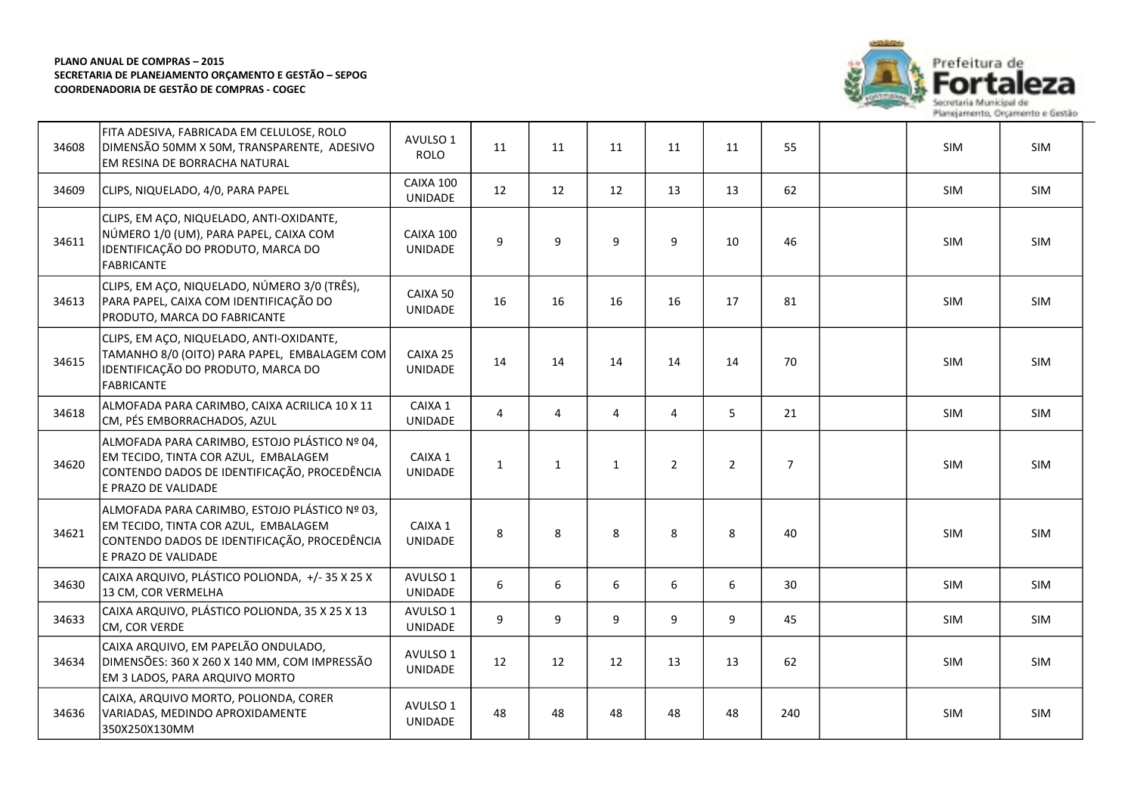

| 34608 | FITA ADESIVA, FABRICADA EM CELULOSE, ROLO<br>DIMENSÃO 50MM X 50M, TRANSPARENTE, ADESIVO<br>EM RESINA DE BORRACHA NATURAL                                     | AVULSO 1<br><b>ROLO</b>     | 11             | 11             | 11 | 11             | 11             | 55             | SIM        | SIM        |
|-------|--------------------------------------------------------------------------------------------------------------------------------------------------------------|-----------------------------|----------------|----------------|----|----------------|----------------|----------------|------------|------------|
| 34609 | CLIPS, NIQUELADO, 4/0, PARA PAPEL                                                                                                                            | CAIXA 100<br><b>UNIDADE</b> | 12             | 12             | 12 | 13             | 13             | 62             | <b>SIM</b> | <b>SIM</b> |
| 34611 | CLIPS, EM AÇO, NIQUELADO, ANTI-OXIDANTE,<br>NÚMERO 1/0 (UM), PARA PAPEL, CAIXA COM<br>IDENTIFICAÇÃO DO PRODUTO, MARCA DO<br><b>FABRICANTE</b>                | CAIXA 100<br><b>UNIDADE</b> | 9              | 9              | 9  | 9              | 10             | 46             | <b>SIM</b> | <b>SIM</b> |
| 34613 | CLIPS, EM AÇO, NIQUELADO, NÚMERO 3/0 (TRÊS),<br>PARA PAPEL, CAIXA COM IDENTIFICAÇÃO DO<br>PRODUTO, MARCA DO FABRICANTE                                       | CAIXA 50<br>UNIDADE         | 16             | 16             | 16 | 16             | 17             | 81             | SIM        | SIM        |
| 34615 | CLIPS, EM AÇO, NIQUELADO, ANTI-OXIDANTE,<br>TAMANHO 8/0 (OITO) PARA PAPEL, EMBALAGEM COM<br>IDENTIFICAÇÃO DO PRODUTO, MARCA DO<br><b>FABRICANTE</b>          | CAIXA 25<br>UNIDADE         | 14             | 14             | 14 | 14             | 14             | 70             | SIM        | SIM        |
| 34618 | ALMOFADA PARA CARIMBO, CAIXA ACRILICA 10 X 11<br>CM, PÉS EMBORRACHADOS, AZUL                                                                                 | CAIXA 1<br>UNIDADE          | $\overline{4}$ | $\overline{4}$ | 4  | $\overline{4}$ | 5              | 21             | <b>SIM</b> | SIM        |
| 34620 | ALMOFADA PARA CARIMBO, ESTOJO PLÁSTICO № 04,<br>EM TECIDO, TINTA COR AZUL, EMBALAGEM<br>CONTENDO DADOS DE IDENTIFICAÇÃO, PROCEDÊNCIA<br>le PRAZO DE VALIDADE | CAIXA 1<br>UNIDADE          | $\mathbf{1}$   | $\mathbf{1}$   | 1  | $\overline{2}$ | $\overline{2}$ | $\overline{7}$ | <b>SIM</b> | <b>SIM</b> |
| 34621 | ALMOFADA PARA CARIMBO, ESTOJO PLÁSTICO № 03,<br>EM TECIDO, TINTA COR AZUL, EMBALAGEM<br>CONTENDO DADOS DE IDENTIFICAÇÃO, PROCEDÊNCIA<br>E PRAZO DE VALIDADE  | CAIXA 1<br><b>UNIDADE</b>   | 8              | 8              | 8  | 8              | 8              | 40             | <b>SIM</b> | SIM        |
| 34630 | CAIXA ARQUIVO, PLÁSTICO POLIONDA, +/-35 X 25 X<br>13 CM, COR VERMELHA                                                                                        | AVULSO 1<br><b>UNIDADE</b>  | 6              | 6              | 6  | 6              | 6              | 30             | SIM        | SIM        |
| 34633 | CAIXA ARQUIVO, PLÁSTICO POLIONDA, 35 X 25 X 13<br>CM, COR VERDE                                                                                              | AVULSO 1<br>UNIDADE         | 9              | 9              | 9  | 9              | 9              | 45             | <b>SIM</b> | SIM        |
| 34634 | CAIXA ARQUIVO, EM PAPELÃO ONDULADO,<br>DIMENSÕES: 360 X 260 X 140 MM, COM IMPRESSÃO<br>EM 3 LADOS, PARA ARQUIVO MORTO                                        | AVULSO 1<br>UNIDADE         | 12             | 12             | 12 | 13             | 13             | 62             | SIM        | SIM        |
| 34636 | CAIXA, ARQUIVO MORTO, POLIONDA, CORER<br>VARIADAS, MEDINDO APROXIDAMENTE<br>350X250X130MM                                                                    | AVULSO 1<br><b>UNIDADE</b>  | 48             | 48             | 48 | 48             | 48             | 240            | SIM        | SIM        |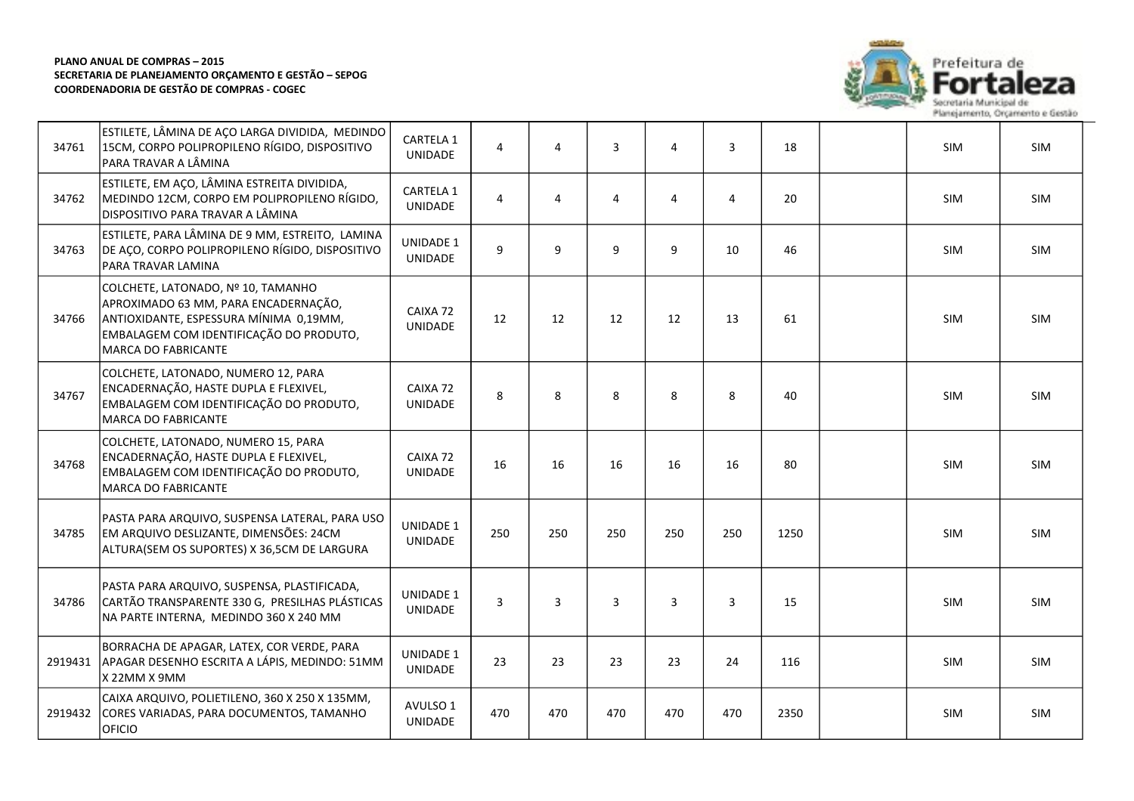

| 34761   | ESTILETE, LÂMINA DE AÇO LARGA DIVIDIDA, MEDINDO<br>15CM, CORPO POLIPROPILENO RÍGIDO, DISPOSITIVO<br>PARA TRAVAR A LÂMINA                                                                      | CARTELA 1<br>UNIDADE               | 4              | 4              | 3              | 4              | 3              | 18   | SIM        | SIM        |
|---------|-----------------------------------------------------------------------------------------------------------------------------------------------------------------------------------------------|------------------------------------|----------------|----------------|----------------|----------------|----------------|------|------------|------------|
| 34762   | ESTILETE, EM AÇO, LÂMINA ESTREITA DIVIDIDA,<br>MEDINDO 12CM, CORPO EM POLIPROPILENO RÍGIDO,<br><b>DISPOSITIVO PARA TRAVAR A LÂMINA</b>                                                        | CARTELA 1<br>UNIDADE               | 4              | $\overline{4}$ | $\overline{4}$ | 4              | $\overline{4}$ | 20   | SIM        | <b>SIM</b> |
| 34763   | ESTILETE, PARA LÂMINA DE 9 MM, ESTREITO, LAMINA<br>DE AÇO, CORPO POLIPROPILENO RÍGIDO, DISPOSITIVO<br>PARA TRAVAR LAMINA                                                                      | <b>UNIDADE 1</b><br>UNIDADE        | $\mathsf{q}$   | 9              | 9              | 9              | 10             | 46   | SIM        | SIM        |
| 34766   | COLCHETE, LATONADO, Nº 10, TAMANHO<br>APROXIMADO 63 MM, PARA ENCADERNAÇÃO,<br>ANTIOXIDANTE, ESPESSURA MÍNIMA 0,19MM,<br>EMBALAGEM COM IDENTIFICAÇÃO DO PRODUTO,<br><b>MARCA DO FABRICANTE</b> | CAIXA 72<br><b>UNIDADE</b>         | 12             | 12             | 12             | 12             | 13             | 61   | <b>SIM</b> | SIM        |
| 34767   | COLCHETE, LATONADO, NUMERO 12, PARA<br>ENCADERNAÇÃO, HASTE DUPLA E FLEXIVEL,<br>EMBALAGEM COM IDENTIFICAÇÃO DO PRODUTO,<br>MARCA DO FABRICANTE                                                | CAIXA 72<br><b>UNIDADE</b>         | 8              | 8              | 8              | 8              | 8              | 40   | SIM        | SIM        |
| 34768   | COLCHETE, LATONADO, NUMERO 15, PARA<br>ENCADERNAÇÃO, HASTE DUPLA E FLEXIVEL,<br>EMBALAGEM COM IDENTIFICAÇÃO DO PRODUTO,<br><b>MARCA DO FABRICANTE</b>                                         | CAIXA 72<br>UNIDADE                | 16             | 16             | 16             | 16             | 16             | 80   | <b>SIM</b> | <b>SIM</b> |
| 34785   | PASTA PARA ARQUIVO, SUSPENSA LATERAL, PARA USO<br>EM ARQUIVO DESLIZANTE, DIMENSÕES: 24CM<br>ALTURA(SEM OS SUPORTES) X 36,5CM DE LARGURA                                                       | <b>UNIDADE 1</b><br><b>UNIDADE</b> | 250            | 250            | 250            | 250            | 250            | 1250 | SIM        | <b>SIM</b> |
| 34786   | PASTA PARA ARQUIVO, SUSPENSA, PLASTIFICADA,<br>CARTÃO TRANSPARENTE 330 G, PRESILHAS PLÁSTICAS<br>NA PARTE INTERNA, MEDINDO 360 X 240 MM                                                       | <b>UNIDADE 1</b><br>UNIDADE        | $\overline{3}$ | $\overline{3}$ | $\overline{3}$ | $\overline{3}$ | $\overline{3}$ | 15   | SIM        | <b>SIM</b> |
| 2919431 | BORRACHA DE APAGAR, LATEX, COR VERDE, PARA<br>APAGAR DESENHO ESCRITA A LÁPIS, MEDINDO: 51MM<br>X 22MM X 9MM                                                                                   | <b>UNIDADE 1</b><br>UNIDADE        | 23             | 23             | 23             | 23             | 24             | 116  | SIM        | SIM        |
| 2919432 | CAIXA ARQUIVO, POLIETILENO, 360 X 250 X 135MM,<br>CORES VARIADAS, PARA DOCUMENTOS, TAMANHO<br><b>OFICIO</b>                                                                                   | AVULSO 1<br>UNIDADE                | 470            | 470            | 470            | 470            | 470            | 2350 | SIM        | SIM        |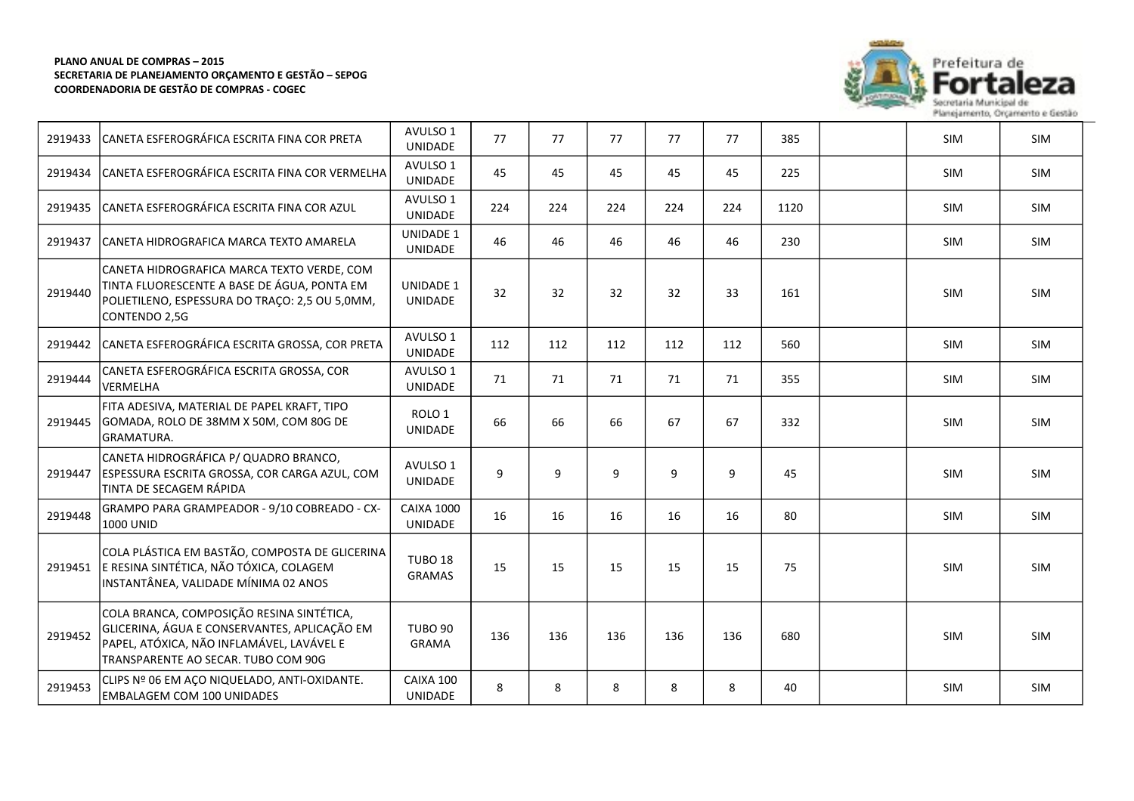

|         | 2919433 CANETA ESFEROGRÁFICA ESCRITA FINA COR PRETA                                                                                                                           | AVULSO 1<br><b>UNIDADE</b>          | 77  | 77  | 77  | 77  | 77  | 385  | <b>SIM</b> | <b>SIM</b> |
|---------|-------------------------------------------------------------------------------------------------------------------------------------------------------------------------------|-------------------------------------|-----|-----|-----|-----|-----|------|------------|------------|
| 2919434 | CANETA ESFEROGRÁFICA ESCRITA FINA COR VERMELHA                                                                                                                                | AVULSO 1<br><b>UNIDADE</b>          | 45  | 45  | 45  | 45  | 45  | 225  | <b>SIM</b> | <b>SIM</b> |
| 2919435 | CANETA ESFEROGRÁFICA ESCRITA FINA COR AZUL                                                                                                                                    | AVULSO 1<br><b>UNIDADE</b>          | 224 | 224 | 224 | 224 | 224 | 1120 | <b>SIM</b> | SIM        |
| 2919437 | CANETA HIDROGRAFICA MARCA TEXTO AMARELA                                                                                                                                       | UNIDADE 1<br>UNIDADE                | 46  | 46  | 46  | 46  | 46  | 230  | <b>SIM</b> | <b>SIM</b> |
| 2919440 | CANETA HIDROGRAFICA MARCA TEXTO VERDE, COM<br>TINTA FLUORESCENTE A BASE DE ÁGUA, PONTA EM<br>POLIETILENO, ESPESSURA DO TRAÇO: 2,5 OU 5,0MM,<br>CONTENDO 2,5G                  | <b>UNIDADE 1</b><br><b>UNIDADE</b>  | 32  | 32  | 32  | 32  | 33  | 161  | <b>SIM</b> | <b>SIM</b> |
| 2919442 | CANETA ESFEROGRÁFICA ESCRITA GROSSA, COR PRETA                                                                                                                                | AVULSO 1<br><b>UNIDADE</b>          | 112 | 112 | 112 | 112 | 112 | 560  | SIM        | SIM        |
| 2919444 | CANETA ESFEROGRÁFICA ESCRITA GROSSA, COR<br><b>VERMELHA</b>                                                                                                                   | AVULSO 1<br>UNIDADE                 | 71  | 71  | 71  | 71  | 71  | 355  | <b>SIM</b> | <b>SIM</b> |
| 2919445 | FITA ADESIVA, MATERIAL DE PAPEL KRAFT, TIPO<br>GOMADA, ROLO DE 38MM X 50M, COM 80G DE<br>lgramatura.                                                                          | ROLO <sub>1</sub><br><b>UNIDADE</b> | 66  | 66  | 66  | 67  | 67  | 332  | SIM        | SIM        |
| 2919447 | CANETA HIDROGRÁFICA P/ QUADRO BRANCO,<br>ESPESSURA ESCRITA GROSSA, COR CARGA AZUL, COM<br>TINTA DE SECAGEM RÁPIDA                                                             | AVULSO 1<br>UNIDADE                 | 9   | 9   | 9   | 9   | 9   | 45   | <b>SIM</b> | SIM        |
| 2919448 | GRAMPO PARA GRAMPEADOR - 9/10 COBREADO - CX-<br>1000 UNID                                                                                                                     | <b>CAIXA 1000</b><br>UNIDADE        | 16  | 16  | 16  | 16  | 16  | 80   | <b>SIM</b> | SIM        |
| 2919451 | COLA PLÁSTICA EM BASTÃO, COMPOSTA DE GLICERINA<br>E RESINA SINTÉTICA, NÃO TÓXICA, COLAGEM<br>INSTANTÂNEA, VALIDADE MÍNIMA 02 ANOS                                             | TUBO <sub>18</sub><br><b>GRAMAS</b> | 15  | 15  | 15  | 15  | 15  | 75   | SIM        | <b>SIM</b> |
| 2919452 | COLA BRANCA, COMPOSIÇÃO RESINA SINTÉTICA,<br>GLICERINA, ÁGUA E CONSERVANTES, APLICAÇÃO EM<br>PAPEL, ATÓXICA, NÃO INFLAMÁVEL, LAVÁVEL E<br>TRANSPARENTE AO SECAR. TUBO COM 90G | <b>TUBO 90</b><br><b>GRAMA</b>      | 136 | 136 | 136 | 136 | 136 | 680  | <b>SIM</b> | <b>SIM</b> |
| 2919453 | CLIPS Nº 06 EM AÇO NIQUELADO, ANTI-OXIDANTE.<br><b>EMBALAGEM COM 100 UNIDADES</b>                                                                                             | CAIXA 100<br><b>UNIDADE</b>         | 8   | 8   | 8   | 8   | 8   | 40   | SIM        | SIM        |

Planejamento, Orçamento e Gestão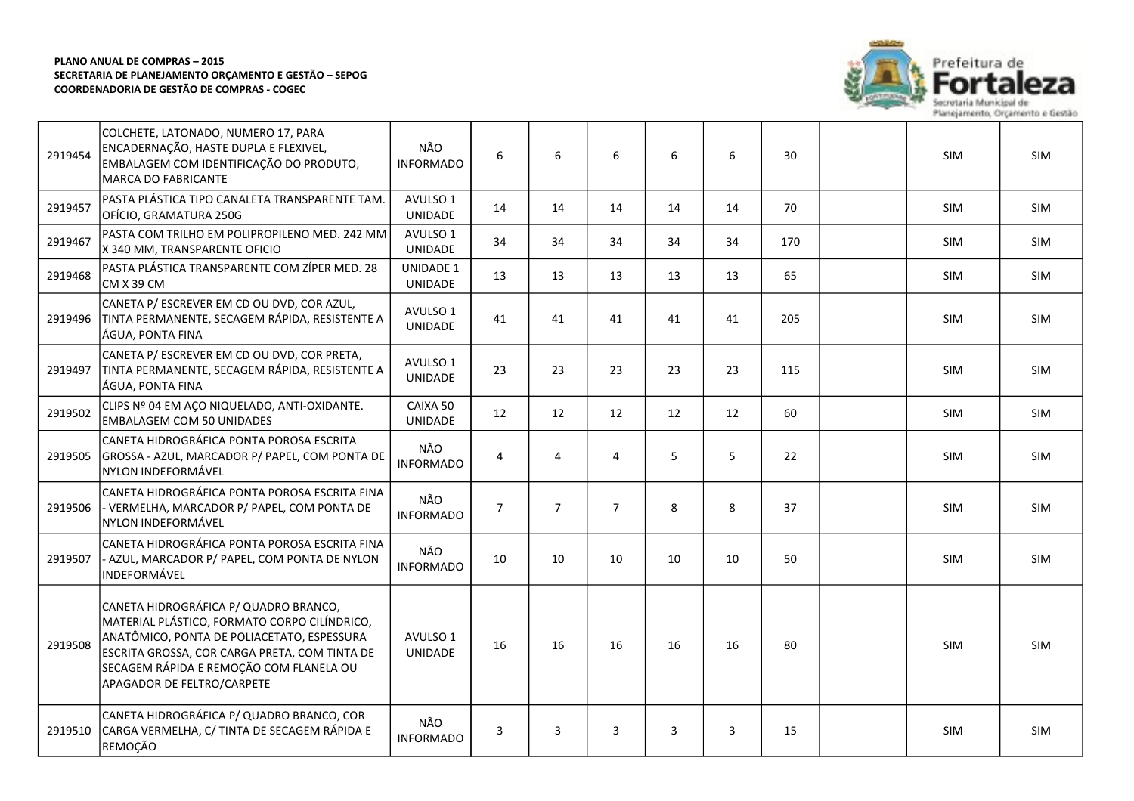

| 2919454 | COLCHETE, LATONADO, NUMERO 17, PARA<br>ENCADERNAÇÃO, HASTE DUPLA E FLEXIVEL,<br>EMBALAGEM COM IDENTIFICAÇÃO DO PRODUTO,<br><b>MARCA DO FABRICANTE</b>                                                                                                         | NÃO<br><b>INFORMADO</b>     | 6              | 6              | 6              | 6  | 6  | 30  | SIM        | SIM        |
|---------|---------------------------------------------------------------------------------------------------------------------------------------------------------------------------------------------------------------------------------------------------------------|-----------------------------|----------------|----------------|----------------|----|----|-----|------------|------------|
| 2919457 | PASTA PLÁSTICA TIPO CANALETA TRANSPARENTE TAM.<br>OFÍCIO, GRAMATURA 250G                                                                                                                                                                                      | AVULSO 1<br>UNIDADE         | 14             | 14             | 14             | 14 | 14 | 70  | SIM        | <b>SIM</b> |
| 2919467 | PASTA COM TRILHO EM POLIPROPILENO MED. 242 MM<br>X 340 MM, TRANSPARENTE OFICIO                                                                                                                                                                                | AVULSO 1<br>UNIDADE         | 34             | 34             | 34             | 34 | 34 | 170 | <b>SIM</b> | <b>SIM</b> |
| 2919468 | PASTA PLÁSTICA TRANSPARENTE COM ZÍPER MED. 28<br>CM X 39 CM                                                                                                                                                                                                   | <b>UNIDADE 1</b><br>UNIDADE | 13             | 13             | 13             | 13 | 13 | 65  | SIM        | <b>SIM</b> |
| 2919496 | CANETA P/ ESCREVER EM CD OU DVD, COR AZUL,<br>TINTA PERMANENTE, SECAGEM RÁPIDA, RESISTENTE A<br>ÁGUA, PONTA FINA                                                                                                                                              | AVULSO 1<br>UNIDADE         | 41             | 41             | 41             | 41 | 41 | 205 | SIM        | SIM        |
| 2919497 | CANETA P/ ESCREVER EM CD OU DVD, COR PRETA,<br>TINTA PERMANENTE, SECAGEM RÁPIDA, RESISTENTE A<br>ÁGUA, PONTA FINA                                                                                                                                             | AVULSO 1<br>UNIDADE         | 23             | 23             | 23             | 23 | 23 | 115 | <b>SIM</b> | <b>SIM</b> |
| 2919502 | CLIPS Nº 04 EM AÇO NIQUELADO, ANTI-OXIDANTE.<br><b>EMBALAGEM COM 50 UNIDADES</b>                                                                                                                                                                              | CAIXA 50<br><b>UNIDADE</b>  | 12             | 12             | 12             | 12 | 12 | 60  | <b>SIM</b> | <b>SIM</b> |
| 2919505 | CANETA HIDROGRÁFICA PONTA POROSA ESCRITA<br>GROSSA - AZUL, MARCADOR P/ PAPEL, COM PONTA DE<br>NYLON INDEFORMÁVEL                                                                                                                                              | NÃO<br><b>INFORMADO</b>     | 4              | 4              | $\overline{4}$ | 5  | 5  | 22  | SIM        | <b>SIM</b> |
| 2919506 | CANETA HIDROGRÁFICA PONTA POROSA ESCRITA FINA<br>- VERMELHA, MARCADOR P/ PAPEL, COM PONTA DE<br>NYLON INDEFORMÁVEL                                                                                                                                            | NÃO<br><b>INFORMADO</b>     | $\overline{7}$ | $\overline{7}$ | $\overline{7}$ | 8  | 8  | 37  | SIM        | <b>SIM</b> |
| 2919507 | CANETA HIDROGRÁFICA PONTA POROSA ESCRITA FINA<br>- AZUL, MARCADOR P/ PAPEL, COM PONTA DE NYLON<br>INDEFORMÁVEL                                                                                                                                                | NÃO<br><b>INFORMADO</b>     | 10             | 10             | 10             | 10 | 10 | 50  | SIM        | <b>SIM</b> |
| 2919508 | CANETA HIDROGRÁFICA P/ QUADRO BRANCO,<br>MATERIAL PLÁSTICO, FORMATO CORPO CILÍNDRICO,<br>ANATÔMICO, PONTA DE POLIACETATO, ESPESSURA<br>ESCRITA GROSSA, COR CARGA PRETA, COM TINTA DE<br>SECAGEM RÁPIDA E REMOÇÃO COM FLANELA OU<br>APAGADOR DE FELTRO/CARPETE | AVULSO 1<br><b>UNIDADE</b>  | 16             | 16             | 16             | 16 | 16 | 80  | <b>SIM</b> | <b>SIM</b> |
| 2919510 | CANETA HIDROGRÁFICA P/ QUADRO BRANCO, COR<br>CARGA VERMELHA, C/ TINTA DE SECAGEM RÁPIDA E<br>REMOÇÃO                                                                                                                                                          | NÃO<br><b>INFORMADO</b>     | 3              | 3              | 3              | 3  | 3  | 15  | <b>SIM</b> | <b>SIM</b> |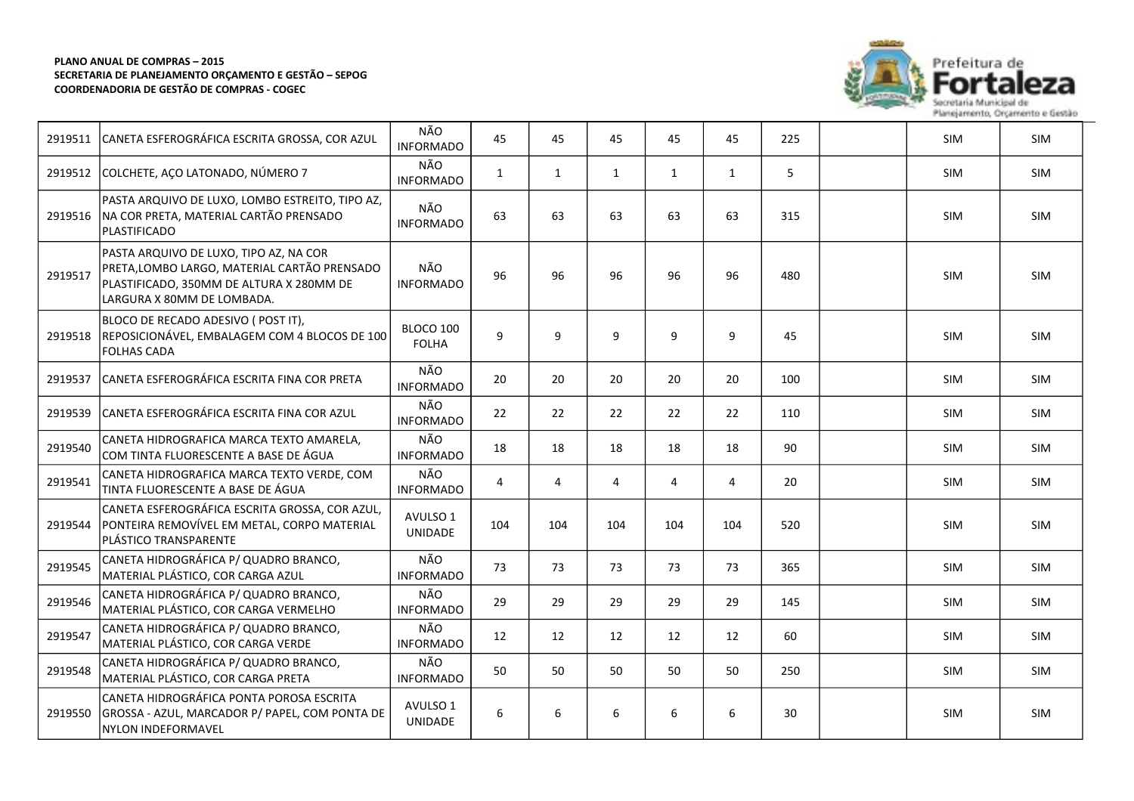

| 2919511 | CANETA ESFEROGRÁFICA ESCRITA GROSSA, COR AZUL                                                                                                                   | NÃO<br><b>INFORMADO</b>   | 45             | 45           | 45             | 45           | 45           | 225 | <b>SIM</b> | <b>SIM</b> |
|---------|-----------------------------------------------------------------------------------------------------------------------------------------------------------------|---------------------------|----------------|--------------|----------------|--------------|--------------|-----|------------|------------|
| 2919512 | COLCHETE, AÇO LATONADO, NÚMERO 7                                                                                                                                | NÃO<br><b>INFORMADO</b>   | $\mathbf{1}$   | $\mathbf{1}$ | $\mathbf{1}$   | $\mathbf{1}$ | $\mathbf{1}$ | 5   | SIM        | SIM        |
| 2919516 | PASTA ARQUIVO DE LUXO, LOMBO ESTREITO, TIPO AZ,<br>NA COR PRETA, MATERIAL CARTÃO PRENSADO<br><i><b>PLASTIFICADO</b></i>                                         | NÃO<br><b>INFORMADO</b>   | 63             | 63           | 63             | 63           | 63           | 315 | <b>SIM</b> | SIM        |
| 2919517 | PASTA ARQUIVO DE LUXO, TIPO AZ, NA COR<br>PRETA,LOMBO LARGO, MATERIAL CARTÃO PRENSADO<br>PLASTIFICADO, 350MM DE ALTURA X 280MM DE<br>LARGURA X 80MM DE LOMBADA. | NÃO<br><b>INFORMADO</b>   | 96             | 96           | 96             | 96           | 96           | 480 | <b>SIM</b> | <b>SIM</b> |
| 2919518 | BLOCO DE RECADO ADESIVO (POST IT),<br>REPOSICIONÁVEL, EMBALAGEM COM 4 BLOCOS DE 100<br>FOLHAS CADA                                                              | BLOCO 100<br><b>FOLHA</b> | 9              | 9            | 9              | 9            | 9            | 45  | SIM        | SIM        |
| 2919537 | CANETA ESFEROGRÁFICA ESCRITA FINA COR PRETA                                                                                                                     | NÃO<br><b>INFORMADO</b>   | 20             | 20           | 20             | 20           | 20           | 100 | <b>SIM</b> | <b>SIM</b> |
| 2919539 | CANETA ESFEROGRÁFICA ESCRITA FINA COR AZUL                                                                                                                      | NÃO<br><b>INFORMADO</b>   | 22             | 22           | 22             | 22           | 22           | 110 | <b>SIM</b> | <b>SIM</b> |
| 2919540 | CANETA HIDROGRAFICA MARCA TEXTO AMARELA,<br>lcom tinta fluorescente a base de água                                                                              | NÃO<br><b>INFORMADO</b>   | 18             | 18           | 18             | 18           | 18           | 90  | SIM        | SIM        |
| 2919541 | CANETA HIDROGRAFICA MARCA TEXTO VERDE, COM<br>TINTA FLUORESCENTE A BASE DE ÁGUA                                                                                 | NÃO<br><b>INFORMADO</b>   | $\overline{4}$ | 4            | $\overline{4}$ | 4            | 4            | 20  | <b>SIM</b> | <b>SIM</b> |
| 2919544 | CANETA ESFEROGRÁFICA ESCRITA GROSSA, COR AZUL,<br>PONTEIRA REMOVÍVEL EM METAL, CORPO MATERIAL<br>PLÁSTICO TRANSPARENTE                                          | AVULSO 1<br>UNIDADE       | 104            | 104          | 104            | 104          | 104          | 520 | <b>SIM</b> | <b>SIM</b> |
| 2919545 | CANETA HIDROGRÁFICA P/ QUADRO BRANCO,<br>MATERIAL PLÁSTICO, COR CARGA AZUL                                                                                      | NÃO<br><b>INFORMADO</b>   | 73             | 73           | 73             | 73           | 73           | 365 | SIM        | SIM        |
| 2919546 | CANETA HIDROGRÁFICA P/ QUADRO BRANCO,<br>MATERIAL PLÁSTICO, COR CARGA VERMELHO                                                                                  | NÃO<br><b>INFORMADO</b>   | 29             | 29           | 29             | 29           | 29           | 145 | SIM        | SIM        |
| 2919547 | CANETA HIDROGRÁFICA P/ QUADRO BRANCO,<br>MATERIAL PLÁSTICO, COR CARGA VERDE                                                                                     | NÃO<br><b>INFORMADO</b>   | 12             | 12           | 12             | 12           | 12           | 60  | <b>SIM</b> | <b>SIM</b> |
| 2919548 | CANETA HIDROGRÁFICA P/ QUADRO BRANCO,<br>MATERIAL PLÁSTICO, COR CARGA PRETA                                                                                     | NÃO<br><b>INFORMADO</b>   | 50             | 50           | 50             | 50           | 50           | 250 | SIM        | SIM        |
| 2919550 | CANETA HIDROGRÁFICA PONTA POROSA ESCRITA<br>GROSSA - AZUL, MARCADOR P/ PAPEL, COM PONTA DE<br>NYLON INDEFORMAVEL                                                | AVULSO 1<br>UNIDADE       | 6              | 6            | 6              | 6            | 6            | 30  | <b>SIM</b> | <b>SIM</b> |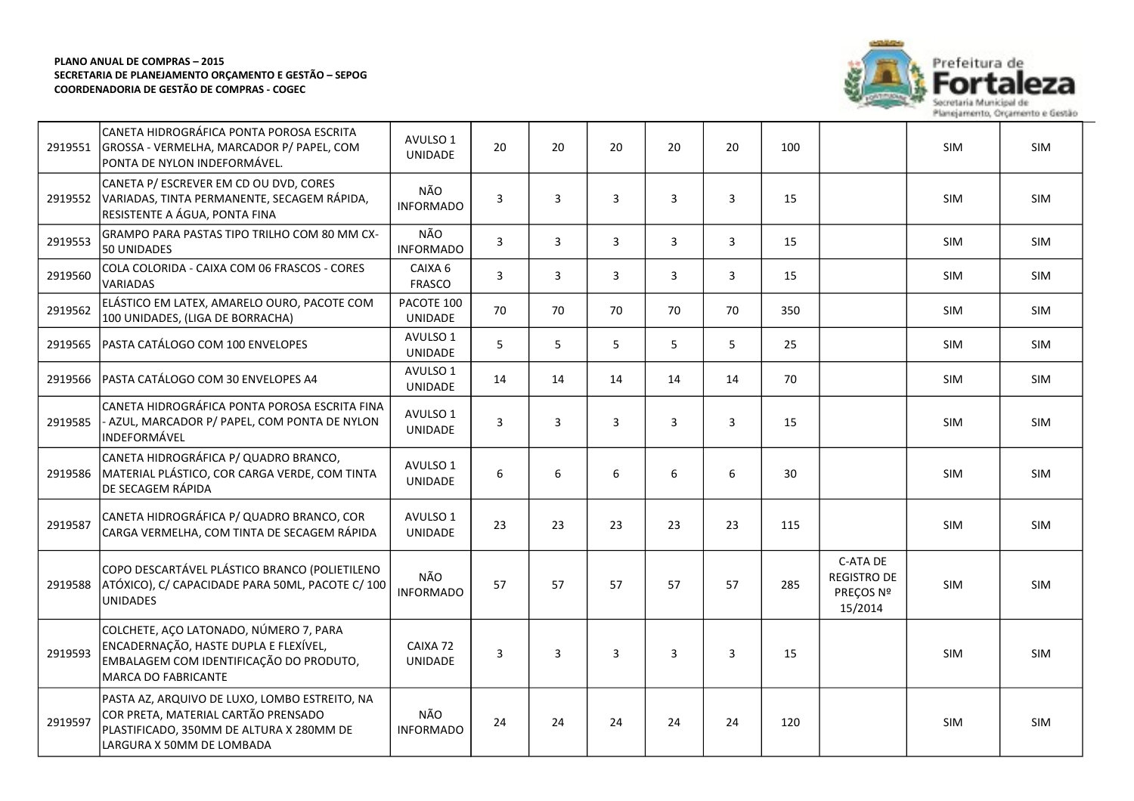

| 2919551 | CANETA HIDROGRÁFICA PONTA POROSA ESCRITA<br>GROSSA - VERMELHA, MARCADOR P/ PAPEL, COM<br>PONTA DE NYLON INDEFORMÁVEL.                                         | AVULSO 1<br>UNIDADE        | 20             | 20             | 20           | 20 | 20             | 100 |                                                        | <b>SIM</b> | <b>SIM</b> |
|---------|---------------------------------------------------------------------------------------------------------------------------------------------------------------|----------------------------|----------------|----------------|--------------|----|----------------|-----|--------------------------------------------------------|------------|------------|
| 2919552 | CANETA P/ ESCREVER EM CD OU DVD, CORES<br>VARIADAS, TINTA PERMANENTE, SECAGEM RÁPIDA,<br>RESISTENTE A ÁGUA, PONTA FINA                                        | NÃO<br><b>INFORMADO</b>    | 3              | 3              | 3            | 3  | $\overline{3}$ | 15  |                                                        | SIM        | SIM        |
| 2919553 | GRAMPO PARA PASTAS TIPO TRILHO COM 80 MM CX-<br>50 UNIDADES                                                                                                   | NÃO<br><b>INFORMADO</b>    | $\overline{3}$ | $\overline{3}$ | $\mathbf{3}$ | 3  | $\overline{3}$ | 15  |                                                        | SIM        | SIM        |
| 2919560 | COLA COLORIDA - CAIXA COM 06 FRASCOS - CORES<br><b>VARIADAS</b>                                                                                               | CAIXA 6<br>FRASCO          | $\overline{3}$ | $\overline{3}$ | 3            | 3  | $\mathbf{3}$   | 15  |                                                        | <b>SIM</b> | <b>SIM</b> |
| 2919562 | ELÁSTICO EM LATEX, AMARELO OURO, PACOTE COM<br>100 UNIDADES, (LIGA DE BORRACHA)                                                                               | PACOTE 100<br>UNIDADE      | 70             | 70             | 70           | 70 | 70             | 350 |                                                        | <b>SIM</b> | <b>SIM</b> |
| 2919565 | PASTA CATÁLOGO COM 100 ENVELOPES                                                                                                                              | AVULSO 1<br>UNIDADE        | 5              | 5              | 5            | 5  | 5              | 25  |                                                        | <b>SIM</b> | SIM        |
| 2919566 | PASTA CATÁLOGO COM 30 ENVELOPES A4                                                                                                                            | AVULSO 1<br>UNIDADE        | 14             | 14             | 14           | 14 | 14             | 70  |                                                        | SIM        | SIM        |
| 2919585 | CANETA HIDROGRÁFICA PONTA POROSA ESCRITA FINA<br>- AZUL, MARCADOR P/ PAPEL, COM PONTA DE NYLON<br>INDEFORMÁVEL                                                | AVULSO 1<br>UNIDADE        | 3              | 3              | 3            | 3  | 3              | 15  |                                                        | SIM        | SIM        |
| 2919586 | CANETA HIDROGRÁFICA P/ QUADRO BRANCO,<br>MATERIAL PLÁSTICO, COR CARGA VERDE, COM TINTA<br>DE SECAGEM RÁPIDA                                                   | AVULSO 1<br>UNIDADE        | 6              | 6              | 6            | 6  | 6              | 30  |                                                        | <b>SIM</b> | SIM        |
| 2919587 | CANETA HIDROGRÁFICA P/ QUADRO BRANCO, COR<br>CARGA VERMELHA, COM TINTA DE SECAGEM RÁPIDA                                                                      | AVULSO 1<br>UNIDADE        | 23             | 23             | 23           | 23 | 23             | 115 |                                                        | SIM        | SIM        |
| 2919588 | COPO DESCARTÁVEL PLÁSTICO BRANCO (POLIETILENO<br>ATÓXICO), C/ CAPACIDADE PARA 50ML, PACOTE C/ 100<br><b>UNIDADES</b>                                          | NÃO<br><b>INFORMADO</b>    | 57             | 57             | 57           | 57 | 57             | 285 | C-ATA DE<br><b>REGISTRO DE</b><br>PREÇOS Nº<br>15/2014 | SIM        | SIM        |
| 2919593 | COLCHETE, AÇO LATONADO, NÚMERO 7, PARA<br>ENCADERNAÇÃO, HASTE DUPLA E FLEXÍVEL,<br>EMBALAGEM COM IDENTIFICAÇÃO DO PRODUTO,<br><b>MARCA DO FABRICANTE</b>      | CAIXA 72<br><b>UNIDADE</b> | 3              | 3              | 3            | 3  | 3              | 15  |                                                        | SIM        | SIM        |
| 2919597 | PASTA AZ, ARQUIVO DE LUXO, LOMBO ESTREITO, NA<br>COR PRETA, MATERIAL CARTÃO PRENSADO<br>PLASTIFICADO, 350MM DE ALTURA X 280MM DE<br>LARGURA X 50MM DE LOMBADA | NÃO<br><b>INFORMADO</b>    | 24             | 24             | 24           | 24 | 24             | 120 |                                                        | SIM        | SIM        |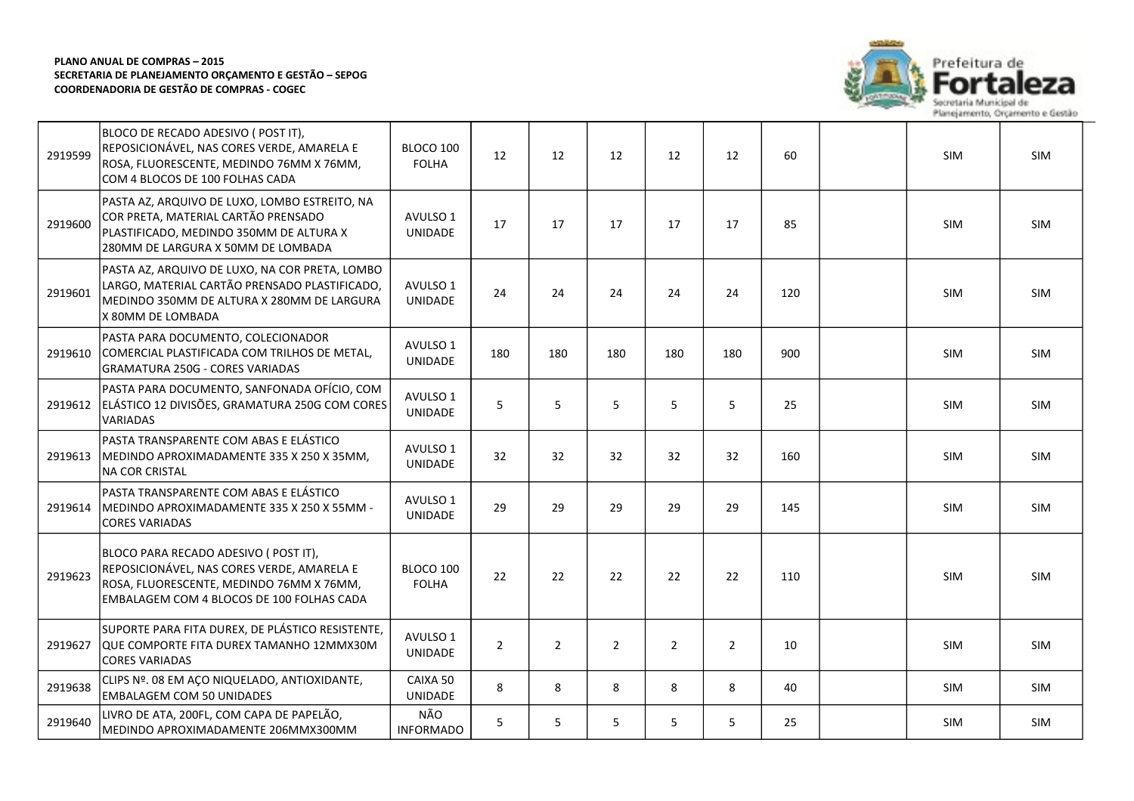

| 2919599 | BLOCO DE RECADO ADESIVO (POST IT),<br>REPOSICIONÁVEL, NAS CORES VERDE, AMARELA E<br>ROSA, FLUORESCENTE, MEDINDO 76MM X 76MM,<br>COM 4 BLOCOS DE 100 FOLHAS CADA              | BLOCO 100<br><b>FOLHA</b>  | 12             | 12             | 12          | 12             | 12             | 60  | SIM        | <b>SIM</b> |
|---------|------------------------------------------------------------------------------------------------------------------------------------------------------------------------------|----------------------------|----------------|----------------|-------------|----------------|----------------|-----|------------|------------|
| 2919600 | PASTA AZ, ARQUIVO DE LUXO, LOMBO ESTREITO, NA<br>COR PRETA, MATERIAL CARTÃO PRENSADO<br>PLASTIFICADO, MEDINDO 350MM DE ALTURA X<br>280MM DE LARGURA X 50MM DE LOMBADA        | AVULSO 1<br><b>UNIDADE</b> | 17             | 17             | 17          | 17             | 17             | 85  | SIM        | <b>SIM</b> |
| 2919601 | PASTA AZ, ARQUIVO DE LUXO, NA COR PRETA, LOMBO<br>LARGO, MATERIAL CARTÃO PRENSADO PLASTIFICADO,<br>MEDINDO 350MM DE ALTURA X 280MM DE LARGURA<br>X 80MM DE LOMBADA           | AVULSO 1<br><b>UNIDADE</b> | 24             | 24             | 24          | 24             | 24             | 120 | SIM        | SIM        |
| 2919610 | PASTA PARA DOCUMENTO, COLECIONADOR<br>COMERCIAL PLASTIFICADA COM TRILHOS DE METAL,<br><b>GRAMATURA 250G - CORES VARIADAS</b>                                                 | AVULSO 1<br><b>UNIDADE</b> | 180            | 180            | 180         | 180            | 180            | 900 | SIM        | SIM        |
| 2919612 | PASTA PARA DOCUMENTO, SANFONADA OFÍCIO, COM<br>ELÁSTICO 12 DIVISÕES, GRAMATURA 250G COM CORES<br>VARIADAS                                                                    | AVULSO 1<br>UNIDADE        | 5              | 5              | 5           | 5              | 5              | 25  | SIM        | SIM        |
| 2919613 | PASTA TRANSPARENTE COM ABAS E ELÁSTICO<br>MEDINDO APROXIMADAMENTE 335 X 250 X 35MM,<br><b>NA COR CRISTAL</b>                                                                 | AVULSO 1<br>UNIDADE        | 32             | 32             | 32          | 32             | 32             | 160 | SIM        | <b>SIM</b> |
| 2919614 | PASTA TRANSPARENTE COM ABAS E ELÁSTICO<br>MEDINDO APROXIMADAMENTE 335 X 250 X 55MM -<br><b>CORES VARIADAS</b>                                                                | AVULSO 1<br>UNIDADE        | 29             | 29             | 29          | 29             | 29             | 145 | SIM        | SIM        |
| 2919623 | BLOCO PARA RECADO ADESIVO ( POST IT),<br>REPOSICIONÁVEL, NAS CORES VERDE, AMARELA E<br>ROSA, FLUORESCENTE, MEDINDO 76MM X 76MM,<br>EMBALAGEM COM 4 BLOCOS DE 100 FOLHAS CADA | BLOCO 100<br><b>FOLHA</b>  | 22             | 22             | 22          | 22             | 22             | 110 | SIM        | SIM        |
| 2919627 | SUPORTE PARA FITA DUREX, DE PLÁSTICO RESISTENTE,<br>QUE COMPORTE FITA DUREX TAMANHO 12MMX30M<br><b>CORES VARIADAS</b>                                                        | AVULSO 1<br>UNIDADE        | $\overline{2}$ | $\overline{2}$ | $2^{\circ}$ | $\overline{2}$ | $\overline{2}$ | 10  | SIM        | SIM        |
| 2919638 | CLIPS Nº. 08 EM AÇO NIQUELADO, ANTIOXIDANTE,<br><b>EMBALAGEM COM 50 UNIDADES</b>                                                                                             | CAIXA 50<br>UNIDADE        | 8              | 8              | 8           | 8              | 8              | 40  | <b>SIM</b> | <b>SIM</b> |
| 2919640 | LIVRO DE ATA, 200FL, COM CAPA DE PAPELÃO,<br>MEDINDO APROXIMADAMENTE 206MMX300MM                                                                                             | NÃO<br><b>INFORMADO</b>    | 5              | 5              | 5           | 5              | 5              | 25  | <b>SIM</b> | <b>SIM</b> |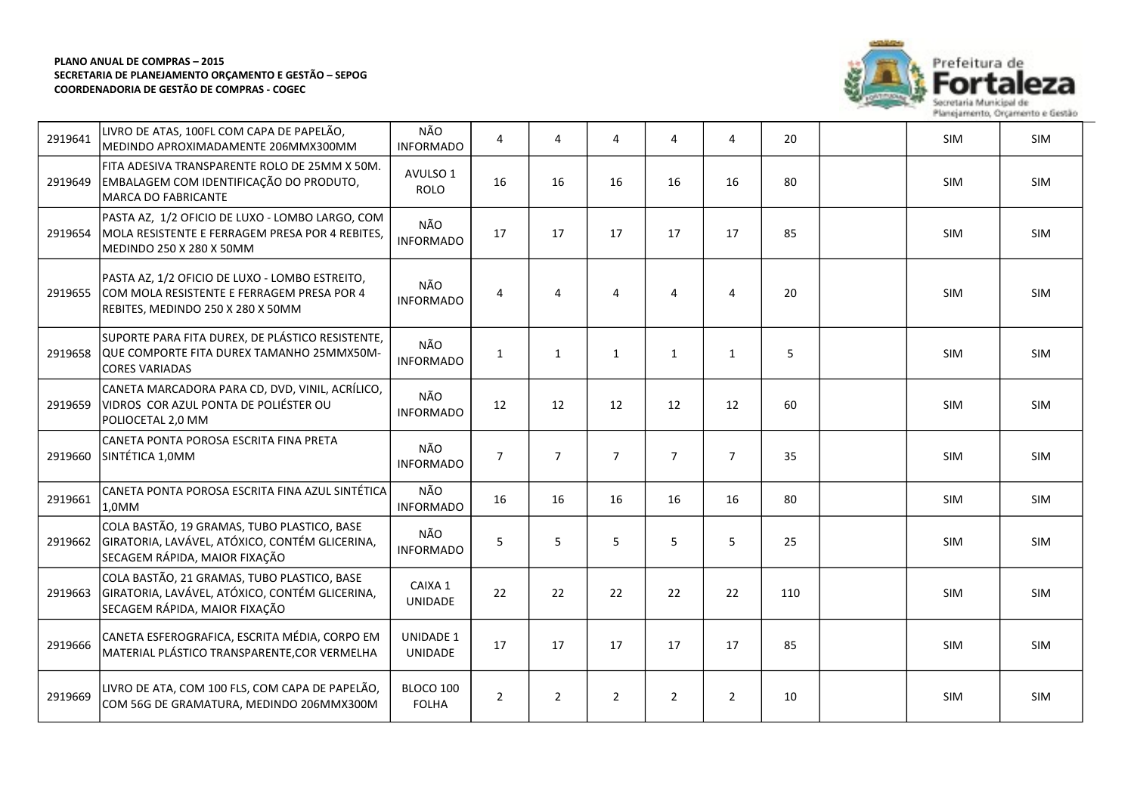

| 2919641 | LIVRO DE ATAS, 100FL COM CAPA DE PAPELÃO,<br>MEDINDO APROXIMADAMENTE 206MMX300MM                                                  | NÃO<br><b>INFORMADO</b>     | 4              | 4              | 4              | 4              | 4              | 20  | SIM        | <b>SIM</b> |
|---------|-----------------------------------------------------------------------------------------------------------------------------------|-----------------------------|----------------|----------------|----------------|----------------|----------------|-----|------------|------------|
| 2919649 | FITA ADESIVA TRANSPARENTE ROLO DE 25MM X 50M.<br>EMBALAGEM COM IDENTIFICAÇÃO DO PRODUTO,<br>MARCA DO FABRICANTE                   | AVULSO 1<br><b>ROLO</b>     | 16             | 16             | 16             | 16             | 16             | 80  | SIM        | <b>SIM</b> |
| 2919654 | PASTA AZ, 1/2 OFICIO DE LUXO - LOMBO LARGO, COM<br>MOLA RESISTENTE E FERRAGEM PRESA POR 4 REBITES,<br>MEDINDO 250 X 280 X 50MM    | NÃO<br><b>INFORMADO</b>     | 17             | 17             | 17             | 17             | 17             | 85  | SIM        | SIM        |
| 2919655 | PASTA AZ, 1/2 OFICIO DE LUXO - LOMBO ESTREITO,<br>COM MOLA RESISTENTE E FERRAGEM PRESA POR 4<br>REBITES, MEDINDO 250 X 280 X 50MM | NÃO<br><b>INFORMADO</b>     | 4              | 4              | 4              | $\overline{4}$ | 4              | 20  | SIM        | SIM        |
| 2919658 | SUPORTE PARA FITA DUREX, DE PLÁSTICO RESISTENTE,<br>QUE COMPORTE FITA DUREX TAMANHO 25MMX50M-<br><b>CORES VARIADAS</b>            | NÃO<br><b>INFORMADO</b>     | $\mathbf{1}$   | $\mathbf{1}$   | $\mathbf{1}$   | $\mathbf{1}$   | $\mathbf{1}$   | 5   | <b>SIM</b> | <b>SIM</b> |
| 2919659 | CANETA MARCADORA PARA CD, DVD, VINIL, ACRÍLICO,<br>VIDROS COR AZUL PONTA DE POLIÉSTER OU<br>POLIOCETAL 2,0 MM                     | NÃO<br><b>INFORMADO</b>     | 12             | 12             | 12             | 12             | 12             | 60  | SIM        | SIM        |
| 2919660 | CANETA PONTA POROSA ESCRITA FINA PRETA<br>SINTÉTICA 1,0MM                                                                         | NÃO<br><b>INFORMADO</b>     | $\overline{7}$ | $\overline{7}$ | $\overline{7}$ | $\overline{7}$ | $\overline{7}$ | 35  | <b>SIM</b> | <b>SIM</b> |
| 2919661 | CANETA PONTA POROSA ESCRITA FINA AZUL SINTÉTICA<br>1,0MM                                                                          | NÃO<br><b>INFORMADO</b>     | 16             | 16             | 16             | 16             | 16             | 80  | SIM        | <b>SIM</b> |
| 2919662 | COLA BASTÃO, 19 GRAMAS, TUBO PLASTICO, BASE<br>GIRATORIA, LAVÁVEL, ATÓXICO, CONTÉM GLICERINA,<br>SECAGEM RÁPIDA, MAIOR FIXAÇÃO    | NÃO<br><b>INFORMADO</b>     | 5              | 5              | 5              | 5              | 5              | 25  | <b>SIM</b> | <b>SIM</b> |
| 2919663 | COLA BASTÃO, 21 GRAMAS, TUBO PLASTICO, BASE<br>GIRATORIA, LAVÁVEL, ATÓXICO, CONTÉM GLICERINA,<br>SECAGEM RÁPIDA, MAIOR FIXAÇÃO    | CAIXA 1<br>UNIDADE          | 22             | 22             | 22             | 22             | 22             | 110 | <b>SIM</b> | <b>SIM</b> |
| 2919666 | CANETA ESFEROGRAFICA, ESCRITA MÉDIA, CORPO EM<br>MATERIAL PLÁSTICO TRANSPARENTE, COR VERMELHA                                     | <b>UNIDADE 1</b><br>UNIDADE | 17             | 17             | 17             | 17             | 17             | 85  | SIM        | SIM        |
| 2919669 | LIVRO DE ATA, COM 100 FLS, COM CAPA DE PAPELÃO,<br>COM 56G DE GRAMATURA, MEDINDO 206MMX300M                                       | BLOCO 100<br><b>FOLHA</b>   | $\overline{2}$ | $\overline{2}$ | $\overline{2}$ | $\overline{2}$ | $\overline{2}$ | 10  | SIM        | <b>SIM</b> |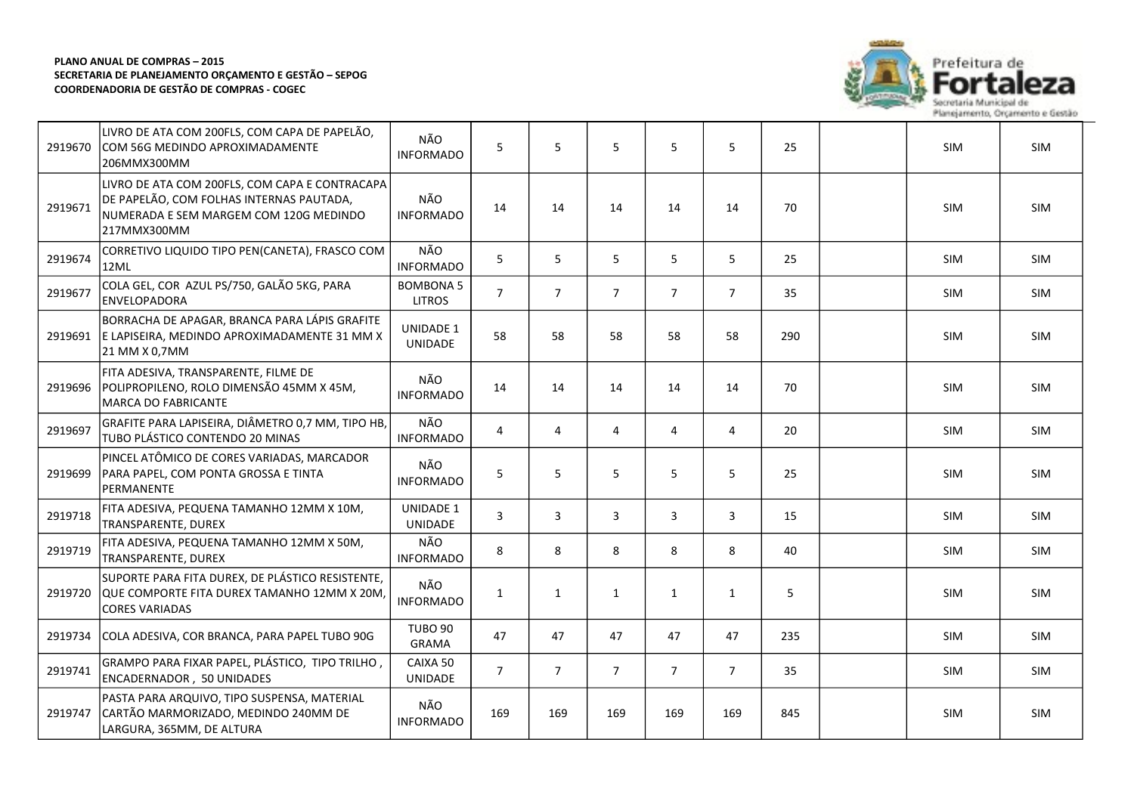

| 2919670 | LIVRO DE ATA COM 200FLS, COM CAPA DE PAPELÃO,<br>COM 56G MEDINDO APROXIMADAMENTE<br>206MMX300MM                                                     | NÃO<br><b>INFORMADO</b>            | 5              | 5              | 5              | 5              | 5              | 25  | SIM        | SIM        |
|---------|-----------------------------------------------------------------------------------------------------------------------------------------------------|------------------------------------|----------------|----------------|----------------|----------------|----------------|-----|------------|------------|
| 2919671 | LIVRO DE ATA COM 200FLS, COM CAPA E CONTRACAPA<br>DE PAPELÃO, COM FOLHAS INTERNAS PAUTADA,<br>NUMERADA E SEM MARGEM COM 120G MEDINDO<br>217MMX300MM | NÃO<br><b>INFORMADO</b>            | 14             | 14             | 14             | 14             | 14             | 70  | SIM        | <b>SIM</b> |
| 2919674 | CORRETIVO LIQUIDO TIPO PEN(CANETA), FRASCO COM<br>12ML                                                                                              | NÃO<br><b>INFORMADO</b>            | 5              | 5              | 5              | 5              | 5              | 25  | SIM        | SIM        |
| 2919677 | COLA GEL, COR AZUL PS/750, GALÃO 5KG, PARA<br><b>ENVELOPADORA</b>                                                                                   | <b>BOMBONA 5</b><br><b>LITROS</b>  | $\overline{7}$ | $\overline{7}$ | $\overline{7}$ | $\overline{7}$ | $\overline{7}$ | 35  | <b>SIM</b> | <b>SIM</b> |
| 2919691 | BORRACHA DE APAGAR, BRANCA PARA LÁPIS GRAFITE<br>E LAPISEIRA, MEDINDO APROXIMADAMENTE 31 MM X<br>21 MM X 0,7MM                                      | <b>UNIDADE 1</b><br><b>UNIDADE</b> | 58             | 58             | 58             | 58             | 58             | 290 | SIM        | SIM        |
| 2919696 | FITA ADESIVA, TRANSPARENTE, FILME DE<br>POLIPROPILENO, ROLO DIMENSÃO 45MM X 45M,<br><b>MARCA DO FABRICANTE</b>                                      | NÃO<br><b>INFORMADO</b>            | 14             | 14             | 14             | 14             | 14             | 70  | <b>SIM</b> | SIM        |
| 2919697 | GRAFITE PARA LAPISEIRA, DIÂMETRO 0,7 MM, TIPO HB,<br>TUBO PLÁSTICO CONTENDO 20 MINAS                                                                | NÃO<br><b>INFORMADO</b>            | $\overline{4}$ | $\overline{4}$ | $\overline{4}$ | 4              | $\overline{4}$ | 20  | SIM        | SIM        |
| 2919699 | PINCEL ATÔMICO DE CORES VARIADAS, MARCADOR<br>PARA PAPEL, COM PONTA GROSSA E TINTA<br>PERMANENTE                                                    | NÃO<br><b>INFORMADO</b>            | 5              | 5              | 5              | 5              | 5              | 25  | SIM        | SIM        |
| 2919718 | FITA ADESIVA, PEQUENA TAMANHO 12MM X 10M,<br>TRANSPARENTE, DUREX                                                                                    | <b>UNIDADE 1</b><br><b>UNIDADE</b> | $\mathbf{3}$   | 3              | 3              | 3              | 3              | 15  | SIM        | SIM        |
| 2919719 | FITA ADESIVA, PEQUENA TAMANHO 12MM X 50M,<br>TRANSPARENTE, DUREX                                                                                    | NÃO<br><b>INFORMADO</b>            | 8              | 8              | 8              | 8              | 8              | 40  | <b>SIM</b> | SIM        |
| 2919720 | SUPORTE PARA FITA DUREX, DE PLÁSTICO RESISTENTE,<br>QUE COMPORTE FITA DUREX TAMANHO 12MM X 20M,<br><b>CORES VARIADAS</b>                            | NÃO<br><b>INFORMADO</b>            | $\mathbf{1}$   | $\mathbf{1}$   | $\mathbf{1}$   | $\mathbf{1}$   | $\mathbf{1}$   | 5   | <b>SIM</b> | SIM        |
| 2919734 | COLA ADESIVA, COR BRANCA, PARA PAPEL TUBO 90G                                                                                                       | <b>TUBO 90</b><br>GRAMA            | 47             | 47             | 47             | 47             | 47             | 235 | SIM        | SIM        |
| 2919741 | GRAMPO PARA FIXAR PAPEL, PLÁSTICO, TIPO TRILHO,<br><b>ENCADERNADOR, 50 UNIDADES</b>                                                                 | CAIXA 50<br>UNIDADE                | $\overline{7}$ | $\overline{7}$ | $\overline{7}$ | $\overline{7}$ | $\overline{7}$ | 35  | SIM        | SIM        |
| 2919747 | PASTA PARA ARQUIVO, TIPO SUSPENSA, MATERIAL<br>CARTÃO MARMORIZADO, MEDINDO 240MM DE<br>LARGURA, 365MM, DE ALTURA                                    | NÃO<br><b>INFORMADO</b>            | 169            | 169            | 169            | 169            | 169            | 845 | SIM        | SIM        |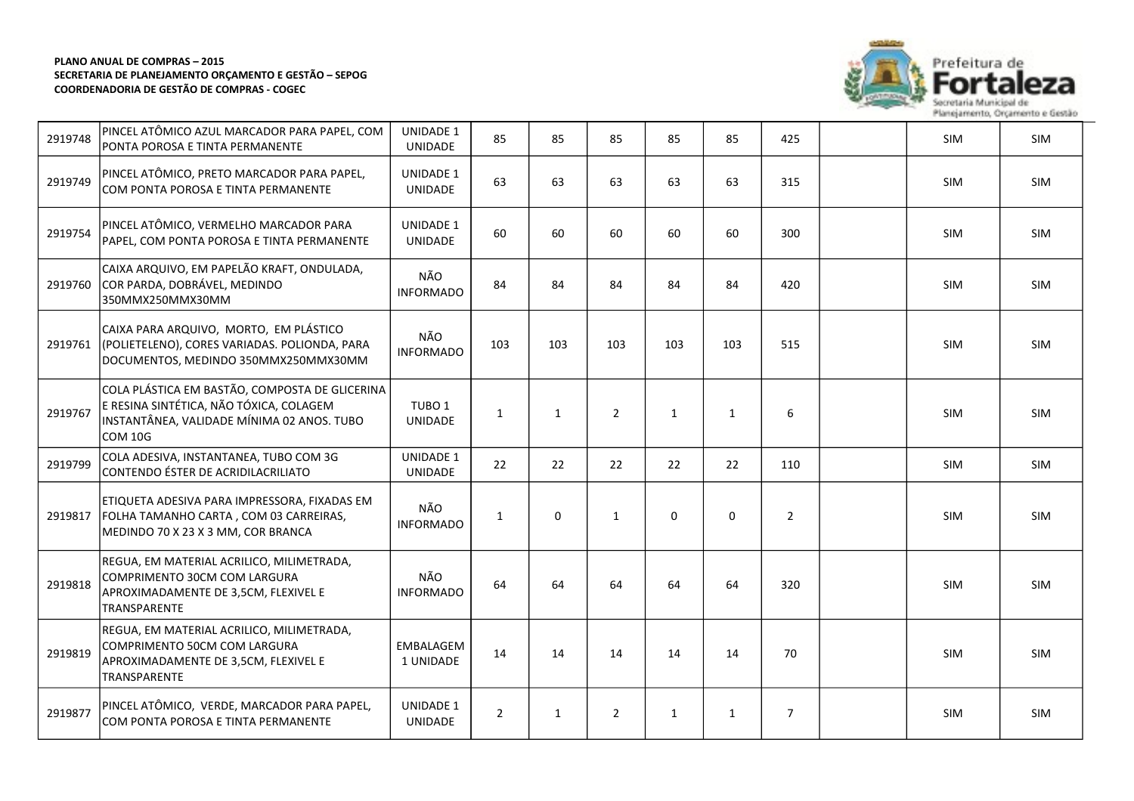

73

| 2919748 | PINCEL ATÔMICO AZUL MARCADOR PARA PAPEL, COM<br>PONTA POROSA E TINTA PERMANENTE                                                                           | <b>UNIDADE 1</b><br><b>UNIDADE</b>  | 85             | 85           | 85             | 85           | 85           | 425            | SIM        | SIM        |
|---------|-----------------------------------------------------------------------------------------------------------------------------------------------------------|-------------------------------------|----------------|--------------|----------------|--------------|--------------|----------------|------------|------------|
| 2919749 | PINCEL ATÔMICO, PRETO MARCADOR PARA PAPEL,<br>COM PONTA POROSA E TINTA PERMANENTE                                                                         | <b>UNIDADE 1</b><br><b>UNIDADE</b>  | 63             | 63           | 63             | 63           | 63           | 315            | <b>SIM</b> | <b>SIM</b> |
| 2919754 | PINCEL ATÔMICO, VERMELHO MARCADOR PARA<br>PAPEL, COM PONTA POROSA E TINTA PERMANENTE                                                                      | <b>UNIDADE 1</b><br><b>UNIDADE</b>  | 60             | 60           | 60             | 60           | 60           | 300            | <b>SIM</b> | <b>SIM</b> |
| 2919760 | CAIXA ARQUIVO, EM PAPELÃO KRAFT, ONDULADA,<br>COR PARDA, DOBRÁVEL, MEDINDO<br>350MMX250MMX30MM                                                            | NÃO<br><b>INFORMADO</b>             | 84             | 84           | 84             | 84           | 84           | 420            | <b>SIM</b> | <b>SIM</b> |
| 2919761 | CAIXA PARA ARQUIVO, MORTO, EM PLÁSTICO<br>(POLIETELENO), CORES VARIADAS. POLIONDA, PARA<br>DOCUMENTOS, MEDINDO 350MMX250MMX30MM                           | NÃO<br><b>INFORMADO</b>             | 103            | 103          | 103            | 103          | 103          | 515            | SIM        | SIM        |
| 2919767 | COLA PLÁSTICA EM BASTÃO, COMPOSTA DE GLICERINA<br>E RESINA SINTÉTICA, NÃO TÓXICA, COLAGEM<br>INSTANTÂNEA, VALIDADE MÍNIMA 02 ANOS. TUBO<br><b>COM 10G</b> | TUBO <sub>1</sub><br><b>UNIDADE</b> | $\mathbf{1}$   | $\mathbf{1}$ | $\overline{2}$ | $\mathbf{1}$ | $\mathbf{1}$ | 6              | <b>SIM</b> | <b>SIM</b> |
| 2919799 | COLA ADESIVA, INSTANTANEA, TUBO COM 3G<br>CONTENDO ÉSTER DE ACRIDILACRILIATO                                                                              | <b>UNIDADE 1</b><br><b>UNIDADE</b>  | 22             | 22           | 22             | 22           | 22           | 110            | <b>SIM</b> | SIM        |
| 2919817 | ETIQUETA ADESIVA PARA IMPRESSORA, FIXADAS EM<br>FOLHA TAMANHO CARTA, COM 03 CARREIRAS,<br>MEDINDO 70 X 23 X 3 MM, COR BRANCA                              | NÃO<br><b>INFORMADO</b>             | $\mathbf{1}$   | 0            | $\mathbf{1}$   | $\mathsf 0$  | 0            | $\overline{2}$ | SIM        | SIM        |
| 2919818 | REGUA, EM MATERIAL ACRILICO, MILIMETRADA,<br>COMPRIMENTO 30CM COM LARGURA<br>APROXIMADAMENTE DE 3,5CM, FLEXIVEL E<br>TRANSPARENTE                         | NÃO<br><b>INFORMADO</b>             | 64             | 64           | 64             | 64           | 64           | 320            | <b>SIM</b> | <b>SIM</b> |
| 2919819 | REGUA, EM MATERIAL ACRILICO, MILIMETRADA,<br>COMPRIMENTO 50CM COM LARGURA<br>APROXIMADAMENTE DE 3,5CM, FLEXIVEL E<br>TRANSPARENTE                         | EMBALAGEM<br>1 UNIDADE              | 14             | 14           | 14             | 14           | 14           | 70             | SIM        | SIM        |
| 2919877 | PINCEL ATÔMICO, VERDE, MARCADOR PARA PAPEL,<br>COM PONTA POROSA E TINTA PERMANENTE                                                                        | <b>UNIDADE 1</b><br><b>UNIDADE</b>  | $\overline{2}$ | $\mathbf{1}$ | $\overline{2}$ | $\mathbf{1}$ | $\mathbf{1}$ | $\overline{7}$ | <b>SIM</b> | <b>SIM</b> |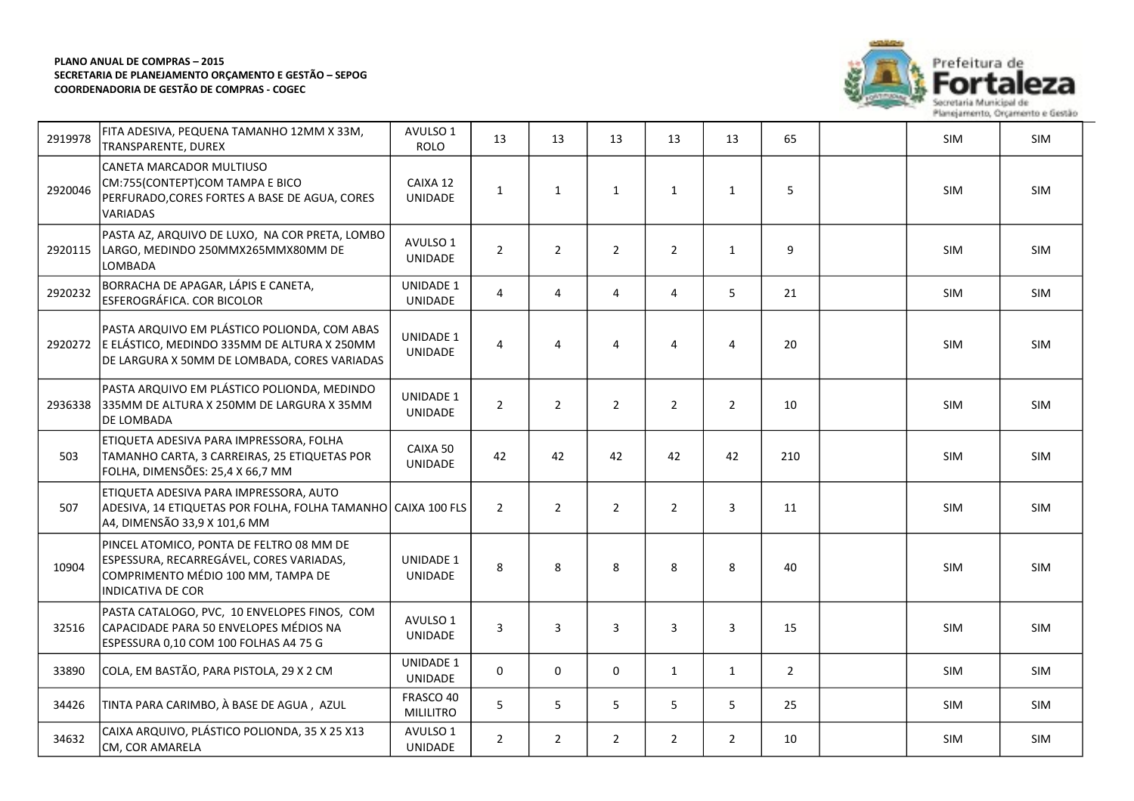

eza

| 2919978 | FITA ADESIVA, PEQUENA TAMANHO 12MM X 33M,<br>TRANSPARENTE, DUREX                                                                                | AVULSO 1<br><b>ROLO</b>       | 13             | 13             | 13             | 13             | 13             | 65             | SIM        | SIM        |
|---------|-------------------------------------------------------------------------------------------------------------------------------------------------|-------------------------------|----------------|----------------|----------------|----------------|----------------|----------------|------------|------------|
| 2920046 | CANETA MARCADOR MULTIUSO<br>CM:755(CONTEPT)COM TAMPA E BICO<br>PERFURADO, CORES FORTES A BASE DE AGUA, CORES<br>VARIADAS                        | CAIXA 12<br><b>UNIDADE</b>    | $\mathbf{1}$   | $\mathbf{1}$   | $\mathbf{1}$   | $\mathbf{1}$   | 1              | 5              | SIM        | SIM        |
| 2920115 | PASTA AZ, ARQUIVO DE LUXO, NA COR PRETA, LOMBO<br>LARGO, MEDINDO 250MMX265MMX80MM DE<br>LOMBADA                                                 | AVULSO 1<br>UNIDADE           | $\overline{2}$ | $\overline{2}$ | $\overline{2}$ | $\overline{2}$ | $\mathbf{1}$   | 9              | SIM        | SIM        |
| 2920232 | BORRACHA DE APAGAR, LÁPIS E CANETA,<br>ESFEROGRÁFICA. COR BICOLOR                                                                               | <b>UNIDADE 1</b><br>UNIDADE   | $\overline{4}$ | 4              | $\overline{4}$ | 4              | 5              | 21             | SIM        | SIM        |
| 2920272 | PASTA ARQUIVO EM PLÁSTICO POLIONDA, COM ABAS<br>E ELÁSTICO, MEDINDO 335MM DE ALTURA X 250MM<br>DE LARGURA X 50MM DE LOMBADA, CORES VARIADAS     | UNIDADE 1<br><b>UNIDADE</b>   | 4              | 4              | 4              | 4              | $\overline{4}$ | 20             | SIM        | <b>SIM</b> |
| 2936338 | PASTA ARQUIVO EM PLÁSTICO POLIONDA, MEDINDO<br>335MM DE ALTURA X 250MM DE LARGURA X 35MM<br>DE LOMBADA                                          | <b>UNIDADE 1</b><br>UNIDADE   | $\overline{2}$ | $\overline{2}$ | $\overline{2}$ | $\overline{2}$ | $\overline{2}$ | 10             | SIM        | SIM        |
| 503     | ETIQUETA ADESIVA PARA IMPRESSORA, FOLHA<br>TAMANHO CARTA, 3 CARREIRAS, 25 ETIQUETAS POR<br>FOLHA, DIMENSÕES: 25,4 X 66,7 MM                     | CAIXA 50<br>UNIDADE           | 42             | 42             | 42             | 42             | 42             | 210            | <b>SIM</b> | SIM        |
| 507     | ETIQUETA ADESIVA PARA IMPRESSORA, AUTO<br>ADESIVA, 14 ETIQUETAS POR FOLHA, FOLHA TAMANHO CAIXA 100 FLS<br>A4, DIMENSÃO 33,9 X 101,6 MM          |                               | $\overline{2}$ | $\overline{2}$ | $\overline{2}$ | $\overline{2}$ | 3              | 11             | SIM        | SIM        |
| 10904   | PINCEL ATOMICO, PONTA DE FELTRO 08 MM DE<br>ESPESSURA, RECARREGÁVEL, CORES VARIADAS,<br>COMPRIMENTO MÉDIO 100 MM, TAMPA DE<br>INDICATIVA DE COR | <b>UNIDADE 1</b><br>UNIDADE   | 8              | 8              | 8              | 8              | 8              | 40             | SIM        | SIM        |
| 32516   | PASTA CATALOGO, PVC, 10 ENVELOPES FINOS, COM<br>CAPACIDADE PARA 50 ENVELOPES MÉDIOS NA<br>ESPESSURA 0,10 COM 100 FOLHAS A4 75 G                 | AVULSO 1<br>UNIDADE           | 3              | 3              | 3              | 3              | $\mathbf{3}$   | 15             | SIM        | <b>SIM</b> |
| 33890   | COLA, EM BASTÃO, PARA PISTOLA, 29 X 2 CM                                                                                                        | UNIDADE 1<br>UNIDADE          | $\Omega$       | $\mathbf 0$    | 0              | $\mathbf{1}$   | $\mathbf{1}$   | $\overline{2}$ | SIM        | SIM        |
| 34426   | TINTA PARA CARIMBO, À BASE DE AGUA, AZUL                                                                                                        | FRASCO 40<br><b>MILILITRO</b> | 5              | 5              | 5              | 5              | 5              | 25             | <b>SIM</b> | SIM        |
| 34632   | CAIXA ARQUIVO, PLÁSTICO POLIONDA, 35 X 25 X13<br>CM, COR AMARELA                                                                                | AVULSO 1<br>UNIDADE           | $\overline{2}$ | $\overline{2}$ | $\overline{2}$ | $\overline{2}$ | $\overline{2}$ | 10             | <b>SIM</b> | <b>SIM</b> |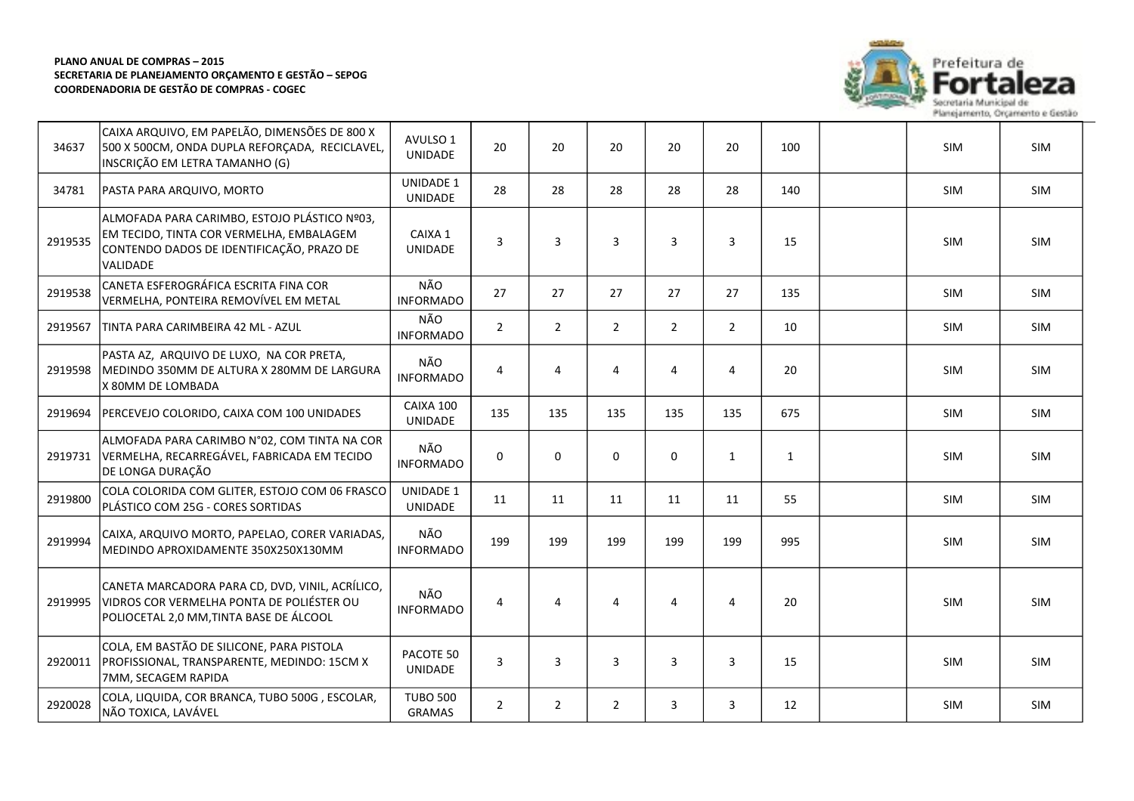

eza

| 34637   | CAIXA ARQUIVO, EM PAPELÃO, DIMENSÕES DE 800 X<br>500 X 500CM, ONDA DUPLA REFORÇADA, RECICLAVEL,<br>INSCRIÇÃO EM LETRA TAMANHO (G)                 | AVULSO 1<br><b>UNIDADE</b>         | 20             | 20             | 20             | 20             | 20             | 100 | <b>SIM</b> | <b>SIM</b> |
|---------|---------------------------------------------------------------------------------------------------------------------------------------------------|------------------------------------|----------------|----------------|----------------|----------------|----------------|-----|------------|------------|
| 34781   | PASTA PARA ARQUIVO, MORTO                                                                                                                         | <b>UNIDADE 1</b><br><b>UNIDADE</b> | 28             | 28             | 28             | 28             | 28             | 140 | <b>SIM</b> | SIM        |
| 2919535 | ALMOFADA PARA CARIMBO, ESTOJO PLÁSTICO Nº03,<br>EM TECIDO, TINTA COR VERMELHA, EMBALAGEM<br>CONTENDO DADOS DE IDENTIFICAÇÃO, PRAZO DE<br>VALIDADE | CAIXA 1<br><b>UNIDADE</b>          | 3              | 3              | 3              | 3              | 3              | 15  | <b>SIM</b> | <b>SIM</b> |
| 2919538 | CANETA ESFEROGRÁFICA ESCRITA FINA COR<br>VERMELHA, PONTEIRA REMOVÍVEL EM METAL                                                                    | NÃO<br><b>INFORMADO</b>            | 27             | 27             | 27             | 27             | 27             | 135 | <b>SIM</b> | <b>SIM</b> |
| 2919567 | TINTA PARA CARIMBEIRA 42 ML - AZUL                                                                                                                | NÃO<br><b>INFORMADO</b>            | $\overline{2}$ | $\overline{2}$ | $\overline{2}$ | $\overline{2}$ | $\overline{2}$ | 10  | SIM        | SIM        |
| 2919598 | PASTA AZ, ARQUIVO DE LUXO, NA COR PRETA,<br>MEDINDO 350MM DE ALTURA X 280MM DE LARGURA<br>X 80MM DE LOMBADA                                       | NÃO<br><b>INFORMADO</b>            | $\overline{4}$ | $\overline{4}$ | $\overline{4}$ | 4              | $\overline{4}$ | 20  | SIM        | <b>SIM</b> |
| 2919694 | PERCEVEJO COLORIDO, CAIXA COM 100 UNIDADES                                                                                                        | CAIXA 100<br><b>UNIDADE</b>        | 135            | 135            | 135            | 135            | 135            | 675 | <b>SIM</b> | SIM        |
| 2919731 | ALMOFADA PARA CARIMBO N°02, COM TINTA NA COR<br>VERMELHA, RECARREGÁVEL, FABRICADA EM TECIDO<br>DE LONGA DURAÇÃO                                   | NÃO<br><b>INFORMADO</b>            | $\Omega$       | $\mathbf 0$    | 0              | $\mathbf 0$    | $\mathbf{1}$   | 1   | <b>SIM</b> | <b>SIM</b> |
| 2919800 | COLA COLORIDA COM GLITER, ESTOJO COM 06 FRASCO<br>PLÁSTICO COM 25G - CORES SORTIDAS                                                               | <b>UNIDADE 1</b><br><b>UNIDADE</b> | 11             | 11             | 11             | 11             | 11             | 55  | <b>SIM</b> | SIM        |
| 2919994 | CAIXA, ARQUIVO MORTO, PAPELAO, CORER VARIADAS,<br>MEDINDO APROXIDAMENTE 350X250X130MM                                                             | NÃO<br><b>INFORMADO</b>            | 199            | 199            | 199            | 199            | 199            | 995 | <b>SIM</b> | <b>SIM</b> |
| 2919995 | CANETA MARCADORA PARA CD, DVD, VINIL, ACRÍLICO,<br>VIDROS COR VERMELHA PONTA DE POLIÉSTER OU<br>POLIOCETAL 2,0 MM, TINTA BASE DE ÁLCOOL           | NÃO<br><b>INFORMADO</b>            | 4              | 4              | $\overline{4}$ | $\overline{4}$ | $\overline{4}$ | 20  | SIM        | <b>SIM</b> |
| 2920011 | COLA, EM BASTÃO DE SILICONE, PARA PISTOLA<br>PROFISSIONAL, TRANSPARENTE, MEDINDO: 15CM X<br>7MM, SECAGEM RAPIDA                                   | PACOTE 50<br>UNIDADE               | 3              | 3              | 3              | 3              | 3              | 15  | SIM        | SIM        |
| 2920028 | COLA, LIQUIDA, COR BRANCA, TUBO 500G, ESCOLAR,<br>NÃO TOXICA, LAVÁVEL                                                                             | <b>TUBO 500</b><br>GRAMAS          | $\overline{2}$ | $\overline{2}$ | $\overline{2}$ | 3              | 3              | 12  | SIM        | SIM        |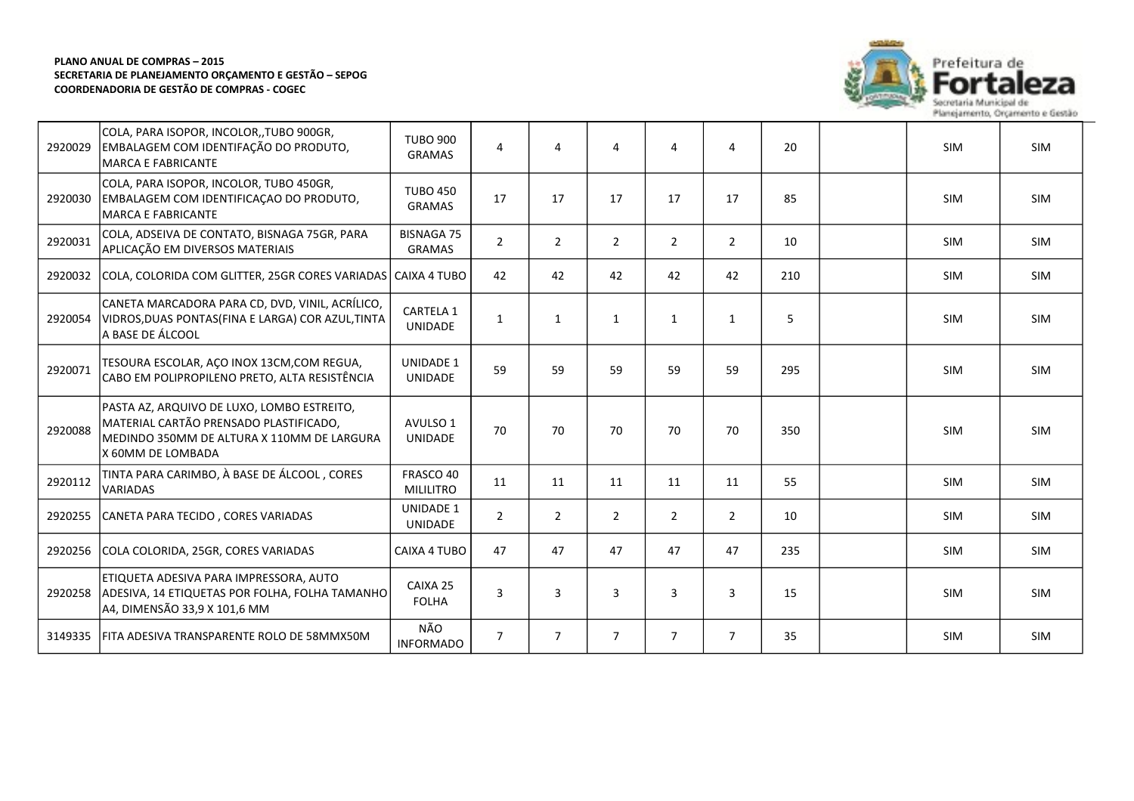

| 2920029 | COLA, PARA ISOPOR, INCOLOR, TUBO 900GR,<br>EMBALAGEM COM IDENTIFAÇÃO DO PRODUTO,<br><b>MARCA E FABRICANTE</b>                                           | <b>TUBO 900</b><br><b>GRAMAS</b>   | 4              | $\overline{4}$ | 4              | 4              | 4              | 20  | <b>SIM</b> | <b>SIM</b> |
|---------|---------------------------------------------------------------------------------------------------------------------------------------------------------|------------------------------------|----------------|----------------|----------------|----------------|----------------|-----|------------|------------|
| 2920030 | COLA, PARA ISOPOR, INCOLOR, TUBO 450GR,<br>EMBALAGEM COM IDENTIFICAÇÃO DO PRODUTO,<br><b>MARCA E FABRICANTE</b>                                         | <b>TUBO 450</b><br><b>GRAMAS</b>   | 17             | 17             | 17             | 17             | 17             | 85  | <b>SIM</b> | <b>SIM</b> |
| 2920031 | COLA, ADSEIVA DE CONTATO, BISNAGA 75GR, PARA<br>APLICAÇÃO EM DIVERSOS MATERIAIS                                                                         | <b>BISNAGA 75</b><br><b>GRAMAS</b> | $\overline{2}$ | 2              | $\overline{2}$ | $\overline{2}$ | $\overline{2}$ | 10  | <b>SIM</b> | <b>SIM</b> |
| 2920032 | COLA, COLORIDA COM GLITTER, 25GR CORES VARIADAS   CAIXA 4 TUBO                                                                                          |                                    | 42             | 42             | 42             | 42             | 42             | 210 | <b>SIM</b> | <b>SIM</b> |
| 2920054 | CANETA MARCADORA PARA CD, DVD, VINIL, ACRÍLICO,<br>VIDROS, DUAS PONTAS (FINA E LARGA) COR AZUL, TINTA<br>A BASE DE ÁLCOOL                               | CARTELA 1<br><b>UNIDADE</b>        | $\mathbf{1}$   | 1              | $\mathbf{1}$   | $\mathbf{1}$   | 1              | 5   | <b>SIM</b> | <b>SIM</b> |
| 2920071 | TESOURA ESCOLAR, AÇO INOX 13CM,COM REGUA,<br>CABO EM POLIPROPILENO PRETO, ALTA RESISTÊNCIA                                                              | <b>UNIDADE 1</b><br><b>UNIDADE</b> | 59             | 59             | 59             | 59             | 59             | 295 | <b>SIM</b> | SIM        |
| 2920088 | PASTA AZ, ARQUIVO DE LUXO, LOMBO ESTREITO,<br>MATERIAL CARTÃO PRENSADO PLASTIFICADO,<br>MEDINDO 350MM DE ALTURA X 110MM DE LARGURA<br>X 60MM DE LOMBADA | AVULSO 1<br><b>UNIDADE</b>         | 70             | 70             | 70             | 70             | 70             | 350 | <b>SIM</b> | <b>SIM</b> |
| 2920112 | TINTA PARA CARIMBO, À BASE DE ÁLCOOL, CORES<br><b>VARIADAS</b>                                                                                          | FRASCO 40<br><b>MILILITRO</b>      | 11             | 11             | 11             | 11             | 11             | 55  | SIM        | <b>SIM</b> |
| 2920255 | CANETA PARA TECIDO, CORES VARIADAS                                                                                                                      | <b>UNIDADE 1</b><br><b>UNIDADE</b> | $\overline{2}$ | $\overline{2}$ | $\overline{2}$ | $\overline{2}$ | $\overline{2}$ | 10  | <b>SIM</b> | <b>SIM</b> |
| 2920256 | COLA COLORIDA, 25GR, CORES VARIADAS                                                                                                                     | CAIXA 4 TUBO                       | 47             | 47             | 47             | 47             | 47             | 235 | <b>SIM</b> | <b>SIM</b> |
| 2920258 | ETIQUETA ADESIVA PARA IMPRESSORA, AUTO<br>ADESIVA, 14 ETIQUETAS POR FOLHA, FOLHA TAMANHO<br>A4, DIMENSÃO 33,9 X 101,6 MM                                | CAIXA 25<br><b>FOLHA</b>           | 3              | 3              | 3              | $\overline{3}$ | 3              | 15  | SIM        | <b>SIM</b> |
| 3149335 | FITA ADESIVA TRANSPARENTE ROLO DE 58MMX50M                                                                                                              | NÃO<br><b>INFORMADO</b>            | 7              | $\overline{7}$ | $\overline{7}$ | $\overline{7}$ | 7              | 35  | <b>SIM</b> | <b>SIM</b> |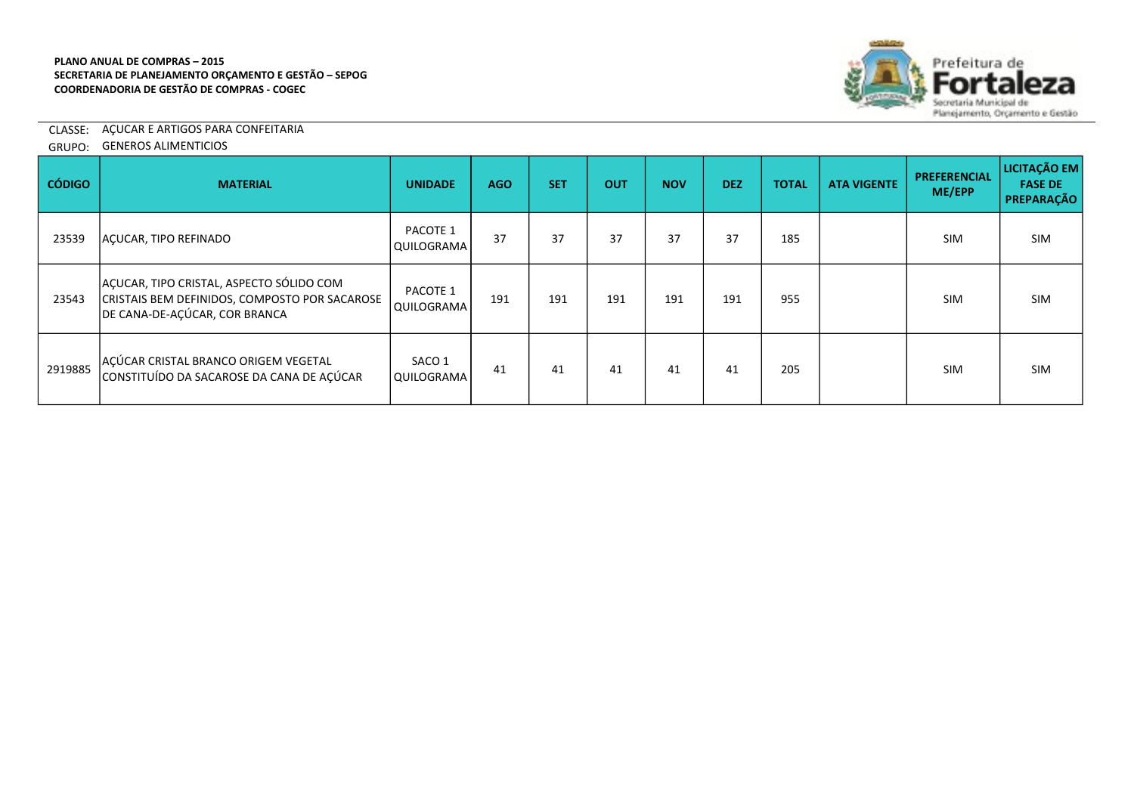

CLASSE: AÇUCAR E ARTIGOS PARA CONFEITARIA

GRUPO: GENEROS ALIMENTICIOS

| <b>CÓDIGO</b> | <b>MATERIAL</b>                                                                                                            | <b>UNIDADE</b>              | AGO | <b>SET</b> | <b>OUT</b> | <b>NOV</b> | <b>DEZ</b> | <b>TOTAL</b> | <b>ATA VIGENTE</b> | <b>PREFERENCIAL</b><br>ME/EPP | LICITAÇÃO EM<br><b>FASE DE</b><br>PREPARAÇÃO |
|---------------|----------------------------------------------------------------------------------------------------------------------------|-----------------------------|-----|------------|------------|------------|------------|--------------|--------------------|-------------------------------|----------------------------------------------|
| 23539         | ACUCAR, TIPO REFINADO                                                                                                      | PACOTE 1<br>QUILOGRAMA      | 37  | 37         | 37         | 37         | 37         | 185          |                    | <b>SIM</b>                    | <b>SIM</b>                                   |
| 23543         | AÇUCAR, TIPO CRISTAL, ASPECTO SÓLIDO COM<br>CRISTAIS BEM DEFINIDOS, COMPOSTO POR SACAROSE<br>DE CANA-DE-AÇÚCAR, COR BRANCA | PACOTE 1<br>QUILOGRAMA      | 191 | 191        | 191        | 191        | 191        | 955          |                    | <b>SIM</b>                    | SIM                                          |
| 2919885       | AÇÚCAR CRISTAL BRANCO ORIGEM VEGETAL<br>CONSTITUÍDO DA SACAROSE DA CANA DE AÇÚCAR                                          | SACO 1<br><b>QUILOGRAMA</b> | 41  | 41         | 41         | 41         | 41         | 205          |                    | <b>SIM</b>                    | <b>SIM</b>                                   |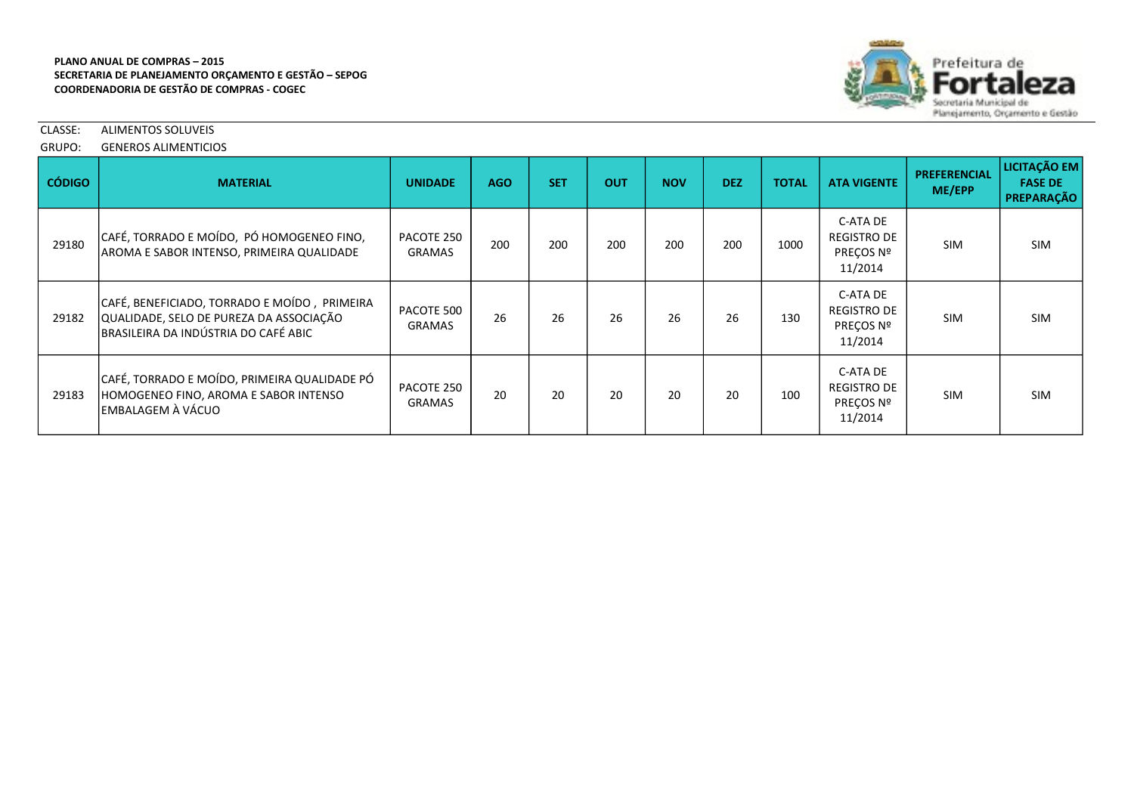

CLASSE: ALIMENTOS SOLUVEIS

GRUPO: GENEROS ALIMENTICIOS

| <b>CÓDIGO</b> | <b>MATERIAL</b>                                                                                                                 | <b>UNIDADE</b>              | <b>AGO</b> | <b>SET</b> | <b>OUT</b> | <b>NOV</b> | <b>DEZ</b> | <b>TOTAL</b> | <b>ATA VIGENTE</b>                                     | <b>PREFERENCIAL</b><br>ME/EPP | LICITAÇÃO EM<br><b>FASE DE</b><br>PREPARAÇÃO |
|---------------|---------------------------------------------------------------------------------------------------------------------------------|-----------------------------|------------|------------|------------|------------|------------|--------------|--------------------------------------------------------|-------------------------------|----------------------------------------------|
| 29180         | CAFÉ, TORRADO E MOÍDO, PÓ HOMOGENEO FINO,<br>AROMA E SABOR INTENSO, PRIMEIRA QUALIDADE                                          | PACOTE 250<br><b>GRAMAS</b> | 200        | 200        | 200        | 200        | 200        | 1000         | C-ATA DE<br>REGISTRO DE<br>PREÇOS Nº<br>11/2014        | <b>SIM</b>                    | <b>SIM</b>                                   |
| 29182         | CAFÉ, BENEFICIADO, TORRADO E MOÍDO, PRIMEIRA<br>QUALIDADE, SELO DE PUREZA DA ASSOCIAÇÃO<br>BRASILEIRA DA INDÚSTRIA DO CAFÉ ABIC | PACOTE 500<br><b>GRAMAS</b> | 26         | 26         | 26         | 26         | 26         | 130          | C-ATA DE<br><b>REGISTRO DE</b><br>PREÇOS Nº<br>11/2014 | <b>SIM</b>                    | <b>SIM</b>                                   |
| 29183         | CAFÉ, TORRADO E MOÍDO, PRIMEIRA QUALIDADE PÓ<br>HOMOGENEO FINO, AROMA E SABOR INTENSO<br>EMBALAGEM À VÁCUO                      | PACOTE 250<br><b>GRAMAS</b> | 20         | 20         | 20         | 20         | 20         | 100          | C-ATA DE<br>REGISTRO DE<br>PRECOS Nº<br>11/2014        | <b>SIM</b>                    | <b>SIM</b>                                   |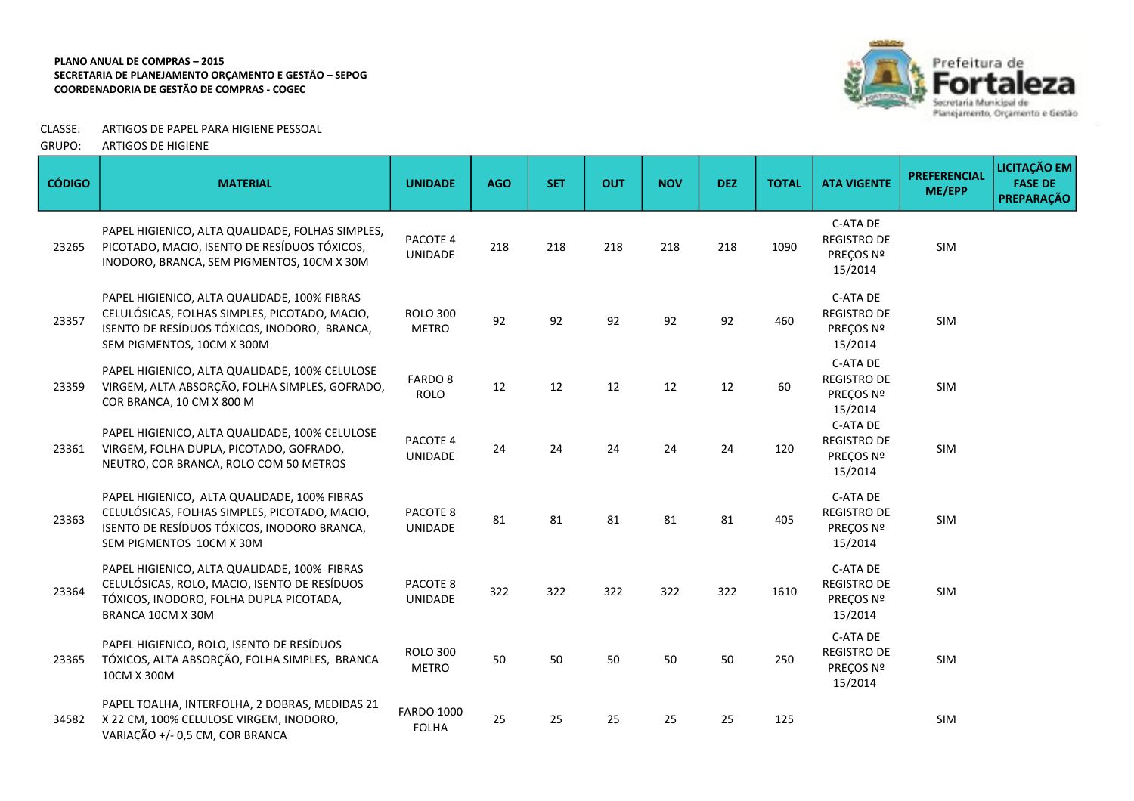

CLASSE: ARTIGOS DE PAPEL PARA HIGIENE PESSOAL

| GRUPO: | ARTIGOS DE HIGIENE |
|--------|--------------------|
|        |                    |

| <b>CÓDIGO</b> | <b>MATERIAL</b>                                                                                                                                                             | <b>UNIDADE</b>                    | <b>AGO</b> | <b>SET</b> | <b>OUT</b> | <b>NOV</b> | <b>DEZ</b> | <b>TOTAL</b> | <b>ATA VIGENTE</b>                                     | <b>PREFERENCIAL</b><br>ME/EPP | <b>LICITAÇÃO EM</b><br><b>FASE DE</b><br><b>PREPARAÇÃO</b> |
|---------------|-----------------------------------------------------------------------------------------------------------------------------------------------------------------------------|-----------------------------------|------------|------------|------------|------------|------------|--------------|--------------------------------------------------------|-------------------------------|------------------------------------------------------------|
| 23265         | PAPEL HIGIENICO, ALTA QUALIDADE, FOLHAS SIMPLES,<br>PICOTADO, MACIO, ISENTO DE RESÍDUOS TÓXICOS,<br>INODORO, BRANCA, SEM PIGMENTOS, 10CM X 30M                              | PACOTE 4<br><b>UNIDADE</b>        | 218        | 218        | 218        | 218        | 218        | 1090         | C-ATA DE<br><b>REGISTRO DE</b><br>PREÇOS Nº<br>15/2014 | SIM                           |                                                            |
| 23357         | PAPEL HIGIENICO, ALTA QUALIDADE, 100% FIBRAS<br>CELULÓSICAS, FOLHAS SIMPLES, PICOTADO, MACIO,<br>ISENTO DE RESÍDUOS TÓXICOS, INODORO, BRANCA,<br>SEM PIGMENTOS, 10CM X 300M | <b>ROLO 300</b><br><b>METRO</b>   | 92         | 92         | 92         | 92         | 92         | 460          | C-ATA DE<br><b>REGISTRO DE</b><br>PREÇOS Nº<br>15/2014 | SIM                           |                                                            |
| 23359         | PAPEL HIGIENICO, ALTA QUALIDADE, 100% CELULOSE<br>VIRGEM, ALTA ABSORÇÃO, FOLHA SIMPLES, GOFRADO,<br>COR BRANCA, 10 CM X 800 M                                               | FARDO 8<br><b>ROLO</b>            | 12         | 12         | 12         | 12         | 12         | 60           | C-ATA DE<br><b>REGISTRO DE</b><br>PREÇOS Nº<br>15/2014 | SIM                           |                                                            |
| 23361         | PAPEL HIGIENICO, ALTA QUALIDADE, 100% CELULOSE<br>VIRGEM, FOLHA DUPLA, PICOTADO, GOFRADO,<br>NEUTRO, COR BRANCA, ROLO COM 50 METROS                                         | PACOTE 4<br>UNIDADE               | 24         | 24         | 24         | 24         | 24         | 120          | C-ATA DE<br><b>REGISTRO DE</b><br>PREÇOS Nº<br>15/2014 | SIM                           |                                                            |
| 23363         | PAPEL HIGIENICO, ALTA QUALIDADE, 100% FIBRAS<br>CELULÓSICAS, FOLHAS SIMPLES, PICOTADO, MACIO,<br>ISENTO DE RESÍDUOS TÓXICOS, INODORO BRANCA,<br>SEM PIGMENTOS 10CM X 30M    | PACOTE 8<br>UNIDADE               | 81         | 81         | 81         | 81         | 81         | 405          | C-ATA DE<br><b>REGISTRO DE</b><br>PREÇOS Nº<br>15/2014 | SIM                           |                                                            |
| 23364         | PAPEL HIGIENICO, ALTA QUALIDADE, 100% FIBRAS<br>CELULÓSICAS, ROLO, MACIO, ISENTO DE RESÍDUOS<br>TÓXICOS, INODORO, FOLHA DUPLA PICOTADA,<br>BRANCA 10CM X 30M                | PACOTE 8<br>UNIDADE               | 322        | 322        | 322        | 322        | 322        | 1610         | C-ATA DE<br><b>REGISTRO DE</b><br>PREÇOS Nº<br>15/2014 | <b>SIM</b>                    |                                                            |
| 23365         | PAPEL HIGIENICO, ROLO, ISENTO DE RESÍDUOS<br>TÓXICOS, ALTA ABSORÇÃO, FOLHA SIMPLES, BRANCA<br>10CM X 300M                                                                   | <b>ROLO 300</b><br><b>METRO</b>   | 50         | 50         | 50         | 50         | 50         | 250          | C-ATA DE<br><b>REGISTRO DE</b><br>PREÇOS Nº<br>15/2014 | SIM                           |                                                            |
| 34582         | PAPEL TOALHA, INTERFOLHA, 2 DOBRAS, MEDIDAS 21<br>X 22 CM, 100% CELULOSE VIRGEM, INODORO,<br>VARIAÇÃO +/- 0,5 CM, COR BRANCA                                                | <b>FARDO 1000</b><br><b>FOLHA</b> | 25         | 25         | 25         | 25         | 25         | 125          |                                                        | SIM                           |                                                            |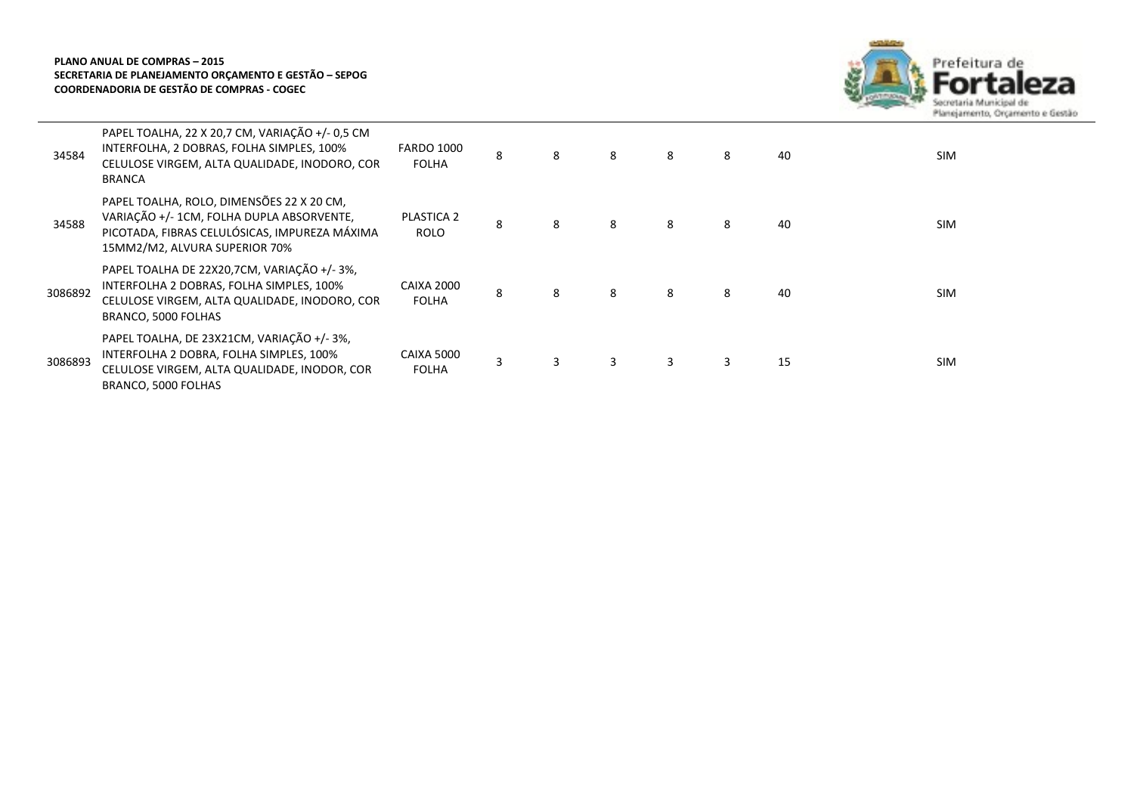

| 34584   | PAPEL TOALHA, 22 X 20,7 CM, VARIAÇÃO +/- 0,5 CM<br>INTERFOLHA, 2 DOBRAS, FOLHA SIMPLES, 100%<br>CELULOSE VIRGEM, ALTA QUALIDADE, INODORO, COR<br><b>BRANCA</b>           | <b>FARDO 1000</b><br><b>FOLHA</b> | 8 | 8 | 8 | 8 | 8 | 40 | <b>SIM</b> |
|---------|--------------------------------------------------------------------------------------------------------------------------------------------------------------------------|-----------------------------------|---|---|---|---|---|----|------------|
| 34588   | PAPEL TOALHA, ROLO, DIMENSÕES 22 X 20 CM,<br>VARIAÇÃO +/- 1CM, FOLHA DUPLA ABSORVENTE,<br>PICOTADA, FIBRAS CELULÓSICAS, IMPUREZA MÁXIMA<br>15MM2/M2, ALVURA SUPERIOR 70% | <b>PLASTICA 2</b><br>ROLO         | 8 | 8 | 8 | 8 | 8 | 40 | <b>SIM</b> |
| 3086892 | PAPEL TOALHA DE 22X20,7CM, VARIAÇÃO +/-3%,<br>INTERFOLHA 2 DOBRAS, FOLHA SIMPLES, 100%<br>CELULOSE VIRGEM, ALTA QUALIDADE, INODORO, COR<br>BRANCO, 5000 FOLHAS           | CAIXA 2000<br><b>FOLHA</b>        | 8 | 8 | 8 | 8 | 8 | 40 | <b>SIM</b> |
| 3086893 | PAPEL TOALHA, DE 23X21CM, VARIAÇÃO +/-3%,<br>INTERFOLHA 2 DOBRA, FOLHA SIMPLES, 100%<br>CELULOSE VIRGEM, ALTA QUALIDADE, INODOR, COR<br>BRANCO, 5000 FOLHAS              | CAIXA 5000<br><b>FOLHA</b>        | 3 | 3 | 3 | 3 | 3 | 15 | <b>SIM</b> |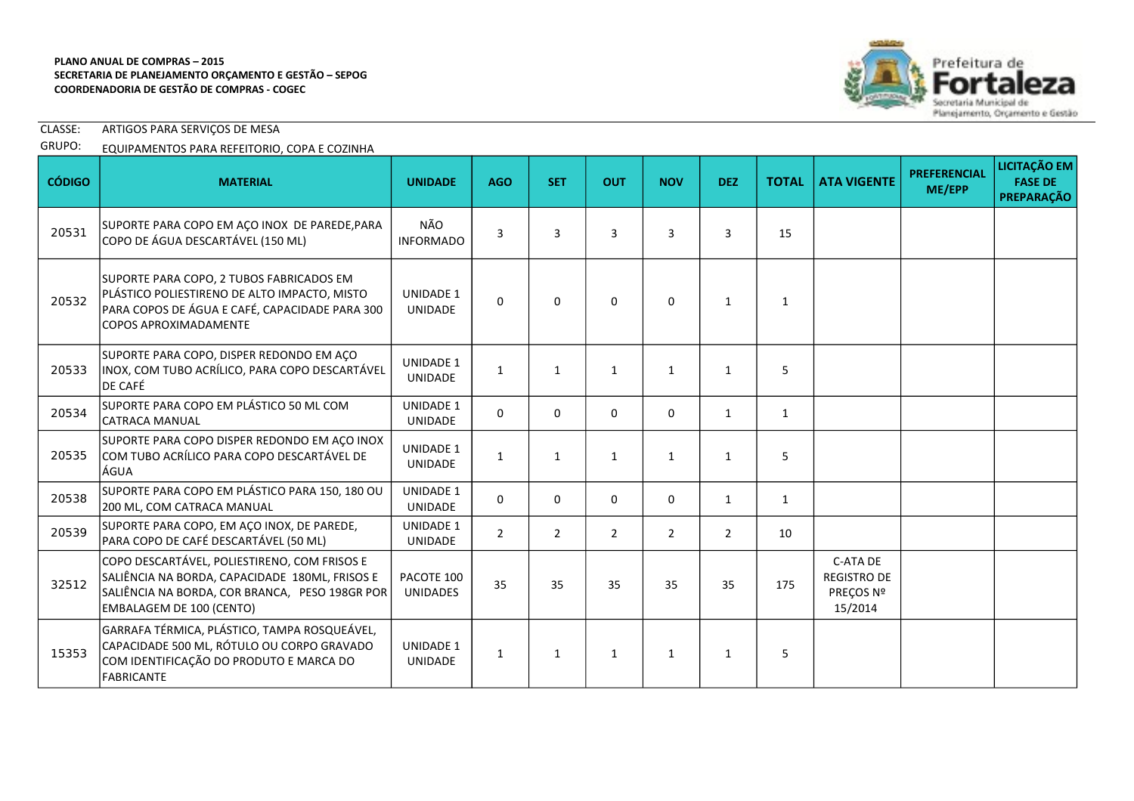

CLASSE: ARTIGOS PARA SERVIÇOS DE MESA

# GRUPO: EQUIPAMENTOS PARA REFEITORIO, COPA E COZINHA

| <b>CÓDIGO</b> | <b>MATERIAL</b>                                                                                                                                                                     | <b>UNIDADE</b>                     | <b>AGO</b>     | <b>SET</b>     | <b>OUT</b>     | <b>NOV</b>     | <b>DEZ</b>     | <b>TOTAL</b> | <b>ATA VIGENTE</b>                                     | <b>PREFERENCIAL</b><br>ME/EPP | LICITAÇÃO EM<br><b>FASE DE</b><br><b>PREPARAÇÃO</b> |
|---------------|-------------------------------------------------------------------------------------------------------------------------------------------------------------------------------------|------------------------------------|----------------|----------------|----------------|----------------|----------------|--------------|--------------------------------------------------------|-------------------------------|-----------------------------------------------------|
| 20531         | SUPORTE PARA COPO EM AÇO INOX DE PAREDE, PARA<br>COPO DE ÁGUA DESCARTÁVEL (150 ML)                                                                                                  | NÃO<br><b>INFORMADO</b>            | 3              | 3              | 3              | 3              | 3              | 15           |                                                        |                               |                                                     |
| 20532         | SUPORTE PARA COPO, 2 TUBOS FABRICADOS EM<br>PLÁSTICO POLIESTIRENO DE ALTO IMPACTO, MISTO<br>PARA COPOS DE ÁGUA E CAFÉ, CAPACIDADE PARA 300<br><b>COPOS APROXIMADAMENTE</b>          | <b>UNIDADE 1</b><br><b>UNIDADE</b> | $\Omega$       | $\Omega$       | $\mathbf{0}$   | $\Omega$       | $\mathbf{1}$   | 1            |                                                        |                               |                                                     |
| 20533         | SUPORTE PARA COPO, DISPER REDONDO EM AÇO<br>INOX, COM TUBO ACRÍLICO, PARA COPO DESCARTÁVEL<br><b>DE CAFÉ</b>                                                                        | UNIDADE 1<br>UNIDADE               | $\mathbf{1}$   | $\mathbf{1}$   | $\mathbf{1}$   | $\mathbf{1}$   | $\mathbf{1}$   | 5            |                                                        |                               |                                                     |
| 20534         | SUPORTE PARA COPO EM PLÁSTICO 50 ML COM<br>CATRACA MANUAL                                                                                                                           | UNIDADE 1<br><b>UNIDADE</b>        | 0              | 0              | $\mathbf 0$    | 0              | $\mathbf{1}$   | $\mathbf{1}$ |                                                        |                               |                                                     |
| 20535         | SUPORTE PARA COPO DISPER REDONDO EM AÇO INOX<br>COM TUBO ACRÍLICO PARA COPO DESCARTÁVEL DE<br>lÁGUA                                                                                 | <b>UNIDADE 1</b><br><b>UNIDADE</b> | $\mathbf{1}$   | 1              | $\mathbf{1}$   | $\mathbf{1}$   | $\mathbf{1}$   | 5            |                                                        |                               |                                                     |
| 20538         | SUPORTE PARA COPO EM PLÁSTICO PARA 150, 180 OU<br>200 ML, COM CATRACA MANUAL                                                                                                        | UNIDADE 1<br><b>UNIDADE</b>        | $\Omega$       | 0              | $\mathbf 0$    | 0              | $\mathbf{1}$   | $\mathbf{1}$ |                                                        |                               |                                                     |
| 20539         | SUPORTE PARA COPO, EM AÇO INOX, DE PAREDE,<br>PARA COPO DE CAFÉ DESCARTÁVEL (50 ML)                                                                                                 | UNIDADE 1<br>UNIDADE               | $\overline{2}$ | $\overline{2}$ | $\overline{2}$ | $\overline{2}$ | $\overline{2}$ | 10           |                                                        |                               |                                                     |
| 32512         | COPO DESCARTÁVEL, POLIESTIRENO, COM FRISOS E<br>SALIÊNCIA NA BORDA, CAPACIDADE 180ML, FRISOS E<br>SALIÊNCIA NA BORDA, COR BRANCA, PESO 198GR POR<br><b>EMBALAGEM DE 100 (CENTO)</b> | PACOTE 100<br><b>UNIDADES</b>      | 35             | 35             | 35             | 35             | 35             | 175          | C-ATA DE<br><b>REGISTRO DE</b><br>PREÇOS Nº<br>15/2014 |                               |                                                     |
| 15353         | GARRAFA TÉRMICA, PLÁSTICO, TAMPA ROSQUEÁVEL,<br>CAPACIDADE 500 ML, RÓTULO OU CORPO GRAVADO<br>COM IDENTIFICAÇÃO DO PRODUTO E MARCA DO<br><b>FABRICANTE</b>                          | <b>UNIDADE 1</b><br>UNIDADE        | $\mathbf{1}$   | $\mathbf{1}$   | $\mathbf{1}$   | $\mathbf{1}$   | $\mathbf{1}$   | 5            |                                                        |                               |                                                     |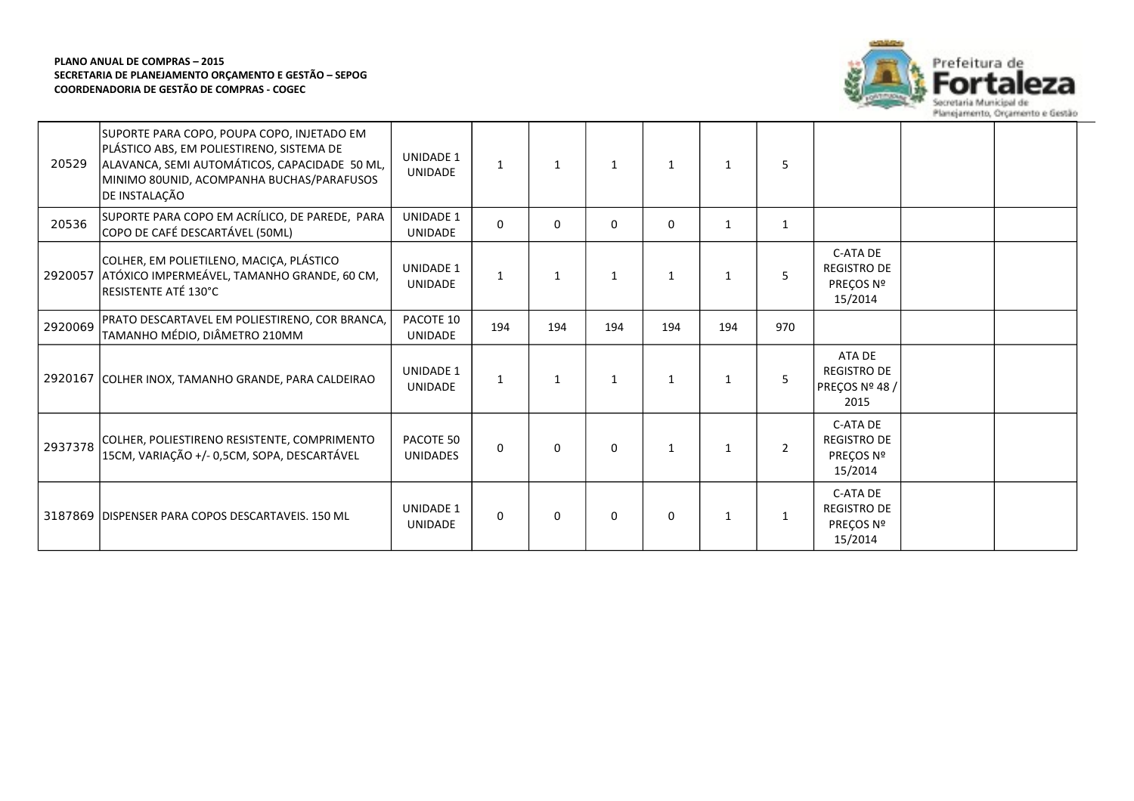

| 20529   | SUPORTE PARA COPO, POUPA COPO, INJETADO EM<br>PLÁSTICO ABS, EM POLIESTIRENO, SISTEMA DE<br>ALAVANCA, SEMI AUTOMÁTICOS, CAPACIDADE 50 ML,<br>MINIMO 80UNID, ACOMPANHA BUCHAS/PARAFUSOS<br>DE INSTALACÃO | <b>UNIDADE 1</b><br><b>UNIDADE</b> | $\mathbf{1}$ | $\mathbf{1}$ | $\mathbf{1}$ | $\mathbf{1}$ | $\mathbf{1}$ | 5            |                                                        |  |
|---------|--------------------------------------------------------------------------------------------------------------------------------------------------------------------------------------------------------|------------------------------------|--------------|--------------|--------------|--------------|--------------|--------------|--------------------------------------------------------|--|
| 20536   | SUPORTE PARA COPO EM ACRÍLICO, DE PAREDE, PARA<br>COPO DE CAFÉ DESCARTÁVEL (50ML)                                                                                                                      | <b>UNIDADE 1</b><br><b>UNIDADE</b> | 0            | $\mathbf{0}$ | 0            | $\Omega$     | $\mathbf{1}$ | 1            |                                                        |  |
| 2920057 | COLHER, EM POLIETILENO, MACIÇA, PLÁSTICO<br>ATÓXICO IMPERMEÁVEL, TAMANHO GRANDE, 60 CM,<br>RESISTENTE ATÉ 130°C                                                                                        | <b>UNIDADE 1</b><br><b>UNIDADE</b> | $\mathbf{1}$ | 1            | 1            | $\mathbf{1}$ | -1           | 5            | C-ATA DE<br><b>REGISTRO DE</b><br>PRECOS Nº<br>15/2014 |  |
| 2920069 | PRATO DESCARTAVEL EM POLIESTIRENO, COR BRANCA,<br>TAMANHO MÉDIO, DIÂMETRO 210MM                                                                                                                        | PACOTE 10<br>UNIDADE               | 194          | 194          | 194          | 194          | 194          | 970          |                                                        |  |
|         | 2920167 COLHER INOX, TAMANHO GRANDE, PARA CALDEIRAO                                                                                                                                                    | <b>UNIDADE 1</b><br><b>UNIDADE</b> | $\mathbf{1}$ | 1            | $\mathbf{1}$ | $\mathbf{1}$ | $\mathbf{1}$ | 5            | ATA DE<br><b>REGISTRO DE</b><br>PREÇOS Nº 48 /<br>2015 |  |
| 2937378 | COLHER, POLIESTIRENO RESISTENTE, COMPRIMENTO<br>15CM, VARIAÇÃO +/- 0,5CM, SOPA, DESCARTÁVEL                                                                                                            | PACOTE 50<br><b>UNIDADES</b>       | $\Omega$     | $\Omega$     | 0            | $\mathbf{1}$ | $\mathbf{1}$ | 2            | C-ATA DE<br><b>REGISTRO DE</b><br>PREÇOS Nº<br>15/2014 |  |
|         | 3187869 DISPENSER PARA COPOS DESCARTAVEIS, 150 ML                                                                                                                                                      | <b>UNIDADE 1</b><br><b>UNIDADE</b> | 0            | $\Omega$     | 0            | 0            | $\mathbf{1}$ | $\mathbf{1}$ | C-ATA DE<br><b>REGISTRO DE</b><br>PREÇOS Nº<br>15/2014 |  |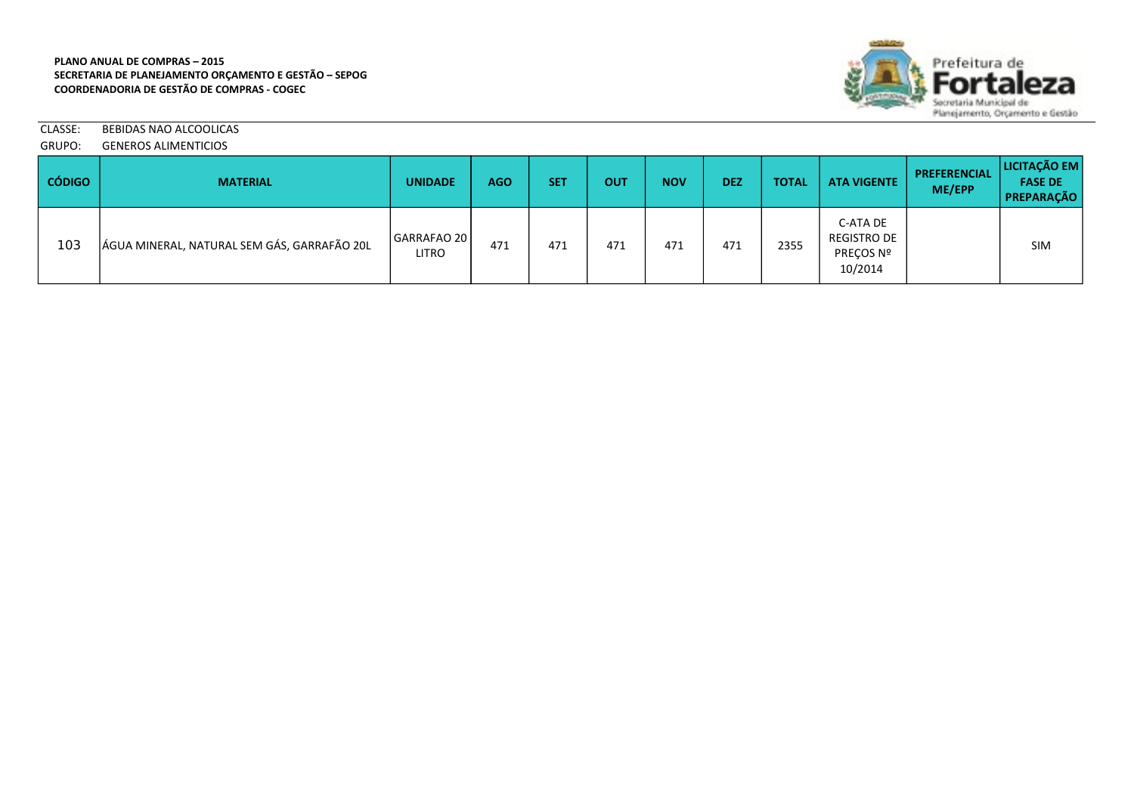

CLASSE: BEBIDAS NAO ALCOOLICAS GRUPO: GENEROS ALIMENTICIOS

| <b>CÓDIGO</b> | <b>MATERIAL</b>                             | <b>UNIDADE</b>              | <b>AGO</b> | <b>SET</b> | OUT | <b>NOV</b> | <b>DEZ</b> | <b>TOTAL</b> | <b>ATA VIGENTE</b>                                     | <b>PREFERENCIAL</b><br>ME/EPP | <b>LICITAÇÃO EM</b><br><b>FASE DE</b><br><b>PREPARAÇÃO</b> |
|---------------|---------------------------------------------|-----------------------------|------------|------------|-----|------------|------------|--------------|--------------------------------------------------------|-------------------------------|------------------------------------------------------------|
| 103           | ÁGUA MINERAL, NATURAL SEM GÁS, GARRAFÃO 20L | GARRAFAO 20<br><b>LITRO</b> | 471        | 471        | 471 | 471        | 471        | 2355         | C-ATA DE<br><b>REGISTRO DE</b><br>PRECOS Nº<br>10/2014 |                               | <b>SIM</b>                                                 |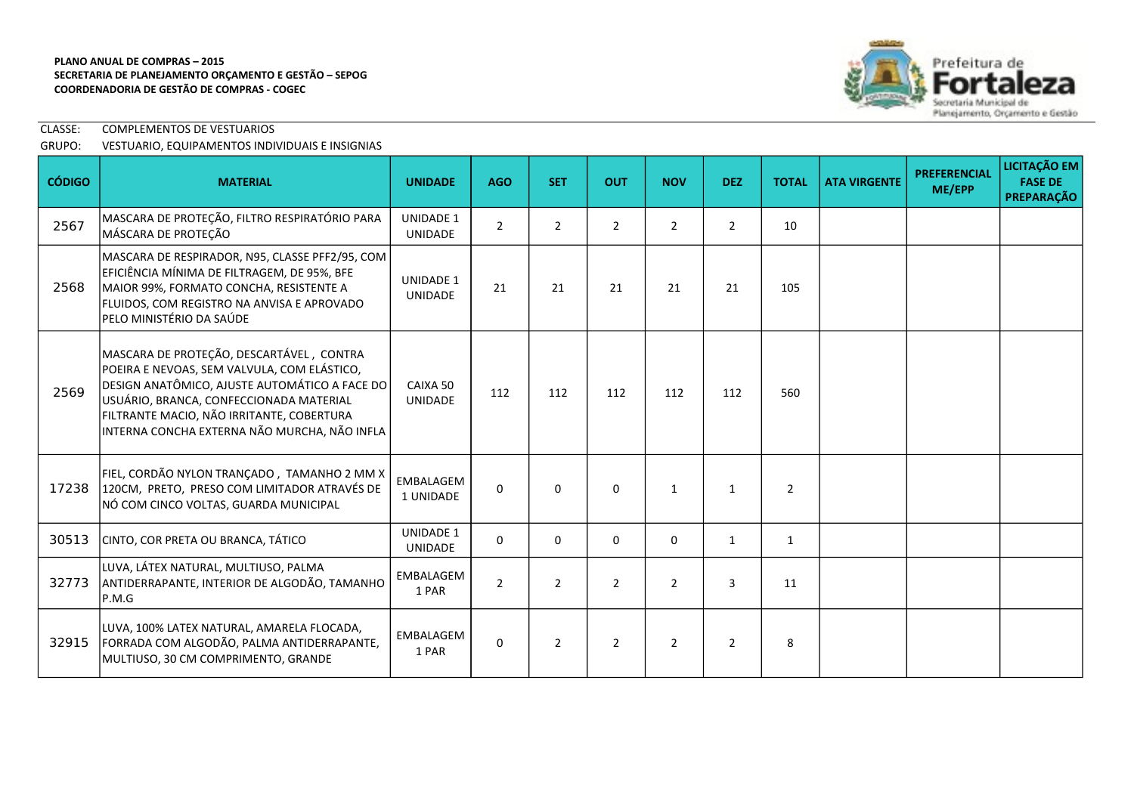

# CLASSE: COMPLEMENTOS DE VESTUARIOS GRUPO: VESTUARIO, EQUIPAMENTOS INDIVIDUAIS E INSIGNIAS

| <b>CÓDIGO</b> | <b>MATERIAL</b>                                                                                                                                                                                                                                                                  | <b>UNIDADE</b>                     | <b>AGO</b>     | <b>SET</b>     | <b>OUT</b>     | <b>NOV</b>     | <b>DEZ</b>     | <b>TOTAL</b>   | <b>ATA VIRGENTE</b> | <b>PREFERENCIAL</b><br>ME/EPP | <b>LICITAÇÃO EM</b><br><b>FASE DE</b><br><b>PREPARAÇÃO</b> |
|---------------|----------------------------------------------------------------------------------------------------------------------------------------------------------------------------------------------------------------------------------------------------------------------------------|------------------------------------|----------------|----------------|----------------|----------------|----------------|----------------|---------------------|-------------------------------|------------------------------------------------------------|
| 2567          | MASCARA DE PROTEÇÃO, FILTRO RESPIRATÓRIO PARA<br>MÁSCARA DE PROTEÇÃO                                                                                                                                                                                                             | <b>UNIDADE 1</b><br><b>UNIDADE</b> | $\overline{2}$ | $\overline{2}$ | $\overline{2}$ | $\overline{2}$ | $\overline{2}$ | 10             |                     |                               |                                                            |
| 2568          | MASCARA DE RESPIRADOR, N95, CLASSE PFF2/95, COM<br>EFICIÊNCIA MÍNIMA DE FILTRAGEM, DE 95%, BFE<br>MAIOR 99%, FORMATO CONCHA, RESISTENTE A<br>FLUIDOS, COM REGISTRO NA ANVISA E APROVADO<br>PELO MINISTÉRIO DA SAÚDE                                                              | <b>UNIDADE 1</b><br><b>UNIDADE</b> | 21             | 21             | 21             | 21             | 21             | 105            |                     |                               |                                                            |
| 2569          | MASCARA DE PROTEÇÃO, DESCARTÁVEL, CONTRA<br>POEIRA E NEVOAS, SEM VALVULA, COM ELÁSTICO,<br>DESIGN ANATÔMICO, AJUSTE AUTOMÁTICO A FACE DO<br>USUÁRIO, BRANCA, CONFECCIONADA MATERIAL<br>FILTRANTE MACIO, NÃO IRRITANTE, COBERTURA<br>INTERNA CONCHA EXTERNA NÃO MURCHA, NÃO INFLA | CAIXA 50<br><b>UNIDADE</b>         | 112            | 112            | 112            | 112            | 112            | 560            |                     |                               |                                                            |
| 17238         | FIEL, CORDÃO NYLON TRANÇADO, TAMANHO 2 MM X<br>120CM, PRETO, PRESO COM LIMITADOR ATRAVÉS DE<br>NÓ COM CINCO VOLTAS, GUARDA MUNICIPAL                                                                                                                                             | EMBALAGEM<br>1 UNIDADE             | $\Omega$       | $\Omega$       | $\Omega$       | $\mathbf{1}$   | $\mathbf{1}$   | $\overline{2}$ |                     |                               |                                                            |
| 30513         | CINTO, COR PRETA OU BRANCA, TÁTICO                                                                                                                                                                                                                                               | <b>UNIDADE 1</b><br>UNIDADE        | $\Omega$       | 0              | $\mathbf 0$    | 0              | $\mathbf{1}$   | $\mathbf{1}$   |                     |                               |                                                            |
| 32773         | LUVA, LÁTEX NATURAL, MULTIUSO, PALMA<br>ANTIDERRAPANTE, INTERIOR DE ALGODÃO, TAMANHO<br>P.M.G                                                                                                                                                                                    | EMBALAGEM<br>1 PAR                 | $\overline{2}$ | $\overline{2}$ | $\overline{2}$ | $\overline{2}$ | 3              | 11             |                     |                               |                                                            |
| 32915         | LUVA, 100% LATEX NATURAL, AMARELA FLOCADA,<br>FORRADA COM ALGODÃO, PALMA ANTIDERRAPANTE,<br>MULTIUSO, 30 CM COMPRIMENTO, GRANDE                                                                                                                                                  | EMBALAGEM<br>1 PAR                 | $\Omega$       | $\overline{2}$ | $\overline{2}$ | $\overline{2}$ | $\overline{2}$ | 8              |                     |                               |                                                            |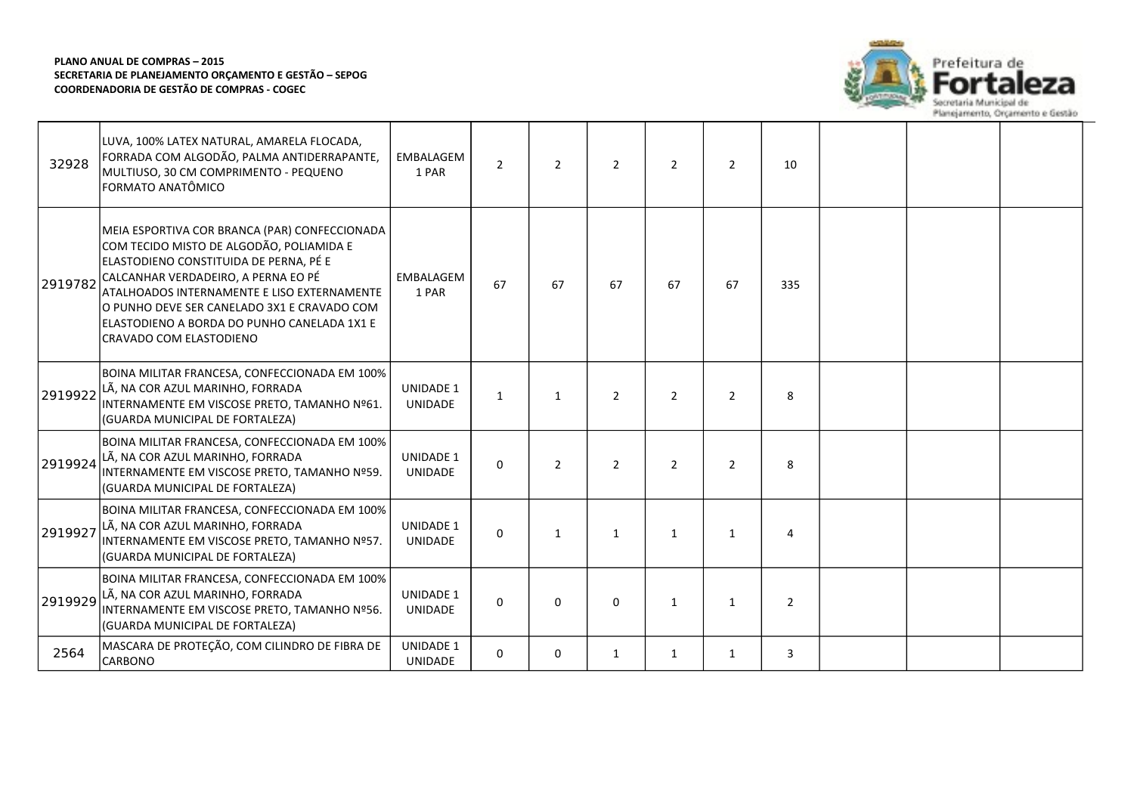

| 32928   | LUVA, 100% LATEX NATURAL, AMARELA FLOCADA,<br>FORRADA COM ALGODÃO, PALMA ANTIDERRAPANTE,<br>MULTIUSO, 30 CM COMPRIMENTO - PEQUENO<br>FORMATO ANATÔMICO                                                                                                                                                                                             | EMBALAGEM<br>1 PAR                 | $\overline{2}$ | $\overline{2}$ | $\overline{2}$ | $\overline{2}$ | 2              | 10             |  |  |
|---------|----------------------------------------------------------------------------------------------------------------------------------------------------------------------------------------------------------------------------------------------------------------------------------------------------------------------------------------------------|------------------------------------|----------------|----------------|----------------|----------------|----------------|----------------|--|--|
| 2919782 | MEIA ESPORTIVA COR BRANCA (PAR) CONFECCIONADA<br>COM TECIDO MISTO DE ALGODÃO, POLIAMIDA E<br>ELASTODIENO CONSTITUIDA DE PERNA, PÉ E<br>CALCANHAR VERDADEIRO, A PERNA EO PÉ<br>ATALHOADOS INTERNAMENTE E LISO EXTERNAMENTE<br>O PUNHO DEVE SER CANELADO 3X1 E CRAVADO COM<br>ELASTODIENO A BORDA DO PUNHO CANELADA 1X1 E<br>CRAVADO COM ELASTODIENO | EMBALAGEM<br>1 PAR                 | 67             | 67             | 67             | 67             | 67             | 335            |  |  |
| 2919922 | BOINA MILITAR FRANCESA, CONFECCIONADA EM 100%<br>LÃ, NA COR AZUL MARINHO, FORRADA<br>INTERNAMENTE EM VISCOSE PRETO, TAMANHO Nº61.<br>(GUARDA MUNICIPAL DE FORTALEZA)                                                                                                                                                                               | <b>UNIDADE 1</b><br><b>UNIDADE</b> | 1              | 1              | $\overline{2}$ | $\overline{2}$ | $\overline{2}$ | 8              |  |  |
| 2919924 | BOINA MILITAR FRANCESA, CONFECCIONADA EM 100%<br>LÃ, NA COR AZUL MARINHO, FORRADA<br>INTERNAMENTE EM VISCOSE PRETO, TAMANHO Nº59.<br>(GUARDA MUNICIPAL DE FORTALEZA)                                                                                                                                                                               | <b>UNIDADE 1</b><br><b>UNIDADE</b> | 0              | $\overline{2}$ | $\overline{2}$ | $\overline{2}$ | $\overline{2}$ | 8              |  |  |
| 2919927 | BOINA MILITAR FRANCESA, CONFECCIONADA EM 100%<br>LÃ, NA COR AZUL MARINHO, FORRADA<br>INTERNAMENTE EM VISCOSE PRETO, TAMANHO Nº57.<br>(GUARDA MUNICIPAL DE FORTALEZA)                                                                                                                                                                               | <b>UNIDADE 1</b><br><b>UNIDADE</b> | $\mathbf{0}$   | 1              | $\mathbf{1}$   | $\mathbf{1}$   | 1              | 4              |  |  |
| 2919929 | BOINA MILITAR FRANCESA, CONFECCIONADA EM 100%<br>LÃ, NA COR AZUL MARINHO, FORRADA<br>INTERNAMENTE EM VISCOSE PRETO, TAMANHO Nº56.<br>(GUARDA MUNICIPAL DE FORTALEZA)                                                                                                                                                                               | <b>UNIDADE 1</b><br><b>UNIDADE</b> | 0              | 0              | 0              | $\mathbf{1}$   | 1              | $\overline{2}$ |  |  |
| 2564    | MASCARA DE PROTEÇÃO, COM CILINDRO DE FIBRA DE<br><b>CARBONO</b>                                                                                                                                                                                                                                                                                    | <b>UNIDADE 1</b><br><b>UNIDADE</b> | $\Omega$       | 0              | $\mathbf{1}$   | 1              | 1              | 3              |  |  |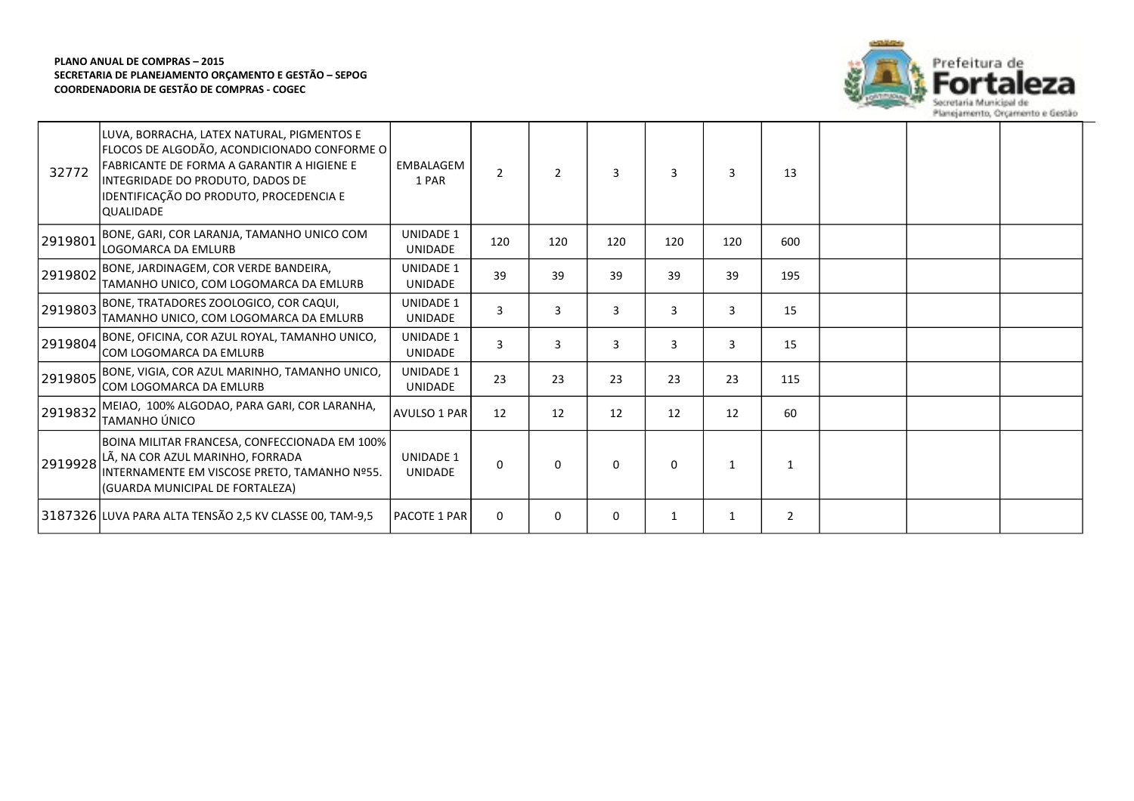

| 32772   | LUVA, BORRACHA, LATEX NATURAL, PIGMENTOS E<br>FLOCOS DE ALGODÃO, ACONDICIONADO CONFORME O<br>FABRICANTE DE FORMA A GARANTIR A HIGIENE E<br>INTEGRIDADE DO PRODUTO, DADOS DE<br>IDENTIFICAÇÃO DO PRODUTO, PROCEDENCIA E<br><b>QUALIDADE</b> | EMBALAGEM<br>1 PAR                 | $\overline{2}$ | $\overline{2}$ | 3   | 3        | 3   | 13             |  |  |
|---------|--------------------------------------------------------------------------------------------------------------------------------------------------------------------------------------------------------------------------------------------|------------------------------------|----------------|----------------|-----|----------|-----|----------------|--|--|
| 2919801 | BONE, GARI, COR LARANJA, TAMANHO UNICO COM<br>LOGOMARCA DA EMLURB                                                                                                                                                                          | <b>UNIDADE 1</b><br><b>UNIDADE</b> | 120            | 120            | 120 | 120      | 120 | 600            |  |  |
| 2919802 | BONE, JARDINAGEM, COR VERDE BANDEIRA,<br>TAMANHO UNICO, COM LOGOMARCA DA EMLURB                                                                                                                                                            | <b>UNIDADE 1</b><br><b>UNIDADE</b> | 39             | 39             | 39  | 39       | 39  | 195            |  |  |
| 2919803 | BONE, TRATADORES ZOOLOGICO, COR CAQUI,<br>TAMANHO UNICO, COM LOGOMARCA DA EMLURB                                                                                                                                                           | <b>UNIDADE 1</b><br><b>UNIDADE</b> | 3              | 3              | 3   | 3        | 3   | 15             |  |  |
| 2919804 | BONE, OFICINA, COR AZUL ROYAL, TAMANHO UNICO,<br>COM LOGOMARCA DA EMLURB                                                                                                                                                                   | <b>UNIDADE 1</b><br><b>UNIDADE</b> | 3              | 3              | 3   | 3        | 3   | 15             |  |  |
| 2919805 | BONE, VIGIA, COR AZUL MARINHO, TAMANHO UNICO,<br>COM LOGOMARCA DA EMLURB                                                                                                                                                                   | <b>UNIDADE 1</b><br><b>UNIDADE</b> | 23             | 23             | 23  | 23       | 23  | 115            |  |  |
| 2919832 | MEIAO, 100% ALGODAO, PARA GARI, COR LARANHA,<br>TAMANHO ÚNICO                                                                                                                                                                              | <b>AVULSO 1 PAR</b>                | 12             | 12             | 12  | 12       | 12  | 60             |  |  |
| 2919928 | BOINA MILITAR FRANCESA, CONFECCIONADA EM 100%<br>LÃ, NA COR AZUL MARINHO, FORRADA<br>INTERNAMENTE EM VISCOSE PRETO, TAMANHO Nº55.<br>(GUARDA MUNICIPAL DE FORTALEZA)                                                                       | <b>UNIDADE 1</b><br><b>UNIDADE</b> | $\Omega$       | $\Omega$       | 0   | $\Omega$ | 1   | 1              |  |  |
|         | 3187326 LUVA PARA ALTA TENSÃO 2,5 KV CLASSE 00, TAM-9,5                                                                                                                                                                                    | <b>PACOTE 1 PAR</b>                | $\mathbf{0}$   | $\mathbf{0}$   | 0   |          | 1   | $\overline{2}$ |  |  |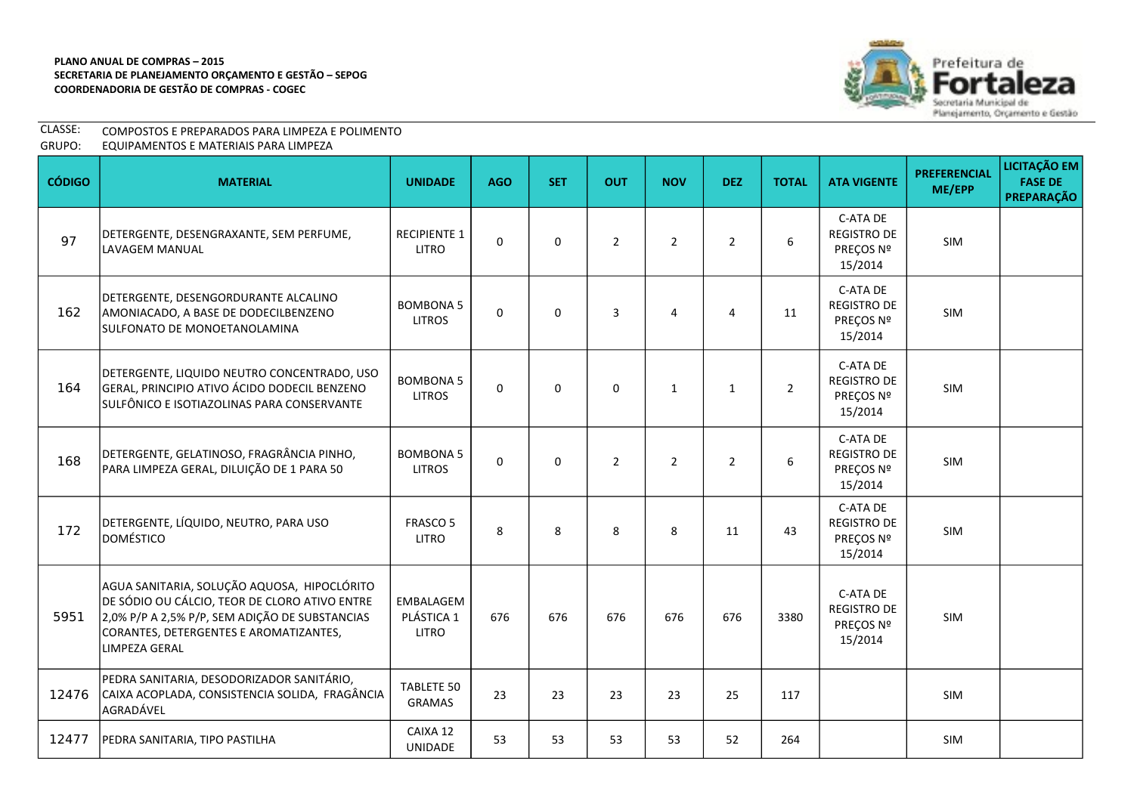

| CLASSE: | COMPOSTOS E PREPARADOS PARA LIMPEZA E POLIMENTO |
|---------|-------------------------------------------------|
| GRUPO:  | EQUIPAMENTOS E MATERIAIS PARA LIMPEZA           |

| <b>CÓDIGO</b> | <b>MATERIAL</b>                                                                                                                                                                                           | <b>UNIDADE</b>                          | <b>AGO</b> | <b>SET</b> | <b>OUT</b>     | <b>NOV</b>     | <b>DEZ</b>     | <b>TOTAL</b> | <b>ATA VIGENTE</b>                                     | <b>PREFERENCIAL</b><br>ME/EPP | <b>LICITAÇÃO EM</b><br><b>FASE DE</b><br>PREPARAÇÃO |
|---------------|-----------------------------------------------------------------------------------------------------------------------------------------------------------------------------------------------------------|-----------------------------------------|------------|------------|----------------|----------------|----------------|--------------|--------------------------------------------------------|-------------------------------|-----------------------------------------------------|
| 97            | DETERGENTE, DESENGRAXANTE, SEM PERFUME,<br>LAVAGEM MANUAL                                                                                                                                                 | <b>RECIPIENTE 1</b><br><b>LITRO</b>     | $\Omega$   | $\Omega$   | $\overline{2}$ | $\overline{2}$ | $\overline{2}$ | 6            | C-ATA DE<br>REGISTRO DE<br>PREÇOS Nº<br>15/2014        | SIM                           |                                                     |
| 162           | DETERGENTE, DESENGORDURANTE ALCALINO<br>AMONIACADO, A BASE DE DODECILBENZENO<br>SULFONATO DE MONOETANOLAMINA                                                                                              | <b>BOMBONA 5</b><br><b>LITROS</b>       | $\Omega$   | $\Omega$   | 3              | 4              | $\overline{4}$ | 11           | C-ATA DE<br><b>REGISTRO DE</b><br>PREÇOS Nº<br>15/2014 | SIM                           |                                                     |
| 164           | DETERGENTE, LIQUIDO NEUTRO CONCENTRADO, USO<br>GERAL, PRINCIPIO ATIVO ÁCIDO DODECIL BENZENO<br>SULFÔNICO E ISOTIAZOLINAS PARA CONSERVANTE                                                                 | <b>BOMBONA 5</b><br><b>LITROS</b>       | $\Omega$   | $\Omega$   | $\mathbf 0$    | $\mathbf{1}$   | $\mathbf{1}$   | $2^{\circ}$  | C-ATA DE<br><b>REGISTRO DE</b><br>PREÇOS Nº<br>15/2014 | SIM                           |                                                     |
| 168           | DETERGENTE, GELATINOSO, FRAGRÂNCIA PINHO,<br>PARA LIMPEZA GERAL, DILUIÇÃO DE 1 PARA 50                                                                                                                    | <b>BOMBONA 5</b><br><b>LITROS</b>       | $\Omega$   | $\Omega$   | $\overline{2}$ | $\overline{2}$ | $\overline{2}$ | 6            | C-ATA DE<br><b>REGISTRO DE</b><br>PREÇOS Nº<br>15/2014 | <b>SIM</b>                    |                                                     |
| 172           | DETERGENTE, LÍQUIDO, NEUTRO, PARA USO<br>DOMÉSTICO                                                                                                                                                        | <b>FRASCO 5</b><br><b>LITRO</b>         | 8          | 8          | 8              | 8              | 11             | 43           | C-ATA DE<br><b>REGISTRO DE</b><br>PREÇOS Nº<br>15/2014 | SIM                           |                                                     |
| 5951          | AGUA SANITARIA, SOLUÇÃO AQUOSA, HIPOCLÓRITO<br>DE SÓDIO OU CÁLCIO, TEOR DE CLORO ATIVO ENTRE<br>2,0% P/P A 2,5% P/P, SEM ADIÇÃO DE SUBSTANCIAS<br>CORANTES, DETERGENTES E AROMATIZANTES,<br>LIMPEZA GERAL | EMBALAGEM<br>PLÁSTICA 1<br><b>LITRO</b> | 676        | 676        | 676            | 676            | 676            | 3380         | C-ATA DE<br><b>REGISTRO DE</b><br>PREÇOS Nº<br>15/2014 | SIM                           |                                                     |
| 12476         | PEDRA SANITARIA, DESODORIZADOR SANITÁRIO,<br>CAIXA ACOPLADA, CONSISTENCIA SOLIDA, FRAGÂNCIA<br>AGRADÁVEL                                                                                                  | <b>TABLETE 50</b><br><b>GRAMAS</b>      | 23         | 23         | 23             | 23             | 25             | 117          |                                                        | <b>SIM</b>                    |                                                     |
| 12477         | PEDRA SANITARIA, TIPO PASTILHA                                                                                                                                                                            | CAIXA 12<br><b>UNIDADE</b>              | 53         | 53         | 53             | 53             | 52             | 264          |                                                        | SIM                           |                                                     |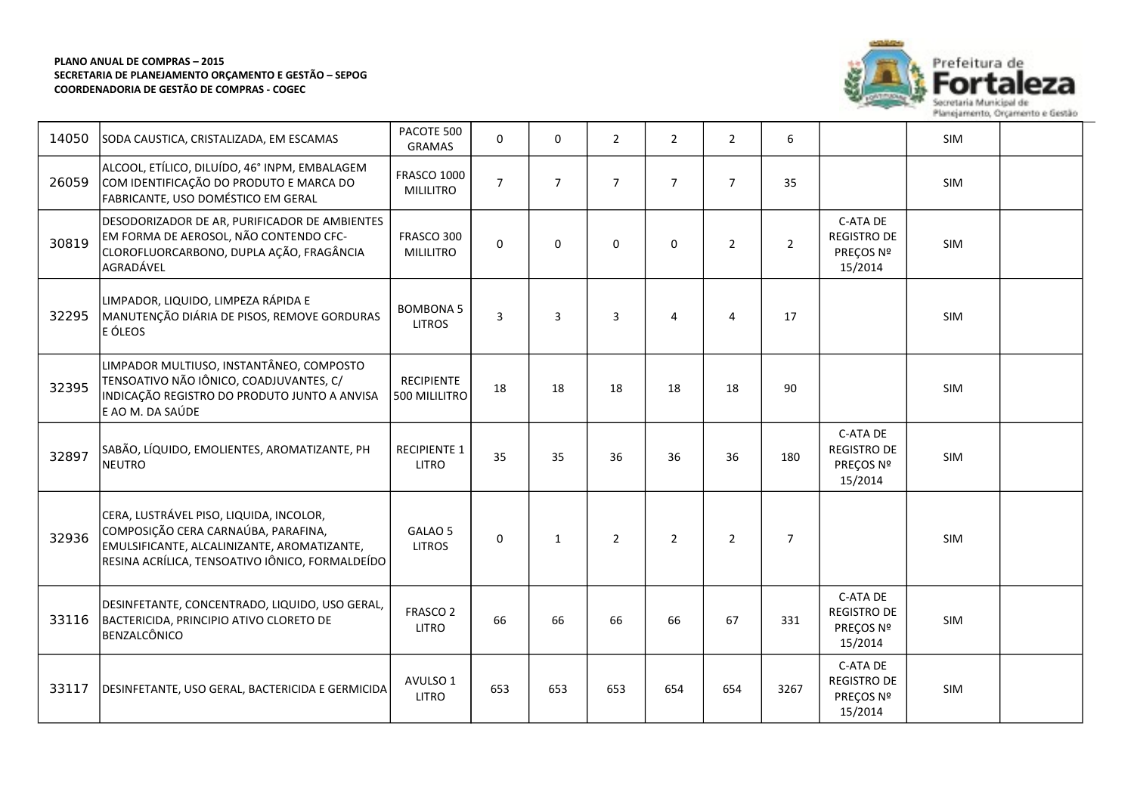

eza

| 14050 | SODA CAUSTICA, CRISTALIZADA, EM ESCAMAS                                                                                                                                          | PACOTE 500<br><b>GRAMAS</b>            | $\Omega$       | $\Omega$       | $\overline{2}$ | $\overline{2}$ | $\overline{2}$ | 6              |                                                        | SIM        |  |
|-------|----------------------------------------------------------------------------------------------------------------------------------------------------------------------------------|----------------------------------------|----------------|----------------|----------------|----------------|----------------|----------------|--------------------------------------------------------|------------|--|
| 26059 | ALCOOL, ETÍLICO, DILUÍDO, 46° INPM, EMBALAGEM<br>COM IDENTIFICAÇÃO DO PRODUTO E MARCA DO<br>FABRICANTE, USO DOMÉSTICO EM GERAL                                                   | <b>FRASCO 1000</b><br><b>MILILITRO</b> | $\overline{7}$ | $\overline{7}$ | $\overline{7}$ | $\overline{7}$ | $\overline{7}$ | 35             |                                                        | SIM        |  |
| 30819 | DESODORIZADOR DE AR, PURIFICADOR DE AMBIENTES<br>EM FORMA DE AEROSOL, NÃO CONTENDO CFC-<br>CLOROFLUORCARBONO, DUPLA AÇÃO, FRAGÂNCIA<br>AGRADÁVEL                                 | FRASCO 300<br><b>MILILITRO</b>         | $\Omega$       | $\mathbf{0}$   | $\Omega$       | $\mathbf 0$    | $\overline{2}$ | $2^{\circ}$    | C-ATA DE<br><b>REGISTRO DE</b><br>PREÇOS Nº<br>15/2014 | SIM        |  |
| 32295 | LIMPADOR, LIQUIDO, LIMPEZA RÁPIDA E<br>MANUTENÇÃO DIÁRIA DE PISOS, REMOVE GORDURAS<br>E ÓLEOS                                                                                    | <b>BOMBONA 5</b><br><b>LITROS</b>      | $\overline{3}$ | $\overline{3}$ | 3              | 4              | $\overline{4}$ | 17             |                                                        | <b>SIM</b> |  |
| 32395 | LIMPADOR MULTIUSO, INSTANTÂNEO, COMPOSTO<br>TENSOATIVO NÃO IÔNICO, COADJUVANTES, C/<br>INDICAÇÃO REGISTRO DO PRODUTO JUNTO A ANVISA<br>E AO M. DA SAÚDE                          | <b>RECIPIENTE</b><br>500 MILILITRO     | 18             | 18             | 18             | 18             | 18             | 90             |                                                        | SIM        |  |
| 32897 | SABÃO, LÍQUIDO, EMOLIENTES, AROMATIZANTE, PH<br><b>NEUTRO</b>                                                                                                                    | <b>RECIPIENTE 1</b><br><b>LITRO</b>    | 35             | 35             | 36             | 36             | 36             | 180            | C-ATA DE<br><b>REGISTRO DE</b><br>PREÇOS Nº<br>15/2014 | SIM        |  |
| 32936 | CERA, LUSTRÁVEL PISO, LIQUIDA, INCOLOR,<br>COMPOSIÇÃO CERA CARNAÚBA, PARAFINA,<br>EMULSIFICANTE, ALCALINIZANTE, AROMATIZANTE,<br>RESINA ACRÍLICA, TENSOATIVO IÔNICO, FORMALDEÍDO | GALAO 5<br><b>LITROS</b>               | $\mathbf 0$    | $\mathbf{1}$   | $\overline{2}$ | $\overline{2}$ | 2              | $\overline{7}$ |                                                        | <b>SIM</b> |  |
| 33116 | DESINFETANTE, CONCENTRADO, LIQUIDO, USO GERAL,<br>BACTERICIDA, PRINCIPIO ATIVO CLORETO DE<br>BENZALCÔNICO                                                                        | FRASCO <sub>2</sub><br><b>LITRO</b>    | 66             | 66             | 66             | 66             | 67             | 331            | C-ATA DE<br><b>REGISTRO DE</b><br>PREÇOS Nº<br>15/2014 | SIM        |  |
| 33117 | DESINFETANTE, USO GERAL, BACTERICIDA E GERMICIDA                                                                                                                                 | AVULSO 1<br><b>LITRO</b>               | 653            | 653            | 653            | 654            | 654            | 3267           | C-ATA DE<br><b>REGISTRO DE</b><br>PREÇOS Nº<br>15/2014 | SIM        |  |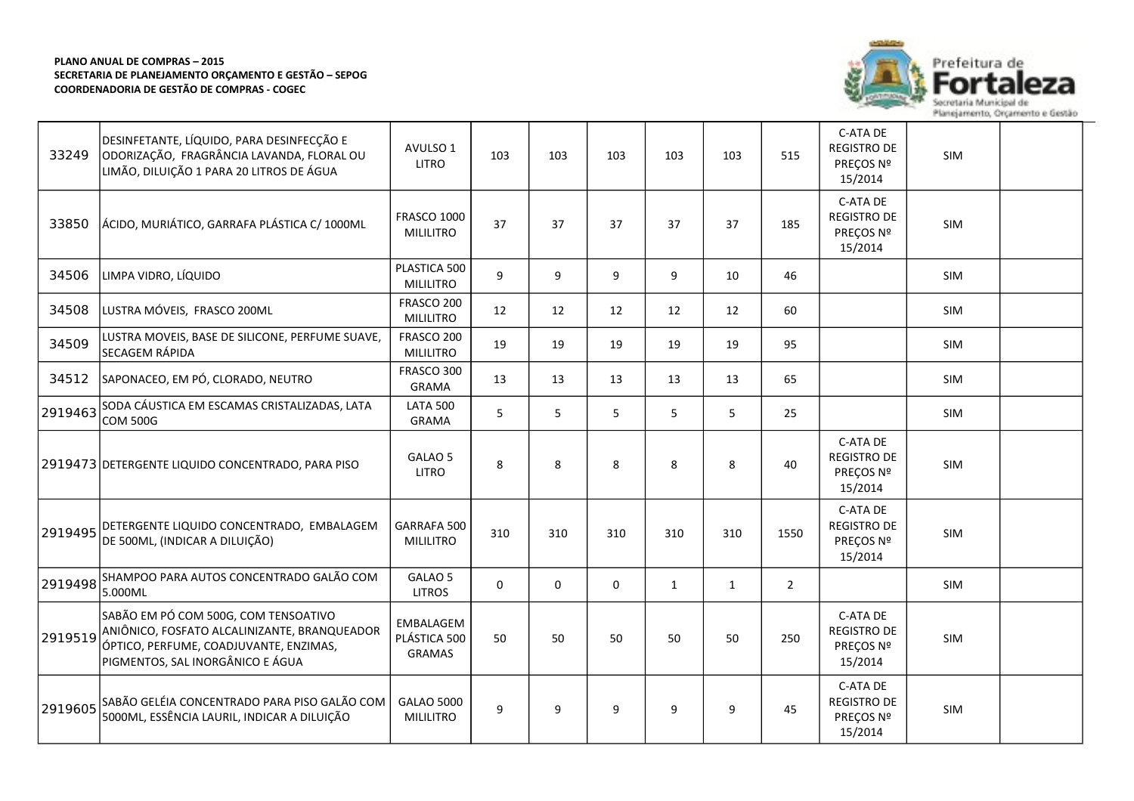┯



73

| 33249   | DESINFETANTE, LÍQUIDO, PARA DESINFECÇÃO E<br>ODORIZAÇÃO, FRAGRÂNCIA LAVANDA, FLORAL OU<br>LIMÃO, DILUIÇÃO 1 PARA 20 LITROS DE ÁGUA                                 | AVULSO 1<br><b>LITRO</b>                   | 103         | 103 | 103         | 103          | 103          | 515            | C-ATA DE<br><b>REGISTRO DE</b><br>PREÇOS Nº<br>15/2014 | SIM        |  |
|---------|--------------------------------------------------------------------------------------------------------------------------------------------------------------------|--------------------------------------------|-------------|-----|-------------|--------------|--------------|----------------|--------------------------------------------------------|------------|--|
| 33850   | ÁCIDO, MURIÁTICO, GARRAFA PLÁSTICA C/ 1000ML                                                                                                                       | <b>FRASCO 1000</b><br><b>MILILITRO</b>     | 37          | 37  | 37          | 37           | 37           | 185            | C-ATA DE<br><b>REGISTRO DE</b><br>PREÇOS Nº<br>15/2014 | SIM        |  |
| 34506   | LIMPA VIDRO, LÍQUIDO                                                                                                                                               | PLASTICA 500<br><b>MILILITRO</b>           | 9           | 9   | 9           | 9            | 10           | 46             |                                                        | SIM        |  |
| 34508   | LUSTRA MÓVEIS, FRASCO 200ML                                                                                                                                        | FRASCO 200<br><b>MILILITRO</b>             | 12          | 12  | 12          | 12           | 12           | 60             |                                                        | <b>SIM</b> |  |
| 34509   | LUSTRA MOVEIS, BASE DE SILICONE, PERFUME SUAVE,<br>SECAGEM RÁPIDA                                                                                                  | FRASCO 200<br><b>MILILITRO</b>             | 19          | 19  | 19          | 19           | 19           | 95             |                                                        | <b>SIM</b> |  |
| 34512   | SAPONACEO, EM PÓ, CLORADO, NEUTRO                                                                                                                                  | FRASCO 300<br><b>GRAMA</b>                 | 13          | 13  | 13          | 13           | 13           | 65             |                                                        | <b>SIM</b> |  |
| 2919463 | SODA CÁUSTICA EM ESCAMAS CRISTALIZADAS, LATA<br><b>COM 500G</b>                                                                                                    | <b>LATA 500</b><br><b>GRAMA</b>            | 5           | 5   | 5           | 5            | 5            | 25             |                                                        | SIM        |  |
|         | 2919473 DETERGENTE LIQUIDO CONCENTRADO, PARA PISO                                                                                                                  | GALAO 5<br><b>LITRO</b>                    | 8           | 8   | 8           | 8            | 8            | 40             | C-ATA DE<br><b>REGISTRO DE</b><br>PREÇOS Nº<br>15/2014 | SIM        |  |
| 2919495 | DETERGENTE LIQUIDO CONCENTRADO, EMBALAGEM<br>DE 500ML, (INDICAR A DILUIÇÃO)                                                                                        | GARRAFA 500<br><b>MILILITRO</b>            | 310         | 310 | 310         | 310          | 310          | 1550           | C-ATA DE<br><b>REGISTRO DE</b><br>PREÇOS Nº<br>15/2014 | SIM        |  |
| 2919498 | SHAMPOO PARA AUTOS CONCENTRADO GALÃO COM<br>5.000ML                                                                                                                | GALAO 5<br><b>LITROS</b>                   | $\mathbf 0$ | 0   | $\mathbf 0$ | $\mathbf{1}$ | $\mathbf{1}$ | $\overline{2}$ |                                                        | <b>SIM</b> |  |
| 2919519 | SABÃO EM PÓ COM 500G, COM TENSOATIVO<br>ANIÔNICO, FOSFATO ALCALINIZANTE, BRANQUEADOR<br>ÓPTICO, PERFUME, COADJUVANTE, ENZIMAS,<br>PIGMENTOS, SAL INORGÂNICO E ÁGUA | EMBALAGEM<br>PLÁSTICA 500<br><b>GRAMAS</b> | 50          | 50  | 50          | 50           | 50           | 250            | C-ATA DE<br><b>REGISTRO DE</b><br>PRECOS Nº<br>15/2014 | SIM        |  |
| 2919605 | SABÃO GELÉIA CONCENTRADO PARA PISO GALÃO COM<br>5000ML, ESSÊNCIA LAURIL, INDICAR A DILUIÇÃO                                                                        | <b>GALAO 5000</b><br><b>MILILITRO</b>      | 9           | 9   | 9           | 9            | 9            | 45             | C-ATA DE<br><b>REGISTRO DE</b><br>PREÇOS Nº<br>15/2014 | SIM        |  |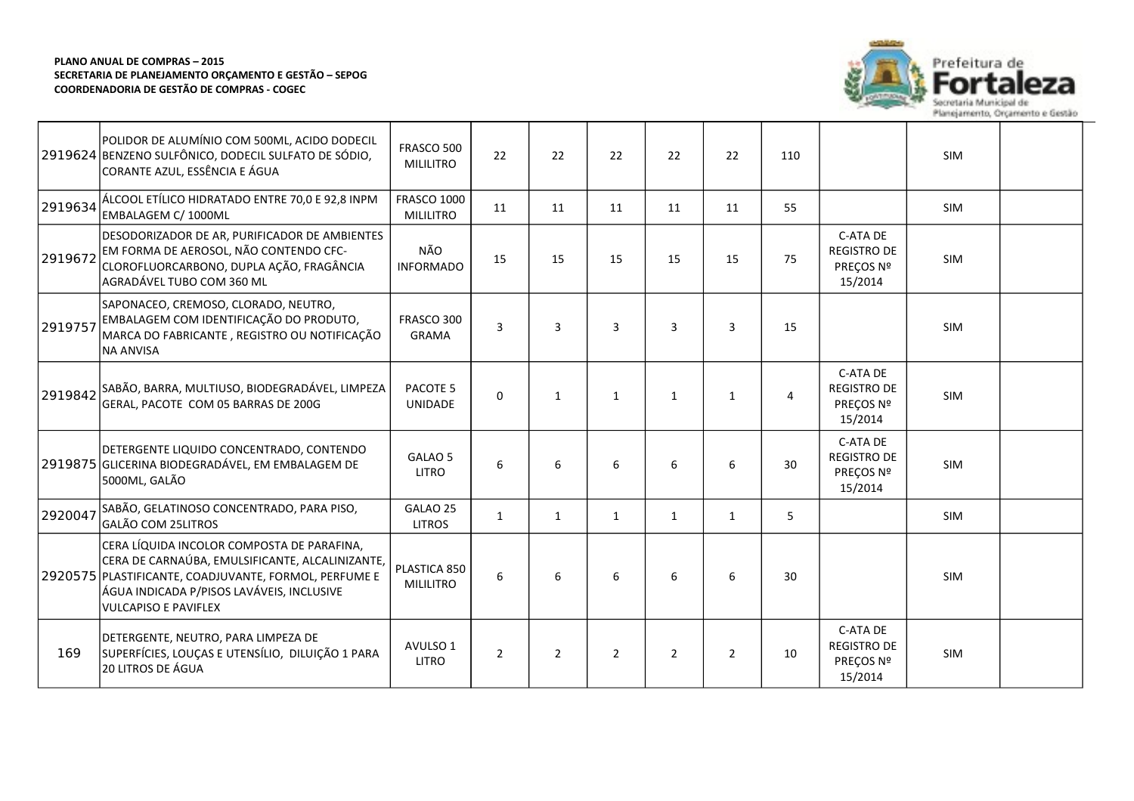

|         | POLIDOR DE ALUMÍNIO COM 500ML, ACIDO DODECIL<br>2919624 BENZENO SULFÔNICO, DODECIL SULFATO DE SÓDIO,<br>CORANTE AZUL, ESSÊNCIA E ÁGUA                                                                                              | FRASCO 500<br><b>MILILITRO</b>         | 22             | 22             | 22             | 22             | 22             | 110 |                                                        | <b>SIM</b> |  |
|---------|------------------------------------------------------------------------------------------------------------------------------------------------------------------------------------------------------------------------------------|----------------------------------------|----------------|----------------|----------------|----------------|----------------|-----|--------------------------------------------------------|------------|--|
| 2919634 | ÁLCOOL ETÍLICO HIDRATADO ENTRE 70,0 E 92,8 INPM<br>EMBALAGEM C/ 1000ML                                                                                                                                                             | <b>FRASCO 1000</b><br><b>MILILITRO</b> | 11             | 11             | 11             | 11             | 11             | 55  |                                                        | <b>SIM</b> |  |
| 2919672 | DESODORIZADOR DE AR, PURIFICADOR DE AMBIENTES<br>EM FORMA DE AEROSOL, NÃO CONTENDO CFC-<br>CLOROFLUORCARBONO, DUPLA AÇÃO, FRAGÂNCIA<br>AGRADÁVEL TUBO COM 360 ML                                                                   | NÃO<br><b>INFORMADO</b>                | 15             | 15             | 15             | 15             | 15             | 75  | C-ATA DE<br><b>REGISTRO DE</b><br>PREÇOS Nº<br>15/2014 | <b>SIM</b> |  |
| 2919757 | SAPONACEO, CREMOSO, CLORADO, NEUTRO,<br>EMBALAGEM COM IDENTIFICAÇÃO DO PRODUTO,<br>MARCA DO FABRICANTE, REGISTRO OU NOTIFICAÇÃO<br><b>NA ANVISA</b>                                                                                | FRASCO 300<br><b>GRAMA</b>             | $\overline{3}$ | 3              | $\overline{3}$ | 3              | 3              | 15  |                                                        | <b>SIM</b> |  |
| 2919842 | SABÃO, BARRA, MULTIUSO, BIODEGRADÁVEL, LIMPEZA<br>GERAL, PACOTE COM 05 BARRAS DE 200G                                                                                                                                              | PACOTE <sub>5</sub><br><b>UNIDADE</b>  | $\Omega$       | $\mathbf{1}$   | $\mathbf{1}$   | $\mathbf{1}$   | $\mathbf{1}$   | 4   | C-ATA DE<br><b>REGISTRO DE</b><br>PREÇOS Nº<br>15/2014 | <b>SIM</b> |  |
|         | DETERGENTE LIQUIDO CONCENTRADO, CONTENDO<br>2919875 GLICERINA BIODEGRADÁVEL, EM EMBALAGEM DE<br>5000ML, GALÃO                                                                                                                      | GALAO <sub>5</sub><br><b>LITRO</b>     | 6              | 6              | 6              | 6              | 6              | 30  | C-ATA DE<br><b>REGISTRO DE</b><br>PREÇOS Nº<br>15/2014 | <b>SIM</b> |  |
| 2920047 | SABÃO, GELATINOSO CONCENTRADO, PARA PISO,<br>GALÃO COM 25LITROS                                                                                                                                                                    | GALAO 25<br><b>LITROS</b>              | $\mathbf{1}$   | $\mathbf{1}$   | $\mathbf{1}$   | $\mathbf{1}$   | $\mathbf{1}$   | 5   |                                                        | SIM        |  |
|         | CERA LÍQUIDA INCOLOR COMPOSTA DE PARAFINA,<br>CERA DE CARNAÚBA, EMULSIFICANTE, ALCALINIZANTE,<br>2920575 PLASTIFICANTE, COADJUVANTE, FORMOL, PERFUME E<br>ÁGUA INDICADA P/PISOS LAVÁVEIS, INCLUSIVE<br><b>VULCAPISO E PAVIFLEX</b> | PLASTICA 850<br><b>MILILITRO</b>       | 6              | 6              | 6              | 6              | 6              | 30  |                                                        | <b>SIM</b> |  |
| 169     | DETERGENTE, NEUTRO, PARA LIMPEZA DE<br>SUPERFÍCIES, LOUÇAS E UTENSÍLIO, DILUIÇÃO 1 PARA<br>20 LITROS DE ÁGUA                                                                                                                       | AVULSO 1<br><b>LITRO</b>               | $\overline{2}$ | $\overline{2}$ | $\overline{2}$ | $\overline{2}$ | $\overline{2}$ | 10  | C-ATA DE<br><b>REGISTRO DE</b><br>PREÇOS Nº<br>15/2014 | <b>SIM</b> |  |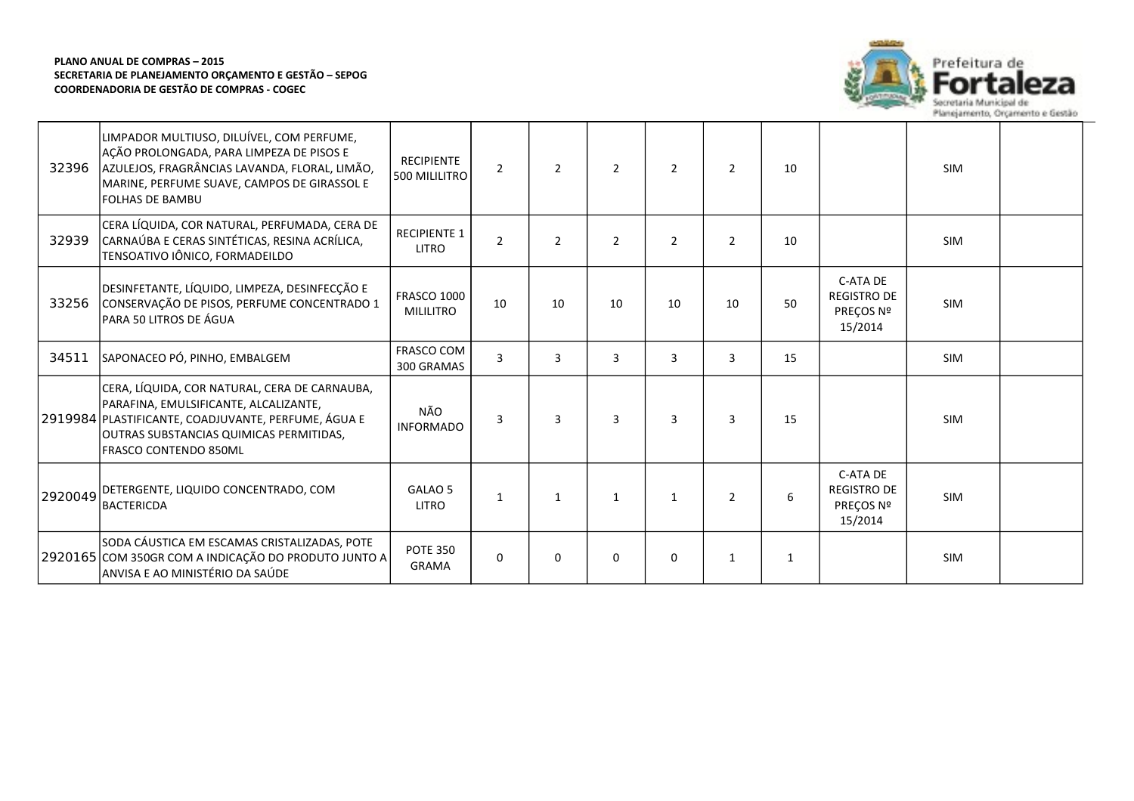

| 32396   | LIMPADOR MULTIUSO, DILUÍVEL, COM PERFUME,<br>AÇÃO PROLONGADA, PARA LIMPEZA DE PISOS E<br>AZULEJOS, FRAGRÂNCIAS LAVANDA, FLORAL, LIMÃO,<br>MARINE, PERFUME SUAVE, CAMPOS DE GIRASSOL E<br><b>FOLHAS DE BAMBU</b>   | <b>RECIPIENTE</b><br>500 MILILITRO     | $\overline{2}$ | $\overline{2}$ | $\overline{2}$ | 2              | 2              | 10           |                                                        | <b>SIM</b> |  |
|---------|-------------------------------------------------------------------------------------------------------------------------------------------------------------------------------------------------------------------|----------------------------------------|----------------|----------------|----------------|----------------|----------------|--------------|--------------------------------------------------------|------------|--|
| 32939   | CERA LÍQUIDA, COR NATURAL, PERFUMADA, CERA DE<br>CARNAÚBA E CERAS SINTÉTICAS, RESINA ACRÍLICA,<br>TENSOATIVO IÔNICO, FORMADEILDO                                                                                  | <b>RECIPIENTE 1</b><br><b>LITRO</b>    | $\overline{2}$ | $\overline{2}$ | $\overline{2}$ | $\overline{2}$ | $\overline{2}$ | 10           |                                                        | <b>SIM</b> |  |
| 33256   | DESINFETANTE, LÍQUIDO, LIMPEZA, DESINFECÇÃO E<br>CONSERVAÇÃO DE PISOS, PERFUME CONCENTRADO 1<br>PARA 50 LITROS DE ÁGUA                                                                                            | <b>FRASCO 1000</b><br><b>MILILITRO</b> | 10             | 10             | 10             | 10             | 10             | 50           | C-ATA DE<br><b>REGISTRO DE</b><br>PREÇOS Nº<br>15/2014 | <b>SIM</b> |  |
| 34511   | SAPONACEO PÓ, PINHO, EMBALGEM                                                                                                                                                                                     | FRASCO COM<br>300 GRAMAS               | $\overline{3}$ | 3              | 3              | 3              | 3              | 15           |                                                        | SIM        |  |
|         | CERA, LÍQUIDA, COR NATURAL, CERA DE CARNAUBA,<br>PARAFINA, EMULSIFICANTE, ALCALIZANTE,<br>2919984 PLASTIFICANTE, COADJUVANTE, PERFUME, ÁGUA E<br>OUTRAS SUBSTANCIAS QUIMICAS PERMITIDAS,<br>FRASCO CONTENDO 850ML | NÃO<br><b>INFORMADO</b>                | 3              | 3              | 3              | 3              | $\overline{3}$ | 15           |                                                        | <b>SIM</b> |  |
| 2920049 | DETERGENTE, LIQUIDO CONCENTRADO, COM<br><b>BACTERICDA</b>                                                                                                                                                         | GALAO 5<br>LITRO                       | $\mathbf{1}$   | $\mathbf{1}$   | $\mathbf{1}$   | $\mathbf{1}$   | $\overline{2}$ | 6            | C-ATA DE<br><b>REGISTRO DE</b><br>PREÇOS Nº<br>15/2014 | <b>SIM</b> |  |
|         | SODA CÁUSTICA EM ESCAMAS CRISTALIZADAS, POTE<br>2920165 COM 350GR COM A INDICAÇÃO DO PRODUTO JUNTO A<br>ANVISA E AO MINISTÉRIO DA SAÚDE                                                                           | <b>POTE 350</b><br><b>GRAMA</b>        | $\Omega$       | $\Omega$       | $\mathbf 0$    | 0              | $\mathbf{1}$   | $\mathbf{1}$ |                                                        | <b>SIM</b> |  |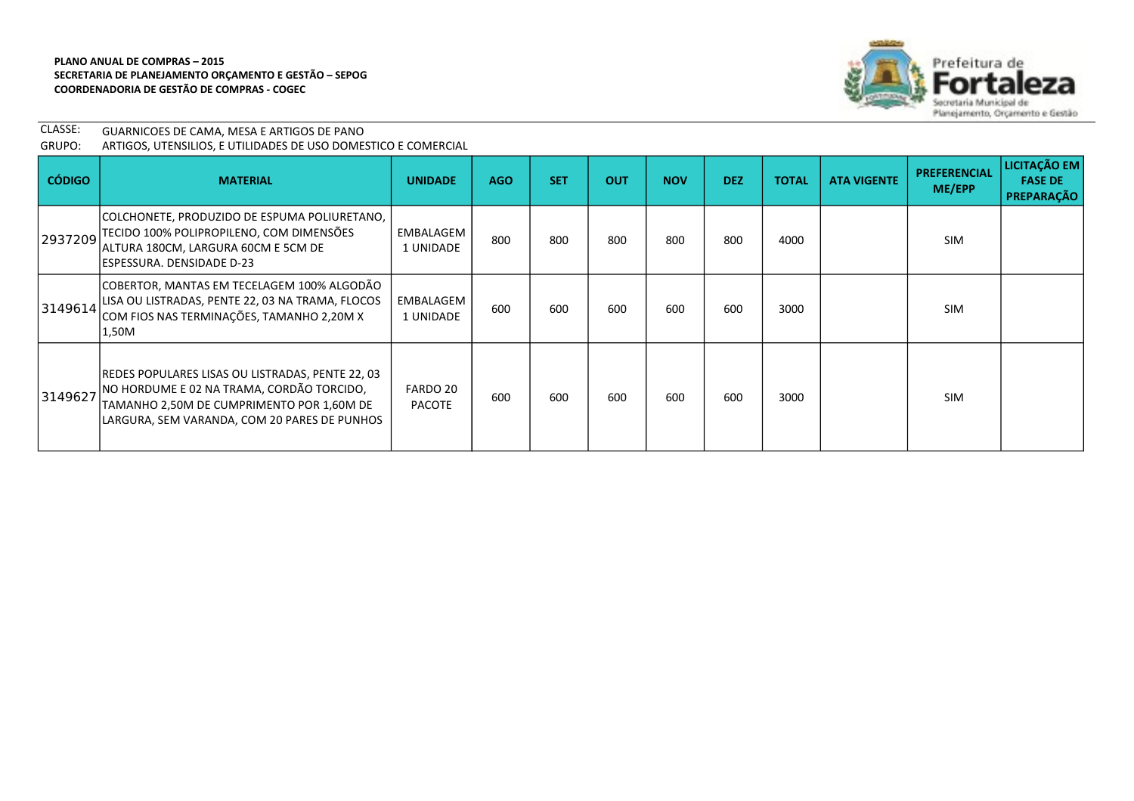

| CLASSE: | GUARNICOES DE CAMA, MESA E ARTIGOS DE PANO                     |
|---------|----------------------------------------------------------------|
| GRUPO:  | ARTIGOS, UTENSILIOS, E UTILIDADES DE USO DOMESTICO E COMERCIAL |

| <b>CÓDIGO</b> | <b>MATERIAL</b>                                                                                                                                                                            | <b>UNIDADE</b>            | <b>AGO</b> | <b>SET</b> | <b>OUT</b> | <b>NOV</b> | <b>DEZ</b> | <b>TOTAL</b> | <b>ATA VIGENTE</b> | <b>PREFERENCIAL</b><br>ME/EPP | LICITAÇÃO EM<br><b>FASE DE</b><br>PREPARAÇÃO |
|---------------|--------------------------------------------------------------------------------------------------------------------------------------------------------------------------------------------|---------------------------|------------|------------|------------|------------|------------|--------------|--------------------|-------------------------------|----------------------------------------------|
| 2937209       | COLCHONETE, PRODUZIDO DE ESPUMA POLIURETANO,<br>TECIDO 100% POLIPROPILENO, COM DIMENSÕES<br>ALTURA 180CM, LARGURA 60CM E 5CM DE<br>ESPESSURA. DENSIDADE D-23                               | EMBALAGEM<br>1 UNIDADE    | 800        | 800        | 800        | 800        | 800        | 4000         |                    | <b>SIM</b>                    |                                              |
| 3149614       | COBERTOR, MANTAS EM TECELAGEM 100% ALGODÃO<br>LISA OU LISTRADAS, PENTE 22, 03 NA TRAMA, FLOCOS<br>COM FIOS NAS TERMINAÇÕES, TAMANHO 2,20M X<br>1,50M                                       | EMBALAGEM<br>1 UNIDADE    | 600        | 600        | 600        | 600        | 600        | 3000         |                    | <b>SIM</b>                    |                                              |
| 3149627       | REDES POPULARES LISAS OU LISTRADAS, PENTE 22, 03<br>NO HORDUME E 02 NA TRAMA, CORDÃO TORCIDO,<br>TAMANHO 2,50M DE CUMPRIMENTO POR 1,60M DE<br>LARGURA, SEM VARANDA, COM 20 PARES DE PUNHOS | FARDO 20<br><b>PACOTE</b> | 600        | 600        | 600        | 600        | 600        | 3000         |                    | <b>SIM</b>                    |                                              |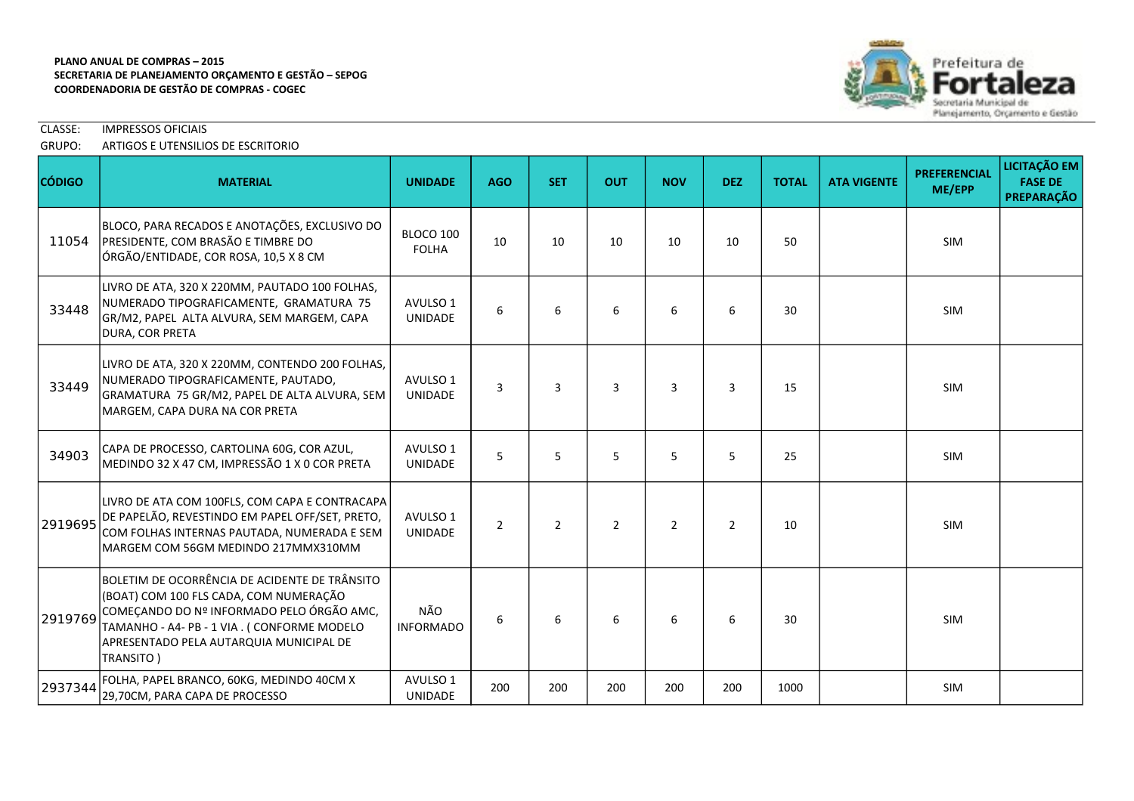

CLASSE: IMPRESSOS OFICIAIS

# GRUPO: ARTIGOS E UTENSILIOS DE ESCRITORIO

| <b>CÓDIGO</b> | <b>MATERIAL</b>                                                                                                                                                                                                                            | <b>UNIDADE</b>             | <b>AGO</b>     | <b>SET</b>     | <b>OUT</b>     | <b>NOV</b>     | <b>DEZ</b> | <b>TOTAL</b> | <b>ATA VIGENTE</b> | <b>PREFERENCIAL</b><br>ME/EPP | <b>LICITAÇÃO EM</b><br><b>FASE DE</b><br><b>PREPARAÇÃO</b> |
|---------------|--------------------------------------------------------------------------------------------------------------------------------------------------------------------------------------------------------------------------------------------|----------------------------|----------------|----------------|----------------|----------------|------------|--------------|--------------------|-------------------------------|------------------------------------------------------------|
| 11054         | BLOCO, PARA RECADOS E ANOTAÇÕES, EXCLUSIVO DO<br>PRESIDENTE, COM BRASÃO E TIMBRE DO<br>ÓRGÃO/ENTIDADE, COR ROSA, 10,5 X 8 CM                                                                                                               | BLOCO 100<br><b>FOLHA</b>  | 10             | 10             | 10             | 10             | 10         | 50           |                    | <b>SIM</b>                    |                                                            |
| 33448         | LIVRO DE ATA, 320 X 220MM, PAUTADO 100 FOLHAS,<br>NUMERADO TIPOGRAFICAMENTE, GRAMATURA 75<br>GR/M2, PAPEL ALTA ALVURA, SEM MARGEM, CAPA<br>DURA, COR PRETA                                                                                 | AVULSO 1<br>UNIDADE        | 6              | 6              | 6              | 6              | 6          | 30           |                    | <b>SIM</b>                    |                                                            |
| 33449         | LIVRO DE ATA, 320 X 220MM, CONTENDO 200 FOLHAS,<br>NUMERADO TIPOGRAFICAMENTE, PAUTADO,<br>GRAMATURA 75 GR/M2, PAPEL DE ALTA ALVURA, SEM<br>MARGEM, CAPA DURA NA COR PRETA                                                                  | AVULSO 1<br><b>UNIDADE</b> | 3              | 3              | 3              | 3              | 3          | 15           |                    | <b>SIM</b>                    |                                                            |
| 34903         | CAPA DE PROCESSO, CARTOLINA 60G, COR AZUL,<br>MEDINDO 32 X 47 CM, IMPRESSÃO 1 X 0 COR PRETA                                                                                                                                                | AVULSO 1<br><b>UNIDADE</b> | 5              | 5              | 5              | 5              | 5          | 25           |                    | SIM                           |                                                            |
| 2919695       | LIVRO DE ATA COM 100FLS, COM CAPA E CONTRACAPA<br>DE PAPELÃO, REVESTINDO EM PAPEL OFF/SET, PRETO,<br>COM FOLHAS INTERNAS PAUTADA, NUMERADA E SEM<br>lMARGEM COM 56GM MEDINDO 217MMX310MM                                                   | AVULSO 1<br><b>UNIDADE</b> | $\overline{2}$ | $\overline{2}$ | $\overline{2}$ | $\overline{2}$ | 2          | 10           |                    | <b>SIM</b>                    |                                                            |
| 2919769       | BOLETIM DE OCORRÊNCIA DE ACIDENTE DE TRÂNSITO<br>(BOAT) COM 100 FLS CADA, COM NUMERAÇÃO<br>COMEÇANDO DO Nº INFORMADO PELO ÓRGÃO AMC,<br>TAMANHO - A4- PB - 1 VIA. (CONFORME MODELO<br>APRESENTADO PELA AUTARQUIA MUNICIPAL DE<br>TRANSITO) | NÃO<br><b>INFORMADO</b>    | 6              | 6              | 6              | 6              | 6          | 30           |                    | <b>SIM</b>                    |                                                            |
| 2937344       | FOLHA, PAPEL BRANCO, 60KG, MEDINDO 40CM X<br>29,70CM, PARA CAPA DE PROCESSO                                                                                                                                                                | AVULSO 1<br>UNIDADE        | 200            | 200            | 200            | 200            | 200        | 1000         |                    | <b>SIM</b>                    |                                                            |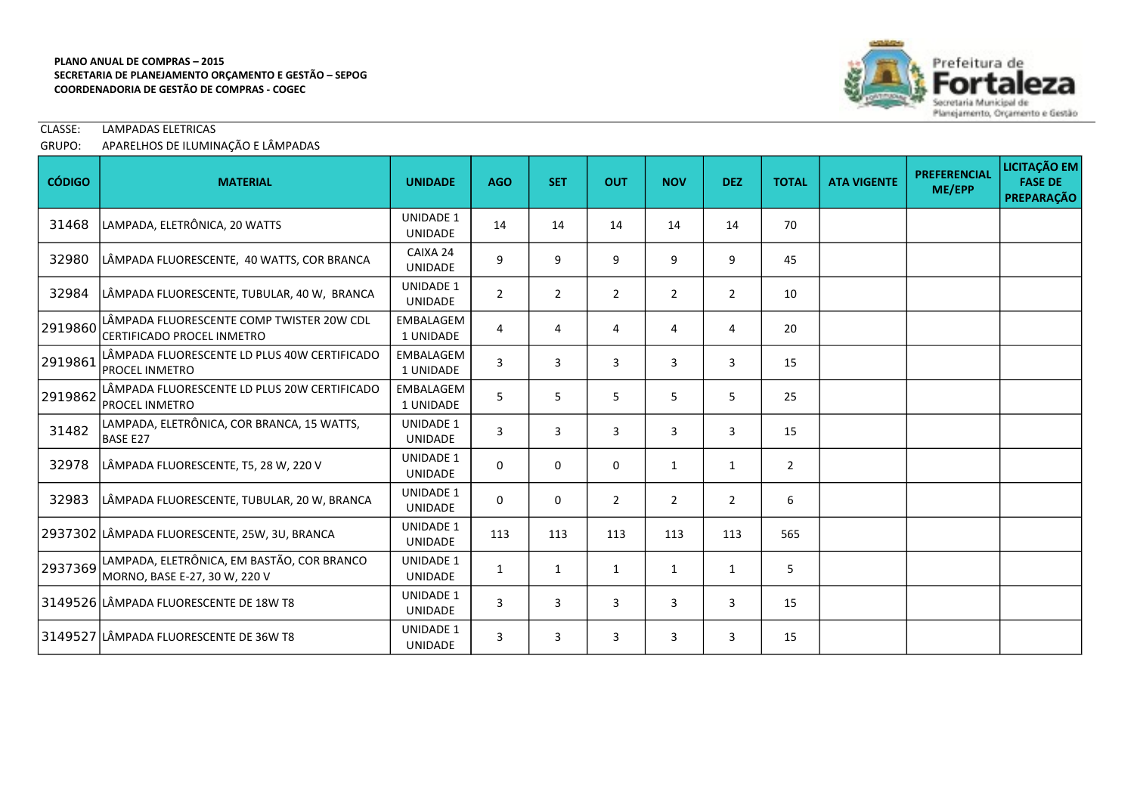

# CLASSE: LAMPADAS ELETRICAS

# GRUPO: APARELHOS DE ILUMINAÇÃO E LÂMPADAS

| <b>CÓDIGO</b> | <b>MATERIAL</b>                                                             | <b>UNIDADE</b>                     | <b>AGO</b>     | <b>SET</b>     | <b>OUT</b>     | <b>NOV</b>     | <b>DEZ</b>     | <b>TOTAL</b>   | <b>ATA VIGENTE</b> | <b>PREFERENCIAL</b><br>ME/EPP | LICITAÇÃO EM<br><b>FASE DE</b><br>PREPARAÇÃO |
|---------------|-----------------------------------------------------------------------------|------------------------------------|----------------|----------------|----------------|----------------|----------------|----------------|--------------------|-------------------------------|----------------------------------------------|
| 31468         | LAMPADA, ELETRÔNICA, 20 WATTS                                               | <b>UNIDADE 1</b><br><b>UNIDADE</b> | 14             | 14             | 14             | 14             | 14             | 70             |                    |                               |                                              |
| 32980         | LÂMPADA FLUORESCENTE, 40 WATTS, COR BRANCA                                  | CAIXA 24<br><b>UNIDADE</b>         | 9              | 9              | 9              | 9              | 9              | 45             |                    |                               |                                              |
| 32984         | LÂMPADA FLUORESCENTE, TUBULAR, 40 W, BRANCA                                 | <b>UNIDADE 1</b><br><b>UNIDADE</b> | $\overline{2}$ | $\overline{2}$ | $\overline{2}$ | $\overline{2}$ | $\overline{2}$ | 10             |                    |                               |                                              |
| 2919860       | LÂMPADA FLUORESCENTE COMP TWISTER 20W CDL<br>CERTIFICADO PROCEL INMETRO     | <b>EMBALAGEM</b><br>1 UNIDADE      | 4              | 4              | 4              | 4              | 4              | 20             |                    |                               |                                              |
| 2919861       | LÂMPADA FLUORESCENTE LD PLUS 40W CERTIFICADO<br><b>PROCEL INMETRO</b>       | <b>EMBALAGEM</b><br>1 UNIDADE      | 3              | 3              | 3              | 3              | 3              | 15             |                    |                               |                                              |
| 2919862       | LÂMPADA FLUORESCENTE LD PLUS 20W CERTIFICADO<br><b>PROCEL INMETRO</b>       | <b>EMBALAGEM</b><br>1 UNIDADE      | 5              | 5              | 5              | 5              | 5              | 25             |                    |                               |                                              |
| 31482         | LAMPADA, ELETRÔNICA, COR BRANCA, 15 WATTS,<br><b>BASE E27</b>               | <b>UNIDADE 1</b><br><b>UNIDADE</b> | 3              | 3              | 3              | 3              | 3              | 15             |                    |                               |                                              |
| 32978         | LÂMPADA FLUORESCENTE, T5, 28 W, 220 V                                       | <b>UNIDADE 1</b><br><b>UNIDADE</b> | 0              | $\mathbf 0$    | $\mathbf 0$    | $\mathbf{1}$   | 1              | $\overline{2}$ |                    |                               |                                              |
| 32983         | LÂMPADA FLUORESCENTE, TUBULAR, 20 W, BRANCA                                 | <b>UNIDADE 1</b><br><b>UNIDADE</b> | 0              | $\mathbf 0$    | $\overline{2}$ | $\overline{2}$ | $\overline{2}$ | 6              |                    |                               |                                              |
|               | 2937302 LÂMPADA FLUORESCENTE, 25W, 3U, BRANCA                               | <b>UNIDADE 1</b><br><b>UNIDADE</b> | 113            | 113            | 113            | 113            | 113            | 565            |                    |                               |                                              |
| 2937369       | LAMPADA, ELETRÔNICA, EM BASTÃO, COR BRANCO<br>MORNO, BASE E-27, 30 W, 220 V | <b>UNIDADE 1</b><br><b>UNIDADE</b> | $\mathbf{1}$   | 1              | $\mathbf{1}$   | $\mathbf{1}$   | 1              | 5              |                    |                               |                                              |
|               | 3149526 LÂMPADA FLUORESCENTE DE 18W T8                                      | <b>UNIDADE 1</b><br><b>UNIDADE</b> | 3              | 3              | 3              | 3              | 3              | 15             |                    |                               |                                              |
|               | 3149527 LÂMPADA FLUORESCENTE DE 36W T8                                      | <b>UNIDADE 1</b><br><b>UNIDADE</b> | 3              | 3              | 3              | 3              | 3              | 15             |                    |                               |                                              |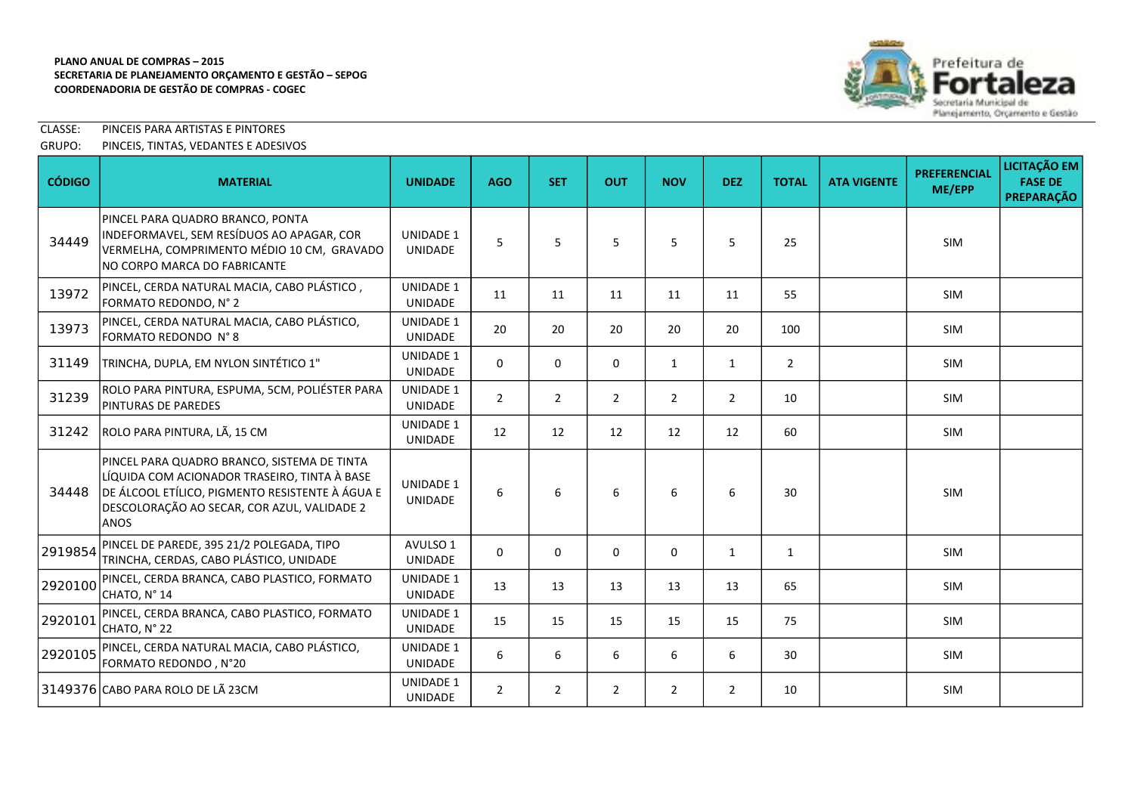

CLASSE: PINCEIS PARA ARTISTAS E PINTORES

# GRUPO: PINCEIS, TINTAS, VEDANTES E ADESIVOS

| <b>CÓDIGO</b> | <b>MATERIAL</b>                                                                                                                                                                                        | <b>UNIDADE</b>                     | <b>AGO</b>     | <b>SET</b>     | <b>OUT</b>     | <b>NOV</b>     | <b>DEZ</b>     | <b>TOTAL</b>   | <b>ATA VIGENTE</b> | <b>PREFERENCIAL</b><br>ME/EPP | LICITAÇÃO EM<br><b>FASE DE</b><br><b>PREPARAÇÃO</b> |
|---------------|--------------------------------------------------------------------------------------------------------------------------------------------------------------------------------------------------------|------------------------------------|----------------|----------------|----------------|----------------|----------------|----------------|--------------------|-------------------------------|-----------------------------------------------------|
| 34449         | PINCEL PARA QUADRO BRANCO, PONTA<br>INDEFORMAVEL, SEM RESÍDUOS AO APAGAR, COR<br>VERMELHA, COMPRIMENTO MÉDIO 10 CM, GRAVADO<br>NO CORPO MARCA DO FABRICANTE                                            | <b>UNIDADE 1</b><br><b>UNIDADE</b> | 5              | 5              | 5              | 5              | 5              | 25             |                    | <b>SIM</b>                    |                                                     |
| 13972         | PINCEL, CERDA NATURAL MACIA, CABO PLÁSTICO,<br>FORMATO REDONDO, N° 2                                                                                                                                   | <b>UNIDADE 1</b><br>UNIDADE        | 11             | 11             | 11             | 11             | 11             | 55             |                    | <b>SIM</b>                    |                                                     |
| 13973         | PINCEL, CERDA NATURAL MACIA, CABO PLÁSTICO,<br>FORMATO REDONDO N° 8                                                                                                                                    | <b>UNIDADE 1</b><br><b>UNIDADE</b> | 20             | 20             | 20             | 20             | 20             | 100            |                    | <b>SIM</b>                    |                                                     |
| 31149         | TRINCHA, DUPLA, EM NYLON SINTÉTICO 1"                                                                                                                                                                  | <b>UNIDADE 1</b><br><b>UNIDADE</b> | 0              | 0              | 0              | $\mathbf{1}$   | $\mathbf{1}$   | $\overline{2}$ |                    | SIM                           |                                                     |
| 31239         | ROLO PARA PINTURA, ESPUMA, 5CM, POLIÉSTER PARA<br>PINTURAS DE PAREDES                                                                                                                                  | <b>UNIDADE 1</b><br>UNIDADE        | $\overline{2}$ | $\overline{2}$ | $\overline{2}$ | 2              | $\overline{2}$ | 10             |                    | <b>SIM</b>                    |                                                     |
| 31242         | ROLO PARA PINTURA, LÃ, 15 CM                                                                                                                                                                           | <b>UNIDADE 1</b><br><b>UNIDADE</b> | 12             | 12             | 12             | 12             | 12             | 60             |                    | SIM                           |                                                     |
| 34448         | PINCEL PARA QUADRO BRANCO, SISTEMA DE TINTA<br>LÍQUIDA COM ACIONADOR TRASEIRO, TINTA À BASE<br>DE ÁLCOOL ETÍLICO, PIGMENTO RESISTENTE À ÁGUA E<br>DESCOLORAÇÃO AO SECAR, COR AZUL, VALIDADE 2<br>lanos | <b>UNIDADE 1</b><br><b>UNIDADE</b> | 6              | 6              | 6              | 6              | 6              | 30             |                    | <b>SIM</b>                    |                                                     |
| 2919854       | PINCEL DE PAREDE, 395 21/2 POLEGADA, TIPO<br>TRINCHA, CERDAS, CABO PLÁSTICO, UNIDADE                                                                                                                   | AVULSO 1<br>UNIDADE                | 0              | $\mathbf 0$    | 0              | $\mathbf 0$    | $\mathbf{1}$   | $\mathbf{1}$   |                    | <b>SIM</b>                    |                                                     |
| 2920100       | PINCEL, CERDA BRANCA, CABO PLASTICO, FORMATO<br>CHATO, N° 14                                                                                                                                           | <b>UNIDADE 1</b><br>UNIDADE        | 13             | 13             | 13             | 13             | 13             | 65             |                    | SIM                           |                                                     |
| 2920101       | PINCEL, CERDA BRANCA, CABO PLASTICO, FORMATO<br>CHATO, N° 22                                                                                                                                           | <b>UNIDADE 1</b><br>UNIDADE        | 15             | 15             | 15             | 15             | 15             | 75             |                    | <b>SIM</b>                    |                                                     |
| 2920105       | PINCEL, CERDA NATURAL MACIA, CABO PLÁSTICO,<br>FORMATO REDONDO, N°20                                                                                                                                   | <b>UNIDADE 1</b><br>UNIDADE        | 6              | 6              | 6              | 6              | 6              | 30             |                    | <b>SIM</b>                    |                                                     |
|               | 3149376 CABO PARA ROLO DE LÃ 23CM                                                                                                                                                                      | <b>UNIDADE 1</b><br><b>UNIDADE</b> | $\overline{2}$ | $\overline{2}$ | $\overline{2}$ | $\overline{2}$ | $\overline{2}$ | 10             |                    | <b>SIM</b>                    |                                                     |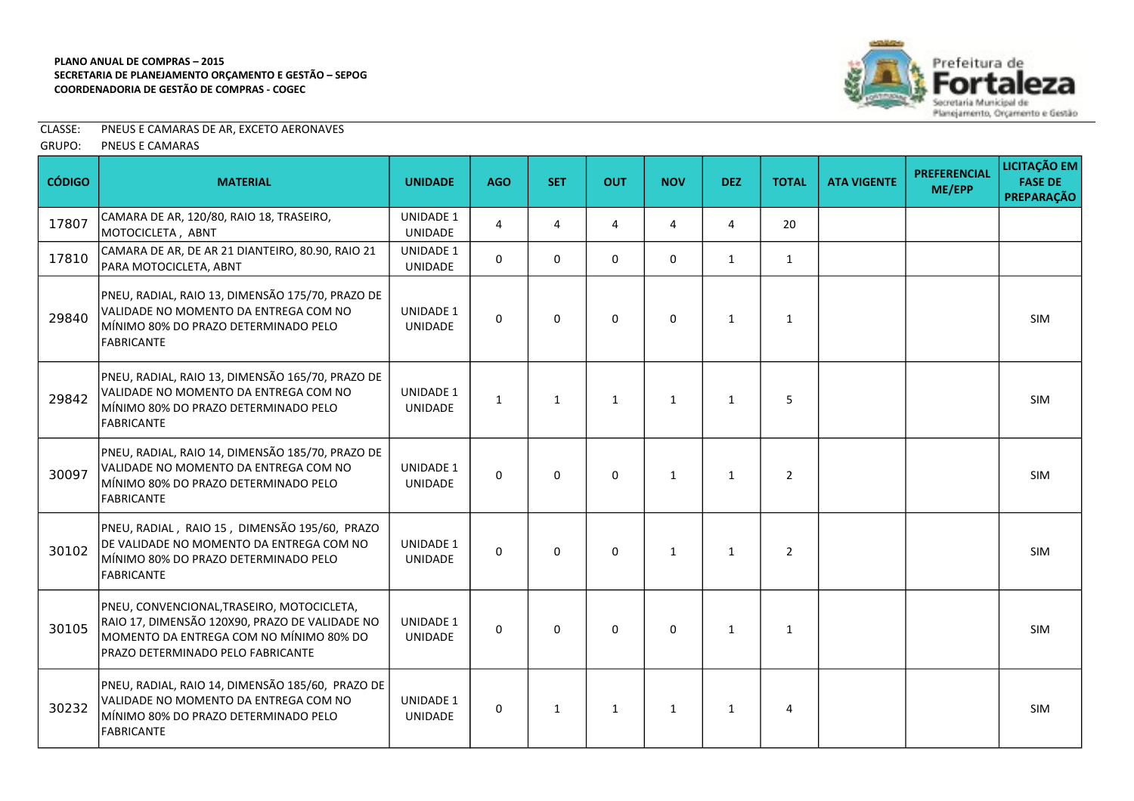

CLASSE: PNEUS E CAMARAS DE AR, EXCETO AERONAVES

GRUPO: PNEUS E CAMARAS

| <b>CÓDIGO</b> | <b>MATERIAL</b>                                                                                                                                                              | <b>UNIDADE</b>                     | <b>AGO</b>   | <b>SET</b>   | <b>OUT</b>   | <b>NOV</b>   | <b>DEZ</b>   | <b>TOTAL</b>   | <b>ATA VIGENTE</b> | <b>PREFERENCIAL</b><br>ME/EPP | LICITAÇÃO EM<br><b>FASE DE</b><br><b>PREPARAÇÃO</b> |
|---------------|------------------------------------------------------------------------------------------------------------------------------------------------------------------------------|------------------------------------|--------------|--------------|--------------|--------------|--------------|----------------|--------------------|-------------------------------|-----------------------------------------------------|
| 17807         | CAMARA DE AR, 120/80, RAIO 18, TRASEIRO,<br>MOTOCICLETA, ABNT                                                                                                                | UNIDADE 1<br><b>UNIDADE</b>        | 4            | 4            | 4            | 4            | 4            | 20             |                    |                               |                                                     |
| 17810         | CAMARA DE AR, DE AR 21 DIANTEIRO, 80.90, RAIO 21<br>PARA MOTOCICLETA, ABNT                                                                                                   | <b>UNIDADE 1</b><br>UNIDADE        | $\mathbf{0}$ | $\mathbf{0}$ | $\Omega$     | $\Omega$     | 1            | $\mathbf{1}$   |                    |                               |                                                     |
| 29840         | PNEU, RADIAL, RAIO 13, DIMENSÃO 175/70, PRAZO DE<br>VALIDADE NO MOMENTO DA ENTREGA COM NO<br>MÍNIMO 80% DO PRAZO DETERMINADO PELO<br><b>FABRICANTE</b>                       | UNIDADE 1<br><b>UNIDADE</b>        | $\Omega$     | 0            | $\mathbf 0$  | $\mathbf 0$  | 1            | $\mathbf{1}$   |                    |                               | <b>SIM</b>                                          |
| 29842         | PNEU, RADIAL, RAIO 13, DIMENSÃO 165/70, PRAZO DE<br>VALIDADE NO MOMENTO DA ENTREGA COM NO<br>MÍNIMO 80% DO PRAZO DETERMINADO PELO<br><b>FABRICANTE</b>                       | <b>UNIDADE 1</b><br>UNIDADE        | $\mathbf{1}$ | $\mathbf{1}$ | $\mathbf{1}$ | $\mathbf{1}$ | $\mathbf{1}$ | 5              |                    |                               | <b>SIM</b>                                          |
| 30097         | PNEU, RADIAL, RAIO 14, DIMENSÃO 185/70, PRAZO DE<br>VALIDADE NO MOMENTO DA ENTREGA COM NO<br>MÍNIMO 80% DO PRAZO DETERMINADO PELO<br><b>FABRICANTE</b>                       | <b>UNIDADE 1</b><br><b>UNIDADE</b> | $\Omega$     | $\Omega$     | $\Omega$     | $\mathbf{1}$ | 1            | $\overline{2}$ |                    |                               | <b>SIM</b>                                          |
| 30102         | PNEU, RADIAL, RAIO 15, DIMENSÃO 195/60, PRAZO<br>DE VALIDADE NO MOMENTO DA ENTREGA COM NO<br>MÍNIMO 80% DO PRAZO DETERMINADO PELO<br><b>FABRICANTE</b>                       | <b>UNIDADE 1</b><br>UNIDADE        | $\mathbf{0}$ | $\Omega$     | $\Omega$     | $\mathbf{1}$ | 1            | $\overline{2}$ |                    |                               | <b>SIM</b>                                          |
| 30105         | PNEU, CONVENCIONAL, TRASEIRO, MOTOCICLETA,<br>RAIO 17, DIMENSÃO 120X90, PRAZO DE VALIDADE NO<br>MOMENTO DA ENTREGA COM NO MÍNIMO 80% DO<br>PRAZO DETERMINADO PELO FABRICANTE | UNIDADE 1<br><b>UNIDADE</b>        | 0            | 0            | $\Omega$     | $\Omega$     | $\mathbf{1}$ | $\mathbf{1}$   |                    |                               | <b>SIM</b>                                          |
| 30232         | PNEU, RADIAL, RAIO 14, DIMENSÃO 185/60, PRAZO DE<br>VALIDADE NO MOMENTO DA ENTREGA COM NO<br>MÍNIMO 80% DO PRAZO DETERMINADO PELO<br><b>FABRICANTE</b>                       | <b>UNIDADE 1</b><br><b>UNIDADE</b> | 0            | $\mathbf{1}$ | $\mathbf{1}$ | $\mathbf{1}$ | $\mathbf{1}$ | 4              |                    |                               | <b>SIM</b>                                          |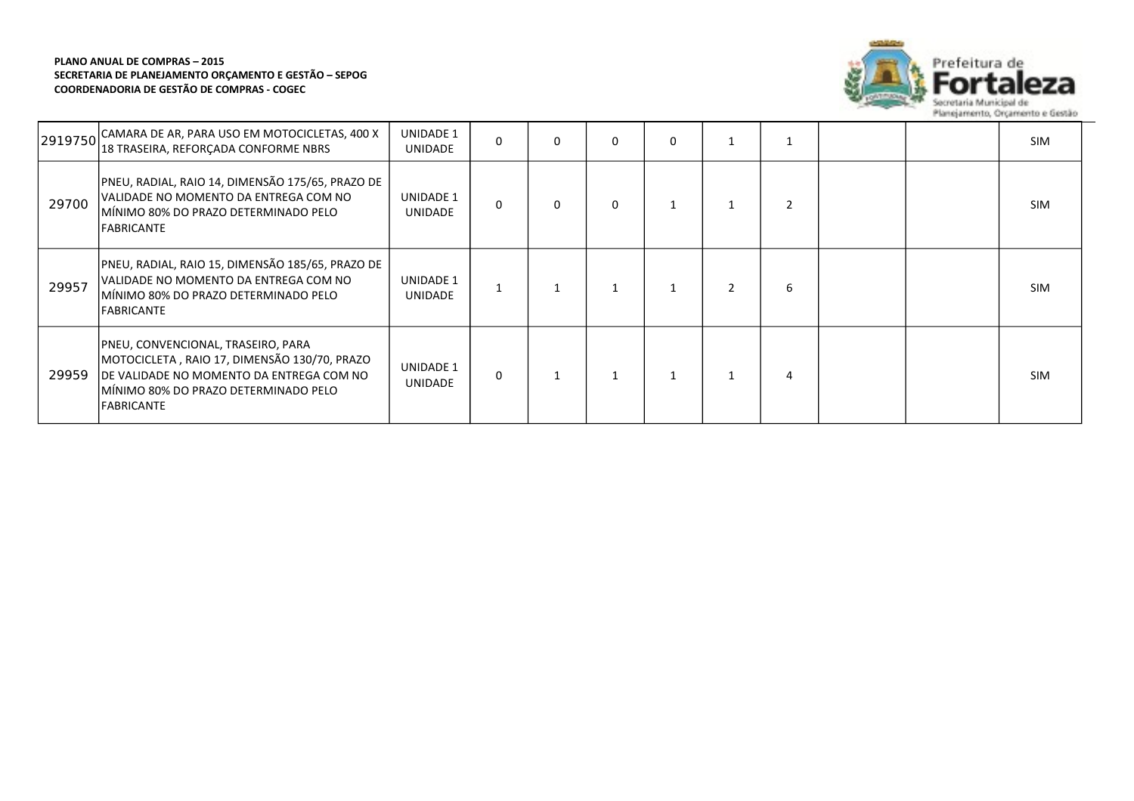

| 2919750 | CAMARA DE AR, PARA USO EM MOTOCICLETAS, 400 X<br>18 TRASEIRA, REFORCADA CONFORME NBRS                                                                                                        | <b>UNIDADE 1</b><br><b>UNIDADE</b> | 0        | 0 | $\Omega$ | 0 |   |  | <b>SIM</b> |
|---------|----------------------------------------------------------------------------------------------------------------------------------------------------------------------------------------------|------------------------------------|----------|---|----------|---|---|--|------------|
| 29700   | PNEU, RADIAL, RAIO 14, DIMENSÃO 175/65, PRAZO DE<br>VALIDADE NO MOMENTO DA ENTREGA COM NO<br>MÍNIMO 80% DO PRAZO DETERMINADO PELO<br><b>FABRICANTE</b>                                       | UNIDADE 1<br><b>UNIDADE</b>        | $\Omega$ | 0 | $\Omega$ |   |   |  | <b>SIM</b> |
| 29957   | PNEU, RADIAL, RAIO 15, DIMENSÃO 185/65, PRAZO DE<br>VALIDADE NO MOMENTO DA ENTREGA COM NO<br>IMINIMO 80% DO PRAZO DETERMINADO PELO<br><b>FABRICANTE</b>                                      | UNIDADE 1<br>UNIDADE               |          |   |          |   | 6 |  | <b>SIM</b> |
| 29959   | PNEU, CONVENCIONAL, TRASEIRO, PARA<br>MOTOCICLETA, RAIO 17, DIMENSÃO 130/70, PRAZO<br>DE VALIDADE NO MOMENTO DA ENTREGA COM NO<br>IMINIMO 80% DO PRAZO DETERMINADO PELO<br><b>FABRICANTE</b> | UNIDADE 1<br>UNIDADE               | $\Omega$ |   |          |   | 4 |  | <b>SIM</b> |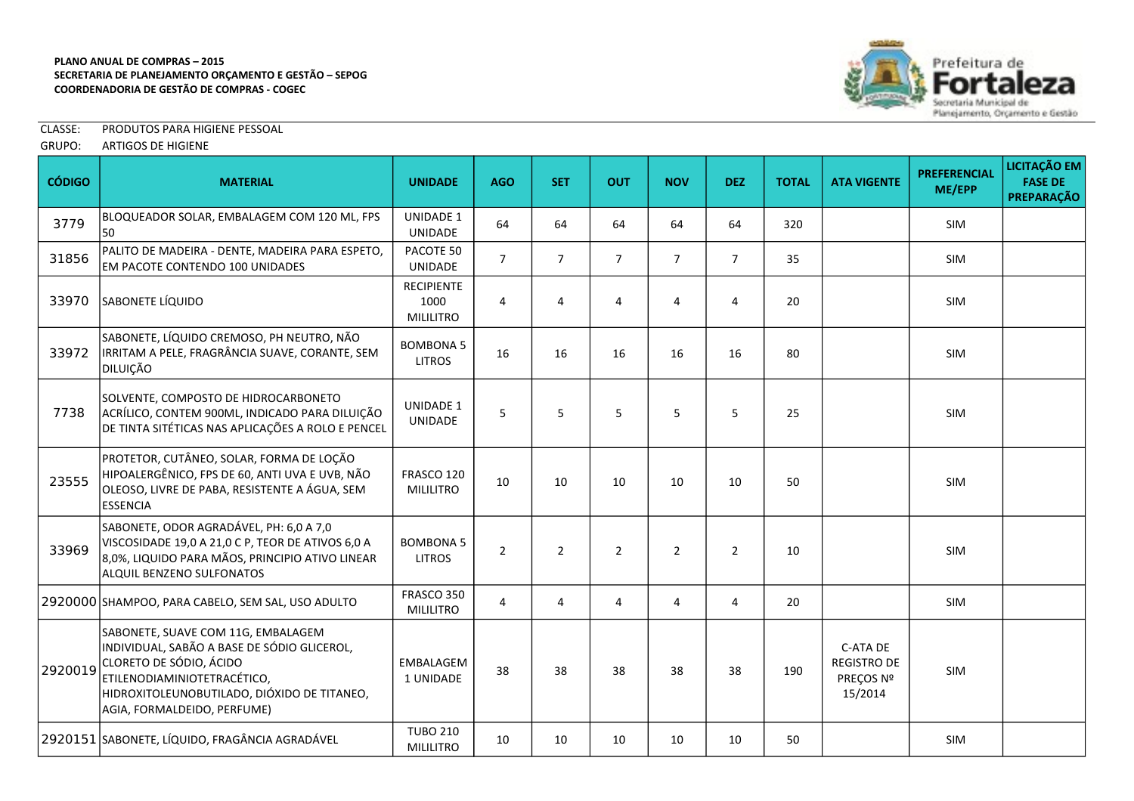

CLASSE: PRODUTOS PARA HIGIENE PESSOAL

|  | GRUPO: | <b>ARTIGOS DE HIGIENE</b> |
|--|--------|---------------------------|
|--|--------|---------------------------|

| <b>CÓDIGO</b> | <b>MATERIAL</b>                                                                                                                                                                                                           | <b>UNIDADE</b>                                | <b>AGO</b>     | <b>SET</b>     | <b>OUT</b>     | <b>NOV</b>     | <b>DEZ</b>     | <b>TOTAL</b> | <b>ATA VIGENTE</b>                                     | <b>PREFERENCIAL</b><br>ME/EPP | LICITAÇÃO EM<br><b>FASE DE</b><br><b>PREPARAÇÃO</b> |
|---------------|---------------------------------------------------------------------------------------------------------------------------------------------------------------------------------------------------------------------------|-----------------------------------------------|----------------|----------------|----------------|----------------|----------------|--------------|--------------------------------------------------------|-------------------------------|-----------------------------------------------------|
| 3779          | BLOQUEADOR SOLAR, EMBALAGEM COM 120 ML, FPS<br>50                                                                                                                                                                         | <b>UNIDADE 1</b><br>UNIDADE                   | 64             | 64             | 64             | 64             | 64             | 320          |                                                        | SIM                           |                                                     |
| 31856         | PALITO DE MADEIRA - DENTE, MADEIRA PARA ESPETO,<br>EM PACOTE CONTENDO 100 UNIDADES                                                                                                                                        | PACOTE 50<br>UNIDADE                          | $\overline{7}$ | $\overline{7}$ | $\overline{7}$ | $\overline{7}$ | $\overline{7}$ | 35           |                                                        | SIM                           |                                                     |
| 33970         | SABONETE LÍQUIDO                                                                                                                                                                                                          | <b>RECIPIENTE</b><br>1000<br><b>MILILITRO</b> | 4              | 4              | 4              | 4              | 4              | 20           |                                                        | <b>SIM</b>                    |                                                     |
| 33972         | SABONETE, LÍQUIDO CREMOSO, PH NEUTRO, NÃO<br>IRRITAM A PELE, FRAGRÂNCIA SUAVE, CORANTE, SEM<br>DILUIÇÃO                                                                                                                   | <b>BOMBONA 5</b><br><b>LITROS</b>             | 16             | 16             | 16             | 16             | 16             | 80           |                                                        | <b>SIM</b>                    |                                                     |
| 7738          | SOLVENTE, COMPOSTO DE HIDROCARBONETO<br>ACRÍLICO, CONTEM 900ML, INDICADO PARA DILUIÇÃO<br>DE TINTA SITÉTICAS NAS APLICAÇÕES A ROLO E PENCEL                                                                               | <b>UNIDADE 1</b><br>UNIDADE                   | 5              | 5              | 5              | 5              | 5              | 25           |                                                        | <b>SIM</b>                    |                                                     |
| 23555         | PROTETOR, CUTÂNEO, SOLAR, FORMA DE LOÇÃO<br>HIPOALERGÊNICO, FPS DE 60, ANTI UVA E UVB, NÃO<br>OLEOSO, LIVRE DE PABA, RESISTENTE A ÁGUA, SEM<br>ESSENCIA                                                                   | FRASCO 120<br><b>MILILITRO</b>                | 10             | 10             | 10             | 10             | 10             | 50           |                                                        | SIM                           |                                                     |
| 33969         | SABONETE, ODOR AGRADÁVEL, PH: 6,0 A 7,0<br>VISCOSIDADE 19,0 A 21,0 C P, TEOR DE ATIVOS 6,0 A<br>8,0%, LIQUIDO PARA MÃOS, PRINCIPIO ATIVO LINEAR<br><b>ALQUIL BENZENO SULFONATOS</b>                                       | <b>BOMBONA 5</b><br><b>LITROS</b>             | $\overline{2}$ | $\overline{2}$ | $\overline{2}$ | $\overline{2}$ | $2^{\circ}$    | 10           |                                                        | <b>SIM</b>                    |                                                     |
|               | 2920000 SHAMPOO, PARA CABELO, SEM SAL, USO ADULTO                                                                                                                                                                         | FRASCO 350<br><b>MILILITRO</b>                | 4              | 4              | 4              | 4              | $\overline{4}$ | 20           |                                                        | SIM                           |                                                     |
| 2920019       | SABONETE, SUAVE COM 11G, EMBALAGEM<br>INDIVIDUAL, SABÃO A BASE DE SÓDIO GLICEROL,<br>CLORETO DE SÓDIO, ÁCIDO<br>ETILENODIAMINIOTETRACÉTICO,<br>HIDROXITOLEUNOBUTILADO, DIÓXIDO DE TITANEO,<br>AGIA, FORMALDEIDO, PERFUME) | EMBALAGEM<br>1 UNIDADE                        | 38             | 38             | 38             | 38             | 38             | 190          | C-ATA DE<br><b>REGISTRO DE</b><br>PREÇOS Nº<br>15/2014 | <b>SIM</b>                    |                                                     |
|               | 2920151 SABONETE, LÍQUIDO, FRAGÂNCIA AGRADÁVEL                                                                                                                                                                            | <b>TUBO 210</b><br><b>MILILITRO</b>           | 10             | 10             | 10             | 10             | 10             | 50           |                                                        | SIM                           |                                                     |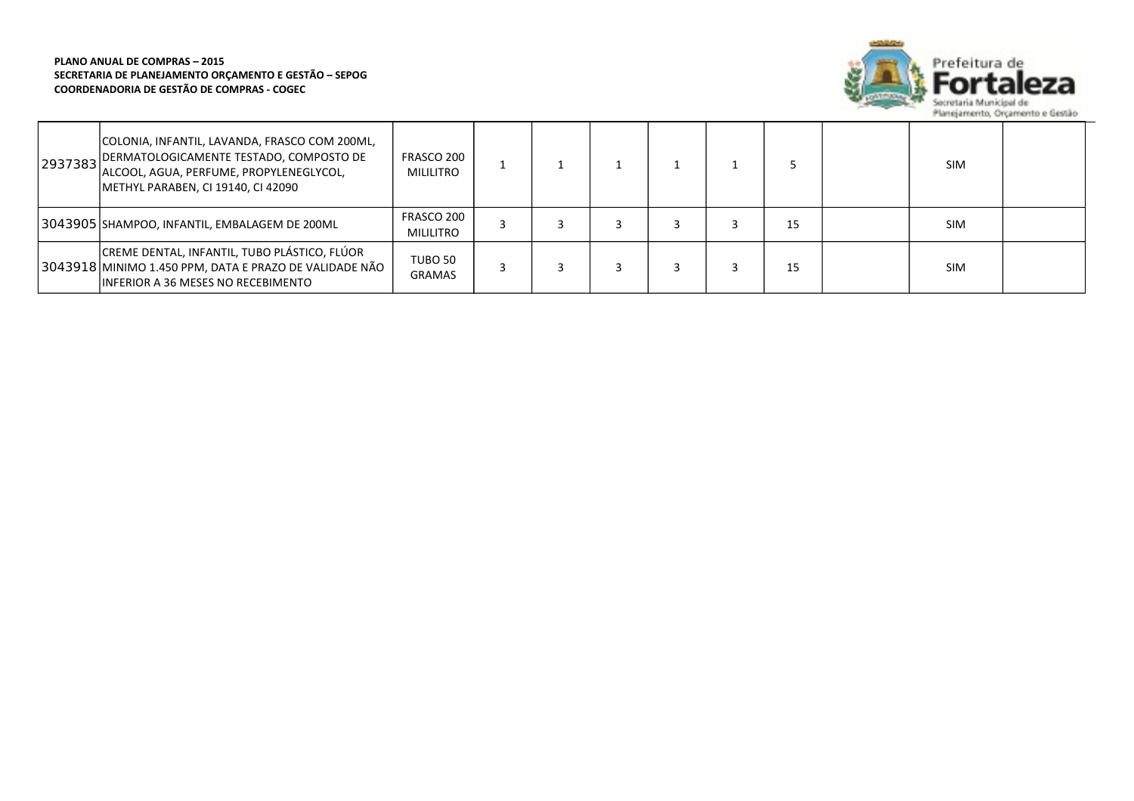

| 2937383 | COLONIA, INFANTIL, LAVANDA, FRASCO COM 200ML,<br><b>JDERMATOLOGICAMENTE TESTADO, COMPOSTO DE</b><br>ALCOOL, AGUA, PERFUME, PROPYLENEGLYCOL,<br>METHYL PARABEN, CI 19140, CI 42090 | FRASCO 200<br>MILILITRO |  |  |    | <b>SIM</b> |  |
|---------|-----------------------------------------------------------------------------------------------------------------------------------------------------------------------------------|-------------------------|--|--|----|------------|--|
|         | 3043905 SHAMPOO, INFANTIL, EMBALAGEM DE 200ML                                                                                                                                     | FRASCO 200<br>MILILITRO |  |  | 15 | <b>SIM</b> |  |
|         | CREME DENTAL, INFANTIL, TUBO PLÁSTICO, FLÚOR<br>3043918 MINIMO 1.450 PPM, DATA E PRAZO DE VALIDADE NÃO<br>INFERIOR A 36 MESES NO RECEBIMENTO                                      | TUBO 50<br>GRAMAS       |  |  | 15 | <b>SIM</b> |  |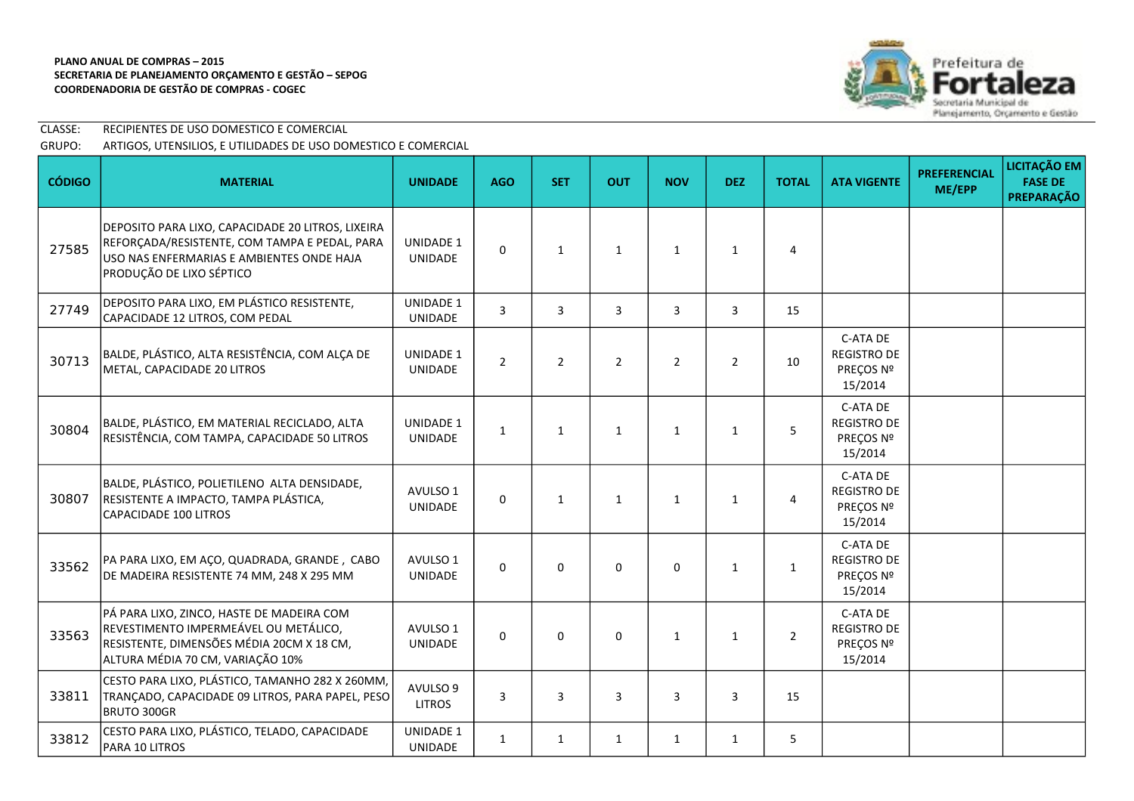

CLASSE: RECIPIENTES DE USO DOMESTICO E COMERCIAL GRUPO: ARTIGOS, UTENSILIOS, E UTILIDADES DE USO DOMESTICO E COMERCIAL

| <b>CÓDIGO</b> | <b>MATERIAL</b>                                                                                                                                                             | <b>UNIDADE</b>                     | <b>AGO</b>     | <b>SET</b>     | <b>OUT</b>     | <b>NOV</b>     | <b>DEZ</b>   | <b>TOTAL</b>   | <b>ATA VIGENTE</b>                                     | <b>PREFERENCIAL</b><br>ME/EPP | <b>LICITAÇÃO EM</b><br><b>FASE DE</b><br><b>PREPARAÇÃO</b> |
|---------------|-----------------------------------------------------------------------------------------------------------------------------------------------------------------------------|------------------------------------|----------------|----------------|----------------|----------------|--------------|----------------|--------------------------------------------------------|-------------------------------|------------------------------------------------------------|
| 27585         | DEPOSITO PARA LIXO, CAPACIDADE 20 LITROS, LIXEIRA<br>REFORÇADA/RESISTENTE, COM TAMPA E PEDAL, PARA<br>USO NAS ENFERMARIAS E AMBIENTES ONDE HAJA<br>PRODUÇÃO DE LIXO SÉPTICO | UNIDADE 1<br><b>UNIDADE</b>        | $\Omega$       | $\mathbf{1}$   | $\mathbf{1}$   | $\mathbf{1}$   | $\mathbf{1}$ | 4              |                                                        |                               |                                                            |
| 27749         | DEPOSITO PARA LIXO, EM PLÁSTICO RESISTENTE,<br>CAPACIDADE 12 LITROS, COM PEDAL                                                                                              | UNIDADE 1<br><b>UNIDADE</b>        | $\overline{3}$ | $\mathbf{3}$   | 3              | $\overline{3}$ | 3            | 15             |                                                        |                               |                                                            |
| 30713         | BALDE, PLÁSTICO, ALTA RESISTÊNCIA, COM ALÇA DE<br>METAL, CAPACIDADE 20 LITROS                                                                                               | <b>UNIDADE 1</b><br>UNIDADE        | $\overline{2}$ | $\overline{2}$ | $\overline{2}$ | $\overline{2}$ | $2^{\circ}$  | 10             | C-ATA DE<br><b>REGISTRO DE</b><br>PRECOS Nº<br>15/2014 |                               |                                                            |
| 30804         | BALDE, PLÁSTICO, EM MATERIAL RECICLADO, ALTA<br>RESISTÊNCIA, COM TAMPA, CAPACIDADE 50 LITROS                                                                                | <b>UNIDADE 1</b><br>UNIDADE        | $\mathbf{1}$   | $\mathbf{1}$   | $\mathbf{1}$   | $\mathbf{1}$   | $\mathbf{1}$ | 5              | C-ATA DE<br><b>REGISTRO DE</b><br>PREÇOS Nº<br>15/2014 |                               |                                                            |
| 30807         | BALDE, PLÁSTICO, POLIETILENO ALTA DENSIDADE,<br>RESISTENTE A IMPACTO, TAMPA PLÁSTICA,<br><b>CAPACIDADE 100 LITROS</b>                                                       | AVULSO 1<br><b>UNIDADE</b>         | $\Omega$       | $\mathbf{1}$   | $\mathbf{1}$   | $\mathbf{1}$   | $\mathbf{1}$ | 4              | C-ATA DE<br><b>REGISTRO DE</b><br>PREÇOS Nº<br>15/2014 |                               |                                                            |
| 33562         | PA PARA LIXO, EM AÇO, QUADRADA, GRANDE, CABO<br>DE MADEIRA RESISTENTE 74 MM, 248 X 295 MM                                                                                   | AVULSO 1<br><b>UNIDADE</b>         | $\Omega$       | $\Omega$       | $\Omega$       | $\Omega$       | $\mathbf{1}$ | $\mathbf{1}$   | C-ATA DE<br><b>REGISTRO DE</b><br>PRECOS Nº<br>15/2014 |                               |                                                            |
| 33563         | PÁ PARA LIXO, ZINCO, HASTE DE MADEIRA COM<br>REVESTIMENTO IMPERMEÁVEL OU METÁLICO,<br>RESISTENTE, DIMENSÕES MÉDIA 20CM X 18 CM,<br>ALTURA MÉDIA 70 CM, VARIAÇÃO 10%         | AVULSO 1<br><b>UNIDADE</b>         | $\Omega$       | 0              | 0              | $\mathbf{1}$   | $\mathbf{1}$ | $\overline{2}$ | C-ATA DE<br><b>REGISTRO DE</b><br>PREÇOS Nº<br>15/2014 |                               |                                                            |
| 33811         | CESTO PARA LIXO, PLÁSTICO, TAMANHO 282 X 260MM,<br>TRANÇADO, CAPACIDADE 09 LITROS, PARA PAPEL, PESO<br>BRUTO 300GR                                                          | AVULSO 9<br><b>LITROS</b>          | 3              | 3              | 3              | 3              | 3            | 15             |                                                        |                               |                                                            |
| 33812         | CESTO PARA LIXO, PLÁSTICO, TELADO, CAPACIDADE<br>PARA 10 LITROS                                                                                                             | <b>UNIDADE 1</b><br><b>UNIDADE</b> | $\mathbf{1}$   | $\mathbf{1}$   | $\mathbf{1}$   | $\mathbf{1}$   | $\mathbf{1}$ | 5              |                                                        |                               |                                                            |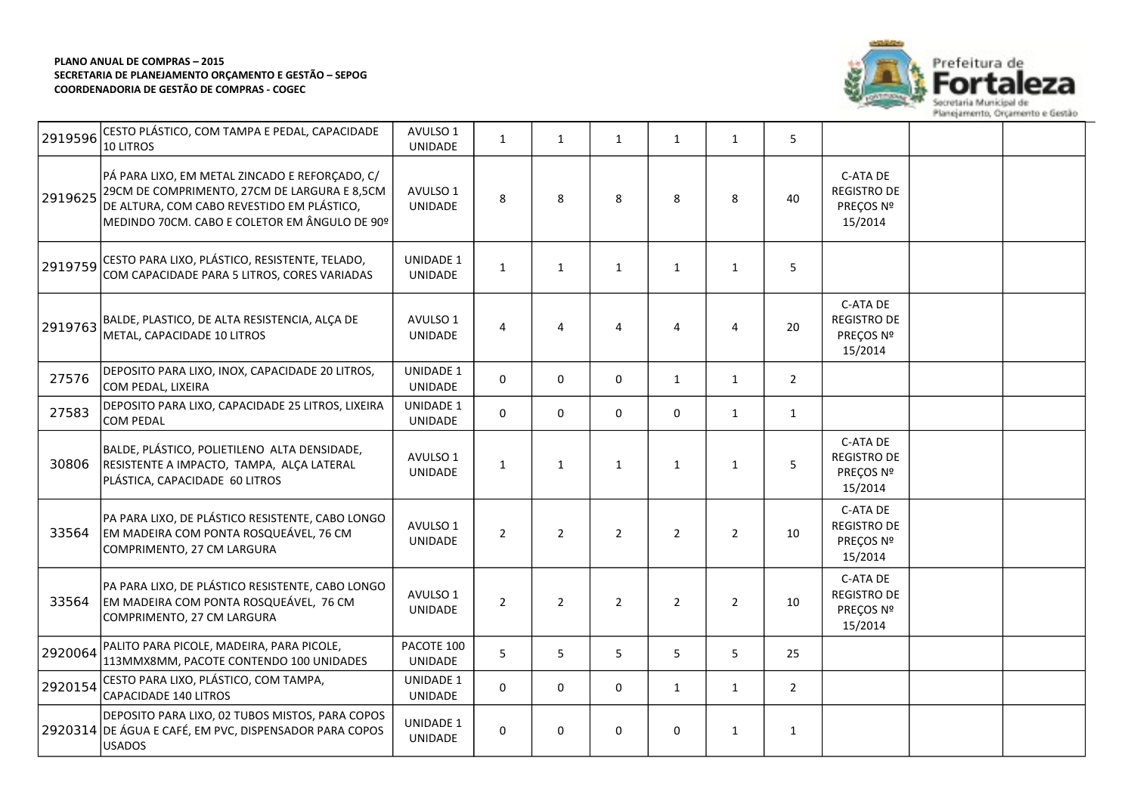

| 10 LITROS                                                                                                                                                                                     | <b>UNIDADE</b>                                                                                                                                                                                                                               | $\mathbf{1}$   | $\mathbf{1}$   | $\mathbf{1}$   | $\mathbf{1}$   | $\mathbf{1}$   | 5              |                                                        |  |
|-----------------------------------------------------------------------------------------------------------------------------------------------------------------------------------------------|----------------------------------------------------------------------------------------------------------------------------------------------------------------------------------------------------------------------------------------------|----------------|----------------|----------------|----------------|----------------|----------------|--------------------------------------------------------|--|
| PÁ PARA LIXO, EM METAL ZINCADO E REFORÇADO, C/<br>29CM DE COMPRIMENTO, 27CM DE LARGURA E 8,5CM<br>DE ALTURA, COM CABO REVESTIDO EM PLÁSTICO,<br>MEDINDO 70CM. CABO E COLETOR EM ÂNGULO DE 90º | AVULSO 1<br>UNIDADE                                                                                                                                                                                                                          | 8              | 8              | 8              | 8              | 8              | 40             | C-ATA DE<br><b>REGISTRO DE</b><br>PREÇOS Nº<br>15/2014 |  |
| CESTO PARA LIXO, PLÁSTICO, RESISTENTE, TELADO,<br>COM CAPACIDADE PARA 5 LITROS, CORES VARIADAS                                                                                                | <b>UNIDADE 1</b><br>UNIDADE                                                                                                                                                                                                                  | $\mathbf{1}$   | $\mathbf{1}$   | $\mathbf{1}$   | 1              | 1              | 5              |                                                        |  |
| METAL, CAPACIDADE 10 LITROS                                                                                                                                                                   | AVULSO 1<br><b>UNIDADE</b>                                                                                                                                                                                                                   | 4              | 4              | $\overline{4}$ | 4              | 4              | 20             | C-ATA DE<br><b>REGISTRO DE</b><br>PRECOS Nº<br>15/2014 |  |
| DEPOSITO PARA LIXO, INOX, CAPACIDADE 20 LITROS,<br>COM PEDAL, LIXEIRA                                                                                                                         | UNIDADE 1<br>UNIDADE                                                                                                                                                                                                                         | 0              | $\mathbf 0$    | 0              | 1              | $\mathbf{1}$   | $\overline{2}$ |                                                        |  |
| DEPOSITO PARA LIXO, CAPACIDADE 25 LITROS, LIXEIRA<br><b>COM PEDAL</b>                                                                                                                         | UNIDADE 1<br>UNIDADE                                                                                                                                                                                                                         | 0              | $\mathbf 0$    | 0              | $\mathbf 0$    | $\mathbf{1}$   | $\mathbf{1}$   |                                                        |  |
| BALDE, PLÁSTICO, POLIETILENO ALTA DENSIDADE,<br>RESISTENTE A IMPACTO, TAMPA, ALÇA LATERAL<br>PLÁSTICA, CAPACIDADE 60 LITROS                                                                   | AVULSO 1<br>UNIDADE                                                                                                                                                                                                                          | $\mathbf{1}$   | $\mathbf{1}$   | $\mathbf{1}$   | 1              | $\mathbf{1}$   | 5              | C-ATA DE<br><b>REGISTRO DE</b><br>PREÇOS Nº<br>15/2014 |  |
| PA PARA LIXO, DE PLÁSTICO RESISTENTE, CABO LONGO<br>COMPRIMENTO, 27 CM LARGURA                                                                                                                | AVULSO 1<br>UNIDADE                                                                                                                                                                                                                          | $\overline{2}$ | $\overline{2}$ | $\overline{2}$ | $\overline{2}$ | $\overline{2}$ | 10             | C-ATA DE<br><b>REGISTRO DE</b><br>PREÇOS Nº<br>15/2014 |  |
| PA PARA LIXO, DE PLÁSTICO RESISTENTE, CABO LONGO<br>COMPRIMENTO, 27 CM LARGURA                                                                                                                | AVULSO 1<br>UNIDADE                                                                                                                                                                                                                          | $\overline{2}$ | $\overline{2}$ | $2^{\circ}$    | $\overline{2}$ | $\overline{2}$ | 10             | C-ATA DE<br><b>REGISTRO DE</b><br>PREÇOS Nº<br>15/2014 |  |
| PALITO PARA PICOLE, MADEIRA, PARA PICOLE,<br>113MMX8MM, PACOTE CONTENDO 100 UNIDADES                                                                                                          | PACOTE 100<br>UNIDADE                                                                                                                                                                                                                        | 5              | 5              | 5              | 5              | 5              | 25             |                                                        |  |
| CESTO PARA LIXO, PLÁSTICO, COM TAMPA,<br>CAPACIDADE 140 LITROS                                                                                                                                | <b>UNIDADE 1</b><br>UNIDADE                                                                                                                                                                                                                  | 0              | $\mathbf 0$    | 0              | $\mathbf{1}$   | $\mathbf{1}$   | $\overline{2}$ |                                                        |  |
| DEPOSITO PARA LIXO, 02 TUBOS MISTOS, PARA COPOS<br><b>USADOS</b>                                                                                                                              | UNIDADE 1<br>UNIDADE                                                                                                                                                                                                                         | 0              | 0              | 0              | 0              | $\mathbf{1}$   | $\mathbf{1}$   |                                                        |  |
| 2919596<br>2919759                                                                                                                                                                            | CESTO PLÁSTICO, COM TAMPA E PEDAL, CAPACIDADE<br>BALDE, PLASTICO, DE ALTA RESISTENCIA, ALÇA DE<br>EM MADEIRA COM PONTA ROSQUEÁVEL, 76 CM<br>EM MADEIRA COM PONTA ROSQUEÁVEL, 76 CM<br>2920314 DE ÁGUA E CAFÉ, EM PVC, DISPENSADOR PARA COPOS | AVULSO 1       |                |                |                |                |                |                                                        |  |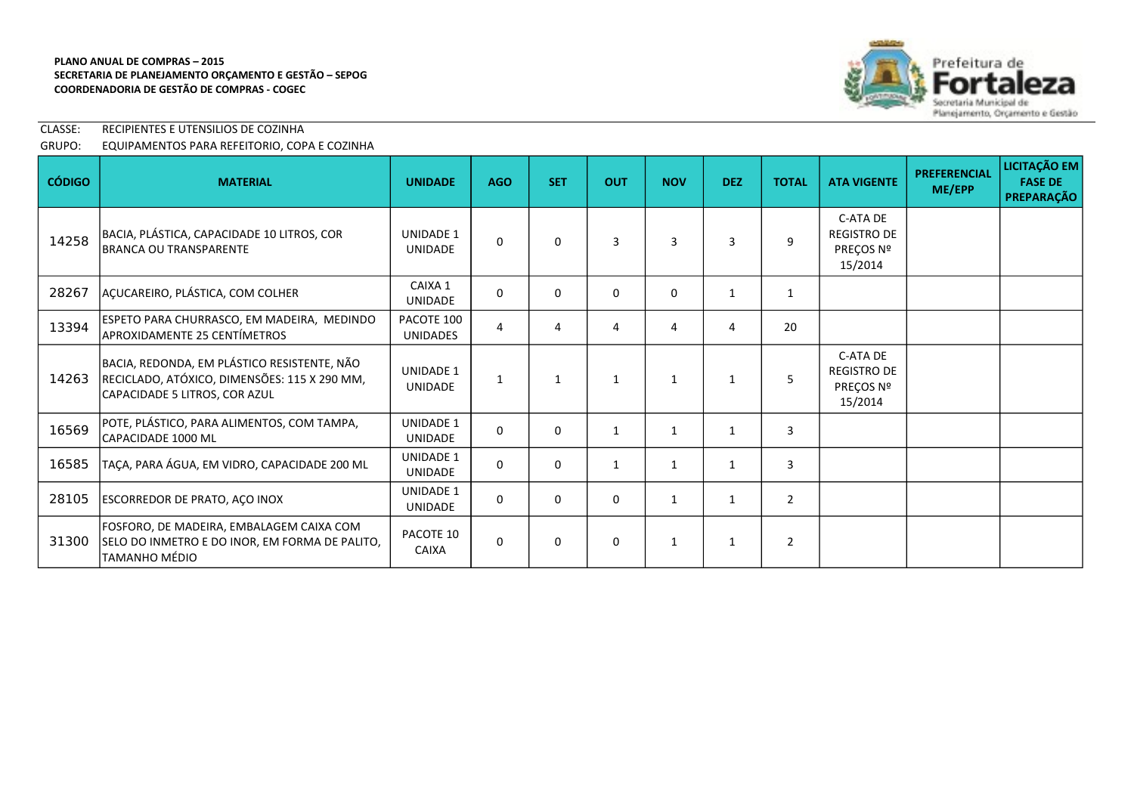

# CLASSE: RECIPIENTES E UTENSILIOS DE COZINHA GRUPO: EQUIPAMENTOS PARA REFEITORIO, COPA E COZINHA

| <b>CÓDIGO</b> | <b>MATERIAL</b>                                                                                                              | <b>UNIDADE</b>                     | <b>AGO</b>   | <b>SET</b>   | <b>OUT</b>   | <b>NOV</b>   | <b>DEZ</b>   | <b>TOTAL</b>   | <b>ATA VIGENTE</b>                                     | <b>PREFERENCIAL</b><br>ME/EPP | LICITAÇÃO EM<br><b>FASE DE</b><br>PREPARAÇÃO |
|---------------|------------------------------------------------------------------------------------------------------------------------------|------------------------------------|--------------|--------------|--------------|--------------|--------------|----------------|--------------------------------------------------------|-------------------------------|----------------------------------------------|
| 14258         | BACIA, PLÁSTICA, CAPACIDADE 10 LITROS, COR<br>BRANCA OU TRANSPARENTE                                                         | <b>UNIDADE 1</b><br><b>UNIDADE</b> | $\Omega$     | $\Omega$     | 3            | 3            | 3            | 9              | C-ATA DE<br><b>REGISTRO DE</b><br>PREÇOS Nº<br>15/2014 |                               |                                              |
| 28267         | AÇUCAREIRO, PLÁSTICA, COM COLHER                                                                                             | CAIXA 1<br><b>UNIDADE</b>          | $\Omega$     | $\Omega$     | $\Omega$     | $\Omega$     | $\mathbf{1}$ |                |                                                        |                               |                                              |
| 13394         | ESPETO PARA CHURRASCO, EM MADEIRA, MEDINDO<br><b>APROXIDAMENTE 25 CENTÍMETROS</b>                                            | PACOTE 100<br><b>UNIDADES</b>      | 4            | 4            | 4            | 4            | 4            | 20             |                                                        |                               |                                              |
| 14263         | BACIA, REDONDA, EM PLÁSTICO RESISTENTE, NÃO<br>RECICLADO, ATÓXICO, DIMENSÕES: 115 X 290 MM,<br>CAPACIDADE 5 LITROS, COR AZUL | <b>UNIDADE 1</b><br><b>UNIDADE</b> | $\mathbf{1}$ | $\mathbf{1}$ | $\mathbf{1}$ | $\mathbf{1}$ | 1            | 5              | C-ATA DE<br><b>REGISTRO DE</b><br>PREÇOS Nº<br>15/2014 |                               |                                              |
| 16569         | POTE, PLÁSTICO, PARA ALIMENTOS, COM TAMPA,<br>CAPACIDADE 1000 ML                                                             | <b>UNIDADE 1</b><br><b>UNIDADE</b> | $\Omega$     | $\Omega$     | $\mathbf{1}$ | $\mathbf{1}$ | 1            | 3              |                                                        |                               |                                              |
| 16585         | TAÇA, PARA ÁGUA, EM VIDRO, CAPACIDADE 200 ML                                                                                 | <b>UNIDADE 1</b><br><b>UNIDADE</b> | 0            | $\Omega$     | $\mathbf{1}$ | $\mathbf{1}$ | -1           | $\overline{3}$ |                                                        |                               |                                              |
| 28105         | <b>ESCORREDOR DE PRATO, AÇO INOX</b>                                                                                         | <b>UNIDADE 1</b><br><b>UNIDADE</b> | $\Omega$     | $\Omega$     | $\mathbf{0}$ | 1            | 1            | $\overline{2}$ |                                                        |                               |                                              |
| 31300         | FOSFORO, DE MADEIRA, EMBALAGEM CAIXA COM<br>SELO DO INMETRO E DO INOR, EM FORMA DE PALITO,<br>TAMANHO MÉDIO                  | PACOTE 10<br><b>CAIXA</b>          | 0            | $\mathbf 0$  | $\Omega$     | $\mathbf{1}$ | $\mathbf{1}$ | $\overline{2}$ |                                                        |                               |                                              |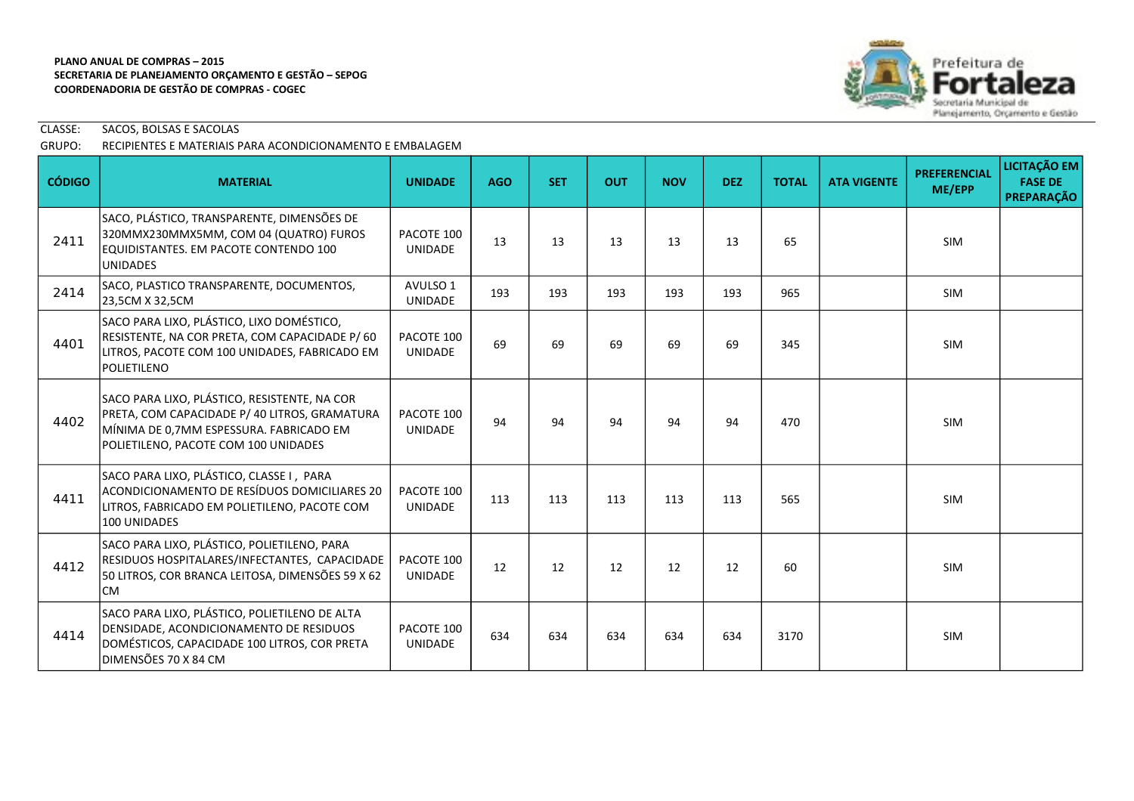

CLASSE: SACOS, BOLSAS E SACOLAS

# GRUPO: RECIPIENTES E MATERIAIS PARA ACONDICIONAMENTO E EMBALAGEM

| <b>CÓDIGO</b> | <b>MATERIAL</b>                                                                                                                                                                  | <b>UNIDADE</b>               | <b>AGO</b> | <b>SET</b> | <b>OUT</b> | <b>NOV</b> | <b>DEZ</b> | <b>TOTAL</b> | <b>ATA VIGENTE</b> | <b>PREFERENCIAL</b><br>ME/EPP | LICITAÇÃO EM<br><b>FASE DE</b><br><b>PREPARAÇÃO</b> |
|---------------|----------------------------------------------------------------------------------------------------------------------------------------------------------------------------------|------------------------------|------------|------------|------------|------------|------------|--------------|--------------------|-------------------------------|-----------------------------------------------------|
| 2411          | SACO, PLÁSTICO, TRANSPARENTE, DIMENSÕES DE<br>320MMX230MMX5MM, COM 04 (QUATRO) FUROS<br>EQUIDISTANTES. EM PACOTE CONTENDO 100<br><b>UNIDADES</b>                                 | PACOTE 100<br><b>UNIDADE</b> | 13         | 13         | 13         | 13         | 13         | 65           |                    | <b>SIM</b>                    |                                                     |
| 2414          | SACO, PLASTICO TRANSPARENTE, DOCUMENTOS,<br>23,5CM X 32,5CM                                                                                                                      | AVULSO 1<br><b>UNIDADE</b>   | 193        | 193        | 193        | 193        | 193        | 965          |                    | <b>SIM</b>                    |                                                     |
| 4401          | SACO PARA LIXO, PLÁSTICO, LIXO DOMÉSTICO,<br>RESISTENTE, NA COR PRETA, COM CAPACIDADE P/60<br>LITROS, PACOTE COM 100 UNIDADES, FABRICADO EM<br>POLIETILENO                       | PACOTE 100<br><b>UNIDADE</b> | 69         | 69         | 69         | 69         | 69         | 345          |                    | <b>SIM</b>                    |                                                     |
| 4402          | SACO PARA LIXO, PLÁSTICO, RESISTENTE, NA COR<br>PRETA, COM CAPACIDADE P/ 40 LITROS, GRAMATURA<br>MÍNIMA DE 0,7MM ESPESSURA. FABRICADO EM<br>POLIETILENO, PACOTE COM 100 UNIDADES | PACOTE 100<br><b>UNIDADE</b> | 94         | 94         | 94         | 94         | 94         | 470          |                    | <b>SIM</b>                    |                                                     |
| 4411          | SACO PARA LIXO, PLÁSTICO, CLASSE I, PARA<br>ACONDICIONAMENTO DE RESÍDUOS DOMICILIARES 20<br>LITROS, FABRICADO EM POLIETILENO, PACOTE COM<br>100 UNIDADES                         | PACOTE 100<br><b>UNIDADE</b> | 113        | 113        | 113        | 113        | 113        | 565          |                    | <b>SIM</b>                    |                                                     |
| 4412          | SACO PARA LIXO, PLÁSTICO, POLIETILENO, PARA<br>RESIDUOS HOSPITALARES/INFECTANTES, CAPACIDADE<br>50 LITROS, COR BRANCA LEITOSA, DIMENSÕES 59 X 62<br>lCM                          | PACOTE 100<br><b>UNIDADE</b> | 12         | 12         | 12         | 12         | 12         | 60           |                    | <b>SIM</b>                    |                                                     |
| 4414          | SACO PARA LIXO, PLÁSTICO, POLIETILENO DE ALTA<br>DENSIDADE, ACONDICIONAMENTO DE RESIDUOS<br>DOMÉSTICOS, CAPACIDADE 100 LITROS, COR PRETA<br>DIMENSÕES 70 X 84 CM                 | PACOTE 100<br><b>UNIDADE</b> | 634        | 634        | 634        | 634        | 634        | 3170         |                    | <b>SIM</b>                    |                                                     |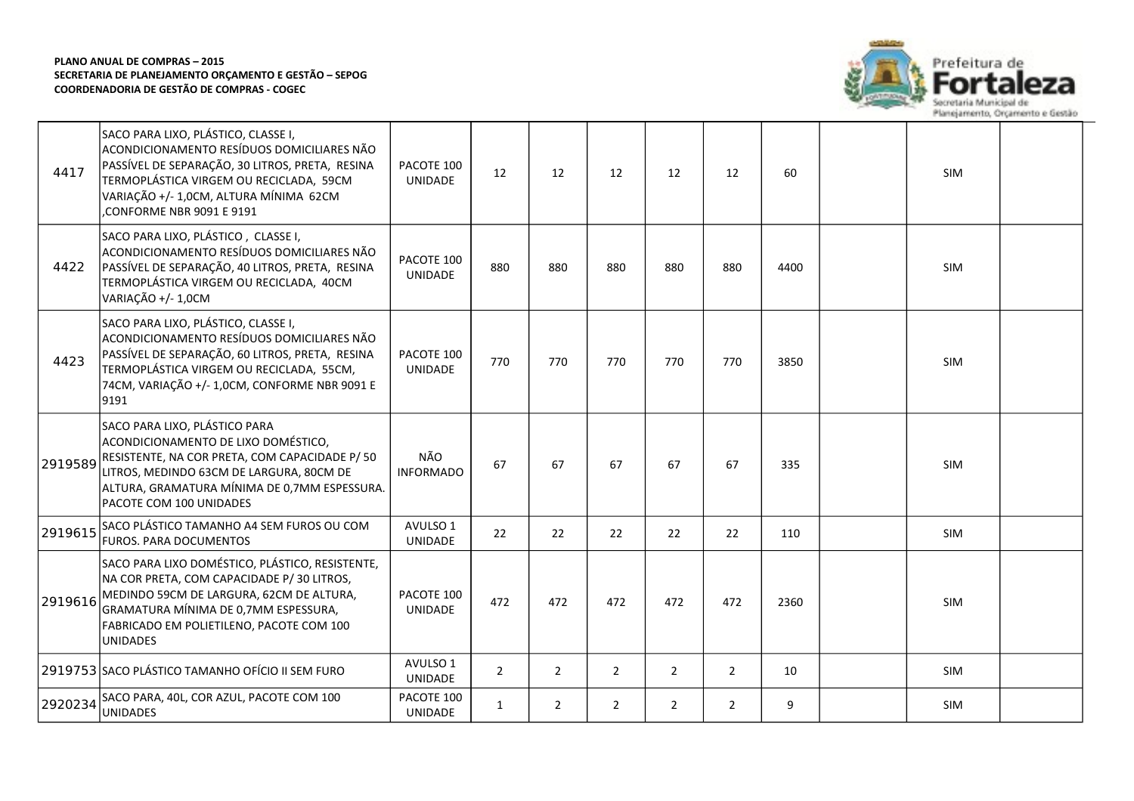

| 4417    | SACO PARA LIXO, PLÁSTICO, CLASSE I,<br>ACONDICIONAMENTO RESÍDUOS DOMICILIARES NÃO<br>PASSÍVEL DE SEPARAÇÃO, 30 LITROS, PRETA, RESINA<br>TERMOPLÁSTICA VIRGEM OU RECICLADA, 59CM<br>VARIAÇÃO +/- 1,0CM, ALTURA MÍNIMA 62CM<br>CONFORME NBR 9091 E 9191 | PACOTE 100<br>UNIDADE        | 12             | 12             | 12             | 12             | 12             | 60   | <b>SIM</b> |  |
|---------|-------------------------------------------------------------------------------------------------------------------------------------------------------------------------------------------------------------------------------------------------------|------------------------------|----------------|----------------|----------------|----------------|----------------|------|------------|--|
| 4422    | SACO PARA LIXO, PLÁSTICO, CLASSE I,<br>ACONDICIONAMENTO RESÍDUOS DOMICILIARES NÃO<br>PASSÍVEL DE SEPARAÇÃO, 40 LITROS, PRETA, RESINA<br>TERMOPLÁSTICA VIRGEM OU RECICLADA, 40CM<br>VARIAÇÃO +/- 1,0CM                                                 | PACOTE 100<br>UNIDADE        | 880            | 880            | 880            | 880            | 880            | 4400 | <b>SIM</b> |  |
| 4423    | SACO PARA LIXO, PLÁSTICO, CLASSE I,<br>ACONDICIONAMENTO RESÍDUOS DOMICILIARES NÃO<br>PASSÍVEL DE SEPARAÇÃO, 60 LITROS, PRETA, RESINA<br>TERMOPLÁSTICA VIRGEM OU RECICLADA, 55CM,<br>74CM, VARIAÇÃO +/- 1,0CM, CONFORME NBR 9091 E<br>9191             | PACOTE 100<br>UNIDADE        | 770            | 770            | 770            | 770            | 770            | 3850 | SIM        |  |
| 2919589 | SACO PARA LIXO, PLÁSTICO PARA<br>ACONDICIONAMENTO DE LIXO DOMÉSTICO,<br>RESISTENTE, NA COR PRETA, COM CAPACIDADE P/ 50<br>LITROS, MEDINDO 63CM DE LARGURA, 80CM DE<br>ALTURA, GRAMATURA MÍNIMA DE 0,7MM ESPESSURA.<br>PACOTE COM 100 UNIDADES         | NÃO<br><b>INFORMADO</b>      | 67             | 67             | 67             | 67             | 67             | 335  | <b>SIM</b> |  |
| 2919615 | SACO PLÁSTICO TAMANHO A4 SEM FUROS OU COM<br>FUROS. PARA DOCUMENTOS                                                                                                                                                                                   | AVULSO 1<br>UNIDADE          | 22             | 22             | 22             | 22             | 22             | 110  | SIM        |  |
| 2919616 | SACO PARA LIXO DOMÉSTICO, PLÁSTICO, RESISTENTE,<br>NA COR PRETA, COM CAPACIDADE P/30 LITROS,<br>MEDINDO 59CM DE LARGURA, 62CM DE ALTURA,<br>GRAMATURA MÍNIMA DE 0,7MM ESPESSURA,<br>FABRICADO EM POLIETILENO, PACOTE COM 100<br><b>UNIDADES</b>       | PACOTE 100<br><b>UNIDADE</b> | 472            | 472            | 472            | 472            | 472            | 2360 | <b>SIM</b> |  |
|         | 2919753 SACO PLÁSTICO TAMANHO OFÍCIO II SEM FURO                                                                                                                                                                                                      | AVULSO 1<br>UNIDADE          | $\overline{2}$ | $\overline{2}$ | $\overline{2}$ | $\overline{2}$ | $\overline{2}$ | 10   | <b>SIM</b> |  |
| 2920234 | SACO PARA, 40L, COR AZUL, PACOTE COM 100<br><b>UNIDADES</b>                                                                                                                                                                                           | PACOTE 100<br>UNIDADE        | $\mathbf{1}$   | $\overline{2}$ | $\overline{2}$ | $\overline{2}$ | $\overline{2}$ | 9    | <b>SIM</b> |  |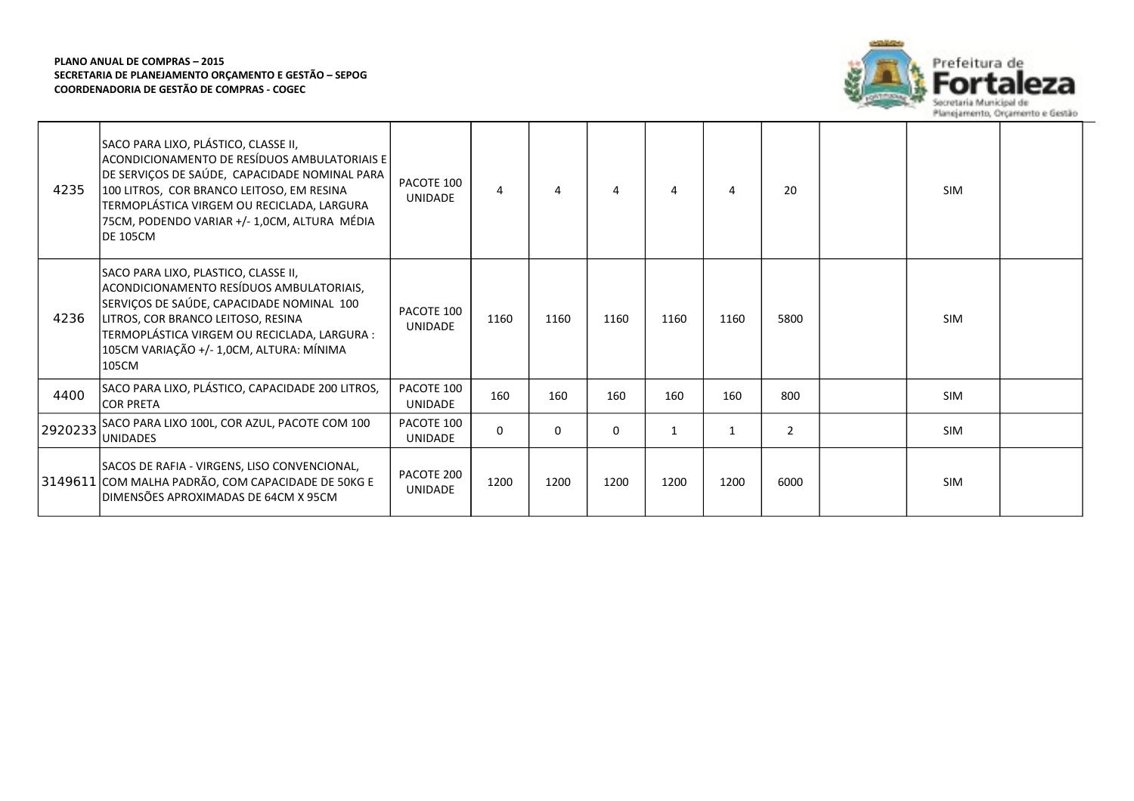

| 4235    | SACO PARA LIXO, PLÁSTICO, CLASSE II,<br>ACONDICIONAMENTO DE RESÍDUOS AMBULATORIAIS E<br>DE SERVIÇOS DE SAÚDE, CAPACIDADE NOMINAL PARA<br>100 LITROS, COR BRANCO LEITOSO, EM RESINA<br>TERMOPLÁSTICA VIRGEM OU RECICLADA, LARGURA<br>75CM, PODENDO VARIAR +/- 1,0CM, ALTURA MÉDIA<br>IDE 105CM | PACOTE 100<br>UNIDADE        | 4    |          | 4        | 4    | 4    | 20             | <b>SIM</b> |  |
|---------|-----------------------------------------------------------------------------------------------------------------------------------------------------------------------------------------------------------------------------------------------------------------------------------------------|------------------------------|------|----------|----------|------|------|----------------|------------|--|
| 4236    | SACO PARA LIXO, PLASTICO, CLASSE II,<br>ACONDICIONAMENTO RESÍDUOS AMBULATORIAIS,<br>SERVIÇOS DE SAÚDE, CAPACIDADE NOMINAL 100<br>LITROS, COR BRANCO LEITOSO, RESINA<br>TERMOPLÁSTICA VIRGEM OU RECICLADA, LARGURA :<br>105CM VARIAÇÃO +/- 1,0CM, ALTURA: MÍNIMA<br>105CM                      | PACOTE 100<br><b>UNIDADE</b> | 1160 | 1160     | 1160     | 1160 | 1160 | 5800           | <b>SIM</b> |  |
| 4400    | SACO PARA LIXO, PLÁSTICO, CAPACIDADE 200 LITROS,<br>ICOR PRETA                                                                                                                                                                                                                                | PACOTE 100<br><b>UNIDADE</b> | 160  | 160      | 160      | 160  | 160  | 800            | SIM        |  |
| 2920233 | SACO PARA LIXO 100L, COR AZUL, PACOTE COM 100<br><b>UNIDADES</b>                                                                                                                                                                                                                              | PACOTE 100<br><b>UNIDADE</b> | 0    | $\Omega$ | $\Omega$ | 1    | 1    | $\overline{2}$ | <b>SIM</b> |  |
|         | SACOS DE RAFIA - VIRGENS, LISO CONVENCIONAL,<br>3149611 COM MALHA PADRÃO, COM CAPACIDADE DE 50KG E<br>IDIMENSÕES APROXIMADAS DE 64CM X 95CM                                                                                                                                                   | PACOTE 200<br>UNIDADE        | 1200 | 1200     | 1200     | 1200 | 1200 | 6000           | <b>SIM</b> |  |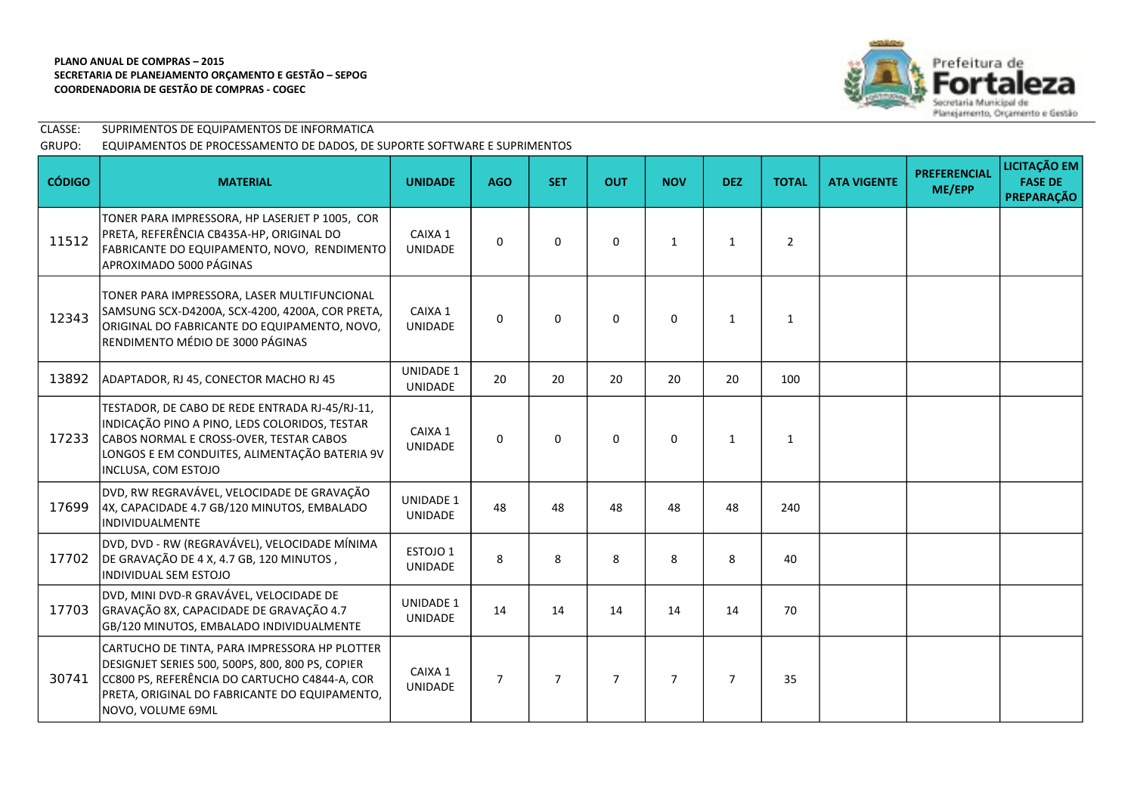

| CLASSE: | SUPRIMENTOS DE EQUIPAMENTOS DE INFORMATICA                                |
|---------|---------------------------------------------------------------------------|
| GRUPO:  | EQUIPAMENTOS DE PROCESSAMENTO DE DADOS, DE SUPORTE SOFTWARE E SUPRIMENTOS |

| <b>CÓDIGO</b> | <b>MATERIAL</b>                                                                                                                                                                                                          | <b>UNIDADE</b>                     | <b>AGO</b>     | <b>SET</b>     | <b>OUT</b>     | <b>NOV</b>     | <b>DEZ</b>     | <b>TOTAL</b>   | <b>ATA VIGENTE</b> | <b>PREFERENCIAL</b><br>ME/EPP | LICITAÇÃO EM<br><b>FASE DE</b><br><b>PREPARAÇÃO</b> |
|---------------|--------------------------------------------------------------------------------------------------------------------------------------------------------------------------------------------------------------------------|------------------------------------|----------------|----------------|----------------|----------------|----------------|----------------|--------------------|-------------------------------|-----------------------------------------------------|
| 11512         | TONER PARA IMPRESSORA, HP LASERJET P 1005, COR<br>PRETA, REFERÊNCIA CB435A-HP, ORIGINAL DO<br>FABRICANTE DO EQUIPAMENTO, NOVO, RENDIMENTO<br>APROXIMADO 5000 PÁGINAS                                                     | CAIXA 1<br><b>UNIDADE</b>          | $\Omega$       | $\mathbf{0}$   | $\Omega$       | $\mathbf{1}$   | $\mathbf{1}$   | $\overline{2}$ |                    |                               |                                                     |
| 12343         | TONER PARA IMPRESSORA, LASER MULTIFUNCIONAL<br>SAMSUNG SCX-D4200A, SCX-4200, 4200A, COR PRETA,<br>ORIGINAL DO FABRICANTE DO EQUIPAMENTO, NOVO,<br>RENDIMENTO MÉDIO DE 3000 PÁGINAS                                       | CAIXA 1<br><b>UNIDADE</b>          | 0              | $\mathbf 0$    | $\mathbf 0$    | $\mathbf 0$    | $\mathbf{1}$   | $\mathbf{1}$   |                    |                               |                                                     |
| 13892         | ADAPTADOR, RJ 45, CONECTOR MACHO RJ 45                                                                                                                                                                                   | UNIDADE 1<br><b>UNIDADE</b>        | 20             | 20             | 20             | 20             | 20             | 100            |                    |                               |                                                     |
| 17233         | TESTADOR, DE CABO DE REDE ENTRADA RJ-45/RJ-11,<br>INDICAÇÃO PINO A PINO, LEDS COLORIDOS, TESTAR<br>CABOS NORMAL E CROSS-OVER, TESTAR CABOS<br>LONGOS E EM CONDUITES, ALIMENTAÇÃO BATERIA 9V<br>INCLUSA, COM ESTOJO       | CAIXA 1<br><b>UNIDADE</b>          | 0              | $\mathbf 0$    | $\mathbf 0$    | $\mathbf 0$    | 1              | 1              |                    |                               |                                                     |
| 17699         | DVD, RW REGRAVÁVEL, VELOCIDADE DE GRAVAÇÃO<br>4X, CAPACIDADE 4.7 GB/120 MINUTOS, EMBALADO<br>INDIVIDUALMENTE                                                                                                             | <b>UNIDADE 1</b><br><b>UNIDADE</b> | 48             | 48             | 48             | 48             | 48             | 240            |                    |                               |                                                     |
| 17702         | DVD, DVD - RW (REGRAVÁVEL), VELOCIDADE MÍNIMA<br>DE GRAVAÇÃO DE 4 X, 4.7 GB, 120 MINUTOS,<br>INDIVIDUAL SEM ESTOJO                                                                                                       | ESTOJO 1<br>UNIDADE                | 8              | 8              | 8              | 8              | 8              | 40             |                    |                               |                                                     |
| 17703         | DVD, MINI DVD-R GRAVÁVEL, VELOCIDADE DE<br>GRAVAÇÃO 8X, CAPACIDADE DE GRAVAÇÃO 4.7<br>GB/120 MINUTOS, EMBALADO INDIVIDUALMENTE                                                                                           | <b>UNIDADE 1</b><br><b>UNIDADE</b> | 14             | 14             | 14             | 14             | 14             | 70             |                    |                               |                                                     |
| 30741         | CARTUCHO DE TINTA, PARA IMPRESSORA HP PLOTTER<br>DESIGNJET SERIES 500, 500PS, 800, 800 PS, COPIER<br>CC800 PS, REFERÊNCIA DO CARTUCHO C4844-A, COR<br>PRETA, ORIGINAL DO FABRICANTE DO EQUIPAMENTO,<br>NOVO, VOLUME 69ML | CAIXA 1<br><b>UNIDADE</b>          | $\overline{7}$ | $\overline{7}$ | $\overline{7}$ | $\overline{7}$ | $\overline{7}$ | 35             |                    |                               |                                                     |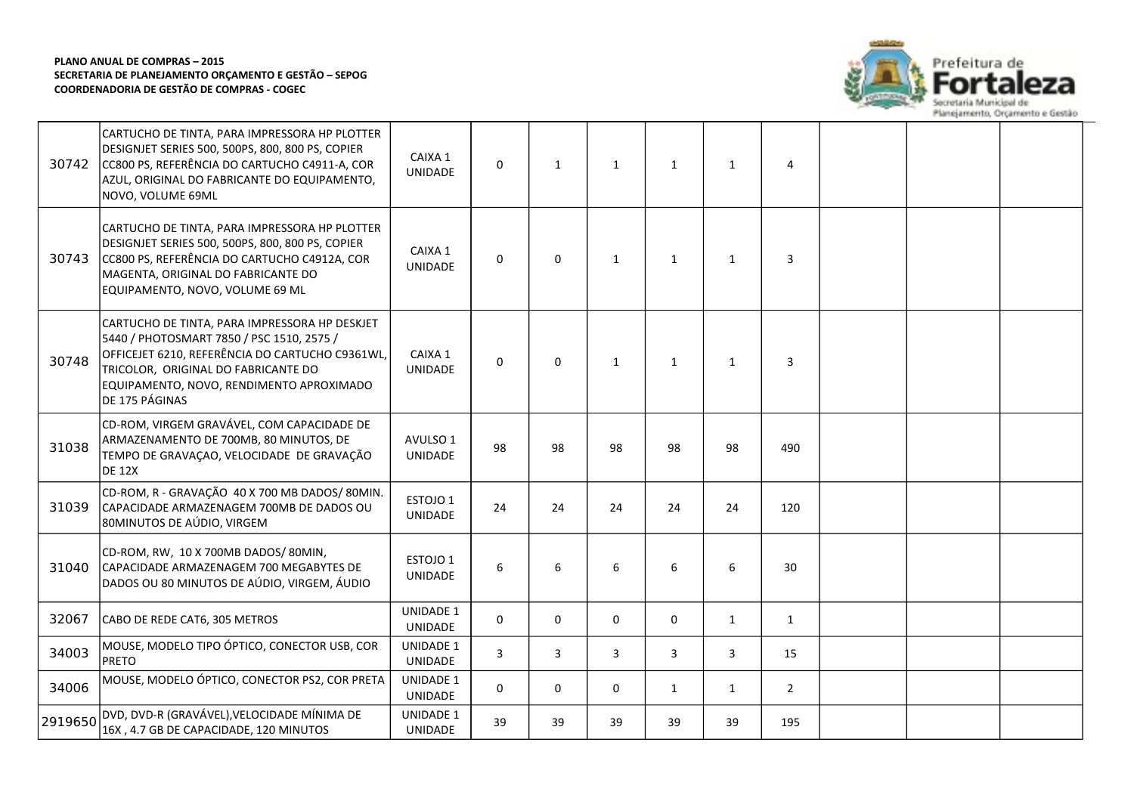

| 30742   | CARTUCHO DE TINTA, PARA IMPRESSORA HP PLOTTER<br>DESIGNJET SERIES 500, 500PS, 800, 800 PS, COPIER<br>CC800 PS, REFERÊNCIA DO CARTUCHO C4911-A, COR<br>AZUL, ORIGINAL DO FABRICANTE DO EQUIPAMENTO,<br>NOVO, VOLUME 69ML                            | CAIXA 1<br>UNIDADE          | 0        | $\mathbf{1}$ | $\mathbf{1}$ | $\mathbf{1}$ | $\mathbf{1}$ | 4              |  |  |
|---------|----------------------------------------------------------------------------------------------------------------------------------------------------------------------------------------------------------------------------------------------------|-----------------------------|----------|--------------|--------------|--------------|--------------|----------------|--|--|
| 30743   | CARTUCHO DE TINTA, PARA IMPRESSORA HP PLOTTER<br>DESIGNJET SERIES 500, 500PS, 800, 800 PS, COPIER<br>CC800 PS, REFERÊNCIA DO CARTUCHO C4912A, COR<br>MAGENTA, ORIGINAL DO FABRICANTE DO<br>EQUIPAMENTO, NOVO, VOLUME 69 ML                         | CAIXA 1<br><b>UNIDADE</b>   | $\Omega$ | $\mathbf{0}$ | $\mathbf{1}$ | $\mathbf{1}$ | $\mathbf{1}$ | 3              |  |  |
| 30748   | CARTUCHO DE TINTA, PARA IMPRESSORA HP DESKJET<br>5440 / PHOTOSMART 7850 / PSC 1510, 2575 /<br>OFFICEJET 6210, REFERÊNCIA DO CARTUCHO C9361WL,<br>TRICOLOR, ORIGINAL DO FABRICANTE DO<br>EQUIPAMENTO, NOVO, RENDIMENTO APROXIMADO<br>DE 175 PÁGINAS | CAIXA 1<br><b>UNIDADE</b>   | 0        | $\mathbf 0$  | $\mathbf{1}$ | $\mathbf{1}$ | $\mathbf{1}$ | 3              |  |  |
| 31038   | CD-ROM, VIRGEM GRAVÁVEL, COM CAPACIDADE DE<br>ARMAZENAMENTO DE 700MB, 80 MINUTOS, DE<br>TEMPO DE GRAVAÇÃO, VELOCIDADE DE GRAVAÇÃO<br><b>DE 12X</b>                                                                                                 | AVULSO 1<br>UNIDADE         | 98       | 98           | 98           | 98           | 98           | 490            |  |  |
| 31039   | CD-ROM, R - GRAVAÇÃO 40 X 700 MB DADOS/80MIN.<br>CAPACIDADE ARMAZENAGEM 700MB DE DADOS OU<br>80MINUTOS DE AÚDIO, VIRGEM                                                                                                                            | ESTOJO 1<br>UNIDADE         | 24       | 24           | 24           | 24           | 24           | 120            |  |  |
| 31040   | CD-ROM, RW, 10 X 700MB DADOS/80MIN,<br>CAPACIDADE ARMAZENAGEM 700 MEGABYTES DE<br>DADOS OU 80 MINUTOS DE AÚDIO, VIRGEM, ÁUDIO                                                                                                                      | ESTOJO 1<br><b>UNIDADE</b>  | 6        | 6            | 6            | 6            | 6            | 30             |  |  |
| 32067   | CABO DE REDE CAT6, 305 METROS                                                                                                                                                                                                                      | UNIDADE 1<br>UNIDADE        | 0        | $\mathbf 0$  | 0            | $\mathbf 0$  | $\mathbf{1}$ | 1              |  |  |
| 34003   | MOUSE, MODELO TIPO ÓPTICO, CONECTOR USB, COR<br><b>PRETO</b>                                                                                                                                                                                       | <b>UNIDADE 1</b><br>UNIDADE | 3        | 3            | 3            | 3            | 3            | 15             |  |  |
| 34006   | MOUSE, MODELO ÓPTICO, CONECTOR PS2, COR PRETA                                                                                                                                                                                                      | <b>UNIDADE 1</b><br>UNIDADE | 0        | 0            | 0            | $\mathbf{1}$ | $\mathbf{1}$ | $\overline{2}$ |  |  |
| 2919650 | DVD, DVD-R (GRAVÁVEL), VELOCIDADE MÍNIMA DE<br>16X, 4.7 GB DE CAPACIDADE, 120 MINUTOS                                                                                                                                                              | UNIDADE 1<br>UNIDADE        | 39       | 39           | 39           | 39           | 39           | 195            |  |  |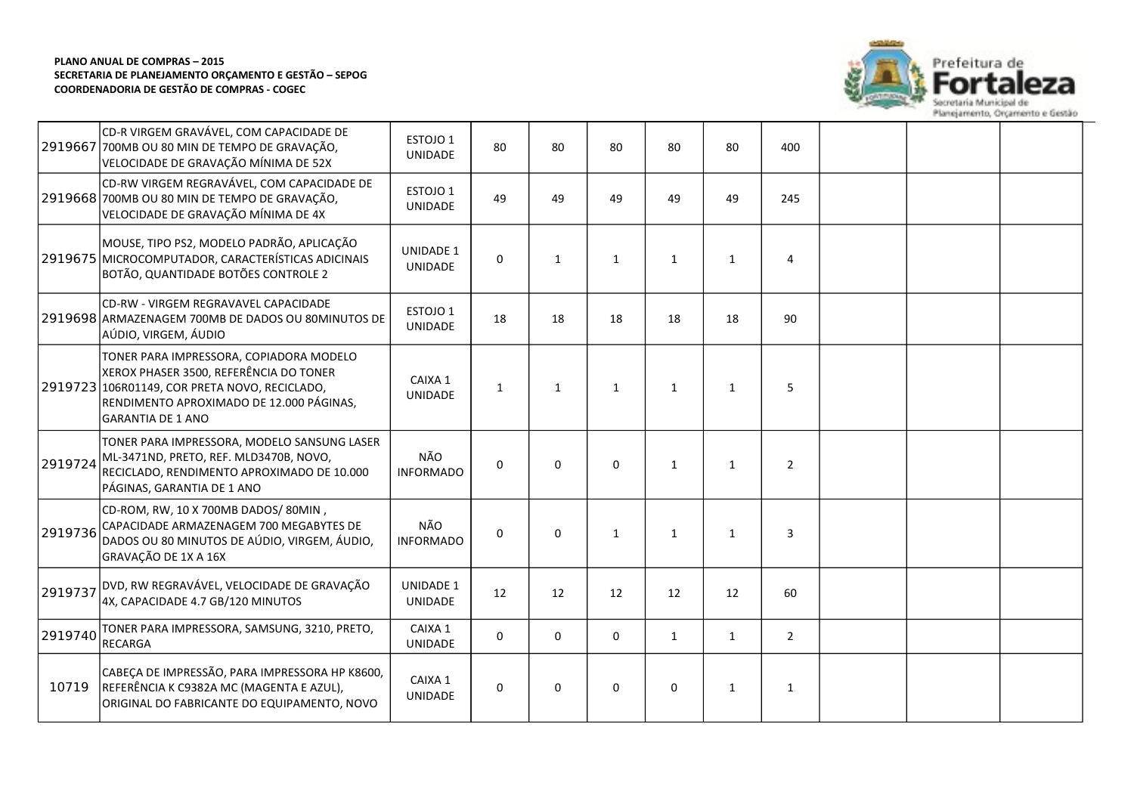

|         | CD-R VIRGEM GRAVÁVEL, COM CAPACIDADE DE<br>2919667 700MB OU 80 MIN DE TEMPO DE GRAVAÇÃO,<br>VELOCIDADE DE GRAVAÇÃO MÍNIMA DE 52X                                                                           | ESTOJO 1<br><b>UNIDADE</b>            | 80           | 80           | 80           | 80           | 80           | 400            |  |  |
|---------|------------------------------------------------------------------------------------------------------------------------------------------------------------------------------------------------------------|---------------------------------------|--------------|--------------|--------------|--------------|--------------|----------------|--|--|
|         | CD-RW VIRGEM REGRAVÁVEL, COM CAPACIDADE DE<br>2919668 700MB OU 80 MIN DE TEMPO DE GRAVAÇÃO,<br>VELOCIDADE DE GRAVAÇÃO MÍNIMA DE 4X                                                                         | ESTOJO <sub>1</sub><br><b>UNIDADE</b> | 49           | 49           | 49           | 49           | 49           | 245            |  |  |
|         | MOUSE, TIPO PS2, MODELO PADRÃO, APLICAÇÃO<br>2919675 MICROCOMPUTADOR, CARACTERÍSTICAS ADICINAIS<br>BOTÃO, QUANTIDADE BOTÕES CONTROLE 2                                                                     | <b>UNIDADE 1</b><br>UNIDADE           | $\Omega$     | $\mathbf{1}$ | $\mathbf{1}$ | $\mathbf{1}$ | $\mathbf{1}$ | 4              |  |  |
|         | CD-RW - VIRGEM REGRAVAVEL CAPACIDADE<br>2919698 ARMAZENAGEM 700MB DE DADOS OU 80MINUTOS DE<br>AÚDIO, VIRGEM, ÁUDIO                                                                                         | ESTOJO 1<br><b>UNIDADE</b>            | 18           | 18           | 18           | 18           | 18           | 90             |  |  |
|         | TONER PARA IMPRESSORA, COPIADORA MODELO<br>XEROX PHASER 3500, REFERÊNCIA DO TONER<br>2919723 106R01149, COR PRETA NOVO, RECICLADO,<br>RENDIMENTO APROXIMADO DE 12.000 PÁGINAS,<br><b>GARANTIA DE 1 ANO</b> | CAIXA 1<br><b>UNIDADE</b>             | $\mathbf{1}$ | $\mathbf{1}$ | $\mathbf{1}$ | $\mathbf{1}$ | $\mathbf{1}$ | 5              |  |  |
| 2919724 | TONER PARA IMPRESSORA, MODELO SANSUNG LASER<br>ML-3471ND, PRETO, REF. MLD3470B, NOVO,<br>RECICLADO, RENDIMENTO APROXIMADO DE 10.000<br>PÁGINAS, GARANTIA DE 1 ANO                                          | NÃO<br><b>INFORMADO</b>               | $\mathbf 0$  | $\Omega$     | $\mathbf 0$  | $\mathbf{1}$ | $\mathbf{1}$ | $\overline{2}$ |  |  |
| 2919736 | CD-ROM, RW, 10 X 700MB DADOS/80MIN,<br>CAPACIDADE ARMAZENAGEM 700 MEGABYTES DE<br>DADOS OU 80 MINUTOS DE AÚDIO, VIRGEM, ÁUDIO,<br>GRAVAÇÃO DE 1X A 16X                                                     | NÃO<br><b>INFORMADO</b>               | $\Omega$     | $\Omega$     | $\mathbf{1}$ | $\mathbf{1}$ | $\mathbf{1}$ | 3              |  |  |
| 2919737 | DVD, RW REGRAVÁVEL, VELOCIDADE DE GRAVAÇÃO<br>4X, CAPACIDADE 4.7 GB/120 MINUTOS                                                                                                                            | <b>UNIDADE 1</b><br><b>UNIDADE</b>    | 12           | 12           | 12           | 12           | 12           | 60             |  |  |
| 2919740 | TONER PARA IMPRESSORA, SAMSUNG, 3210, PRETO,<br><b>RECARGA</b>                                                                                                                                             | CAIXA 1<br>UNIDADE                    | 0            | $\Omega$     | $\mathbf 0$  | $\mathbf{1}$ | $\mathbf{1}$ | $2^{\circ}$    |  |  |
| 10719   | CABEÇA DE IMPRESSÃO, PARA IMPRESSORA HP K8600,<br>REFERÊNCIA K C9382A MC (MAGENTA E AZUL),<br>ORIGINAL DO FABRICANTE DO EQUIPAMENTO, NOVO                                                                  | CAIXA 1<br>UNIDADE                    | $\Omega$     | $\Omega$     | $\Omega$     | 0            | $\mathbf{1}$ | $\mathbf{1}$   |  |  |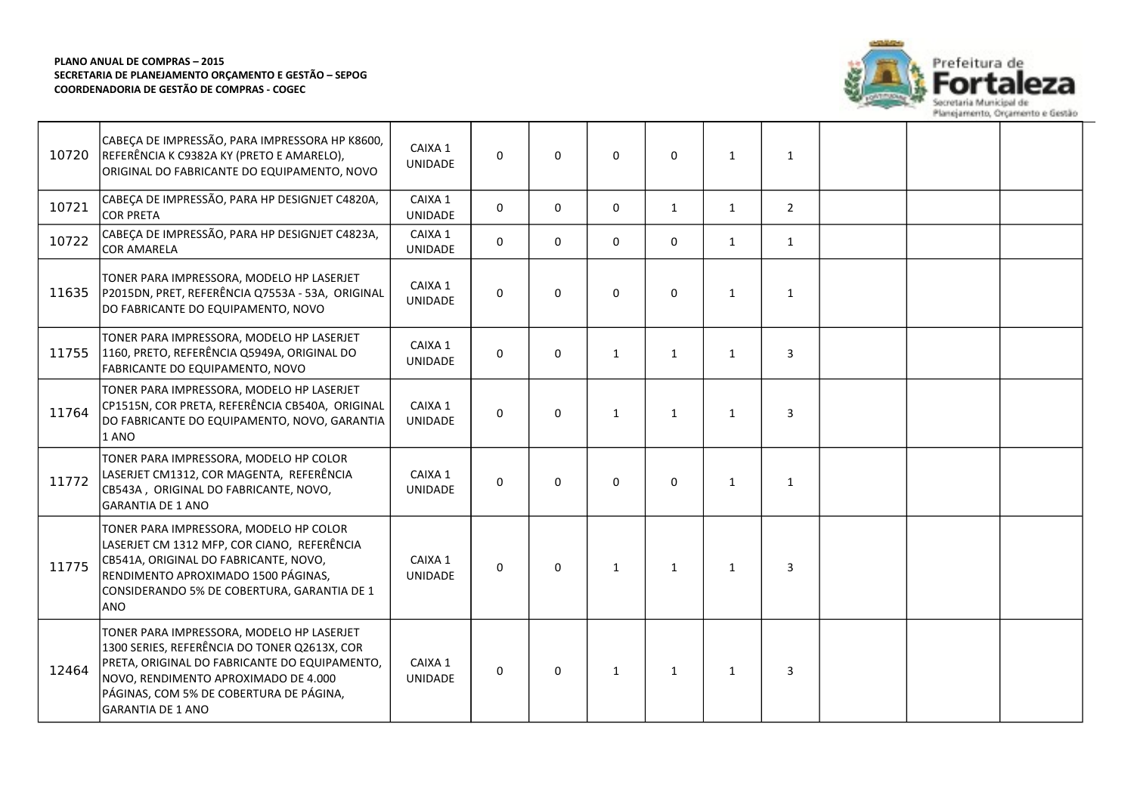

| 10720 | CABEÇA DE IMPRESSÃO, PARA IMPRESSORA HP K8600,<br>REFERÊNCIA K C9382A KY (PRETO E AMARELO),<br>ORIGINAL DO FABRICANTE DO EQUIPAMENTO, NOVO                                                                                                                | CAIXA 1<br><b>UNIDADE</b> | $\mathbf 0$  | 0        | $\mathbf 0$  | $\Omega$     | 1            | $\mathbf{1}$   |  |  |
|-------|-----------------------------------------------------------------------------------------------------------------------------------------------------------------------------------------------------------------------------------------------------------|---------------------------|--------------|----------|--------------|--------------|--------------|----------------|--|--|
| 10721 | CABEÇA DE IMPRESSÃO, PARA HP DESIGNJET C4820A,<br><b>COR PRETA</b>                                                                                                                                                                                        | CAIXA 1<br><b>UNIDADE</b> | $\Omega$     | 0        | $\mathbf 0$  | $\mathbf{1}$ | $\mathbf{1}$ | $\overline{2}$ |  |  |
| 10722 | CABEÇA DE IMPRESSÃO, PARA HP DESIGNJET C4823A,<br><b>COR AMARELA</b>                                                                                                                                                                                      | CAIXA 1<br>UNIDADE        | $\mathbf{0}$ | 0        | $\mathbf 0$  | $\mathbf 0$  | 1            | $\mathbf{1}$   |  |  |
| 11635 | TONER PARA IMPRESSORA, MODELO HP LASERJET<br>P2015DN, PRET, REFERÊNCIA Q7553A - 53A, ORIGINAL<br>DO FABRICANTE DO EQUIPAMENTO, NOVO                                                                                                                       | CAIXA 1<br>UNIDADE        | $\mathbf 0$  | 0        | $\mathbf 0$  | $\Omega$     | $\mathbf{1}$ | $\mathbf{1}$   |  |  |
| 11755 | TONER PARA IMPRESSORA, MODELO HP LASERJET<br>1160, PRETO, REFERÊNCIA Q5949A, ORIGINAL DO<br>FABRICANTE DO EQUIPAMENTO, NOVO                                                                                                                               | CAIXA 1<br>UNIDADE        | $\mathbf{0}$ | 0        | 1            | $\mathbf{1}$ | 1            | 3              |  |  |
| 11764 | TONER PARA IMPRESSORA, MODELO HP LASERJET<br>CP1515N, COR PRETA, REFERÊNCIA CB540A, ORIGINAL<br>DO FABRICANTE DO EQUIPAMENTO, NOVO, GARANTIA<br>1 ANO                                                                                                     | CAIXA 1<br>UNIDADE        | $\mathbf{0}$ | $\Omega$ | $\mathbf{1}$ | $\mathbf{1}$ | $\mathbf{1}$ | 3              |  |  |
| 11772 | TONER PARA IMPRESSORA, MODELO HP COLOR<br>LASERJET CM1312, COR MAGENTA, REFERÊNCIA<br>CB543A, ORIGINAL DO FABRICANTE, NOVO,<br><b>GARANTIA DE 1 ANO</b>                                                                                                   | CAIXA 1<br><b>UNIDADE</b> | $\mathbf 0$  | 0        | $\mathbf 0$  | 0            | 1            | $\mathbf{1}$   |  |  |
| 11775 | TONER PARA IMPRESSORA, MODELO HP COLOR<br>LASERJET CM 1312 MFP, COR CIANO, REFERÊNCIA<br>CB541A, ORIGINAL DO FABRICANTE, NOVO,<br>RENDIMENTO APROXIMADO 1500 PÁGINAS,<br>CONSIDERANDO 5% DE COBERTURA, GARANTIA DE 1<br>ANO                               | CAIXA 1<br>UNIDADE        | $\Omega$     | 0        | 1            | $\mathbf{1}$ | 1            | 3              |  |  |
| 12464 | TONER PARA IMPRESSORA, MODELO HP LASERJET<br>1300 SERIES, REFERÊNCIA DO TONER Q2613X, COR<br>PRETA, ORIGINAL DO FABRICANTE DO EQUIPAMENTO,<br>NOVO, RENDIMENTO APROXIMADO DE 4.000<br>PÁGINAS, COM 5% DE COBERTURA DE PÁGINA,<br><b>GARANTIA DE 1 ANO</b> | CAIXA 1<br><b>UNIDADE</b> | $\mathbf 0$  | 0        | $\mathbf{1}$ | 1            | 1            | 3              |  |  |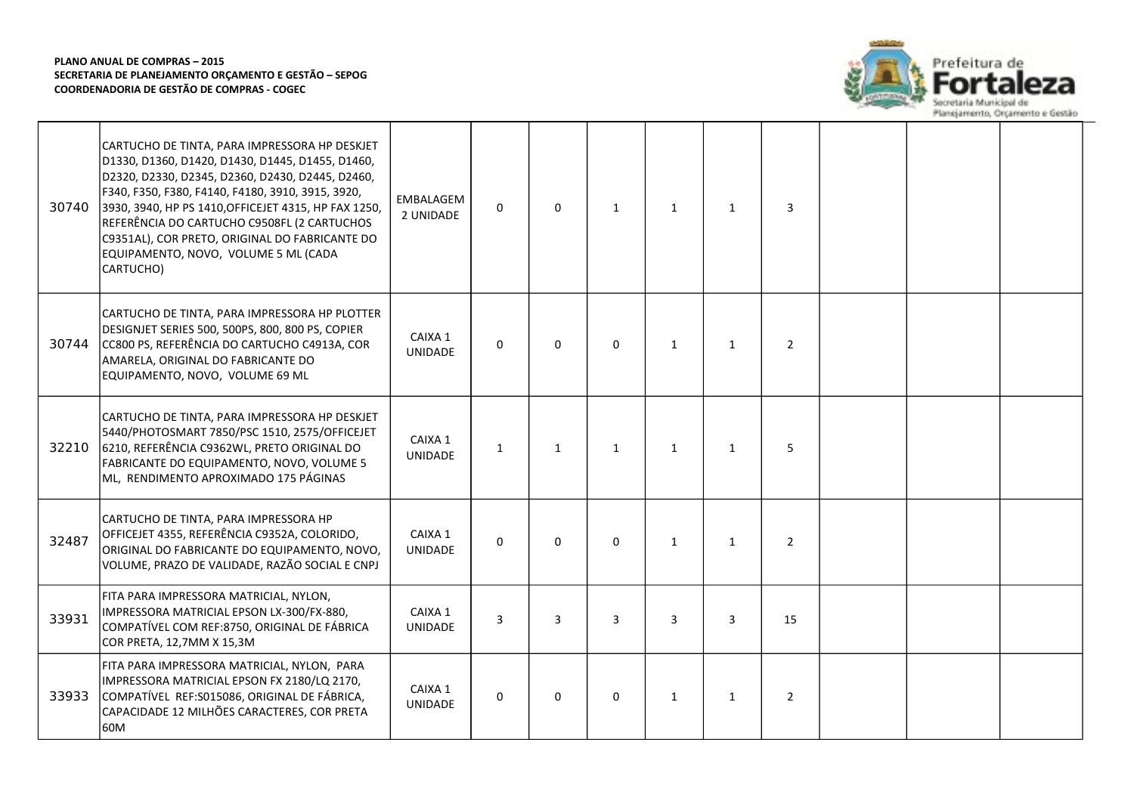

| 30740 | CARTUCHO DE TINTA, PARA IMPRESSORA HP DESKJET<br>D1330, D1360, D1420, D1430, D1445, D1455, D1460,<br>D2320, D2330, D2345, D2360, D2430, D2445, D2460,<br>F340, F350, F380, F4140, F4180, 3910, 3915, 3920,<br>3930, 3940, HP PS 1410, OFFICEJET 4315, HP FAX 1250,<br>REFERÊNCIA DO CARTUCHO C9508FL (2 CARTUCHOS<br>C9351AL), COR PRETO, ORIGINAL DO FABRICANTE DO<br>EQUIPAMENTO, NOVO, VOLUME 5 ML (CADA<br>CARTUCHO) | EMBALAGEM<br>2 UNIDADE    | $\Omega$       | $\Omega$       | $\mathbf{1}$ | 1            | $\mathbf{1}$ | 3              |  |  |
|-------|--------------------------------------------------------------------------------------------------------------------------------------------------------------------------------------------------------------------------------------------------------------------------------------------------------------------------------------------------------------------------------------------------------------------------|---------------------------|----------------|----------------|--------------|--------------|--------------|----------------|--|--|
| 30744 | CARTUCHO DE TINTA, PARA IMPRESSORA HP PLOTTER<br>DESIGNJET SERIES 500, 500PS, 800, 800 PS, COPIER<br>CC800 PS, REFERÊNCIA DO CARTUCHO C4913A, COR<br>AMARELA, ORIGINAL DO FABRICANTE DO<br>EQUIPAMENTO, NOVO, VOLUME 69 ML                                                                                                                                                                                               | CAIXA 1<br><b>UNIDADE</b> | $\Omega$       | $\Omega$       | $\Omega$     | $\mathbf{1}$ | $\mathbf{1}$ | $\overline{2}$ |  |  |
| 32210 | CARTUCHO DE TINTA, PARA IMPRESSORA HP DESKJET<br>5440/PHOTOSMART 7850/PSC 1510, 2575/OFFICEJET<br>6210, REFERÊNCIA C9362WL, PRETO ORIGINAL DO<br>FABRICANTE DO EQUIPAMENTO, NOVO, VOLUME 5<br>ML, RENDIMENTO APROXIMADO 175 PÁGINAS                                                                                                                                                                                      | CAIXA 1<br><b>UNIDADE</b> | $\mathbf{1}$   | $\mathbf{1}$   | $\mathbf{1}$ | 1            | $\mathbf{1}$ | 5              |  |  |
| 32487 | CARTUCHO DE TINTA, PARA IMPRESSORA HP<br>OFFICEJET 4355, REFERÊNCIA C9352A, COLORIDO,<br>ORIGINAL DO FABRICANTE DO EQUIPAMENTO, NOVO,<br>VOLUME, PRAZO DE VALIDADE, RAZÃO SOCIAL E CNPJ                                                                                                                                                                                                                                  | CAIXA 1<br><b>UNIDADE</b> | $\Omega$       | $\Omega$       | $\Omega$     | $\mathbf{1}$ | $\mathbf{1}$ | $\overline{2}$ |  |  |
| 33931 | FITA PARA IMPRESSORA MATRICIAL, NYLON,<br>IMPRESSORA MATRICIAL EPSON LX-300/FX-880,<br>COMPATÍVEL COM REF:8750, ORIGINAL DE FÁBRICA<br>COR PRETA, 12,7MM X 15,3M                                                                                                                                                                                                                                                         | CAIXA 1<br><b>UNIDADE</b> | $\overline{3}$ | $\overline{3}$ | 3            | 3            | 3            | 15             |  |  |
| 33933 | FITA PARA IMPRESSORA MATRICIAL, NYLON, PARA<br>IMPRESSORA MATRICIAL EPSON FX 2180/LQ 2170,<br>COMPATÍVEL REF:S015086, ORIGINAL DE FÁBRICA,<br>CAPACIDADE 12 MILHÕES CARACTERES, COR PRETA<br>60M                                                                                                                                                                                                                         | CAIXA 1<br><b>UNIDADE</b> | 0              | $\Omega$       | 0            | $\mathbf{1}$ | 1            | $\overline{2}$ |  |  |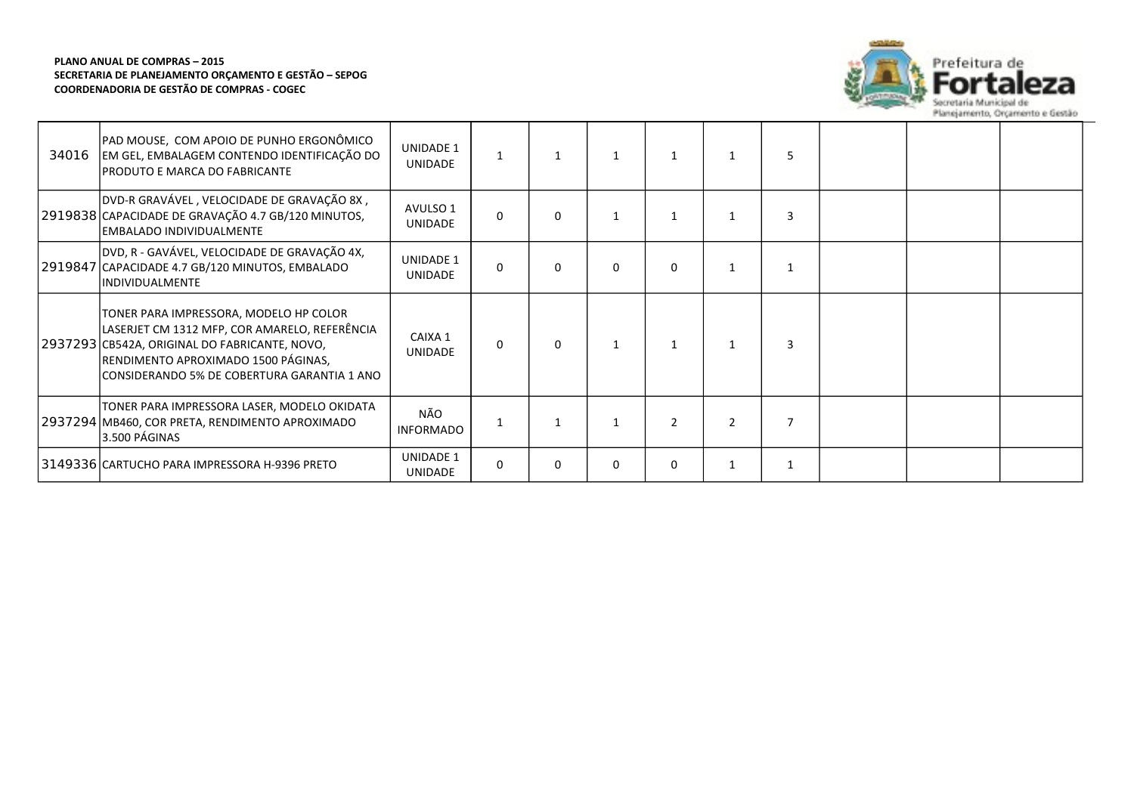

| 34016 | PAD MOUSE, COM APOIO DE PUNHO ERGONÔMICO<br>EM GEL, EMBALAGEM CONTENDO IDENTIFICAÇÃO DO<br>PRODUTO E MARCA DO FABRICANTE                                                                                                       | <b>UNIDADE 1</b><br><b>UNIDADE</b> |              |          | $\mathbf{1}$ | $\mathbf{1}$  |                |  |  |
|-------|--------------------------------------------------------------------------------------------------------------------------------------------------------------------------------------------------------------------------------|------------------------------------|--------------|----------|--------------|---------------|----------------|--|--|
|       | DVD-R GRAVÁVEL, VELOCIDADE DE GRAVAÇÃO 8X,<br>2919838 CAPACIDADE DE GRAVAÇÃO 4.7 GB/120 MINUTOS,<br>EMBALADO INDIVIDUALMENTE                                                                                                   | AVULSO 1<br><b>UNIDADE</b>         | $\Omega$     | 0        |              |               |                |  |  |
|       | DVD, R - GAVÁVEL, VELOCIDADE DE GRAVAÇÃO 4X,<br>2919847 CAPACIDADE 4.7 GB/120 MINUTOS, EMBALADO<br><b>INDIVIDUALMENTE</b>                                                                                                      | <b>UNIDADE 1</b><br><b>UNIDADE</b> | $\Omega$     | 0        | $\mathbf{0}$ | $\Omega$      |                |  |  |
|       | TONER PARA IMPRESSORA, MODELO HP COLOR<br>LASERJET CM 1312 MFP, COR AMARELO, REFERÊNCIA<br>2937293 CB542A, ORIGINAL DO FABRICANTE, NOVO,<br>RENDIMENTO APROXIMADO 1500 PÁGINAS,<br>CONSIDERANDO 5% DE COBERTURA GARANTIA 1 ANO | CAIXA 1<br><b>UNIDADE</b>          | $\Omega$     | $\Omega$ | $\mathbf{1}$ | $\mathbf 1$   |                |  |  |
|       | TONER PARA IMPRESSORA LASER, MODELO OKIDATA<br>2937294   MB460, COR PRETA, RENDIMENTO APROXIMADO<br>3.500 PÁGINAS                                                                                                              | NÃO<br><b>INFORMADO</b>            |              |          | $\mathbf{1}$ | $\mathcal{P}$ | $\overline{2}$ |  |  |
|       | 3149336 CARTUCHO PARA IMPRESSORA H-9396 PRETO                                                                                                                                                                                  | <b>UNIDADE 1</b><br>UNIDADE        | $\mathbf{0}$ | 0        | 0            | 0             |                |  |  |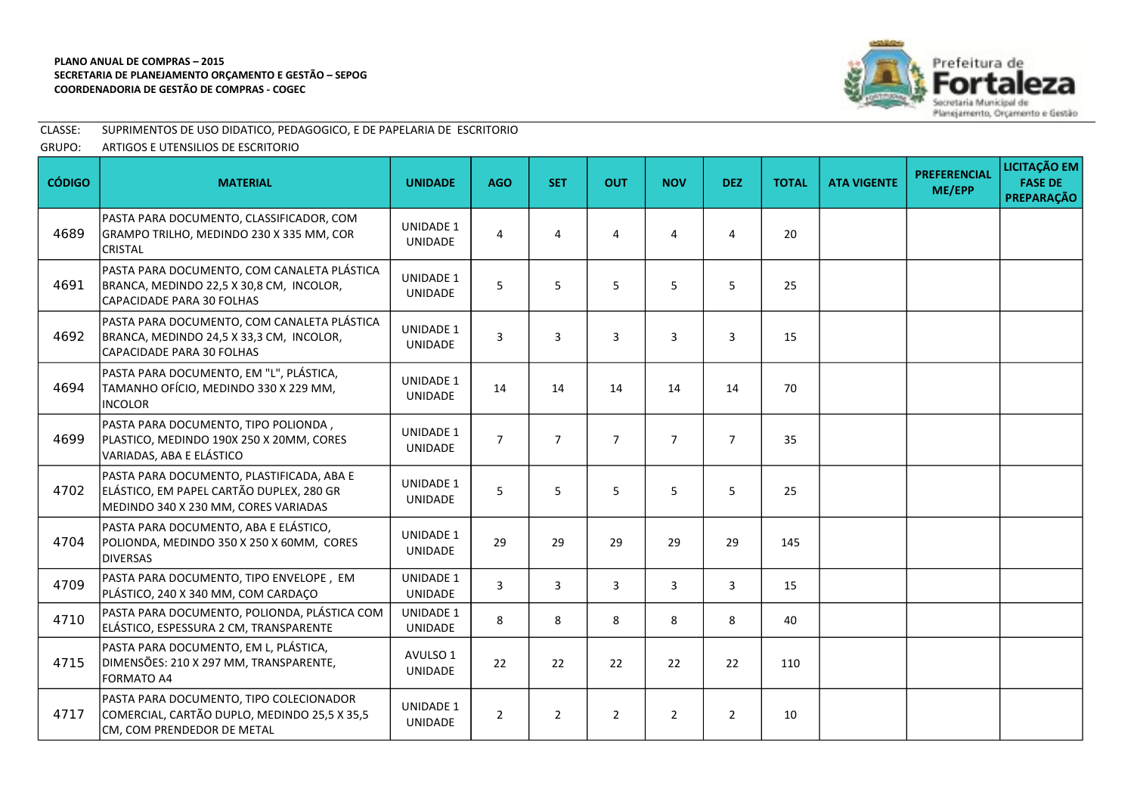

# CLASSE: SUPRIMENTOS DE USO DIDATICO, PEDAGOGICO, E DE PAPELARIA DE ESCRITORIO

GRUPO: ARTIGOS E UTENSILIOS DE ESCRITORIO

| <b>CÓDIGO</b> | <b>MATERIAL</b>                                                                                                               | <b>UNIDADE</b>                     | <b>AGO</b>     | <b>SET</b>     | <b>OUT</b>     | <b>NOV</b>     | <b>DEZ</b>     | <b>TOTAL</b> | <b>ATA VIGENTE</b> | <b>PREFERENCIAL</b><br>ME/EPP | LICITAÇÃO EM<br><b>FASE DE</b><br><b>PREPARAÇÃO</b> |
|---------------|-------------------------------------------------------------------------------------------------------------------------------|------------------------------------|----------------|----------------|----------------|----------------|----------------|--------------|--------------------|-------------------------------|-----------------------------------------------------|
| 4689          | PASTA PARA DOCUMENTO, CLASSIFICADOR, COM<br>GRAMPO TRILHO, MEDINDO 230 X 335 MM, COR<br><b>CRISTAL</b>                        | <b>UNIDADE 1</b><br>UNIDADE        | 4              | $\overline{4}$ | 4              | 4              | $\overline{4}$ | 20           |                    |                               |                                                     |
| 4691          | PASTA PARA DOCUMENTO, COM CANALETA PLÁSTICA<br>BRANCA, MEDINDO 22,5 X 30,8 CM, INCOLOR,<br><b>CAPACIDADE PARA 30 FOLHAS</b>   | <b>UNIDADE 1</b><br>UNIDADE        | 5              | 5              | 5              | 5              | 5              | 25           |                    |                               |                                                     |
| 4692          | PASTA PARA DOCUMENTO, COM CANALETA PLÁSTICA<br>BRANCA, MEDINDO 24,5 X 33,3 CM, INCOLOR,<br><b>CAPACIDADE PARA 30 FOLHAS</b>   | <b>UNIDADE 1</b><br><b>UNIDADE</b> | 3              | 3              | 3              | 3              | $\overline{3}$ | 15           |                    |                               |                                                     |
| 4694          | PASTA PARA DOCUMENTO, EM "L", PLÁSTICA,<br>TAMANHO OFÍCIO, MEDINDO 330 X 229 MM,<br><b>INCOLOR</b>                            | <b>UNIDADE 1</b><br><b>UNIDADE</b> | 14             | 14             | 14             | 14             | 14             | 70           |                    |                               |                                                     |
| 4699          | PASTA PARA DOCUMENTO, TIPO POLIONDA,<br>PLASTICO, MEDINDO 190X 250 X 20MM, CORES<br>VARIADAS, ABA E ELÁSTICO                  | <b>UNIDADE 1</b><br>UNIDADE        | $\overline{7}$ | $\overline{7}$ | $\overline{7}$ | $\overline{7}$ | $\overline{7}$ | 35           |                    |                               |                                                     |
| 4702          | PASTA PARA DOCUMENTO, PLASTIFICADA, ABA E<br>ELÁSTICO, EM PAPEL CARTÃO DUPLEX, 280 GR<br>MEDINDO 340 X 230 MM, CORES VARIADAS | <b>UNIDADE 1</b><br><b>UNIDADE</b> | 5              | 5              | 5              | 5              | 5              | 25           |                    |                               |                                                     |
| 4704          | PASTA PARA DOCUMENTO, ABA E ELÁSTICO,<br>POLIONDA, MEDINDO 350 X 250 X 60MM, CORES<br><b>DIVERSAS</b>                         | <b>UNIDADE 1</b><br><b>UNIDADE</b> | 29             | 29             | 29             | 29             | 29             | 145          |                    |                               |                                                     |
| 4709          | PASTA PARA DOCUMENTO, TIPO ENVELOPE, EM<br>PLÁSTICO, 240 X 340 MM, COM CARDAÇO                                                | <b>UNIDADE 1</b><br>UNIDADE        | $\overline{3}$ | $\overline{3}$ | 3              | 3              | $\overline{3}$ | 15           |                    |                               |                                                     |
| 4710          | PASTA PARA DOCUMENTO, POLIONDA, PLÁSTICA COM<br>ELÁSTICO, ESPESSURA 2 CM, TRANSPARENTE                                        | <b>UNIDADE 1</b><br><b>UNIDADE</b> | 8              | 8              | 8              | 8              | 8              | 40           |                    |                               |                                                     |
| 4715          | PASTA PARA DOCUMENTO, EM L, PLÁSTICA,<br>DIMENSÕES: 210 X 297 MM, TRANSPARENTE,<br><b>FORMATO A4</b>                          | AVULSO 1<br>UNIDADE                | 22             | 22             | 22             | 22             | 22             | 110          |                    |                               |                                                     |
| 4717          | PASTA PARA DOCUMENTO, TIPO COLECIONADOR<br>COMERCIAL, CARTÃO DUPLO, MEDINDO 25,5 X 35,5<br>CM, COM PRENDEDOR DE METAL         | <b>UNIDADE 1</b><br>UNIDADE        | $\overline{2}$ | $\overline{2}$ | $\overline{2}$ | $\overline{2}$ | $\overline{2}$ | 10           |                    |                               |                                                     |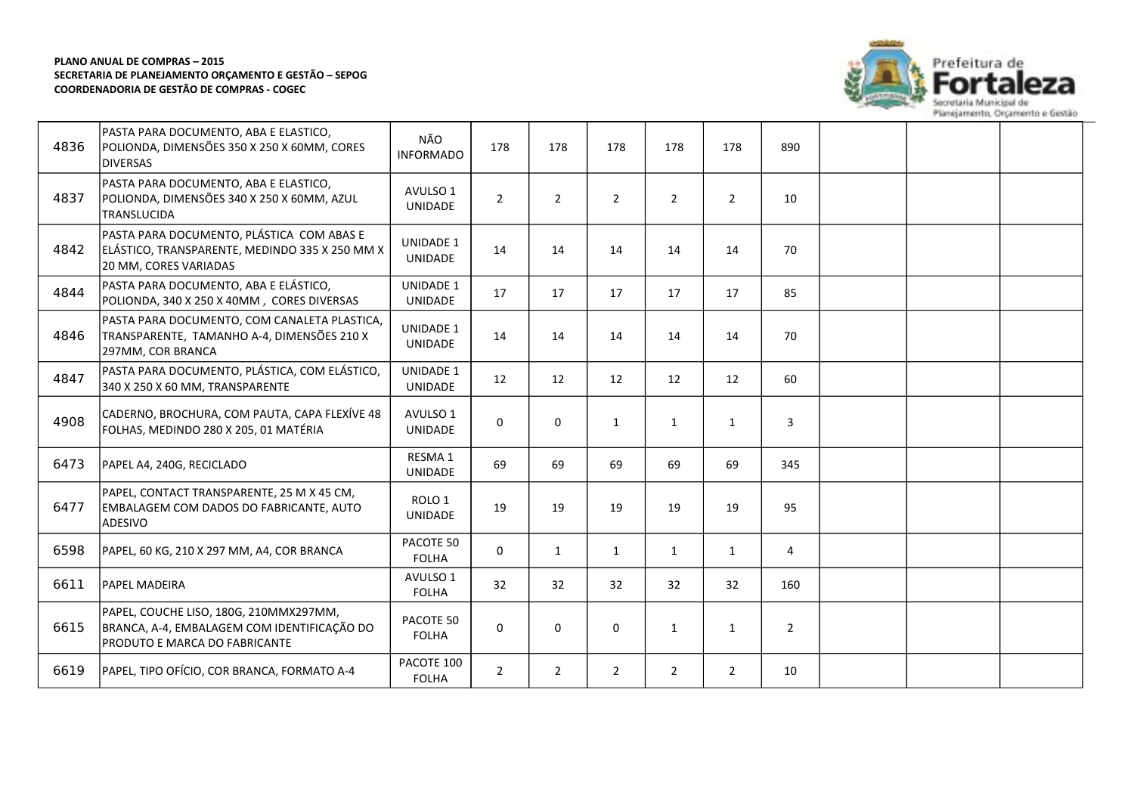

| 4836 | PASTA PARA DOCUMENTO, ABA E ELASTICO,<br>POLIONDA, DIMENSÕES 350 X 250 X 60MM, CORES<br><b>DIVERSAS</b>                | NÃO<br><b>INFORMADO</b>             | 178            | 178            | 178            | 178            | 178          | 890            |  |  |
|------|------------------------------------------------------------------------------------------------------------------------|-------------------------------------|----------------|----------------|----------------|----------------|--------------|----------------|--|--|
| 4837 | PASTA PARA DOCUMENTO, ABA E ELASTICO,<br>POLIONDA, DIMENSÕES 340 X 250 X 60MM, AZUL<br>TRANSLUCIDA                     | AVULSO 1<br>UNIDADE                 | $\overline{2}$ | $\overline{2}$ | $\overline{2}$ | $\overline{2}$ | 2            | 10             |  |  |
| 4842 | PASTA PARA DOCUMENTO, PLÁSTICA COM ABAS E<br>ELÁSTICO, TRANSPARENTE, MEDINDO 335 X 250 MM X<br>20 MM, CORES VARIADAS   | <b>UNIDADE 1</b><br>UNIDADE         | 14             | 14             | 14             | 14             | 14           | 70             |  |  |
| 4844 | PASTA PARA DOCUMENTO, ABA E ELÁSTICO,<br>POLIONDA, 340 X 250 X 40MM, CORES DIVERSAS                                    | <b>UNIDADE 1</b><br>UNIDADE         | 17             | 17             | 17             | 17             | 17           | 85             |  |  |
| 4846 | PASTA PARA DOCUMENTO, COM CANALETA PLASTICA,<br>TRANSPARENTE, TAMANHO A-4, DIMENSÕES 210 X<br>297MM, COR BRANCA        | <b>UNIDADE 1</b><br>UNIDADE         | 14             | 14             | 14             | 14             | 14           | 70             |  |  |
| 4847 | PASTA PARA DOCUMENTO, PLÁSTICA, COM ELÁSTICO,<br>340 X 250 X 60 MM, TRANSPARENTE                                       | UNIDADE 1<br><b>UNIDADE</b>         | 12             | 12             | 12             | 12             | 12           | 60             |  |  |
| 4908 | CADERNO, BROCHURA, COM PAUTA, CAPA FLEXÍVE 48<br>FOLHAS, MEDINDO 280 X 205, 01 MATÉRIA                                 | AVULSO 1<br>UNIDADE                 | $\mathbf 0$    | 0              | $\mathbf{1}$   | $\mathbf{1}$   | $\mathbf{1}$ | 3              |  |  |
| 6473 | PAPEL A4, 240G, RECICLADO                                                                                              | RESMA 1<br><b>UNIDADE</b>           | 69             | 69             | 69             | 69             | 69           | 345            |  |  |
| 6477 | PAPEL, CONTACT TRANSPARENTE, 25 M X 45 CM,<br><b>EMBALAGEM COM DADOS DO FABRICANTE, AUTO</b><br>ADESIVO                | ROLO <sub>1</sub><br><b>UNIDADE</b> | 19             | 19             | 19             | 19             | 19           | 95             |  |  |
| 6598 | PAPEL, 60 KG, 210 X 297 MM, A4, COR BRANCA                                                                             | PACOTE 50<br><b>FOLHA</b>           | $\mathbf 0$    | 1              | $\mathbf{1}$   | $\mathbf{1}$   | 1            | 4              |  |  |
| 6611 | <b>PAPEL MADEIRA</b>                                                                                                   | AVULSO 1<br><b>FOLHA</b>            | 32             | 32             | 32             | 32             | 32           | 160            |  |  |
| 6615 | PAPEL, COUCHE LISO, 180G, 210MMX297MM,<br>BRANCA, A-4, EMBALAGEM COM IDENTIFICAÇÃO DO<br>PRODUTO E MARCA DO FABRICANTE | PACOTE 50<br><b>FOLHA</b>           | 0              | 0              | 0              | $\mathbf{1}$   | $\mathbf{1}$ | $\overline{2}$ |  |  |
| 6619 | PAPEL, TIPO OFÍCIO, COR BRANCA, FORMATO A-4                                                                            | PACOTE 100<br><b>FOLHA</b>          | $\overline{2}$ | $\overline{2}$ | $\overline{2}$ | $\overline{2}$ | 2            | 10             |  |  |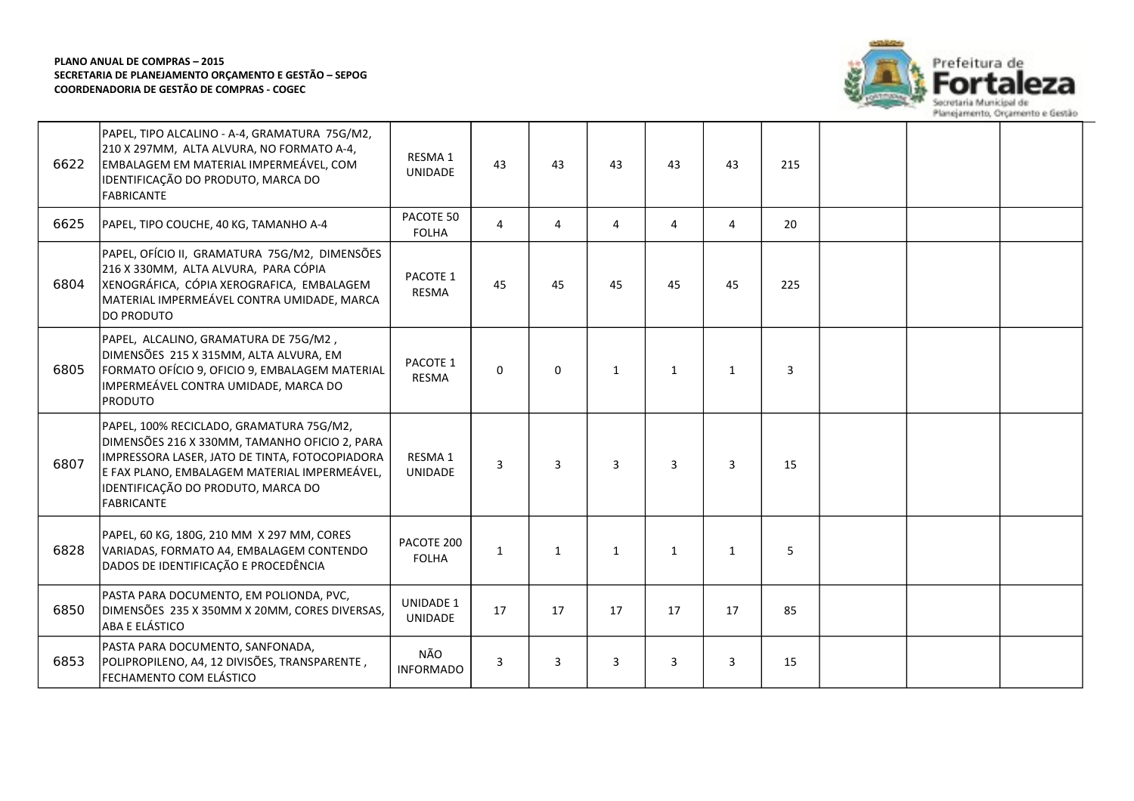

| 6622 | PAPEL, TIPO ALCALINO - A-4, GRAMATURA 75G/M2,<br>210 X 297MM, ALTA ALVURA, NO FORMATO A-4,<br>EMBALAGEM EM MATERIAL IMPERMEÁVEL, COM<br>IDENTIFICAÇÃO DO PRODUTO, MARCA DO<br><b>FABRICANTE</b>                                                        | RESMA <sub>1</sub><br><b>UNIDADE</b> | 43             | 43           | 43             | 43             | 43             | 215 |  |  |
|------|--------------------------------------------------------------------------------------------------------------------------------------------------------------------------------------------------------------------------------------------------------|--------------------------------------|----------------|--------------|----------------|----------------|----------------|-----|--|--|
| 6625 | PAPEL, TIPO COUCHE, 40 KG, TAMANHO A-4                                                                                                                                                                                                                 | PACOTE 50<br><b>FOLHA</b>            | 4              | 4            | 4              | 4              | 4              | 20  |  |  |
| 6804 | PAPEL, OFÍCIO II, GRAMATURA 75G/M2, DIMENSÕES<br>216 X 330MM, ALTA ALVURA, PARA CÓPIA<br>XENOGRÁFICA, CÓPIA XEROGRAFICA, EMBALAGEM<br>MATERIAL IMPERMEÁVEL CONTRA UMIDADE, MARCA<br><b>DO PRODUTO</b>                                                  | PACOTE 1<br>RESMA                    | 45             | 45           | 45             | 45             | 45             | 225 |  |  |
| 6805 | PAPEL, ALCALINO, GRAMATURA DE 75G/M2,<br>DIMENSÕES 215 X 315MM, ALTA ALVURA, EM<br>FORMATO OFÍCIO 9, OFICIO 9, EMBALAGEM MATERIAL<br>IMPERMEÁVEL CONTRA UMIDADE, MARCA DO<br><b>PRODUTO</b>                                                            | PACOTE 1<br><b>RESMA</b>             | $\Omega$       | $\Omega$     | $\mathbf{1}$   | $\mathbf{1}$   | $\mathbf{1}$   | 3   |  |  |
| 6807 | PAPEL, 100% RECICLADO, GRAMATURA 75G/M2,<br>DIMENSÕES 216 X 330MM, TAMANHO OFICIO 2, PARA<br>IMPRESSORA LASER, JATO DE TINTA, FOTOCOPIADORA<br>E FAX PLANO, EMBALAGEM MATERIAL IMPERMEÁVEL,<br>IDENTIFICAÇÃO DO PRODUTO, MARCA DO<br><b>FABRICANTE</b> | RESMA <sub>1</sub><br><b>UNIDADE</b> | $\overline{3}$ | 3            | $\overline{3}$ | $\overline{3}$ | $\overline{3}$ | 15  |  |  |
| 6828 | PAPEL, 60 KG, 180G, 210 MM X 297 MM, CORES<br>VARIADAS, FORMATO A4, EMBALAGEM CONTENDO<br>DADOS DE IDENTIFICAÇÃO E PROCEDÊNCIA                                                                                                                         | PACOTE 200<br><b>FOLHA</b>           | $\mathbf{1}$   | $\mathbf{1}$ | $\mathbf{1}$   | $\mathbf{1}$   | $\mathbf{1}$   | 5   |  |  |
| 6850 | PASTA PARA DOCUMENTO, EM POLIONDA, PVC,<br>DIMENSÕES 235 X 350MM X 20MM, CORES DIVERSAS,<br>ABA E ELÁSTICO                                                                                                                                             | <b>UNIDADE 1</b><br><b>UNIDADE</b>   | 17             | 17           | 17             | 17             | 17             | 85  |  |  |
| 6853 | PASTA PARA DOCUMENTO, SANFONADA,<br>POLIPROPILENO, A4, 12 DIVISÕES, TRANSPARENTE,<br>FECHAMENTO COM ELÁSTICO                                                                                                                                           | NÃO<br><b>INFORMADO</b>              | 3              | 3            | 3              | 3              | 3              | 15  |  |  |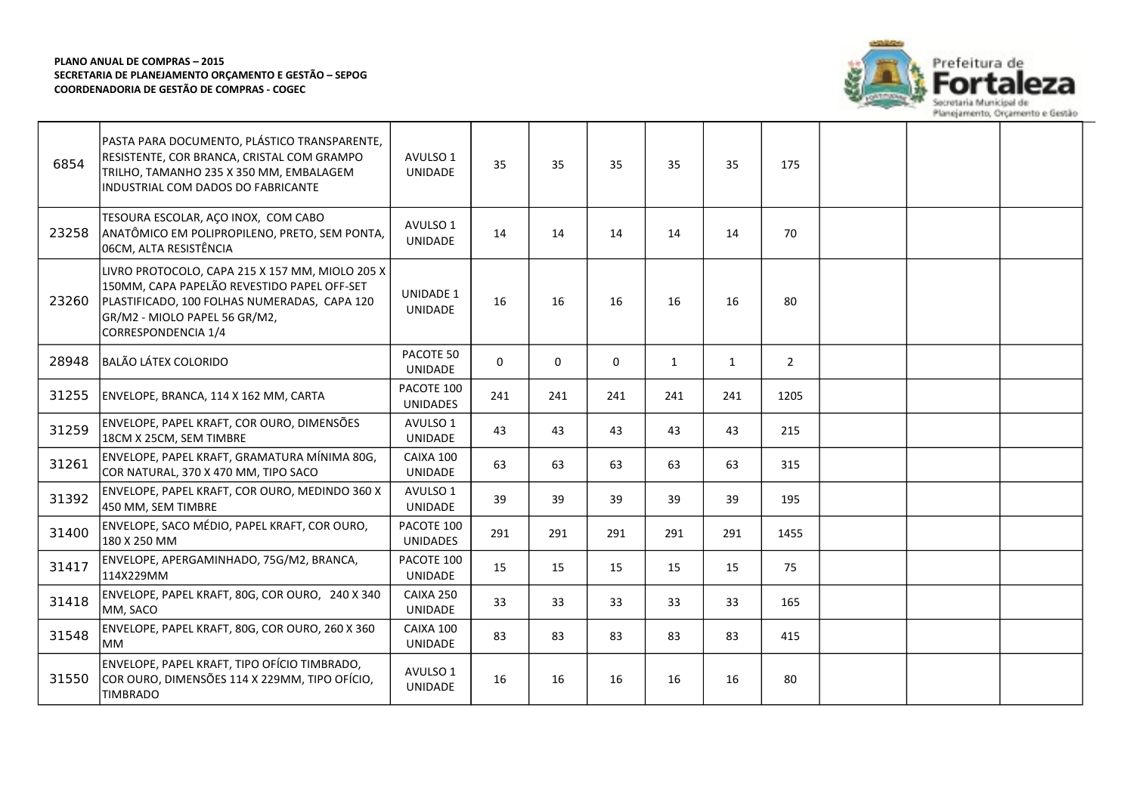

| 6854  | PASTA PARA DOCUMENTO, PLÁSTICO TRANSPARENTE,<br>RESISTENTE, COR BRANCA, CRISTAL COM GRAMPO<br>TRILHO, TAMANHO 235 X 350 MM, EMBALAGEM<br>INDUSTRIAL COM DADOS DO FABRICANTE                            | AVULSO 1<br><b>UNIDADE</b>         | 35       | 35          | 35  | 35           | 35           | 175            |  |  |
|-------|--------------------------------------------------------------------------------------------------------------------------------------------------------------------------------------------------------|------------------------------------|----------|-------------|-----|--------------|--------------|----------------|--|--|
| 23258 | TESOURA ESCOLAR, AÇO INOX, COM CABO<br>ANATÔMICO EM POLIPROPILENO, PRETO, SEM PONTA,<br>06CM, ALTA RESISTÊNCIA                                                                                         | AVULSO 1<br><b>UNIDADE</b>         | 14       | 14          | 14  | 14           | 14           | 70             |  |  |
| 23260 | LIVRO PROTOCOLO, CAPA 215 X 157 MM, MIOLO 205 X<br>150MM, CAPA PAPELÃO REVESTIDO PAPEL OFF-SET<br>PLASTIFICADO, 100 FOLHAS NUMERADAS, CAPA 120<br>GR/M2 - MIOLO PAPEL 56 GR/M2,<br>CORRESPONDENCIA 1/4 | <b>UNIDADE 1</b><br><b>UNIDADE</b> | 16       | 16          | 16  | 16           | 16           | 80             |  |  |
| 28948 | <b>BALÃO LÁTEX COLORIDO</b>                                                                                                                                                                            | PACOTE 50<br><b>UNIDADE</b>        | $\Omega$ | $\mathbf 0$ | 0   | $\mathbf{1}$ | $\mathbf{1}$ | $\overline{2}$ |  |  |
| 31255 | ENVELOPE, BRANCA, 114 X 162 MM, CARTA                                                                                                                                                                  | PACOTE 100<br><b>UNIDADES</b>      | 241      | 241         | 241 | 241          | 241          | 1205           |  |  |
| 31259 | ENVELOPE, PAPEL KRAFT, COR OURO, DIMENSÕES<br>18CM X 25CM, SEM TIMBRE                                                                                                                                  | AVULSO 1<br><b>UNIDADE</b>         | 43       | 43          | 43  | 43           | 43           | 215            |  |  |
| 31261 | ENVELOPE, PAPEL KRAFT, GRAMATURA MÍNIMA 80G,<br>COR NATURAL, 370 X 470 MM, TIPO SACO                                                                                                                   | CAIXA 100<br>UNIDADE               | 63       | 63          | 63  | 63           | 63           | 315            |  |  |
| 31392 | ENVELOPE, PAPEL KRAFT, COR OURO, MEDINDO 360 X<br>450 MM, SEM TIMBRE                                                                                                                                   | AVULSO 1<br>UNIDADE                | 39       | 39          | 39  | 39           | 39           | 195            |  |  |
| 31400 | ENVELOPE, SACO MÉDIO, PAPEL KRAFT, COR OURO,<br>180 X 250 MM                                                                                                                                           | PACOTE 100<br><b>UNIDADES</b>      | 291      | 291         | 291 | 291          | 291          | 1455           |  |  |
| 31417 | ENVELOPE, APERGAMINHADO, 75G/M2, BRANCA,<br>114X229MM                                                                                                                                                  | PACOTE 100<br>UNIDADE              | 15       | 15          | 15  | 15           | 15           | 75             |  |  |
| 31418 | ENVELOPE, PAPEL KRAFT, 80G, COR OURO, 240 X 340<br>MM, SACO                                                                                                                                            | CAIXA 250<br><b>UNIDADE</b>        | 33       | 33          | 33  | 33           | 33           | 165            |  |  |
| 31548 | ENVELOPE, PAPEL KRAFT, 80G, COR OURO, 260 X 360<br>MM.                                                                                                                                                 | CAIXA 100<br><b>UNIDADE</b>        | 83       | 83          | 83  | 83           | 83           | 415            |  |  |
| 31550 | ENVELOPE, PAPEL KRAFT, TIPO OFÍCIO TIMBRADO,<br>COR OURO, DIMENSÕES 114 X 229MM, TIPO OFÍCIO,<br>TIMBRADO                                                                                              | AVULSO 1<br>UNIDADE                | 16       | 16          | 16  | 16           | 16           | 80             |  |  |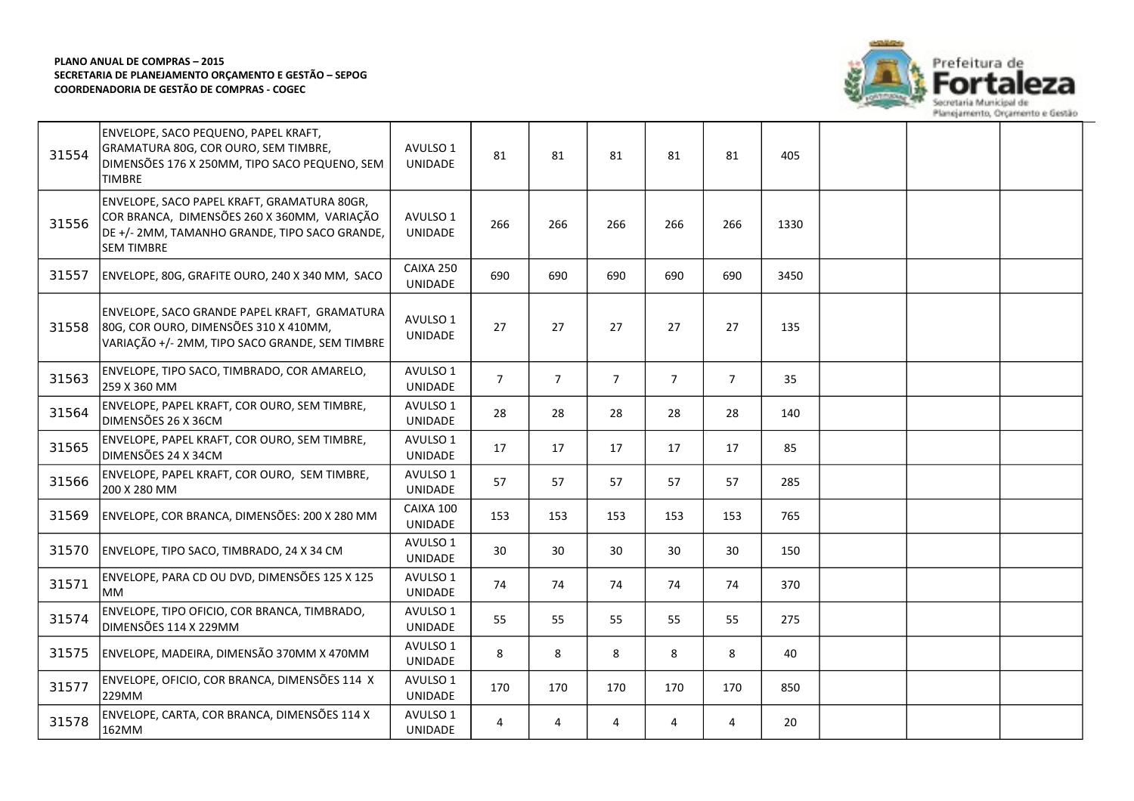

| 31554 | ENVELOPE, SACO PEQUENO, PAPEL KRAFT,<br>GRAMATURA 80G, COR OURO, SEM TIMBRE,<br>DIMENSÕES 176 X 250MM, TIPO SACO PEQUENO, SEM<br><b>TIMBRE</b>                   | AVULSO 1<br><b>UNIDADE</b> | 81             | 81             | 81             | 81             | 81             | 405  |  |  |
|-------|------------------------------------------------------------------------------------------------------------------------------------------------------------------|----------------------------|----------------|----------------|----------------|----------------|----------------|------|--|--|
| 31556 | ENVELOPE, SACO PAPEL KRAFT, GRAMATURA 80GR,<br>COR BRANCA, DIMENSÕES 260 X 360MM, VARIAÇÃO<br>DE +/- 2MM, TAMANHO GRANDE, TIPO SACO GRANDE,<br><b>SEM TIMBRE</b> | AVULSO 1<br>UNIDADE        | 266            | 266            | 266            | 266            | 266            | 1330 |  |  |
| 31557 | ENVELOPE, 80G, GRAFITE OURO, 240 X 340 MM, SACO                                                                                                                  | CAIXA 250<br>UNIDADE       | 690            | 690            | 690            | 690            | 690            | 3450 |  |  |
| 31558 | ENVELOPE, SACO GRANDE PAPEL KRAFT, GRAMATURA<br>80G, COR OURO, DIMENSÕES 310 X 410MM,<br>VARIAÇÃO +/- 2MM, TIPO SACO GRANDE, SEM TIMBRE                          | AVULSO 1<br><b>UNIDADE</b> | 27             | 27             | 27             | 27             | 27             | 135  |  |  |
| 31563 | ENVELOPE, TIPO SACO, TIMBRADO, COR AMARELO,<br>259 X 360 MM                                                                                                      | AVULSO 1<br><b>UNIDADE</b> | $\overline{7}$ | $\overline{7}$ | $\overline{7}$ | $\overline{7}$ | $\overline{7}$ | 35   |  |  |
| 31564 | ENVELOPE, PAPEL KRAFT, COR OURO, SEM TIMBRE,<br>DIMENSÕES 26 X 36CM                                                                                              | AVULSO 1<br>UNIDADE        | 28             | 28             | 28             | 28             | 28             | 140  |  |  |
| 31565 | ENVELOPE, PAPEL KRAFT, COR OURO, SEM TIMBRE,<br>DIMENSÕES 24 X 34CM                                                                                              | AVULSO 1<br>UNIDADE        | 17             | 17             | 17             | 17             | 17             | 85   |  |  |
| 31566 | ENVELOPE, PAPEL KRAFT, COR OURO, SEM TIMBRE,<br>200 X 280 MM                                                                                                     | AVULSO 1<br><b>UNIDADE</b> | 57             | 57             | 57             | 57             | 57             | 285  |  |  |
| 31569 | ENVELOPE, COR BRANCA, DIMENSÕES: 200 X 280 MM                                                                                                                    | CAIXA 100<br>UNIDADE       | 153            | 153            | 153            | 153            | 153            | 765  |  |  |
| 31570 | ENVELOPE, TIPO SACO, TIMBRADO, 24 X 34 CM                                                                                                                        | AVULSO 1<br>UNIDADE        | 30             | 30             | 30             | 30             | 30             | 150  |  |  |
| 31571 | ENVELOPE, PARA CD OU DVD, DIMENSÕES 125 X 125<br><b>MM</b>                                                                                                       | AVULSO 1<br>UNIDADE        | 74             | 74             | 74             | 74             | 74             | 370  |  |  |
| 31574 | ENVELOPE, TIPO OFICIO, COR BRANCA, TIMBRADO,<br>DIMENSÕES 114 X 229MM                                                                                            | AVULSO 1<br>UNIDADE        | 55             | 55             | 55             | 55             | 55             | 275  |  |  |
| 31575 | ENVELOPE, MADEIRA, DIMENSÃO 370MM X 470MM                                                                                                                        | AVULSO 1<br>UNIDADE        | 8              | 8              | 8              | 8              | 8              | 40   |  |  |
| 31577 | ENVELOPE, OFICIO, COR BRANCA, DIMENSÕES 114 X<br>229MM                                                                                                           | AVULSO 1<br>UNIDADE        | 170            | 170            | 170            | 170            | 170            | 850  |  |  |
| 31578 | ENVELOPE, CARTA, COR BRANCA, DIMENSÕES 114 X<br>162MM                                                                                                            | AVULSO 1<br>UNIDADE        | 4              | 4              | 4              | 4              | 4              | 20   |  |  |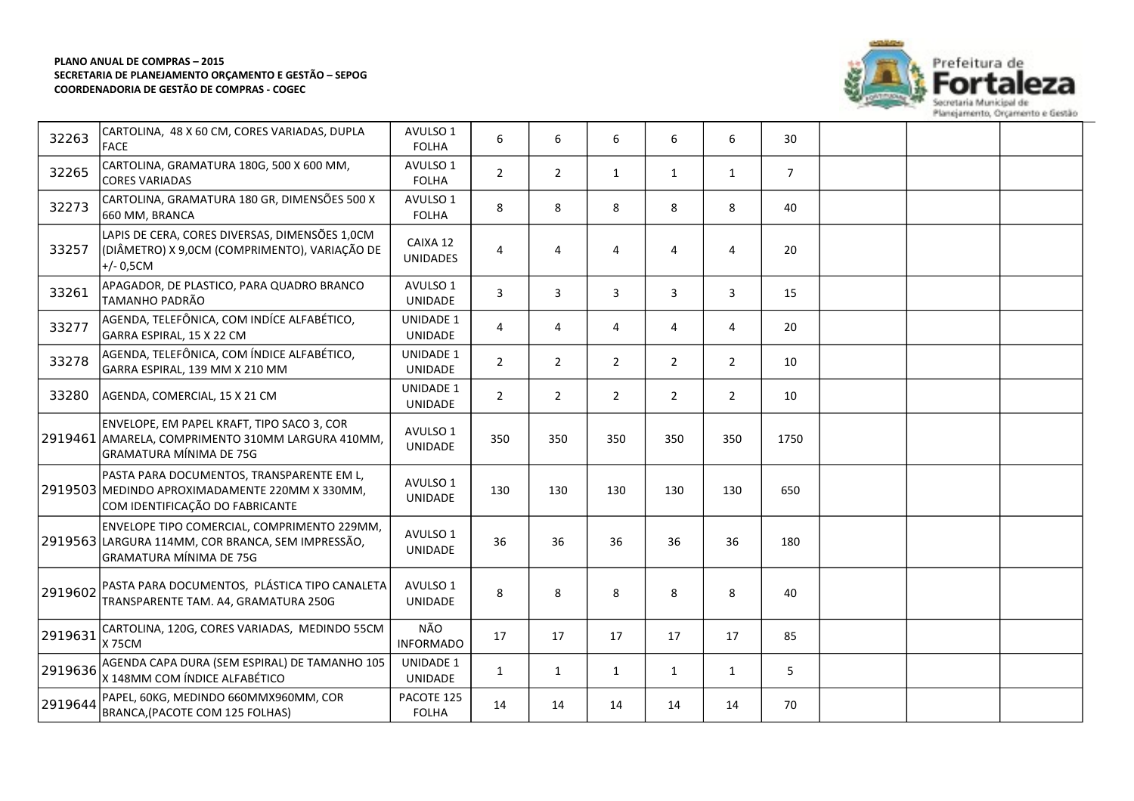

| 32263   | CARTOLINA, 48 X 60 CM, CORES VARIADAS, DUPLA<br><b>FACE</b>                                                                        | AVULSO 1<br><b>FOLHA</b>           | 6              | 6              | 6              | 6              | 6              | 30             |  |  |
|---------|------------------------------------------------------------------------------------------------------------------------------------|------------------------------------|----------------|----------------|----------------|----------------|----------------|----------------|--|--|
| 32265   | CARTOLINA, GRAMATURA 180G, 500 X 600 MM,<br><b>CORES VARIADAS</b>                                                                  | AVULSO 1<br><b>FOLHA</b>           | $\overline{2}$ | $\overline{2}$ | $\mathbf{1}$   | $\mathbf{1}$   | 1              | $\overline{7}$ |  |  |
| 32273   | CARTOLINA, GRAMATURA 180 GR, DIMENSÕES 500 X<br>660 MM, BRANCA                                                                     | AVULSO 1<br><b>FOLHA</b>           | 8              | 8              | 8              | 8              | 8              | 40             |  |  |
| 33257   | LAPIS DE CERA, CORES DIVERSAS, DIMENSÕES 1,0CM<br>(DIÂMETRO) X 9,0CM (COMPRIMENTO), VARIAÇÃO DE<br>$+/- 0,5CM$                     | CAIXA 12<br><b>UNIDADES</b>        | 4              | $\overline{4}$ | 4              | 4              | 4              | 20             |  |  |
| 33261   | APAGADOR, DE PLASTICO, PARA QUADRO BRANCO<br>TAMANHO PADRÃO                                                                        | AVULSO 1<br>UNIDADE                | 3              | $\overline{3}$ | 3              | 3              | 3              | 15             |  |  |
| 33277   | AGENDA, TELEFÔNICA, COM INDÍCE ALFABÉTICO,<br>GARRA ESPIRAL, 15 X 22 CM                                                            | <b>UNIDADE 1</b><br><b>UNIDADE</b> | 4              | 4              | 4              | 4              | 4              | 20             |  |  |
| 33278   | AGENDA, TELEFÔNICA, COM ÍNDICE ALFABÉTICO,<br>GARRA ESPIRAL, 139 MM X 210 MM                                                       | UNIDADE 1<br>UNIDADE               | $\overline{2}$ | $\overline{2}$ | $\overline{2}$ | $\overline{2}$ | $\overline{2}$ | 10             |  |  |
| 33280   | AGENDA, COMERCIAL, 15 X 21 CM                                                                                                      | <b>UNIDADE 1</b><br>UNIDADE        | $\overline{2}$ | $\overline{2}$ | $\overline{2}$ | $\overline{2}$ | $\overline{2}$ | 10             |  |  |
|         | ENVELOPE, EM PAPEL KRAFT, TIPO SACO 3, COR<br>2919461 AMARELA, COMPRIMENTO 310MM LARGURA 410MM,<br><b>GRAMATURA MÍNIMA DE 75G</b>  | AVULSO 1<br>UNIDADE                | 350            | 350            | 350            | 350            | 350            | 1750           |  |  |
|         | PASTA PARA DOCUMENTOS, TRANSPARENTE EM L,<br>2919503 MEDINDO APROXIMADAMENTE 220MM X 330MM,<br>COM IDENTIFICAÇÃO DO FABRICANTE     | AVULSO 1<br>UNIDADE                | 130            | 130            | 130            | 130            | 130            | 650            |  |  |
|         | ENVELOPE TIPO COMERCIAL, COMPRIMENTO 229MM,<br>2919563 LARGURA 114MM, COR BRANCA, SEM IMPRESSÃO,<br><b>GRAMATURA MÍNIMA DE 75G</b> | AVULSO 1<br><b>UNIDADE</b>         | 36             | 36             | 36             | 36             | 36             | 180            |  |  |
| 2919602 | PASTA PARA DOCUMENTOS, PLÁSTICA TIPO CANALETA<br>TRANSPARENTE TAM. A4, GRAMATURA 250G                                              | AVULSO 1<br>UNIDADE                | 8              | 8              | 8              | 8              | 8              | 40             |  |  |
| 2919631 | CARTOLINA, 120G, CORES VARIADAS, MEDINDO 55CM<br><b>X75CM</b>                                                                      | NÃO<br><b>INFORMADO</b>            | 17             | 17             | 17             | 17             | 17             | 85             |  |  |
| 2919636 | AGENDA CAPA DURA (SEM ESPIRAL) DE TAMANHO 105<br>X 148MM COM ÍNDICE ALFABÉTICO                                                     | UNIDADE 1<br><b>UNIDADE</b>        | $\mathbf{1}$   | 1              | $\mathbf{1}$   | $\mathbf{1}$   | $\mathbf{1}$   | 5              |  |  |
| 2919644 | PAPEL, 60KG, MEDINDO 660MMX960MM, COR<br>BRANCA, (PACOTE COM 125 FOLHAS)                                                           | PACOTE 125<br><b>FOLHA</b>         | 14             | 14             | 14             | 14             | 14             | 70             |  |  |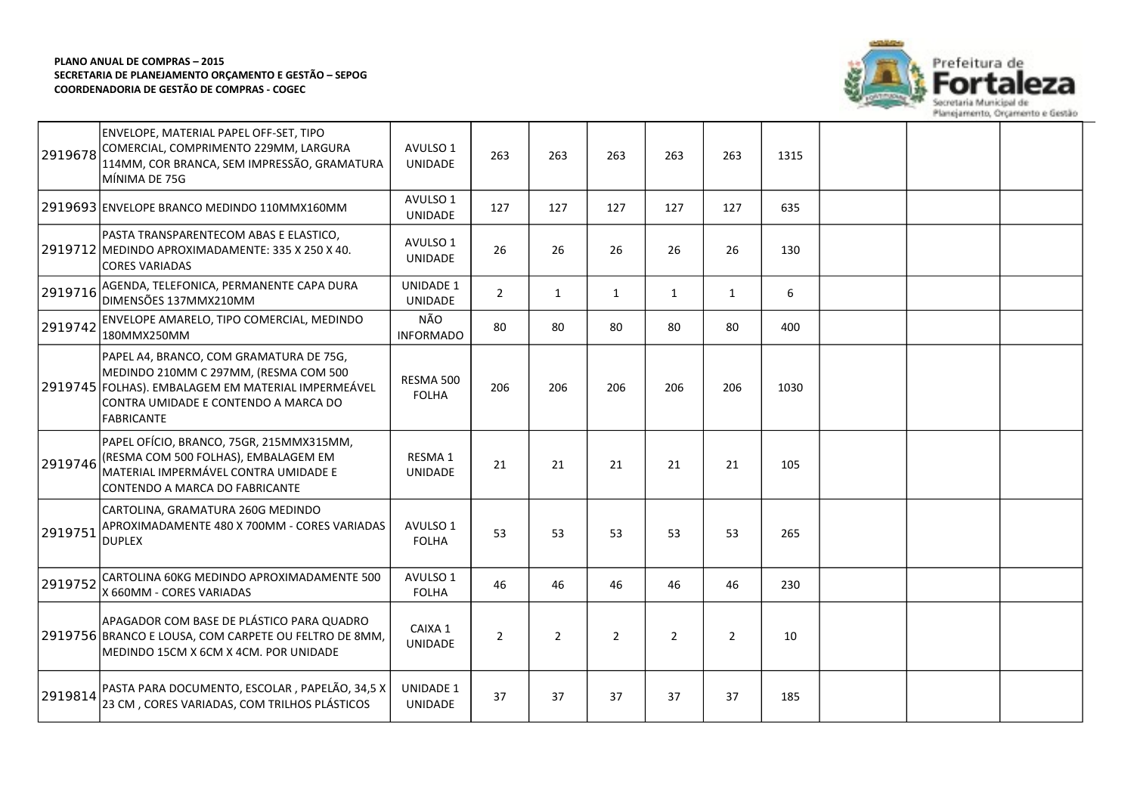

| 2919678 | ENVELOPE, MATERIAL PAPEL OFF-SET, TIPO<br>COMERCIAL, COMPRIMENTO 229MM, LARGURA<br>114MM, COR BRANCA, SEM IMPRESSÃO, GRAMATURA<br>lmínima de 75G                                                    | AVULSO 1<br>UNIDADE                | 263            | 263            | 263            | 263            | 263          | 1315 |  |  |
|---------|-----------------------------------------------------------------------------------------------------------------------------------------------------------------------------------------------------|------------------------------------|----------------|----------------|----------------|----------------|--------------|------|--|--|
|         | 2919693 ENVELOPE BRANCO MEDINDO 110MMX160MM                                                                                                                                                         | AVULSO 1<br>UNIDADE                | 127            | 127            | 127            | 127            | 127          | 635  |  |  |
|         | PASTA TRANSPARENTECOM ABAS E ELASTICO,<br>2919712 MEDINDO APROXIMADAMENTE: 335 X 250 X 40.<br>CORES VARIADAS                                                                                        | AVULSO 1<br><b>UNIDADE</b>         | 26             | 26             | 26             | 26             | 26           | 130  |  |  |
| 2919716 | AGENDA, TELEFONICA, PERMANENTE CAPA DURA<br>DIMENSÕES 137MMX210MM                                                                                                                                   | <b>UNIDADE 1</b><br><b>UNIDADE</b> | $2^{\circ}$    | 1              | $\mathbf{1}$   | $\mathbf{1}$   | $\mathbf{1}$ | 6    |  |  |
| 2919742 | ENVELOPE AMARELO, TIPO COMERCIAL, MEDINDO<br>180MMX250MM                                                                                                                                            | NÃO<br><b>INFORMADO</b>            | 80             | 80             | 80             | 80             | 80           | 400  |  |  |
|         | PAPEL A4, BRANCO, COM GRAMATURA DE 75G,<br>MEDINDO 210MM C 297MM, (RESMA COM 500<br>2919745 FOLHAS). EMBALAGEM EM MATERIAL IMPERMEÁVEL<br>CONTRA UMIDADE E CONTENDO A MARCA DO<br><b>FABRICANTE</b> | RESMA 500<br><b>FOLHA</b>          | 206            | 206            | 206            | 206            | 206          | 1030 |  |  |
| 2919746 | PAPEL OFÍCIO, BRANCO, 75GR, 215MMX315MM,<br>(RESMA COM 500 FOLHAS), EMBALAGEM EM<br> MATERIAL IMPERMÁVEL CONTRA UMIDADE E<br>CONTENDO A MARCA DO FABRICANTE                                         | RESMA 1<br><b>UNIDADE</b>          | 21             | 21             | 21             | 21             | 21           | 105  |  |  |
| 2919751 | CARTOLINA, GRAMATURA 260G MEDINDO<br>APROXIMADAMENTE 480 X 700MM - CORES VARIADAS<br><b>DUPLEX</b>                                                                                                  | AVULSO 1<br><b>FOLHA</b>           | 53             | 53             | 53             | 53             | 53           | 265  |  |  |
| 2919752 | CARTOLINA 60KG MEDINDO APROXIMADAMENTE 500<br>X 660MM - CORES VARIADAS                                                                                                                              | AVULSO 1<br><b>FOLHA</b>           | 46             | 46             | 46             | 46             | 46           | 230  |  |  |
|         | APAGADOR COM BASE DE PLÁSTICO PARA QUADRO<br>2919756 BRANCO E LOUSA, COM CARPETE OU FELTRO DE 8MM,<br>MEDINDO 15CM X 6CM X 4CM. POR UNIDADE                                                         | CAIXA 1<br><b>UNIDADE</b>          | $\overline{2}$ | $\overline{2}$ | $\overline{2}$ | $\overline{2}$ | 2            | 10   |  |  |
| 2919814 | PASTA PARA DOCUMENTO, ESCOLAR , PAPELÃO, 34,5 X<br>23 CM, CORES VARIADAS, COM TRILHOS PLÁSTICOS                                                                                                     | <b>UNIDADE 1</b><br>UNIDADE        | 37             | 37             | 37             | 37             | 37           | 185  |  |  |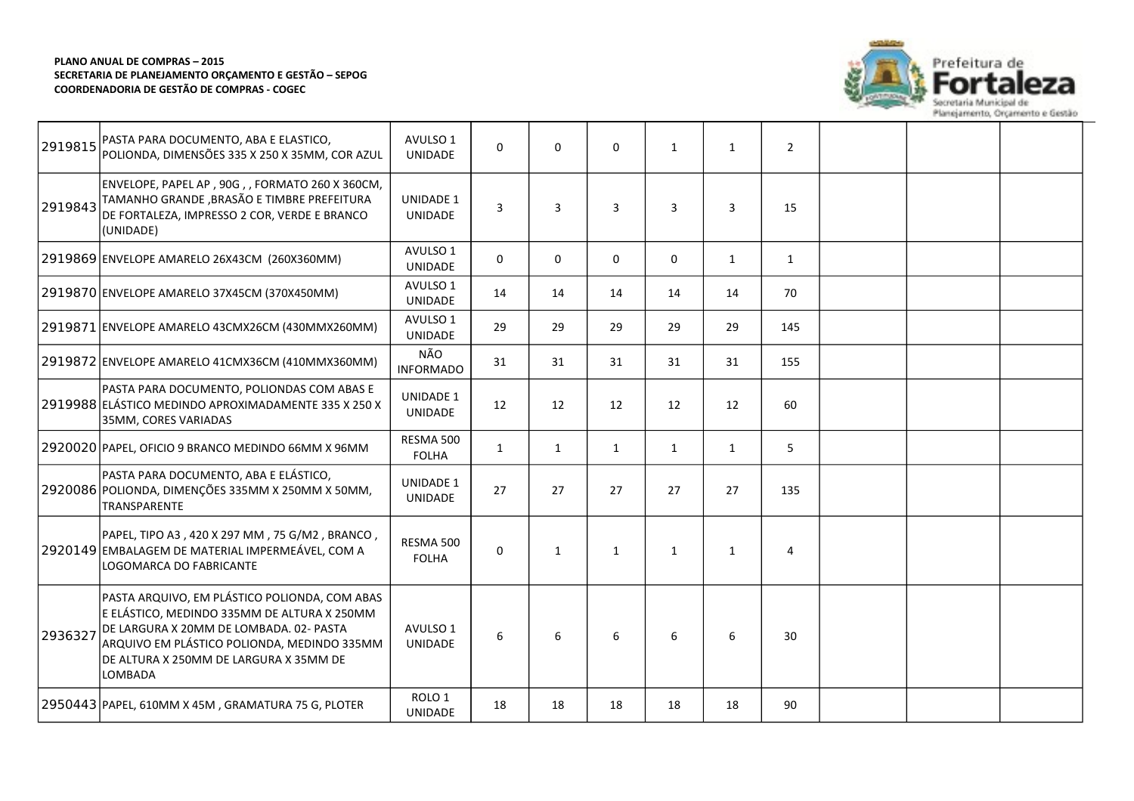

| 2919815 | PASTA PARA DOCUMENTO, ABA E ELASTICO,<br>POLIONDA, DIMENSÕES 335 X 250 X 35MM, COR AZUL                                                                                                                                                            | AVULSO 1<br><b>UNIDADE</b>         | $\Omega$     | $\Omega$ | $\mathbf 0$  | $\mathbf{1}$ | $\mathbf{1}$ | $\overline{2}$ |  |  |
|---------|----------------------------------------------------------------------------------------------------------------------------------------------------------------------------------------------------------------------------------------------------|------------------------------------|--------------|----------|--------------|--------------|--------------|----------------|--|--|
| 2919843 | ENVELOPE, PAPEL AP, 90G,, FORMATO 260 X 360CM,<br>TAMANHO GRANDE, BRASÃO E TIMBRE PREFEITURA<br>DE FORTALEZA, IMPRESSO 2 COR, VERDE E BRANCO<br>(UNIDADE)                                                                                          | UNIDADE 1<br><b>UNIDADE</b>        | 3            | 3        | 3            | 3            | 3            | 15             |  |  |
|         | 2919869 ENVELOPE AMARELO 26X43CM (260X360MM)                                                                                                                                                                                                       | AVULSO 1<br><b>UNIDADE</b>         | $\Omega$     | $\Omega$ | $\Omega$     | $\Omega$     | $\mathbf{1}$ | $\mathbf{1}$   |  |  |
|         | 2919870 ENVELOPE AMARELO 37X45CM (370X450MM)                                                                                                                                                                                                       | AVULSO 1<br><b>UNIDADE</b>         | 14           | 14       | 14           | 14           | 14           | 70             |  |  |
|         | 2919871 ENVELOPE AMARELO 43CMX26CM (430MMX260MM)                                                                                                                                                                                                   | AVULSO 1<br><b>UNIDADE</b>         | 29           | 29       | 29           | 29           | 29           | 145            |  |  |
|         | 2919872 ENVELOPE AMARELO 41CMX36CM (410MMX360MM)                                                                                                                                                                                                   | NÃO<br><b>INFORMADO</b>            | 31           | 31       | 31           | 31           | 31           | 155            |  |  |
|         | PASTA PARA DOCUMENTO, POLIONDAS COM ABAS E<br>2919988 ELÁSTICO MEDINDO APROXIMADAMENTE 335 X 250 X<br>35MM, CORES VARIADAS                                                                                                                         | <b>UNIDADE 1</b><br>UNIDADE        | 12           | 12       | 12           | 12           | 12           | 60             |  |  |
|         | 2920020 PAPEL, OFICIO 9 BRANCO MEDINDO 66MM X 96MM                                                                                                                                                                                                 | RESMA 500<br><b>FOLHA</b>          | $\mathbf{1}$ | 1        | $\mathbf{1}$ | 1            | $\mathbf{1}$ | 5              |  |  |
|         | PASTA PARA DOCUMENTO, ABA E ELÁSTICO,<br>2920086 POLIONDA, DIMENÇÕES 335MM X 250MM X 50MM,<br>TRANSPARENTE                                                                                                                                         | <b>UNIDADE 1</b><br><b>UNIDADE</b> | 27           | 27       | 27           | 27           | 27           | 135            |  |  |
|         | PAPEL, TIPO A3, 420 X 297 MM, 75 G/M2, BRANCO,<br>2920149 EMBALAGEM DE MATERIAL IMPERMEÁVEL, COM A<br>LOGOMARCA DO FABRICANTE                                                                                                                      | RESMA 500<br><b>FOLHA</b>          | $\Omega$     | 1        | $\mathbf{1}$ | $\mathbf{1}$ | $\mathbf{1}$ | 4              |  |  |
| 2936327 | PASTA ARQUIVO, EM PLÁSTICO POLIONDA, COM ABAS<br>E ELÁSTICO, MEDINDO 335MM DE ALTURA X 250MM<br>DE LARGURA X 20MM DE LOMBADA. 02- PASTA<br>ARQUIVO EM PLÁSTICO POLIONDA, MEDINDO 335MM<br>DE ALTURA X 250MM DE LARGURA X 35MM DE<br><b>LOMBADA</b> | AVULSO 1<br><b>UNIDADE</b>         | 6            | 6        | 6            | 6            | 6            | 30             |  |  |
|         | 2950443 PAPEL, 610MM X 45M, GRAMATURA 75 G, PLOTER                                                                                                                                                                                                 | ROLO <sub>1</sub><br>UNIDADE       | 18           | 18       | 18           | 18           | 18           | 90             |  |  |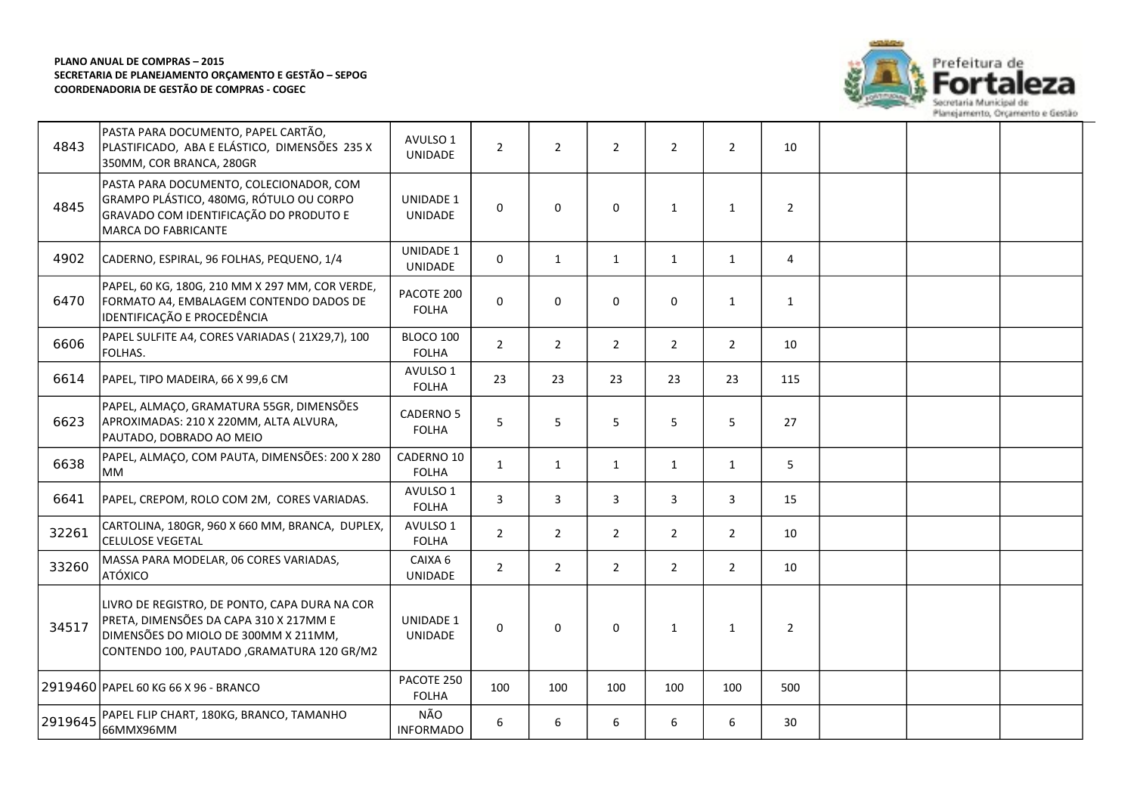

| 4843    | PASTA PARA DOCUMENTO, PAPEL CARTÃO,<br>PLASTIFICADO, ABA E ELÁSTICO, DIMENSÕES 235 X<br>350MM, COR BRANCA, 280GR                                                              | AVULSO 1<br><b>UNIDADE</b>         | $\overline{2}$ | $\overline{2}$ | $\overline{2}$ | $\overline{2}$ | 2              | 10             |  |  |
|---------|-------------------------------------------------------------------------------------------------------------------------------------------------------------------------------|------------------------------------|----------------|----------------|----------------|----------------|----------------|----------------|--|--|
| 4845    | PASTA PARA DOCUMENTO, COLECIONADOR, COM<br>GRAMPO PLÁSTICO, 480MG, RÓTULO OU CORPO<br>GRAVADO COM IDENTIFICAÇÃO DO PRODUTO E<br>MARCA DO FABRICANTE                           | <b>UNIDADE 1</b><br><b>UNIDADE</b> | $\Omega$       | $\mathbf{0}$   | $\Omega$       | 1              | $\mathbf{1}$   | $\overline{2}$ |  |  |
| 4902    | CADERNO, ESPIRAL, 96 FOLHAS, PEQUENO, 1/4                                                                                                                                     | <b>UNIDADE 1</b><br>UNIDADE        | $\Omega$       | 1              | $\mathbf{1}$   | $\mathbf{1}$   | $\mathbf{1}$   | 4              |  |  |
| 6470    | PAPEL, 60 KG, 180G, 210 MM X 297 MM, COR VERDE,<br>FORMATO A4, EMBALAGEM CONTENDO DADOS DE<br>IDENTIFICAÇÃO E PROCEDÊNCIA                                                     | PACOTE 200<br><b>FOLHA</b>         | 0              | $\mathbf 0$    | $\mathbf 0$    | 0              | $\mathbf{1}$   | $\mathbf{1}$   |  |  |
| 6606    | PAPEL SULFITE A4, CORES VARIADAS (21X29,7), 100<br>FOLHAS.                                                                                                                    | BLOCO 100<br><b>FOLHA</b>          | $\overline{2}$ | $\overline{2}$ | $\overline{2}$ | $\overline{2}$ | $\overline{2}$ | 10             |  |  |
| 6614    | PAPEL, TIPO MADEIRA, 66 X 99,6 CM                                                                                                                                             | AVULSO 1<br><b>FOLHA</b>           | 23             | 23             | 23             | 23             | 23             | 115            |  |  |
| 6623    | PAPEL, ALMAÇO, GRAMATURA 55GR, DIMENSÕES<br>APROXIMADAS: 210 X 220MM, ALTA ALVURA,<br>PAUTADO, DOBRADO AO MEIO                                                                | CADERNO 5<br><b>FOLHA</b>          | 5              | 5              | 5              | 5              | 5              | 27             |  |  |
| 6638    | PAPEL, ALMAÇO, COM PAUTA, DIMENSÕES: 200 X 280<br><b>IMM</b>                                                                                                                  | CADERNO 10<br><b>FOLHA</b>         | $\mathbf{1}$   | $\mathbf{1}$   | $\mathbf{1}$   | $\mathbf{1}$   | $\mathbf{1}$   | 5              |  |  |
| 6641    | PAPEL, CREPOM, ROLO COM 2M, CORES VARIADAS.                                                                                                                                   | AVULSO 1<br><b>FOLHA</b>           | 3              | 3              | 3              | 3              | 3              | 15             |  |  |
| 32261   | CARTOLINA, 180GR, 960 X 660 MM, BRANCA, DUPLEX,<br><b>CELULOSE VEGETAL</b>                                                                                                    | AVULSO 1<br><b>FOLHA</b>           | $\overline{2}$ | $\overline{2}$ | $\overline{2}$ | $\overline{2}$ | $\overline{2}$ | 10             |  |  |
| 33260   | MASSA PARA MODELAR, 06 CORES VARIADAS,<br>ATÓXICO                                                                                                                             | CAIXA 6<br><b>UNIDADE</b>          | $\overline{2}$ | $2^{\circ}$    | $\overline{2}$ | $\overline{2}$ | $\overline{2}$ | 10             |  |  |
| 34517   | LIVRO DE REGISTRO, DE PONTO, CAPA DURA NA COR<br>PRETA, DIMENSÕES DA CAPA 310 X 217MM E<br>DIMENSÕES DO MIOLO DE 300MM X 211MM,<br>CONTENDO 100, PAUTADO ,GRAMATURA 120 GR/M2 | <b>UNIDADE 1</b><br>UNIDADE        | $\Omega$       | $\mathbf{0}$   | $\mathbf 0$    | 1              | $\mathbf{1}$   | $\overline{2}$ |  |  |
|         | 2919460 PAPEL 60 KG 66 X 96 - BRANCO                                                                                                                                          | PACOTE 250<br><b>FOLHA</b>         | 100            | 100            | 100            | 100            | 100            | 500            |  |  |
| 2919645 | PAPEL FLIP CHART, 180KG, BRANCO, TAMANHO<br> 66ММХ96ММ                                                                                                                        | NÃO<br><b>INFORMADO</b>            | 6              | 6              | 6              | 6              | 6              | 30             |  |  |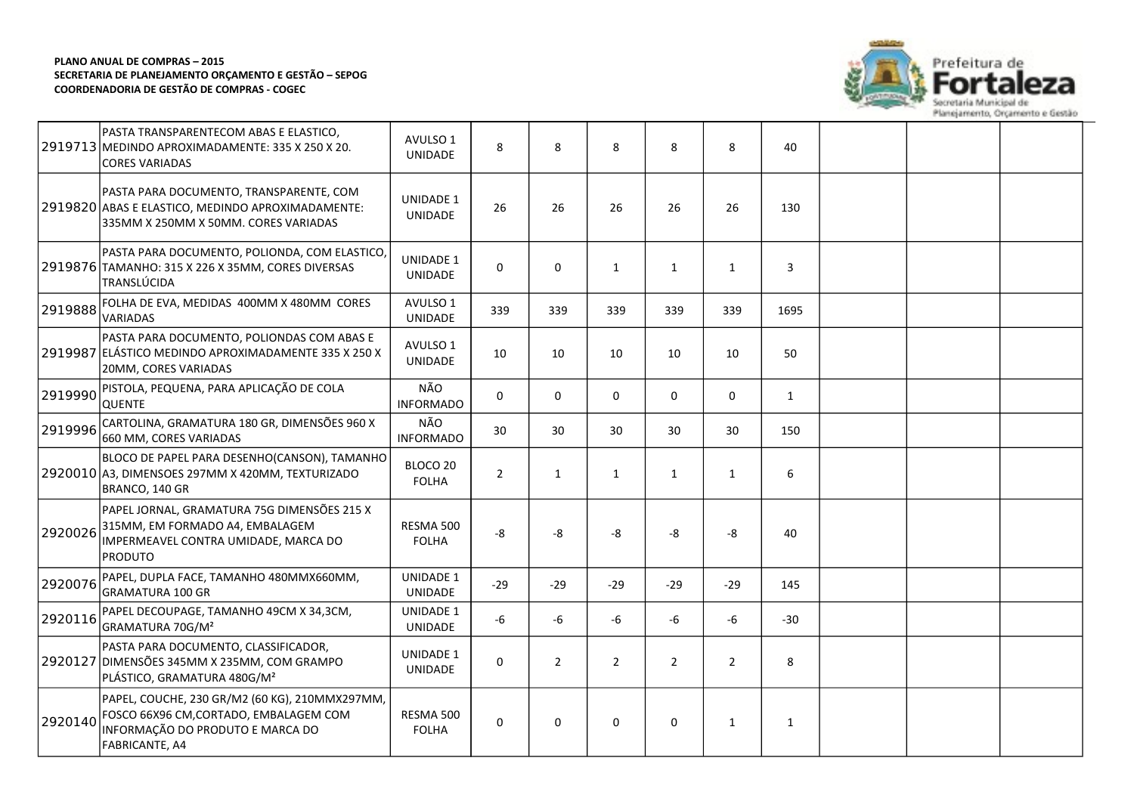

|         | PASTA TRANSPARENTECOM ABAS E ELASTICO,<br>2919713 MEDINDO APROXIMADAMENTE: 335 X 250 X 20.<br><b>CORES VARIADAS</b>                            | AVULSO 1<br><b>UNIDADE</b>         | 8              | 8              | 8              | 8              | 8              | 40           |  |  |
|---------|------------------------------------------------------------------------------------------------------------------------------------------------|------------------------------------|----------------|----------------|----------------|----------------|----------------|--------------|--|--|
|         | PASTA PARA DOCUMENTO, TRANSPARENTE, COM<br>2919820 ABAS E ELASTICO, MEDINDO APROXIMADAMENTE:<br>335MM X 250MM X 50MM. CORES VARIADAS           | UNIDADE 1<br><b>UNIDADE</b>        | 26             | 26             | 26             | 26             | 26             | 130          |  |  |
|         | PASTA PARA DOCUMENTO, POLIONDA, COM ELASTICO,<br>2919876 TAMANHO: 315 X 226 X 35MM, CORES DIVERSAS<br>TRANSLÚCIDA                              | UNIDADE 1<br>UNIDADE               | 0              | $\mathbf{0}$   | $\mathbf{1}$   | $\mathbf{1}$   | $\mathbf{1}$   | 3            |  |  |
| 2919888 | FOLHA DE EVA, MEDIDAS 400MM X 480MM CORES<br>VARIADAS                                                                                          | AVULSO 1<br><b>UNIDADE</b>         | 339            | 339            | 339            | 339            | 339            | 1695         |  |  |
|         | PASTA PARA DOCUMENTO, POLIONDAS COM ABAS E<br>2919987 ELÁSTICO MEDINDO APROXIMADAMENTE 335 X 250 X<br>20MM, CORES VARIADAS                     | AVULSO 1<br><b>UNIDADE</b>         | 10             | 10             | 10             | 10             | 10             | 50           |  |  |
| 2919990 | PISTOLA, PEQUENA, PARA APLICAÇÃO DE COLA<br>QUENTE                                                                                             | NÃO<br><b>INFORMADO</b>            | 0              | $\mathbf 0$    | 0              | $\mathbf 0$    | $\mathbf 0$    | $\mathbf{1}$ |  |  |
| 2919996 | CARTOLINA, GRAMATURA 180 GR, DIMENSÕES 960 X<br>660 MM, CORES VARIADAS                                                                         | NÃO<br><b>INFORMADO</b>            | 30             | 30             | 30             | 30             | 30             | 150          |  |  |
|         | BLOCO DE PAPEL PARA DESENHO(CANSON), TAMANHO<br>2920010 A3, DIMENSOES 297MM X 420MM, TEXTURIZADO<br>BRANCO, 140 GR                             | BLOCO 20<br><b>FOLHA</b>           | $\overline{2}$ | 1              | $\mathbf{1}$   | $\mathbf{1}$   | $\mathbf{1}$   | 6            |  |  |
| 2920026 | PAPEL JORNAL, GRAMATURA 75G DIMENSÕES 215 X<br>315MM, EM FORMADO A4, EMBALAGEM<br>IMPERMEAVEL CONTRA UMIDADE, MARCA DO<br><b>PRODUTO</b>       | RESMA 500<br><b>FOLHA</b>          | -8             | -8             | -8             | -8             | -8             | 40           |  |  |
| 2920076 | PAPEL, DUPLA FACE, TAMANHO 480MMX660MM,<br><b>GRAMATURA 100 GR</b>                                                                             | <b>UNIDADE 1</b><br><b>UNIDADE</b> | -29            | $-29$          | $-29$          | $-29$          | $-29$          | 145          |  |  |
| 2920116 | PAPEL DECOUPAGE, TAMANHO 49CM X 34,3CM,<br>GRAMATURA 70G/M <sup>2</sup>                                                                        | <b>UNIDADE 1</b><br><b>UNIDADE</b> | -6             | $-6$           | $-6$           | -6             | -6             | $-30$        |  |  |
| 2920127 | PASTA PARA DOCUMENTO, CLASSIFICADOR,<br>DIMENSÕES 345MM X 235MM, COM GRAMPO<br>PLÁSTICO, GRAMATURA 480G/M <sup>2</sup>                         | <b>UNIDADE 1</b><br>UNIDADE        | $\mathbf 0$    | $\overline{2}$ | $\overline{2}$ | $\overline{2}$ | $\overline{2}$ | 8            |  |  |
| 2920140 | PAPEL, COUCHE, 230 GR/M2 (60 KG), 210MMX297MM,<br>FOSCO 66X96 CM, CORTADO, EMBALAGEM COM<br>INFORMAÇÃO DO PRODUTO E MARCA DO<br>FABRICANTE, A4 | RESMA 500<br><b>FOLHA</b>          | 0              | $\mathbf 0$    | $\mathbf 0$    | 0              | $\mathbf{1}$   | 1            |  |  |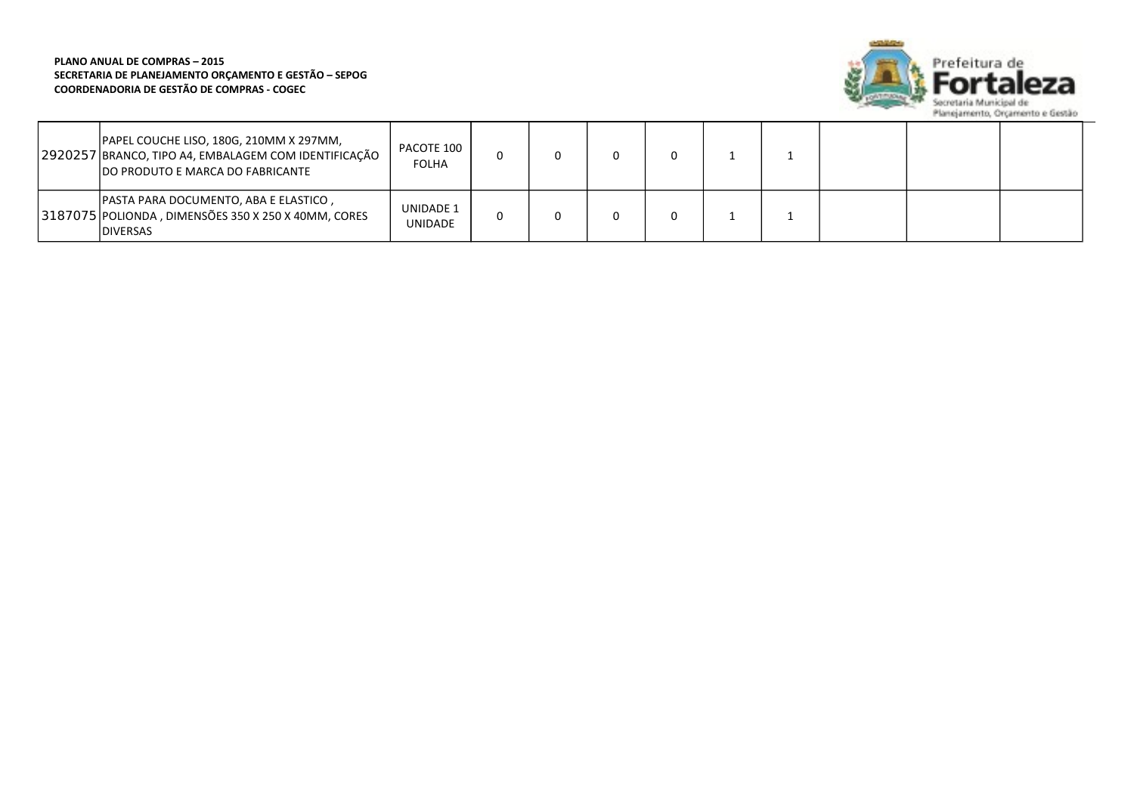

| PAPEL COUCHE LISO, 180G, 210MM X 297MM,<br>2920257 BRANCO, TIPO A4, EMBALAGEM COM IDENTIFICAÇÃO<br><b>DO PRODUTO E MARCA DO FABRICANTE</b> | PACOTE 100<br><b>FOLHA</b>         |  |  |  |  |  |
|--------------------------------------------------------------------------------------------------------------------------------------------|------------------------------------|--|--|--|--|--|
| PASTA PARA DOCUMENTO, ABA E ELASTICO,<br>3187075 POLIONDA, DIMENSÕES 350 X 250 X 40MM, CORES<br><b>IDIVERSAS</b>                           | <b>UNIDADE 1</b><br><b>UNIDADE</b> |  |  |  |  |  |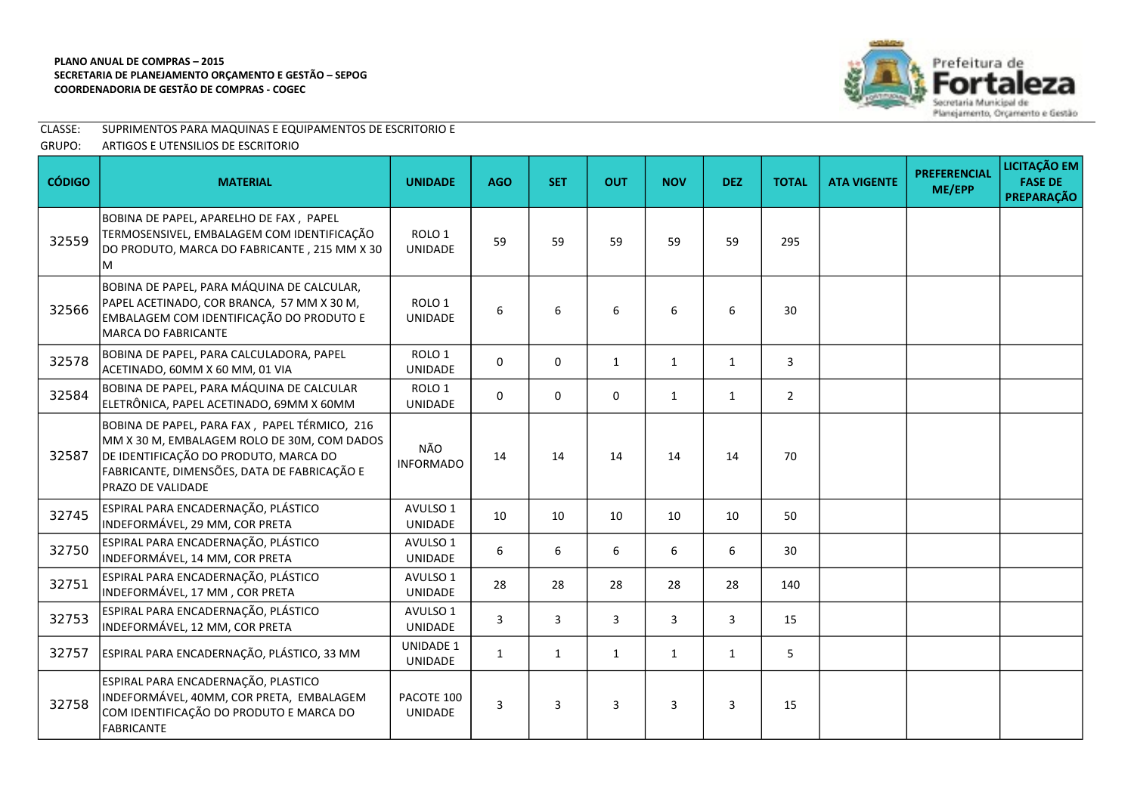

# CLASSE: SUPRIMENTOS PARA MAQUINAS E EQUIPAMENTOS DE ESCRITORIO E

GRUPO: ARTIGOS E UTENSILIOS DE ESCRITORIO

| <b>CÓDIGO</b> | <b>MATERIAL</b>                                                                                                                                                                                           | <b>UNIDADE</b>                      | <b>AGO</b>   | <b>SET</b>   | <b>OUT</b>   | <b>NOV</b>   | <b>DEZ</b>     | <b>TOTAL</b>   | <b>ATA VIGENTE</b> | <b>PREFERENCIAL</b><br>ME/EPP | LICITAÇÃO EM<br><b>FASE DE</b><br><b>PREPARAÇÃO</b> |
|---------------|-----------------------------------------------------------------------------------------------------------------------------------------------------------------------------------------------------------|-------------------------------------|--------------|--------------|--------------|--------------|----------------|----------------|--------------------|-------------------------------|-----------------------------------------------------|
| 32559         | BOBINA DE PAPEL, APARELHO DE FAX, PAPEL<br>TERMOSENSIVEL, EMBALAGEM COM IDENTIFICAÇÃO<br>DO PRODUTO, MARCA DO FABRICANTE, 215 MM X 30<br>м                                                                | ROLO <sub>1</sub><br>UNIDADE        | 59           | 59           | 59           | 59           | 59             | 295            |                    |                               |                                                     |
| 32566         | BOBINA DE PAPEL, PARA MÁQUINA DE CALCULAR,<br>PAPEL ACETINADO, COR BRANCA, 57 MM X 30 M,<br>EMBALAGEM COM IDENTIFICAÇÃO DO PRODUTO E<br><b>MARCA DO FABRICANTE</b>                                        | ROLO <sub>1</sub><br><b>UNIDADE</b> | 6            | 6            | 6            | 6            | 6              | 30             |                    |                               |                                                     |
| 32578         | BOBINA DE PAPEL, PARA CALCULADORA, PAPEL<br>ACETINADO, 60MM X 60 MM, 01 VIA                                                                                                                               | ROLO 1<br>UNIDADE                   | 0            | 0            | $\mathbf{1}$ | $\mathbf{1}$ | $\mathbf{1}$   | 3              |                    |                               |                                                     |
| 32584         | BOBINA DE PAPEL, PARA MÁQUINA DE CALCULAR<br>ELETRÔNICA, PAPEL ACETINADO, 69MM X 60MM                                                                                                                     | ROLO <sub>1</sub><br><b>UNIDADE</b> | 0            | 0            | 0            | $\mathbf{1}$ | $\mathbf{1}$   | $\overline{2}$ |                    |                               |                                                     |
| 32587         | BOBINA DE PAPEL, PARA FAX, PAPEL TÉRMICO, 216<br>MM X 30 M, EMBALAGEM ROLO DE 30M, COM DADOS<br>DE IDENTIFICAÇÃO DO PRODUTO, MARCA DO<br>FABRICANTE, DIMENSÕES, DATA DE FABRICAÇÃO E<br>PRAZO DE VALIDADE | NÃO<br><b>INFORMADO</b>             | 14           | 14           | 14           | 14           | 14             | 70             |                    |                               |                                                     |
| 32745         | ESPIRAL PARA ENCADERNAÇÃO, PLÁSTICO<br>INDEFORMÁVEL, 29 MM, COR PRETA                                                                                                                                     | AVULSO 1<br>UNIDADE                 | 10           | 10           | 10           | 10           | 10             | 50             |                    |                               |                                                     |
| 32750         | ESPIRAL PARA ENCADERNAÇÃO, PLÁSTICO<br>INDEFORMÁVEL, 14 MM, COR PRETA                                                                                                                                     | AVULSO 1<br>UNIDADE                 | 6            | 6            | 6            | 6            | 6              | 30             |                    |                               |                                                     |
| 32751         | ESPIRAL PARA ENCADERNAÇÃO, PLÁSTICO<br>INDEFORMÁVEL, 17 MM, COR PRETA                                                                                                                                     | AVULSO 1<br><b>UNIDADE</b>          | 28           | 28           | 28           | 28           | 28             | 140            |                    |                               |                                                     |
| 32753         | ESPIRAL PARA ENCADERNAÇÃO, PLÁSTICO<br>INDEFORMÁVEL, 12 MM, COR PRETA                                                                                                                                     | AVULSO 1<br><b>UNIDADE</b>          | 3            | 3            | 3            | 3            | $\overline{3}$ | 15             |                    |                               |                                                     |
| 32757         | ESPIRAL PARA ENCADERNAÇÃO, PLÁSTICO, 33 MM                                                                                                                                                                | <b>UNIDADE 1</b><br>UNIDADE         | $\mathbf{1}$ | $\mathbf{1}$ | $\mathbf{1}$ | $\mathbf{1}$ | $\mathbf{1}$   | 5              |                    |                               |                                                     |
| 32758         | ESPIRAL PARA ENCADERNAÇÃO, PLASTICO<br>INDEFORMÁVEL, 40MM, COR PRETA, EMBALAGEM<br>COM IDENTIFICAÇÃO DO PRODUTO E MARCA DO<br><b>FABRICANTE</b>                                                           | PACOTE 100<br>UNIDADE               | 3            | 3            | 3            | 3            | 3              | 15             |                    |                               |                                                     |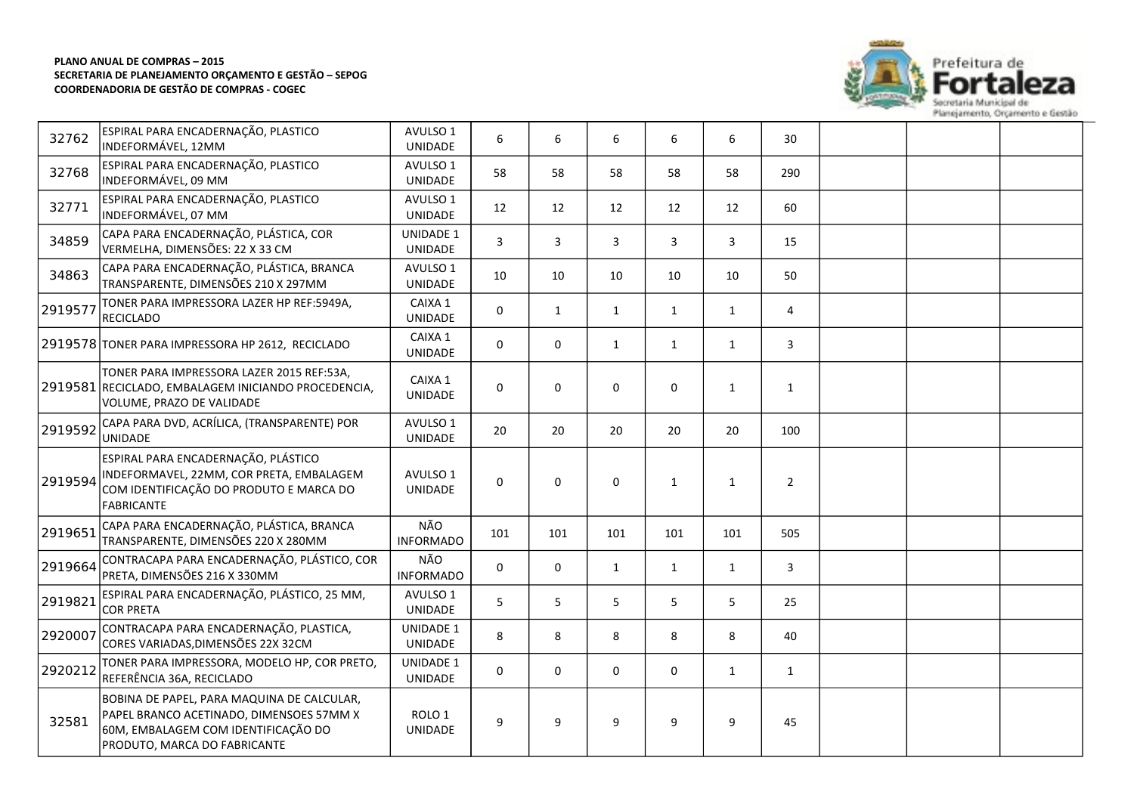

| 32762   | ESPIRAL PARA ENCADERNAÇÃO, PLASTICO<br>INDEFORMÁVEL, 12MM                                                                                                     | AVULSO 1<br><b>UNIDADE</b>          | 6           | 6            | 6            | 6            | 6            | 30             |  |  |
|---------|---------------------------------------------------------------------------------------------------------------------------------------------------------------|-------------------------------------|-------------|--------------|--------------|--------------|--------------|----------------|--|--|
| 32768   | ESPIRAL PARA ENCADERNAÇÃO, PLASTICO<br>INDEFORMÁVEL, 09 MM                                                                                                    | AVULSO 1<br>UNIDADE                 | 58          | 58           | 58           | 58           | 58           | 290            |  |  |
| 32771   | ESPIRAL PARA ENCADERNAÇÃO, PLASTICO<br>INDEFORMÁVEL, 07 MM                                                                                                    | AVULSO 1<br><b>UNIDADE</b>          | 12          | 12           | 12           | 12           | 12           | 60             |  |  |
| 34859   | CAPA PARA ENCADERNAÇÃO, PLÁSTICA, COR<br>VERMELHA, DIMENSÕES: 22 X 33 CM                                                                                      | UNIDADE 1<br>UNIDADE                | 3           | 3            | 3            | 3            | 3            | 15             |  |  |
| 34863   | CAPA PARA ENCADERNAÇÃO, PLÁSTICA, BRANCA<br>TRANSPARENTE, DIMENSÕES 210 X 297MM                                                                               | AVULSO 1<br>UNIDADE                 | 10          | 10           | 10           | 10           | 10           | 50             |  |  |
| 2919577 | TONER PARA IMPRESSORA LAZER HP REF:5949A,<br><b>RECICLADO</b>                                                                                                 | CAIXA 1<br><b>UNIDADE</b>           | $\mathbf 0$ | $\mathbf{1}$ | $\mathbf{1}$ | $\mathbf{1}$ | $\mathbf{1}$ | 4              |  |  |
|         | 2919578 TONER PARA IMPRESSORA HP 2612, RECICLADO                                                                                                              | CAIXA 1<br>UNIDADE                  | 0           | $\mathbf 0$  | $\mathbf{1}$ | 1            | $\mathbf{1}$ | 3              |  |  |
|         | TONER PARA IMPRESSORA LAZER 2015 REF:53A,<br>2919581 RECICLADO, EMBALAGEM INICIANDO PROCEDENCIA,<br>VOLUME, PRAZO DE VALIDADE                                 | CAIXA 1<br>UNIDADE                  | 0           | $\mathbf 0$  | 0            | 0            | $\mathbf{1}$ | $\mathbf{1}$   |  |  |
| 2919592 | CAPA PARA DVD, ACRÍLICA, (TRANSPARENTE) POR<br><b>UNIDADE</b>                                                                                                 | AVULSO 1<br>UNIDADE                 | 20          | 20           | 20           | 20           | 20           | 100            |  |  |
| 2919594 | ESPIRAL PARA ENCADERNAÇÃO, PLÁSTICO<br>INDEFORMAVEL, 22MM, COR PRETA, EMBALAGEM<br>COM IDENTIFICAÇÃO DO PRODUTO E MARCA DO<br>FABRICANTE                      | AVULSO 1<br>UNIDADE                 | $\Omega$    | $\mathbf 0$  | $\mathbf 0$  | $\mathbf{1}$ | $\mathbf{1}$ | $\overline{2}$ |  |  |
| 2919651 | CAPA PARA ENCADERNAÇÃO, PLÁSTICA, BRANCA<br>TRANSPARENTE, DIMENSÕES 220 X 280MM                                                                               | NÃO<br><b>INFORMADO</b>             | 101         | 101          | 101          | 101          | 101          | 505            |  |  |
| 2919664 | CONTRACAPA PARA ENCADERNAÇÃO, PLÁSTICO, COR<br>PRETA, DIMENSÕES 216 X 330MM                                                                                   | NÃO<br><b>INFORMADO</b>             | $\Omega$    | $\mathbf 0$  | $\mathbf{1}$ | 1            | $\mathbf{1}$ | $\mathbf{3}$   |  |  |
| 2919821 | ESPIRAL PARA ENCADERNAÇÃO, PLÁSTICO, 25 MM,<br><b>COR PRETA</b>                                                                                               | AVULSO 1<br>UNIDADE                 | 5           | 5            | 5            | 5            | 5            | 25             |  |  |
| 2920007 | CONTRACAPA PARA ENCADERNAÇÃO, PLASTICA,<br>CORES VARIADAS, DIMENSÕES 22X 32CM                                                                                 | UNIDADE 1<br>UNIDADE                | 8           | 8            | 8            | 8            | 8            | 40             |  |  |
| 2920212 | TONER PARA IMPRESSORA, MODELO HP, COR PRETO,<br>REFERÊNCIA 36A, RECICLADO                                                                                     | UNIDADE 1<br>UNIDADE                | 0           | $\mathbf 0$  | 0            | $\mathbf 0$  | $\mathbf{1}$ | $\mathbf{1}$   |  |  |
| 32581   | BOBINA DE PAPEL, PARA MAQUINA DE CALCULAR,<br>PAPEL BRANCO ACETINADO, DIMENSOES 57MM X<br>60M, EMBALAGEM COM IDENTIFICAÇÃO DO<br>PRODUTO, MARCA DO FABRICANTE | ROLO <sub>1</sub><br><b>UNIDADE</b> | 9           | 9            | 9            | 9            | 9            | 45             |  |  |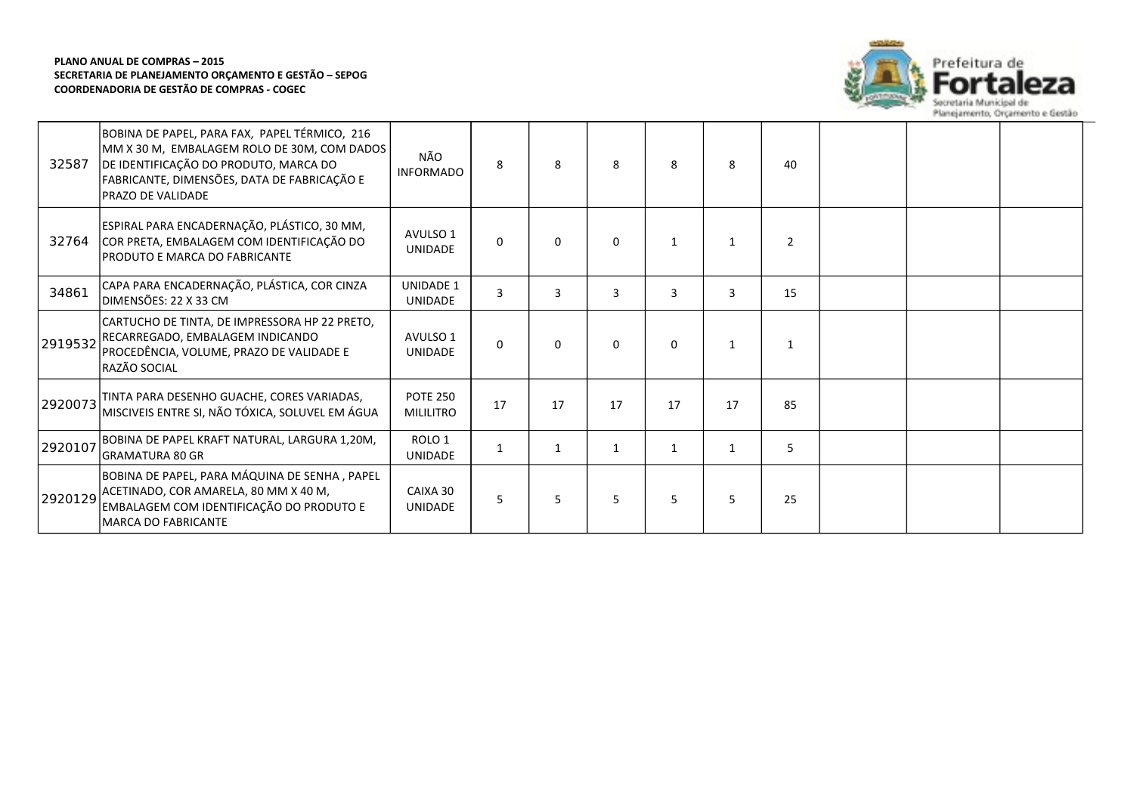

| 32587   | BOBINA DE PAPEL, PARA FAX, PAPEL TÉRMICO, 216<br>MM X 30 M, EMBALAGEM ROLO DE 30M, COM DADOS<br>DE IDENTIFICAÇÃO DO PRODUTO, MARCA DO<br>FABRICANTE, DIMENSÕES, DATA DE FABRICAÇÃO E<br>PRAZO DE VALIDADE | NÃO<br><b>INFORMADO</b>             | 8        | 8            | 8            | 8            | 8            | 40             |  |  |
|---------|-----------------------------------------------------------------------------------------------------------------------------------------------------------------------------------------------------------|-------------------------------------|----------|--------------|--------------|--------------|--------------|----------------|--|--|
| 32764   | ESPIRAL PARA ENCADERNAÇÃO, PLÁSTICO, 30 MM,<br>COR PRETA, EMBALAGEM COM IDENTIFICAÇÃO DO<br>PRODUTO E MARCA DO FABRICANTE                                                                                 | AVULSO 1<br><b>UNIDADE</b>          | 0        | $\mathbf{0}$ | 0            | 1            | 1            | $\overline{2}$ |  |  |
| 34861   | CAPA PARA ENCADERNAÇÃO, PLÁSTICA, COR CINZA<br>DIMENSÕES: 22 X 33 CM                                                                                                                                      | <b>UNIDADE 1</b><br><b>UNIDADE</b>  | 3        | 3            | 3            | 3            | 3            | 15             |  |  |
| 2919532 | CARTUCHO DE TINTA, DE IMPRESSORA HP 22 PRETO,<br>RECARREGADO, EMBALAGEM INDICANDO<br>PROCEDÊNCIA, VOLUME, PRAZO DE VALIDADE E<br>RAZÃO SOCIAL                                                             | AVULSO 1<br><b>UNIDADE</b>          | $\Omega$ | 0            | $\mathbf{0}$ | $\Omega$     | $\mathbf 1$  |                |  |  |
| 2920073 | TINTA PARA DESENHO GUACHE, CORES VARIADAS,<br>MISCIVEIS ENTRE SI, NÃO TÓXICA, SOLUVEL EM ÁGUA                                                                                                             | <b>POTE 250</b><br><b>MILILITRO</b> | 17       | 17           | 17           | 17           | 17           | 85             |  |  |
| 2920107 | BOBINA DE PAPEL KRAFT NATURAL, LARGURA 1,20M,<br><b>GRAMATURA 80 GR</b>                                                                                                                                   | ROLO <sub>1</sub><br>UNIDADE        | 1        |              |              | $\mathbf{1}$ | $\mathbf{1}$ | 5              |  |  |
| 2920129 | BOBINA DE PAPEL, PARA MÁQUINA DE SENHA, PAPEL<br>ACETINADO, COR AMARELA, 80 MM X 40 M,<br>EMBALAGEM COM IDENTIFICAÇÃO DO PRODUTO E<br><b>MARCA DO FABRICANTE</b>                                          | CAIXA 30<br><b>UNIDADE</b>          | 5        | 5            | 5            | 5            | 5            | 25             |  |  |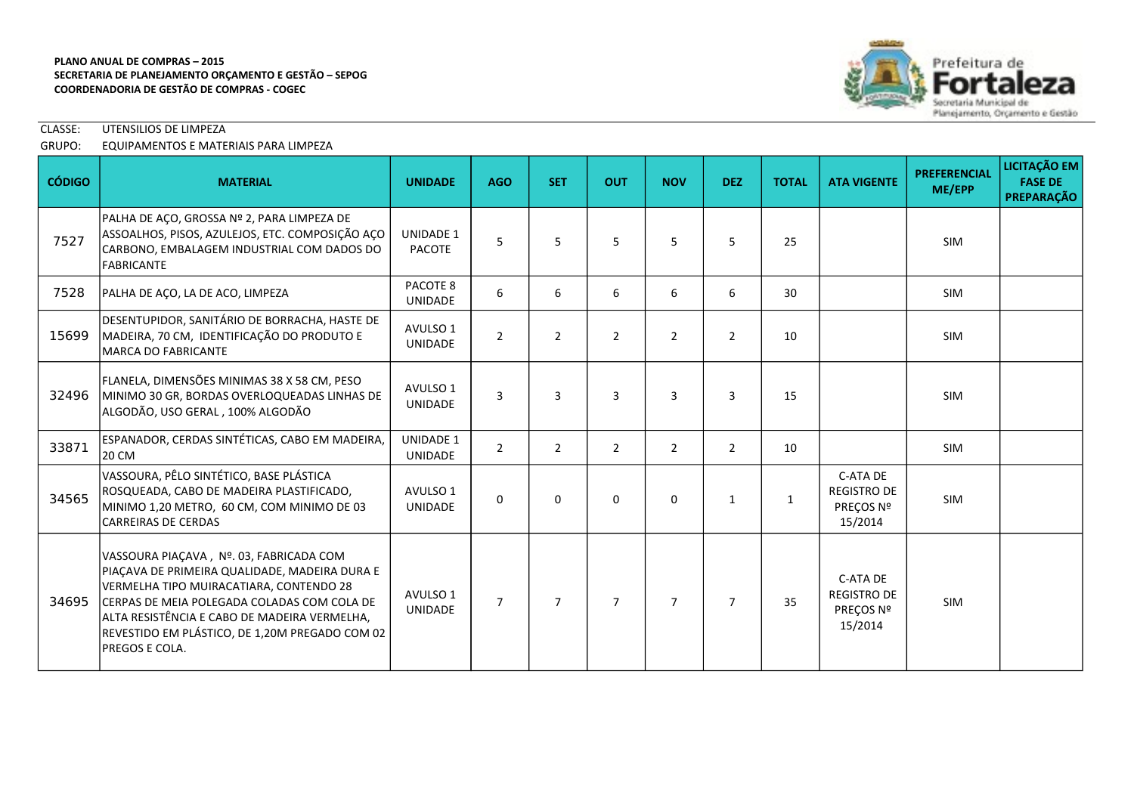

CLASSE: UTENSILIOS DE LIMPEZA

# GRUPO: EQUIPAMENTOS E MATERIAIS PARA LIMPEZA

| <b>CÓDIGO</b> | <b>MATERIAL</b>                                                                                                                                                                                                                                                                                               | <b>UNIDADE</b>                     | <b>AGO</b>     | <b>SET</b>     | <b>OUT</b>     | <b>NOV</b>     | <b>DEZ</b>     | <b>TOTAL</b> | <b>ATA VIGENTE</b>                                     | <b>PREFERENCIAL</b><br>ME/EPP | LICITAÇÃO EM<br><b>FASE DE</b><br>PREPARAÇÃO |
|---------------|---------------------------------------------------------------------------------------------------------------------------------------------------------------------------------------------------------------------------------------------------------------------------------------------------------------|------------------------------------|----------------|----------------|----------------|----------------|----------------|--------------|--------------------------------------------------------|-------------------------------|----------------------------------------------|
| 7527          | PALHA DE AÇO, GROSSA Nº 2, PARA LIMPEZA DE<br>ASSOALHOS, PISOS, AZULEJOS, ETC. COMPOSIÇÃO AÇO<br>CARBONO, EMBALAGEM INDUSTRIAL COM DADOS DO<br><b>FABRICANTE</b>                                                                                                                                              | <b>UNIDADE 1</b><br>PACOTE         | 5              | 5              | 5              | 5              | 5              | 25           |                                                        | <b>SIM</b>                    |                                              |
| 7528          | PALHA DE ACO, LA DE ACO, LIMPEZA                                                                                                                                                                                                                                                                              | PACOTE 8<br>UNIDADE                | 6              | 6              | 6              | 6              | 6              | 30           |                                                        | <b>SIM</b>                    |                                              |
| 15699         | DESENTUPIDOR, SANITÁRIO DE BORRACHA, HASTE DE<br>MADEIRA, 70 CM, IDENTIFICAÇÃO DO PRODUTO E<br><b>MARCA DO FABRICANTE</b>                                                                                                                                                                                     | AVULSO 1<br>UNIDADE                | $\overline{2}$ | $\overline{2}$ | $\overline{2}$ | $\overline{2}$ | $\overline{2}$ | 10           |                                                        | <b>SIM</b>                    |                                              |
| 32496         | FLANELA, DIMENSÕES MINIMAS 38 X 58 CM, PESO<br>MINIMO 30 GR, BORDAS OVERLOQUEADAS LINHAS DE<br>ALGODÃO, USO GERAL, 100% ALGODÃO                                                                                                                                                                               | AVULSO 1<br>UNIDADE                | 3              | 3              | 3              | 3              | 3              | 15           |                                                        | <b>SIM</b>                    |                                              |
| 33871         | ESPANADOR, CERDAS SINTÉTICAS, CABO EM MADEIRA,<br>20 CM                                                                                                                                                                                                                                                       | <b>UNIDADE 1</b><br><b>UNIDADE</b> | $\overline{2}$ | 2              | $\overline{2}$ | $\overline{2}$ | $\overline{2}$ | 10           |                                                        | <b>SIM</b>                    |                                              |
| 34565         | VASSOURA, PÊLO SINTÉTICO, BASE PLÁSTICA<br>ROSQUEADA, CABO DE MADEIRA PLASTIFICADO,<br>MINIMO 1,20 METRO, 60 CM, COM MINIMO DE 03<br><b>CARREIRAS DE CERDAS</b>                                                                                                                                               | AVULSO 1<br><b>UNIDADE</b>         | $\Omega$       | $\Omega$       | $\Omega$       | $\Omega$       | $\mathbf{1}$   | $\mathbf{1}$ | C-ATA DE<br><b>REGISTRO DE</b><br>PRECOS Nº<br>15/2014 | <b>SIM</b>                    |                                              |
| 34695         | VASSOURA PIAÇAVA, Nº. 03, FABRICADA COM<br>PIAÇAVA DE PRIMEIRA QUALIDADE, MADEIRA DURA E<br>VERMELHA TIPO MUIRACATIARA, CONTENDO 28<br>CERPAS DE MEIA POLEGADA COLADAS COM COLA DE<br>ALTA RESISTÊNCIA E CABO DE MADEIRA VERMELHA,<br>REVESTIDO EM PLÁSTICO, DE 1,20M PREGADO COM 02<br><b>PREGOS E COLA.</b> | AVULSO 1<br><b>UNIDADE</b>         | $\overline{7}$ | $\overline{7}$ | $\overline{7}$ | $\overline{7}$ | $\overline{7}$ | 35           | C-ATA DE<br><b>REGISTRO DE</b><br>PREÇOS Nº<br>15/2014 | SIM                           |                                              |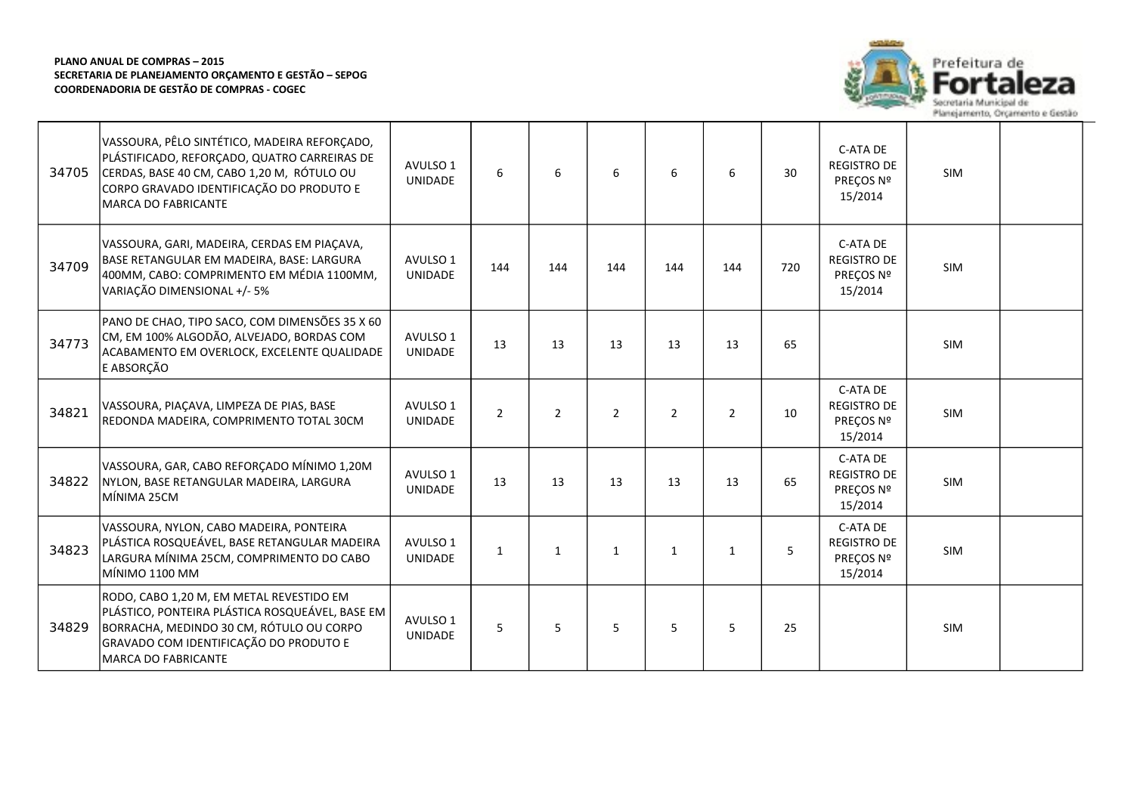

| 34705 | VASSOURA, PÊLO SINTÉTICO, MADEIRA REFORÇADO,<br>PLÁSTIFICADO, REFORÇADO, QUATRO CARREIRAS DE<br>CERDAS, BASE 40 CM, CABO 1,20 M, RÓTULO OU<br>CORPO GRAVADO IDENTIFICAÇÃO DO PRODUTO E<br><b>MARCA DO FABRICANTE</b> | AVULSO 1<br>UNIDADE        | 6              | 6              | 6              | 6              | 6            | 30  | C-ATA DE<br><b>REGISTRO DE</b><br>PREÇOS Nº<br>15/2014 | <b>SIM</b> |  |
|-------|----------------------------------------------------------------------------------------------------------------------------------------------------------------------------------------------------------------------|----------------------------|----------------|----------------|----------------|----------------|--------------|-----|--------------------------------------------------------|------------|--|
| 34709 | VASSOURA, GARI, MADEIRA, CERDAS EM PIAÇAVA,<br>BASE RETANGULAR EM MADEIRA, BASE: LARGURA<br>400MM, CABO: COMPRIMENTO EM MÉDIA 1100MM,<br>VARIAÇÃO DIMENSIONAL +/- 5%                                                 | AVULSO 1<br><b>UNIDADE</b> | 144            | 144            | 144            | 144            | 144          | 720 | C-ATA DE<br><b>REGISTRO DE</b><br>PREÇOS Nº<br>15/2014 | <b>SIM</b> |  |
| 34773 | PANO DE CHAO, TIPO SACO, COM DIMENSÕES 35 X 60<br>CM, EM 100% ALGODÃO, ALVEJADO, BORDAS COM<br>ACABAMENTO EM OVERLOCK, EXCELENTE QUALIDADE<br>E ABSORÇÃO                                                             | AVULSO 1<br><b>UNIDADE</b> | 13             | 13             | 13             | 13             | 13           | 65  |                                                        | <b>SIM</b> |  |
| 34821 | VASSOURA, PIAÇAVA, LIMPEZA DE PIAS, BASE<br>REDONDA MADEIRA, COMPRIMENTO TOTAL 30CM                                                                                                                                  | AVULSO 1<br><b>UNIDADE</b> | $\overline{2}$ | $\overline{2}$ | $\overline{2}$ | $\overline{2}$ | 2            | 10  | C-ATA DE<br><b>REGISTRO DE</b><br>PREÇOS Nº<br>15/2014 | <b>SIM</b> |  |
| 34822 | VASSOURA, GAR, CABO REFORÇADO MÍNIMO 1,20M<br>NYLON, BASE RETANGULAR MADEIRA, LARGURA<br>MÍNIMA 25CM                                                                                                                 | AVULSO 1<br><b>UNIDADE</b> | 13             | 13             | 13             | 13             | 13           | 65  | C-ATA DE<br><b>REGISTRO DE</b><br>PREÇOS Nº<br>15/2014 | SIM        |  |
| 34823 | VASSOURA, NYLON, CABO MADEIRA, PONTEIRA<br>PLÁSTICA ROSQUEÁVEL, BASE RETANGULAR MADEIRA<br>LARGURA MÍNIMA 25CM, COMPRIMENTO DO CABO<br>MÍNIMO 1100 MM                                                                | AVULSO 1<br><b>UNIDADE</b> | $\mathbf{1}$   | $\mathbf{1}$   | $\mathbf{1}$   | $\mathbf{1}$   | $\mathbf{1}$ | 5   | C-ATA DE<br><b>REGISTRO DE</b><br>PREÇOS Nº<br>15/2014 | <b>SIM</b> |  |
| 34829 | RODO, CABO 1,20 M, EM METAL REVESTIDO EM<br>PLÁSTICO, PONTEIRA PLÁSTICA ROSQUEÁVEL, BASE EM<br>BORRACHA, MEDINDO 30 CM, RÓTULO OU CORPO<br>GRAVADO COM IDENTIFICAÇÃO DO PRODUTO E<br><b>MARCA DO FABRICANTE</b>      | AVULSO 1<br><b>UNIDADE</b> | 5              | 5              | 5              | 5              | 5            | 25  |                                                        | <b>SIM</b> |  |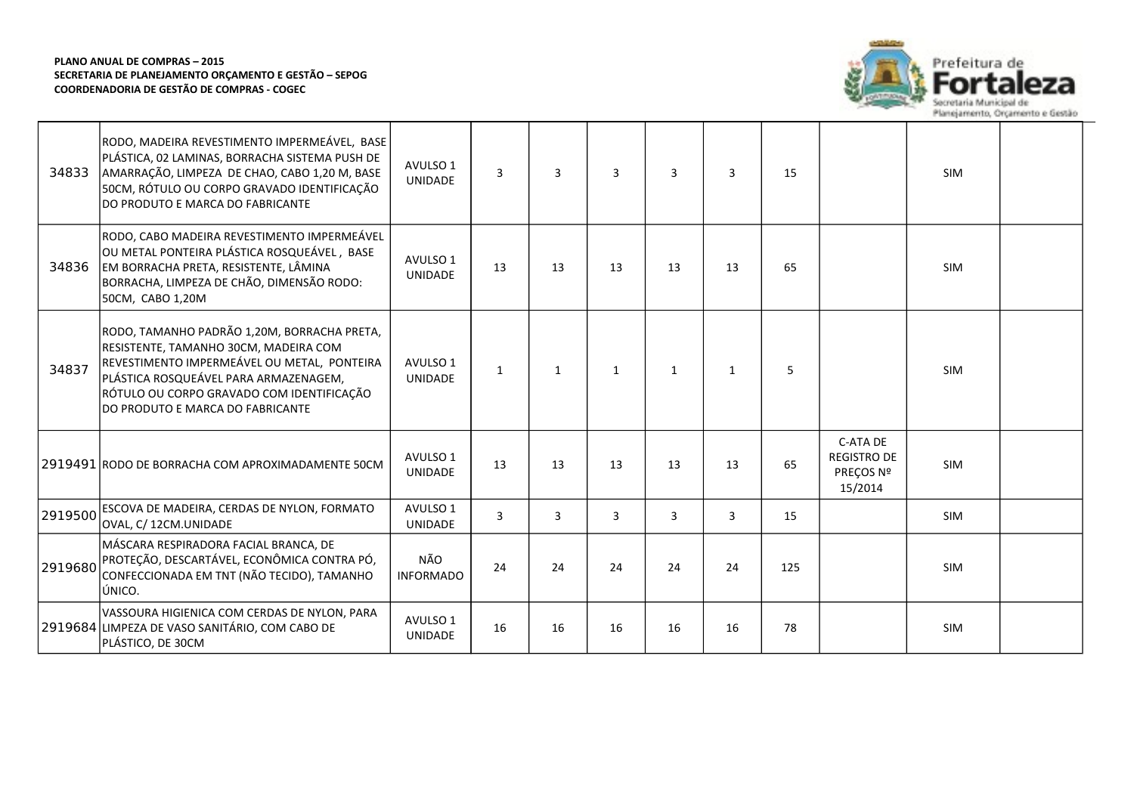

| 34833   | RODO, MADEIRA REVESTIMENTO IMPERMEÁVEL, BASE<br>PLÁSTICA, 02 LAMINAS, BORRACHA SISTEMA PUSH DE<br>AMARRAÇÃO, LIMPEZA DE CHAO, CABO 1,20 M, BASE<br>50CM, RÓTULO OU CORPO GRAVADO IDENTIFICAÇÃO<br>DO PRODUTO E MARCA DO FABRICANTE                            | AVULSO 1<br>UNIDADE        | $\overline{3}$ | $\overline{3}$ | $\overline{3}$ | $\overline{3}$ | $\overline{3}$ | 15  |                                                        | <b>SIM</b> |  |
|---------|---------------------------------------------------------------------------------------------------------------------------------------------------------------------------------------------------------------------------------------------------------------|----------------------------|----------------|----------------|----------------|----------------|----------------|-----|--------------------------------------------------------|------------|--|
| 34836   | RODO, CABO MADEIRA REVESTIMENTO IMPERMEÁVEL<br>OU METAL PONTEIRA PLÁSTICA ROSQUEÁVEL, BASE<br>EM BORRACHA PRETA, RESISTENTE, LÂMINA<br>BORRACHA, LIMPEZA DE CHÃO, DIMENSÃO RODO:<br>50CM, CABO 1,20M                                                          | AVULSO 1<br><b>UNIDADE</b> | 13             | 13             | 13             | 13             | 13             | 65  |                                                        | <b>SIM</b> |  |
| 34837   | RODO, TAMANHO PADRÃO 1,20M, BORRACHA PRETA,<br>RESISTENTE, TAMANHO 30CM, MADEIRA COM<br>REVESTIMENTO IMPERMEÁVEL OU METAL, PONTEIRA<br>PLÁSTICA ROSQUEÁVEL PARA ARMAZENAGEM,<br>RÓTULO OU CORPO GRAVADO COM IDENTIFICAÇÃO<br>DO PRODUTO E MARCA DO FABRICANTE | AVULSO 1<br>UNIDADE        | $\mathbf{1}$   | $\mathbf{1}$   | 1              | $\mathbf{1}$   | 1              | 5   |                                                        | <b>SIM</b> |  |
|         | 2919491 RODO DE BORRACHA COM APROXIMADAMENTE 50CM                                                                                                                                                                                                             | AVULSO 1<br><b>UNIDADE</b> | 13             | 13             | 13             | 13             | 13             | 65  | C-ATA DE<br><b>REGISTRO DE</b><br>PREÇOS Nº<br>15/2014 | <b>SIM</b> |  |
| 2919500 | ESCOVA DE MADEIRA, CERDAS DE NYLON, FORMATO<br>OVAL, C/ 12CM.UNIDADE                                                                                                                                                                                          | AVULSO 1<br>UNIDADE        | 3              | 3              | 3              | 3              | 3              | 15  |                                                        | <b>SIM</b> |  |
| 2919680 | MÁSCARA RESPIRADORA FACIAL BRANCA, DE<br>PROTEÇÃO, DESCARTÁVEL, ECONÔMICA CONTRA PÓ,<br>CONFECCIONADA EM TNT (NÃO TECIDO), TAMANHO<br>ÚNICO.                                                                                                                  | NÃO<br><b>INFORMADO</b>    | 24             | 24             | 24             | 24             | 24             | 125 |                                                        | <b>SIM</b> |  |
|         | VASSOURA HIGIENICA COM CERDAS DE NYLON, PARA<br>2919684 LIMPEZA DE VASO SANITÁRIO, COM CABO DE<br>PLÁSTICO, DE 30CM                                                                                                                                           | AVULSO 1<br><b>UNIDADE</b> | 16             | 16             | 16             | 16             | 16             | 78  |                                                        | <b>SIM</b> |  |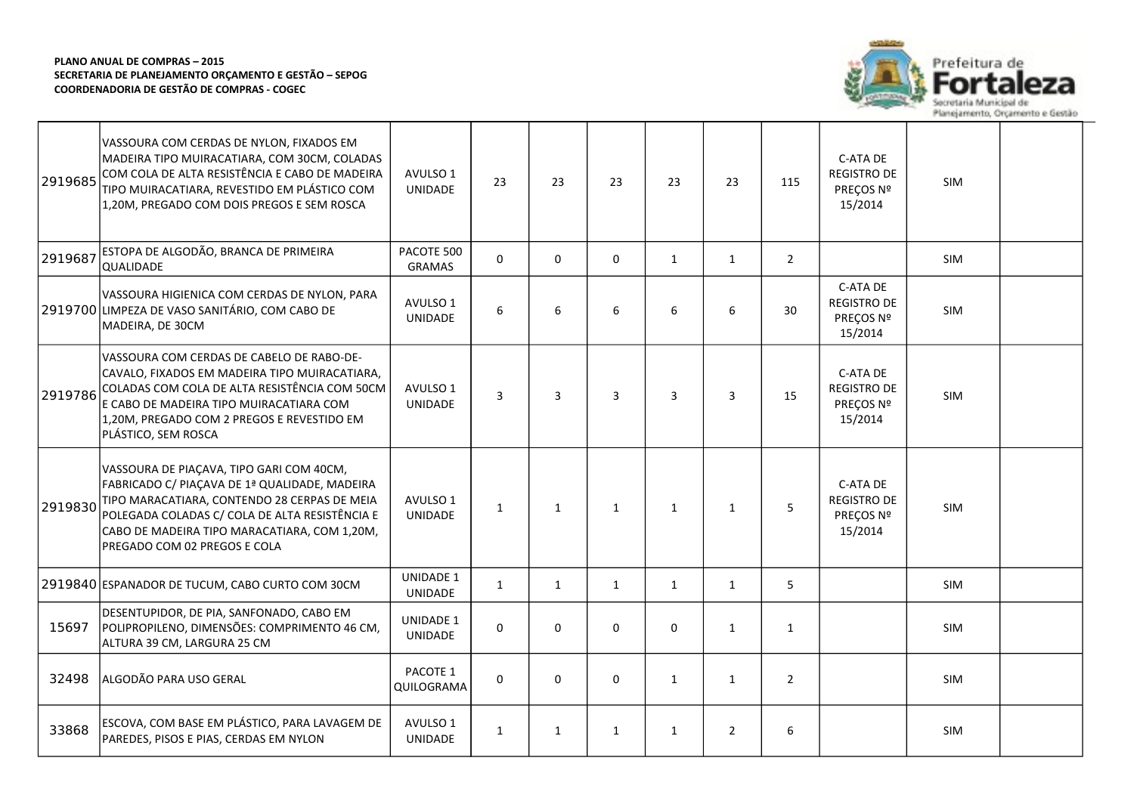

| 2919685 | VASSOURA COM CERDAS DE NYLON, FIXADOS EM<br>MADEIRA TIPO MUIRACATIARA, COM 30CM, COLADAS<br>COM COLA DE ALTA RESISTÊNCIA E CABO DE MADEIRA<br>TIPO MUIRACATIARA, REVESTIDO EM PLÁSTICO COM<br>1,20M, PREGADO COM DOIS PREGOS E SEM ROSCA                                    | AVULSO 1<br><b>UNIDADE</b>         | 23           | 23           | 23           | 23           | 23             | 115            | C-ATA DE<br><b>REGISTRO DE</b><br>PREÇOS Nº<br>15/2014 | <b>SIM</b> |  |
|---------|-----------------------------------------------------------------------------------------------------------------------------------------------------------------------------------------------------------------------------------------------------------------------------|------------------------------------|--------------|--------------|--------------|--------------|----------------|----------------|--------------------------------------------------------|------------|--|
| 2919687 | ESTOPA DE ALGODÃO, BRANCA DE PRIMEIRA<br>QUALIDADE                                                                                                                                                                                                                          | PACOTE 500<br><b>GRAMAS</b>        | $\Omega$     | $\Omega$     | 0            | $\mathbf{1}$ | 1              | $\overline{2}$ |                                                        | <b>SIM</b> |  |
|         | VASSOURA HIGIENICA COM CERDAS DE NYLON, PARA<br>2919700 LIMPEZA DE VASO SANITÁRIO, COM CABO DE<br>MADEIRA, DE 30CM                                                                                                                                                          | AVULSO 1<br>UNIDADE                | 6            | 6            | 6            | 6            | 6              | 30             | C-ATA DE<br><b>REGISTRO DE</b><br>PREÇOS Nº<br>15/2014 | SIM        |  |
| 2919786 | VASSOURA COM CERDAS DE CABELO DE RABO-DE-<br>CAVALO, FIXADOS EM MADEIRA TIPO MUIRACATIARA,<br>COLADAS COM COLA DE ALTA RESISTÊNCIA COM 50CM<br>E CABO DE MADEIRA TIPO MUIRACATIARA COM<br>1,20M, PREGADO COM 2 PREGOS E REVESTIDO EM<br>PLÁSTICO, SEM ROSCA                 | AVULSO 1<br>UNIDADE                | 3            | 3            | 3            | 3            | $\overline{3}$ | 15             | C-ATA DE<br><b>REGISTRO DE</b><br>PREÇOS Nº<br>15/2014 | <b>SIM</b> |  |
| 2919830 | VASSOURA DE PIAÇAVA, TIPO GARI COM 40CM,<br>FABRICADO C/ PIAÇAVA DE 1ª QUALIDADE, MADEIRA<br>TIPO MARACATIARA, CONTENDO 28 CERPAS DE MEIA<br>POLEGADA COLADAS C/ COLA DE ALTA RESISTÊNCIA E<br>CABO DE MADEIRA TIPO MARACATIARA, COM 1,20M,<br>PREGADO COM 02 PREGOS E COLA | AVULSO 1<br>UNIDADE                | $\mathbf{1}$ | $\mathbf{1}$ | $\mathbf{1}$ | $\mathbf{1}$ | $\mathbf{1}$   | 5              | C-ATA DE<br><b>REGISTRO DE</b><br>PREÇOS Nº<br>15/2014 | SIM        |  |
|         | 2919840 ESPANADOR DE TUCUM, CABO CURTO COM 30CM                                                                                                                                                                                                                             | <b>UNIDADE 1</b><br><b>UNIDADE</b> | $\mathbf{1}$ | 1            | $\mathbf{1}$ | $\mathbf{1}$ | $\mathbf{1}$   | 5              |                                                        | <b>SIM</b> |  |
| 15697   | DESENTUPIDOR, DE PIA, SANFONADO, CABO EM<br>POLIPROPILENO, DIMENSÕES: COMPRIMENTO 46 CM,<br>ALTURA 39 CM, LARGURA 25 CM                                                                                                                                                     | <b>UNIDADE 1</b><br><b>UNIDADE</b> | 0            | $\mathbf 0$  | 0            | 0            | $\mathbf{1}$   | $\mathbf{1}$   |                                                        | SIM        |  |
| 32498   | ALGODÃO PARA USO GERAL                                                                                                                                                                                                                                                      | PACOTE 1<br>QUILOGRAMA             | $\Omega$     | $\mathbf 0$  | $\mathbf 0$  | $\mathbf{1}$ | $\mathbf{1}$   | $\overline{2}$ |                                                        | SIM        |  |
| 33868   | ESCOVA, COM BASE EM PLÁSTICO, PARA LAVAGEM DE<br>PAREDES, PISOS E PIAS, CERDAS EM NYLON                                                                                                                                                                                     | AVULSO 1<br><b>UNIDADE</b>         | $\mathbf{1}$ | $\mathbf{1}$ | $\mathbf{1}$ | $\mathbf{1}$ | $\overline{2}$ | 6              |                                                        | <b>SIM</b> |  |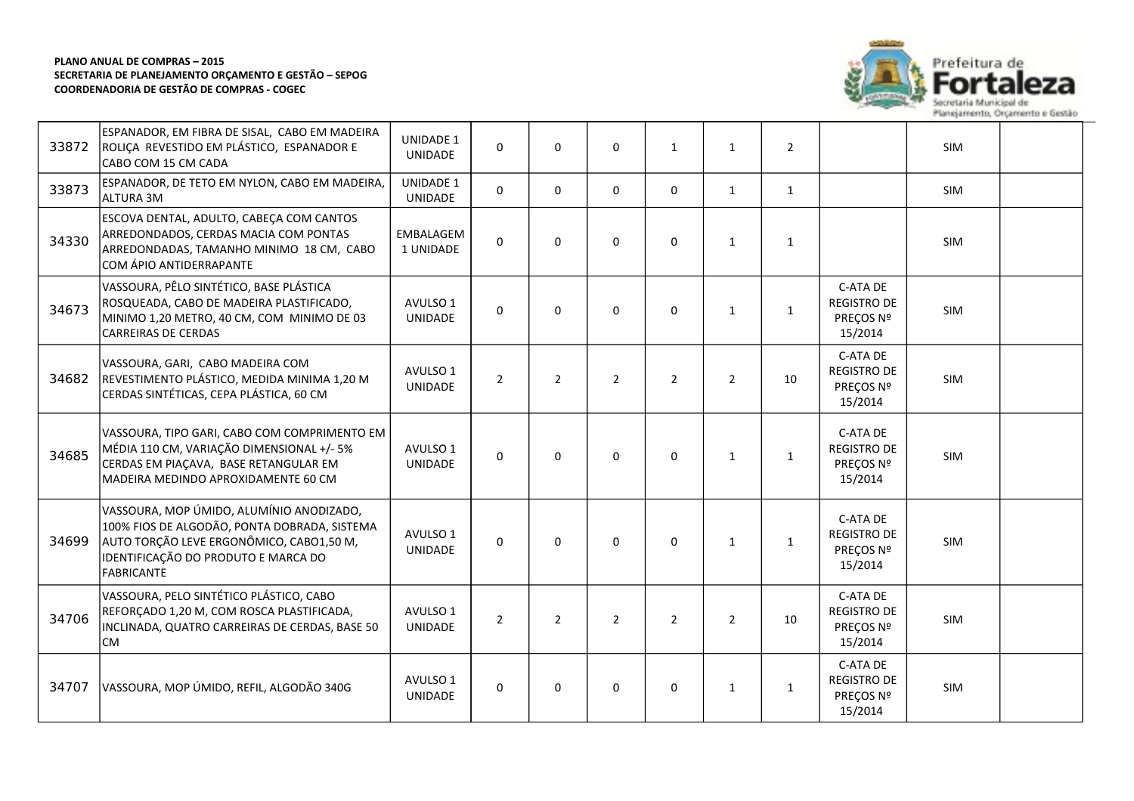

| 33872 | ESPANADOR, EM FIBRA DE SISAL, CABO EM MADEIRA<br>ROLIÇA REVESTIDO EM PLÁSTICO, ESPANADOR E<br>CABO COM 15 CM CADA                                                                         | <b>UNIDADE 1</b><br><b>UNIDADE</b> | $\Omega$       | $\mathbf{0}$   | $\Omega$       | $\mathbf{1}$   | $\mathbf{1}$   | $\overline{2}$ |                                                        | SIM |  |
|-------|-------------------------------------------------------------------------------------------------------------------------------------------------------------------------------------------|------------------------------------|----------------|----------------|----------------|----------------|----------------|----------------|--------------------------------------------------------|-----|--|
| 33873 | ESPANADOR, DE TETO EM NYLON, CABO EM MADEIRA,<br>laltura 3M                                                                                                                               | <b>UNIDADE 1</b><br><b>UNIDADE</b> | 0              | $\mathbf 0$    | 0              | $\mathbf 0$    | $\mathbf{1}$   | $\mathbf{1}$   |                                                        | SIM |  |
| 34330 | ESCOVA DENTAL, ADULTO, CABEÇA COM CANTOS<br>ARREDONDADOS, CERDAS MACIA COM PONTAS<br>ARREDONDADAS, TAMANHO MINIMO 18 CM, CABO<br>COM ÁPIO ANTIDERRAPANTE                                  | EMBALAGEM<br>1 UNIDADE             | $\Omega$       | $\mathbf 0$    | $\mathbf 0$    | 0              | $\mathbf{1}$   | $\mathbf{1}$   |                                                        | SIM |  |
| 34673 | VASSOURA, PÊLO SINTÉTICO, BASE PLÁSTICA<br>ROSQUEADA, CABO DE MADEIRA PLASTIFICADO,<br>MINIMO 1,20 METRO, 40 CM, COM MINIMO DE 03<br><b>CARREIRAS DE CERDAS</b>                           | AVULSO 1<br>UNIDADE                | $\Omega$       | $\mathbf{0}$   | $\mathbf 0$    | 0              | $\mathbf{1}$   | $\mathbf{1}$   | C-ATA DE<br><b>REGISTRO DE</b><br>PREÇOS Nº<br>15/2014 | SIM |  |
| 34682 | VASSOURA, GARI, CABO MADEIRA COM<br>REVESTIMENTO PLÁSTICO, MEDIDA MINIMA 1,20 M<br>CERDAS SINTÉTICAS, CEPA PLÁSTICA, 60 CM                                                                | AVULSO 1<br><b>UNIDADE</b>         | $\overline{2}$ | $\overline{2}$ | $\overline{2}$ | $\overline{2}$ | $\overline{2}$ | 10             | C-ATA DE<br><b>REGISTRO DE</b><br>PREÇOS Nº<br>15/2014 | SIM |  |
| 34685 | VASSOURA, TIPO GARI, CABO COM COMPRIMENTO EM<br>MÉDIA 110 CM, VARIAÇÃO DIMENSIONAL +/- 5%<br>CERDAS EM PIAÇAVA, BASE RETANGULAR EM<br>MADEIRA MEDINDO APROXIDAMENTE 60 CM.                | AVULSO 1<br>UNIDADE                | $\Omega$       | $\mathbf{0}$   | $\Omega$       | 0              | $\mathbf{1}$   | $\mathbf{1}$   | C-ATA DE<br><b>REGISTRO DE</b><br>PREÇOS Nº<br>15/2014 | SIM |  |
| 34699 | VASSOURA, MOP ÚMIDO, ALUMÍNIO ANODIZADO,<br>100% FIOS DE ALGODÃO, PONTA DOBRADA, SISTEMA<br>AUTO TORÇÃO LEVE ERGONÔMICO, CABO1,50 M,<br>IDENTIFICAÇÃO DO PRODUTO E MARCA DO<br>FABRICANTE | AVULSO 1<br>UNIDADE                | 0              | $\Omega$       | 0              | 0              | $\mathbf{1}$   | $\mathbf{1}$   | C-ATA DE<br><b>REGISTRO DE</b><br>PREÇOS Nº<br>15/2014 | SIM |  |
| 34706 | VASSOURA, PELO SINTÉTICO PLÁSTICO, CABO<br>REFORÇADO 1,20 M, COM ROSCA PLASTIFICADA,<br>INCLINADA, QUATRO CARREIRAS DE CERDAS, BASE 50<br>lCM.                                            | AVULSO 1<br>UNIDADE                | $\overline{2}$ | $\overline{2}$ | $\overline{2}$ | $\overline{2}$ | $\overline{2}$ | 10             | C-ATA DE<br><b>REGISTRO DE</b><br>PREÇOS Nº<br>15/2014 | SIM |  |
| 34707 | VASSOURA, MOP ÚMIDO, REFIL, ALGODÃO 340G                                                                                                                                                  | AVULSO 1<br>UNIDADE                | $\Omega$       | $\mathbf{0}$   | $\mathbf 0$    | $\mathbf 0$    | $\mathbf{1}$   | $\mathbf{1}$   | C-ATA DE<br><b>REGISTRO DE</b><br>PREÇOS Nº<br>15/2014 | SIM |  |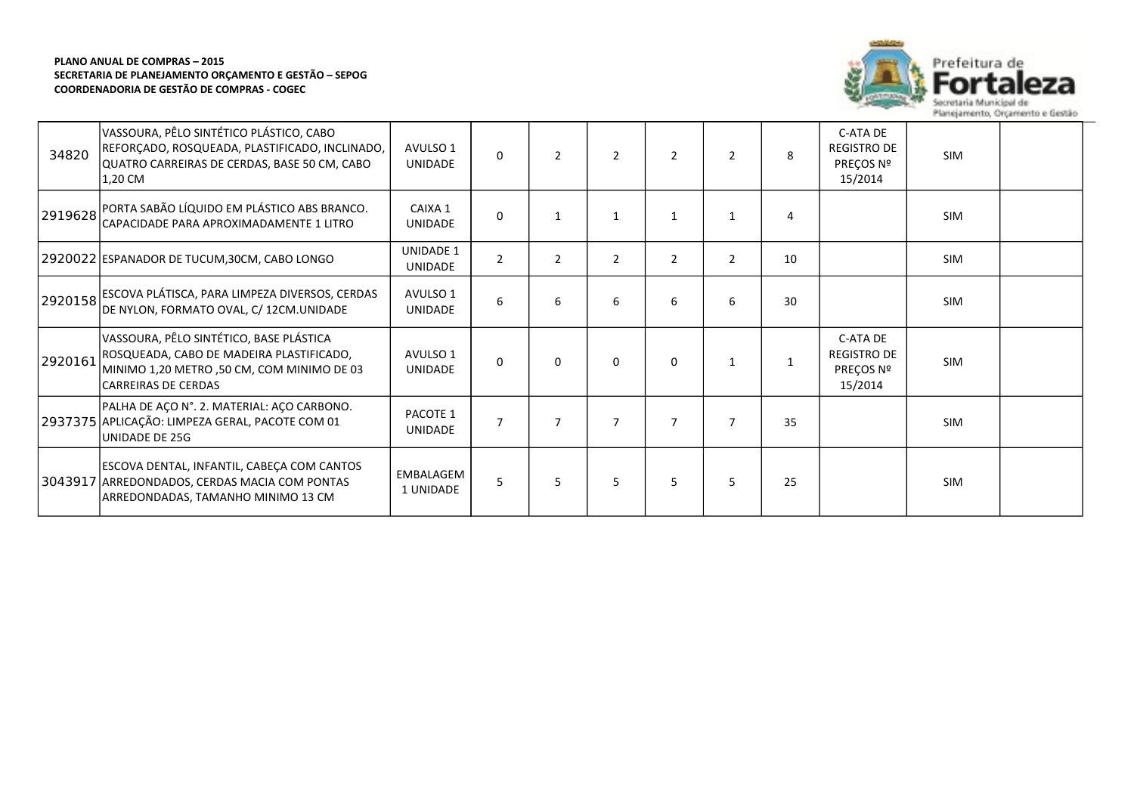

| 34820   | VASSOURA, PÊLO SINTÉTICO PLÁSTICO, CABO<br>REFORÇADO, ROSQUEADA, PLASTIFICADO, INCLINADO,<br>QUATRO CARREIRAS DE CERDAS, BASE 50 CM, CABO<br>1,20 CM           | AVULSO 1<br><b>UNIDADE</b>  | $\Omega$       | 2              | 2              | 2              | $\mathcal{P}$  | 8  | C-ATA DE<br><b>REGISTRO DE</b><br>PREÇOS Nº<br>15/2014 | <b>SIM</b> |  |
|---------|----------------------------------------------------------------------------------------------------------------------------------------------------------------|-----------------------------|----------------|----------------|----------------|----------------|----------------|----|--------------------------------------------------------|------------|--|
| 2919628 | PORTA SABÃO LÍQUIDO EM PLÁSTICO ABS BRANCO.<br>CAPACIDADE PARA APROXIMADAMENTE 1 LITRO                                                                         | CAIXA 1<br><b>UNIDADE</b>   | $\Omega$       | $\mathbf{1}$   | $\mathbf{1}$   | 1              | $\mathbf{1}$   | 4  |                                                        | <b>SIM</b> |  |
|         | 2920022 ESPANADOR DE TUCUM,30CM, CABO LONGO                                                                                                                    | UNIDADE 1<br><b>UNIDADE</b> | $\overline{2}$ | $\overline{2}$ | $\overline{2}$ | $\overline{2}$ | 2              | 10 |                                                        | SIM        |  |
| 2920158 | ESCOVA PLÁTISCA, PARA LIMPEZA DIVERSOS, CERDAS<br>DE NYLON, FORMATO OVAL, C/ 12CM.UNIDADE                                                                      | AVULSO 1<br>UNIDADE         | 6              | 6              | 6              | 6              | 6              | 30 |                                                        | <b>SIM</b> |  |
| 2920161 | VASSOURA, PÊLO SINTÉTICO, BASE PLÁSTICA<br>ROSQUEADA, CABO DE MADEIRA PLASTIFICADO,<br>MINIMO 1,20 METRO,50 CM, COM MINIMO DE 03<br><b>CARREIRAS DE CERDAS</b> | AVULSO 1<br><b>UNIDADE</b>  | 0              | 0              | 0              | 0              | $\mathbf{1}$   | 1  | C-ATA DE<br><b>REGISTRO DE</b><br>PREÇOS Nº<br>15/2014 | <b>SIM</b> |  |
|         | PALHA DE AÇO N°. 2. MATERIAL: AÇO CARBONO.<br>2937375 APLICAÇÃO: LIMPEZA GERAL, PACOTE COM 01<br>UNIDADE DE 25G                                                | PACOTE 1<br><b>UNIDADE</b>  | $\overline{7}$ |                |                | 7              | $\overline{7}$ | 35 |                                                        | <b>SIM</b> |  |
|         | ESCOVA DENTAL, INFANTIL, CABEÇA COM CANTOS<br>3043917 ARREDONDADOS, CERDAS MACIA COM PONTAS<br>ARREDONDADAS, TAMANHO MINIMO 13 CM                              | EMBALAGEM<br>1 UNIDADE      | 5              | 5              | 5              | 5              | 5              | 25 |                                                        | <b>SIM</b> |  |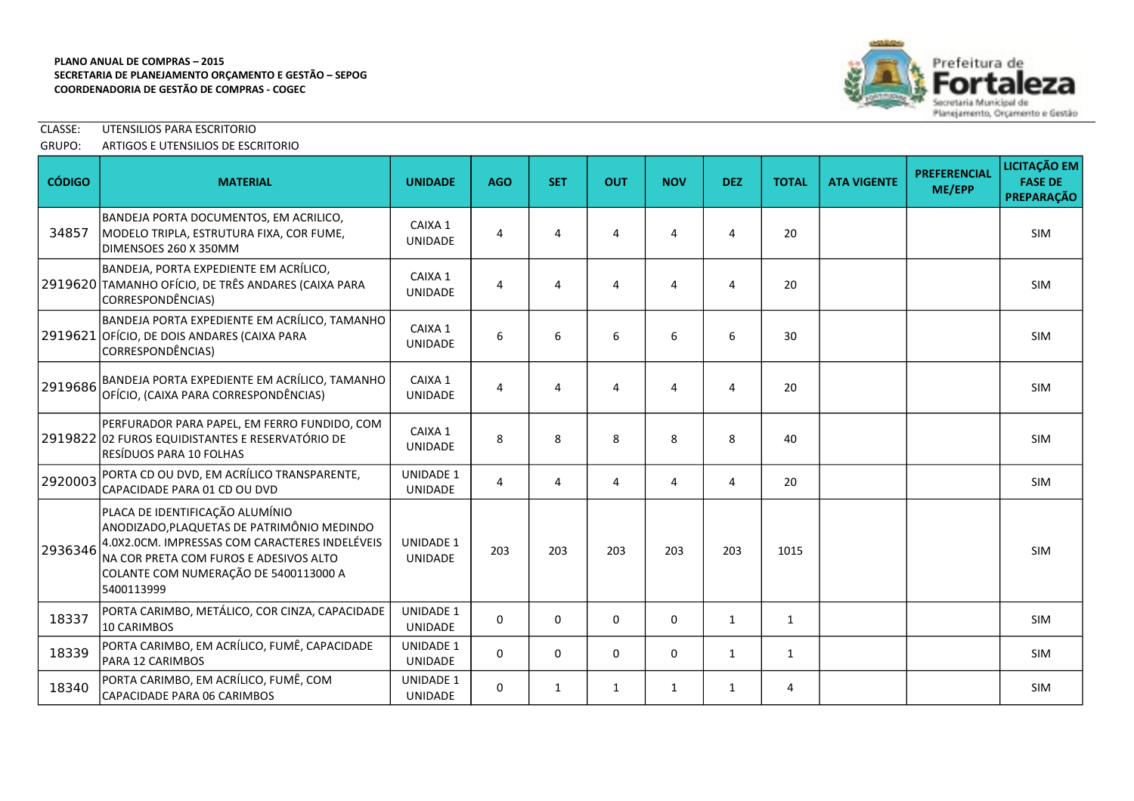

## CLASSE: UTENSILIOS PARA ESCRITORIO

### GRUPO: ARTIGOS E UTENSILIOS DE ESCRITORIO

| <b>CÓDIGO</b> | <b>MATERIAL</b>                                                                                                                                                                                                                  | <b>UNIDADE</b>                     | <b>AGO</b> | <b>SET</b>  | <b>OUT</b>  | <b>NOV</b>  | <b>DEZ</b>   | <b>TOTAL</b> | <b>ATA VIGENTE</b> | <b>PREFERENCIAL</b><br>ME/EPP | LICITAÇÃO EM<br><b>FASE DE</b><br><b>PREPARAÇÃO</b> |
|---------------|----------------------------------------------------------------------------------------------------------------------------------------------------------------------------------------------------------------------------------|------------------------------------|------------|-------------|-------------|-------------|--------------|--------------|--------------------|-------------------------------|-----------------------------------------------------|
| 34857         | BANDEJA PORTA DOCUMENTOS, EM ACRILICO,<br>MODELO TRIPLA, ESTRUTURA FIXA, COR FUME,<br>DIMENSOES 260 X 350MM                                                                                                                      | CAIXA 1<br><b>UNIDADE</b>          | 4          | 4           | 4           | 4           | 4            | 20           |                    |                               | <b>SIM</b>                                          |
|               | BANDEJA, PORTA EXPEDIENTE EM ACRÍLICO,<br>2919620 TAMANHO OFÍCIO, DE TRÊS ANDARES (CAIXA PARA<br>CORRESPONDÊNCIAS)                                                                                                               | CAIXA 1<br><b>UNIDADE</b>          | 4          | 4           | 4           | 4           | 4            | 20           |                    |                               | <b>SIM</b>                                          |
|               | BANDEJA PORTA EXPEDIENTE EM ACRÍLICO, TAMANHO<br>2919621 OFÍCIO, DE DOIS ANDARES (CAIXA PARA<br>CORRESPONDÊNCIAS)                                                                                                                | CAIXA 1<br><b>UNIDADE</b>          | 6          | 6           | 6           | 6           | 6            | 30           |                    |                               | <b>SIM</b>                                          |
| 2919686       | BANDEJA PORTA EXPEDIENTE EM ACRÍLICO, TAMANHO<br>OFÍCIO, (CAIXA PARA CORRESPONDÊNCIAS)                                                                                                                                           | CAIXA 1<br><b>UNIDADE</b>          | 4          | 4           | 4           | 4           | 4            | 20           |                    |                               | <b>SIM</b>                                          |
|               | PERFURADOR PARA PAPEL, EM FERRO FUNDIDO, COM<br>2919822 02 FUROS EQUIDISTANTES E RESERVATÓRIO DE<br>RESÍDUOS PARA 10 FOLHAS                                                                                                      | CAIXA 1<br><b>UNIDADE</b>          | 8          | 8           | 8           | 8           | 8            | 40           |                    |                               | <b>SIM</b>                                          |
| 2920003       | PORTA CD OU DVD, EM ACRÍLICO TRANSPARENTE,<br>CAPACIDADE PARA 01 CD OU DVD                                                                                                                                                       | UNIDADE 1<br><b>UNIDADE</b>        | 4          | 4           | 4           | 4           | 4            | 20           |                    |                               | <b>SIM</b>                                          |
| 2936346       | PLACA DE IDENTIFICAÇÃO ALUMÍNIO<br>ANODIZADO, PLAQUETAS DE PATRIMÔNIO MEDINDO<br>4.0X2.0CM. IMPRESSAS COM CARACTERES INDELÉVEIS<br>NA COR PRETA COM FUROS E ADESIVOS ALTO<br>COLANTE COM NUMERAÇÃO DE 5400113000 A<br>5400113999 | <b>UNIDADE 1</b><br><b>UNIDADE</b> | 203        | 203         | 203         | 203         | 203          | 1015         |                    |                               | <b>SIM</b>                                          |
| 18337         | PORTA CARIMBO, METÁLICO, COR CINZA, CAPACIDADE<br><b>10 CARIMBOS</b>                                                                                                                                                             | <b>UNIDADE 1</b><br>UNIDADE        | 0          | $\mathbf 0$ | 0           | $\mathbf 0$ | 1            | 1            |                    |                               | <b>SIM</b>                                          |
| 18339         | PORTA CARIMBO, EM ACRÍLICO, FUMÊ, CAPACIDADE<br>PARA 12 CARIMBOS                                                                                                                                                                 | <b>UNIDADE 1</b><br><b>UNIDADE</b> | $\Omega$   | $\Omega$    | $\mathbf 0$ | $\mathbf 0$ | 1            | 1            |                    |                               | <b>SIM</b>                                          |
| 18340         | PORTA CARIMBO, EM ACRÍLICO, FUMÊ, COM<br>CAPACIDADE PARA 06 CARIMBOS                                                                                                                                                             | <b>UNIDADE 1</b><br><b>UNIDADE</b> | $\Omega$   | 1           | 1           | 1           | $\mathbf{1}$ | 4            |                    |                               | <b>SIM</b>                                          |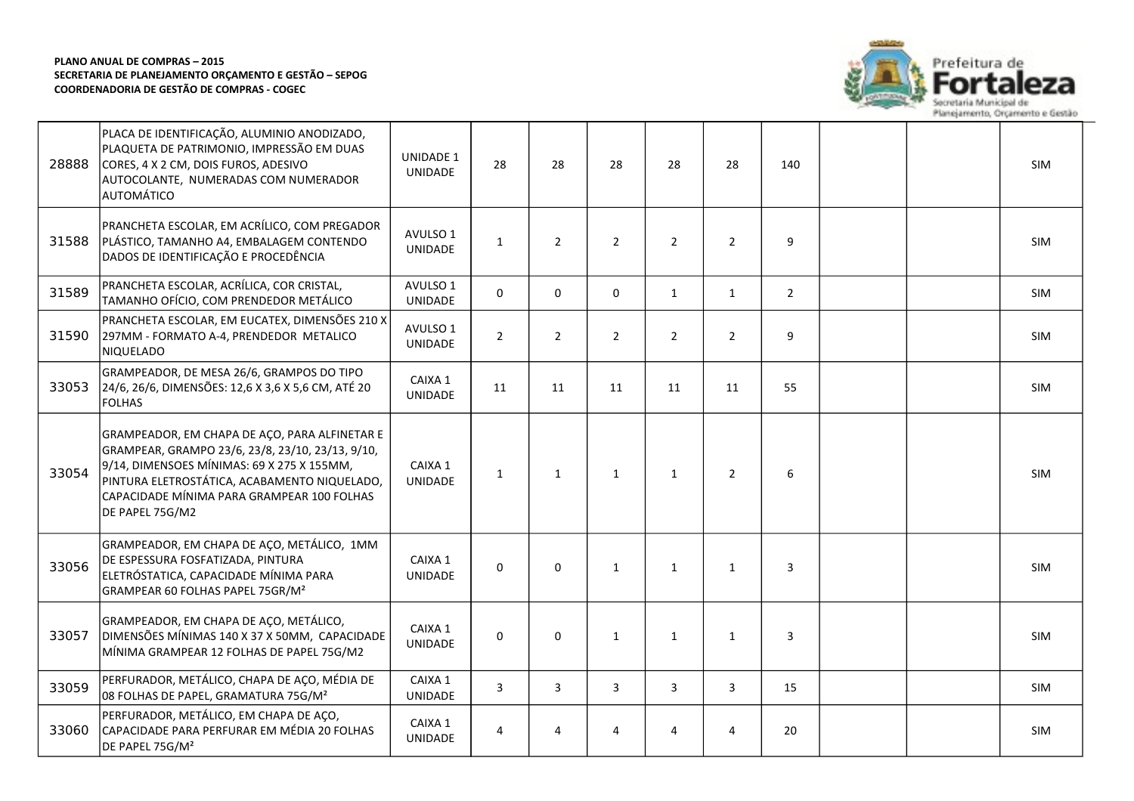

| 28888 | PLACA DE IDENTIFICAÇÃO, ALUMINIO ANODIZADO,<br>PLAQUETA DE PATRIMONIO, IMPRESSÃO EM DUAS<br>CORES, 4 X 2 CM, DOIS FUROS, ADESIVO<br>AUTOCOLANTE, NUMERADAS COM NUMERADOR<br>AUTOMÁTICO                                                                           | <b>UNIDADE 1</b><br><b>UNIDADE</b> | 28             | 28             | 28             | 28             | 28             | 140         |  | <b>SIM</b> |
|-------|------------------------------------------------------------------------------------------------------------------------------------------------------------------------------------------------------------------------------------------------------------------|------------------------------------|----------------|----------------|----------------|----------------|----------------|-------------|--|------------|
| 31588 | PRANCHETA ESCOLAR, EM ACRÍLICO, COM PREGADOR<br>PLÁSTICO, TAMANHO A4, EMBALAGEM CONTENDO<br>DADOS DE IDENTIFICAÇÃO E PROCEDÊNCIA                                                                                                                                 | AVULSO 1<br>UNIDADE                | $\mathbf{1}$   | $2^{\circ}$    | $\overline{2}$ | $\overline{2}$ | $\overline{2}$ | 9           |  | <b>SIM</b> |
| 31589 | PRANCHETA ESCOLAR, ACRÍLICA, COR CRISTAL,<br>TAMANHO OFÍCIO, COM PRENDEDOR METÁLICO                                                                                                                                                                              | AVULSO 1<br>UNIDADE                | 0              | $\mathbf 0$    | $\Omega$       | $\mathbf{1}$   | $\mathbf{1}$   | $2^{\circ}$ |  | <b>SIM</b> |
| 31590 | PRANCHETA ESCOLAR, EM EUCATEX, DIMENSÕES 210 X<br>297MM - FORMATO A-4, PRENDEDOR METALICO<br>NIQUELADO                                                                                                                                                           | AVULSO 1<br>UNIDADE                | $\overline{2}$ | $\overline{2}$ | $\overline{2}$ | $\overline{2}$ | $2^{\circ}$    | 9           |  | SIM        |
| 33053 | GRAMPEADOR, DE MESA 26/6, GRAMPOS DO TIPO<br>24/6, 26/6, DIMENSÕES: 12,6 X 3,6 X 5,6 CM, ATÉ 20<br><b>FOLHAS</b>                                                                                                                                                 | CAIXA 1<br>UNIDADE                 | 11             | 11             | 11             | 11             | 11             | 55          |  | SIM        |
| 33054 | GRAMPEADOR, EM CHAPA DE ACO, PARA ALFINETAR E<br>GRAMPEAR, GRAMPO 23/6, 23/8, 23/10, 23/13, 9/10,<br>9/14, DIMENSOES MÍNIMAS: 69 X 275 X 155MM,<br>PINTURA ELETROSTÁTICA, ACABAMENTO NIQUELADO,<br>CAPACIDADE MÍNIMA PARA GRAMPEAR 100 FOLHAS<br>DE PAPEL 75G/M2 | CAIXA 1<br>UNIDADE                 | $\mathbf{1}$   | $\mathbf{1}$   | $\mathbf{1}$   | $\mathbf{1}$   | $\overline{2}$ | 6           |  | SIM        |
| 33056 | GRAMPEADOR, EM CHAPA DE AÇO, METÁLICO, 1MM<br>DE ESPESSURA FOSFATIZADA, PINTURA<br>ELETRÓSTATICA, CAPACIDADE MÍNIMA PARA<br>GRAMPEAR 60 FOLHAS PAPEL 75GR/M <sup>2</sup>                                                                                         | CAIXA 1<br>UNIDADE                 | $\Omega$       | 0              | $\mathbf{1}$   | $\mathbf{1}$   | $\mathbf{1}$   | 3           |  | <b>SIM</b> |
| 33057 | GRAMPEADOR, EM CHAPA DE AÇO, METÁLICO,<br>DIMENSÕES MÍNIMAS 140 X 37 X 50MM, CAPACIDADE<br>MÍNIMA GRAMPEAR 12 FOLHAS DE PAPEL 75G/M2                                                                                                                             | CAIXA 1<br>UNIDADE                 | $\Omega$       | $\Omega$       | $\mathbf{1}$   | $\mathbf{1}$   | $\mathbf{1}$   | 3           |  | SIM        |
| 33059 | PERFURADOR, METÁLICO, CHAPA DE AÇO, MÉDIA DE<br>08 FOLHAS DE PAPEL, GRAMATURA 75G/M <sup>2</sup>                                                                                                                                                                 | CAIXA 1<br>UNIDADE                 | 3              | 3              | $\overline{3}$ | 3              | 3              | 15          |  | SIM        |
| 33060 | PERFURADOR, METÁLICO, EM CHAPA DE AÇO,<br>CAPACIDADE PARA PERFURAR EM MÉDIA 20 FOLHAS<br>DE PAPEL 75G/M <sup>2</sup>                                                                                                                                             | CAIXA 1<br>UNIDADE                 | 4              | 4              | 4              | 4              | 4              | 20          |  | SIM        |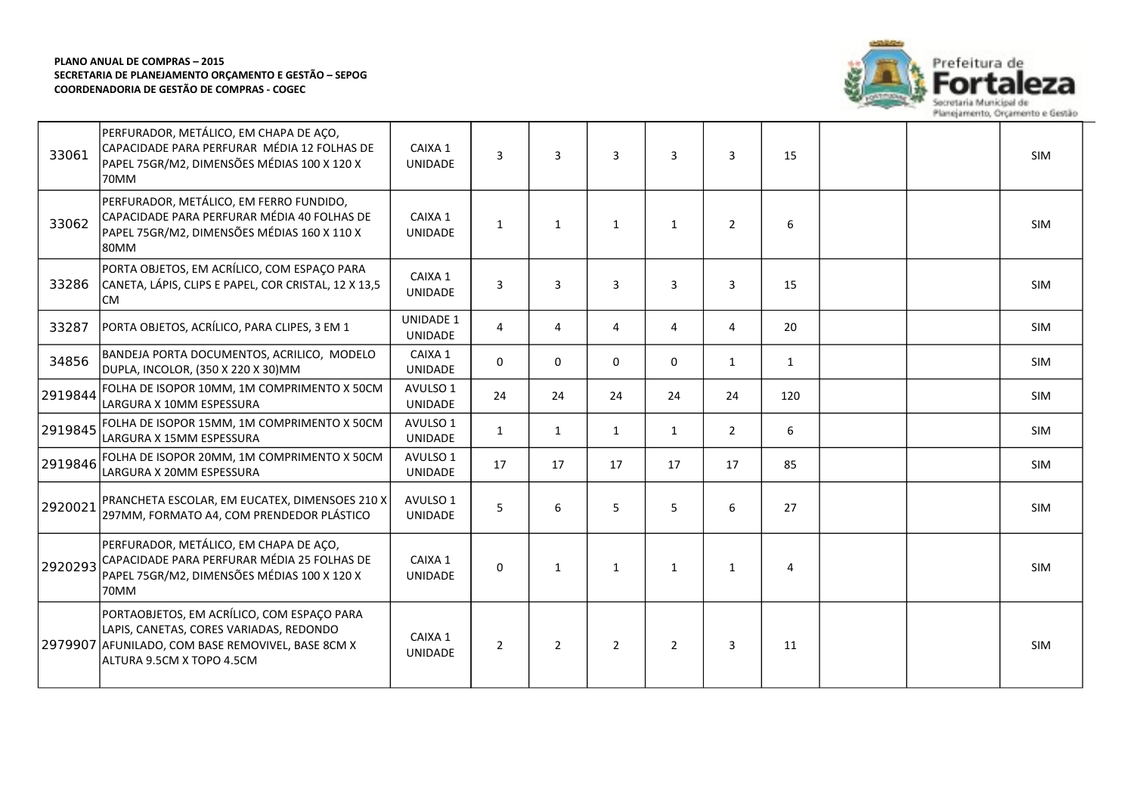

| 33061   | PERFURADOR, METÁLICO, EM CHAPA DE AÇO,<br>CAPACIDADE PARA PERFURAR MÉDIA 12 FOLHAS DE<br>PAPEL 75GR/M2, DIMENSÕES MÉDIAS 100 X 120 X<br>70MM                            | CAIXA 1<br><b>UNIDADE</b>   | 3              | $\overline{3}$ | $\overline{3}$ | 3              | 3              | 15           |  | <b>SIM</b> |
|---------|-------------------------------------------------------------------------------------------------------------------------------------------------------------------------|-----------------------------|----------------|----------------|----------------|----------------|----------------|--------------|--|------------|
| 33062   | PERFURADOR, METÁLICO, EM FERRO FUNDIDO,<br>CAPACIDADE PARA PERFURAR MÉDIA 40 FOLHAS DE<br>PAPEL 75GR/M2, DIMENSÕES MÉDIAS 160 X 110 X<br>80MM                           | CAIXA 1<br><b>UNIDADE</b>   | $\mathbf{1}$   | $\mathbf{1}$   | $\mathbf{1}$   | $\mathbf{1}$   | $\overline{2}$ | 6            |  | <b>SIM</b> |
| 33286   | PORTA OBJETOS, EM ACRÍLICO, COM ESPAÇO PARA<br>CANETA, LÁPIS, CLIPS E PAPEL, COR CRISTAL, 12 X 13,5<br>lcm                                                              | CAIXA 1<br><b>UNIDADE</b>   | $\overline{3}$ | $\overline{3}$ | 3              | 3              | 3              | 15           |  | <b>SIM</b> |
| 33287   | PORTA OBJETOS, ACRÍLICO, PARA CLIPES, 3 EM 1                                                                                                                            | <b>UNIDADE 1</b><br>UNIDADE | $\overline{4}$ | 4              | 4              | 4              | 4              | 20           |  | SIM        |
| 34856   | BANDEJA PORTA DOCUMENTOS, ACRILICO, MODELO<br>DUPLA, INCOLOR, (350 X 220 X 30)MM                                                                                        | CAIXA 1<br><b>UNIDADE</b>   | 0              | $\mathbf 0$    | 0              | 0              | $\mathbf{1}$   | $\mathbf{1}$ |  | SIM        |
| 2919844 | FOLHA DE ISOPOR 10MM, 1M COMPRIMENTO X 50CM<br>lLARGURA X 10MM ESPESSURA                                                                                                | AVULSO 1<br><b>UNIDADE</b>  | 24             | 24             | 24             | 24             | 24             | 120          |  | <b>SIM</b> |
| 2919845 | FOLHA DE ISOPOR 15MM, 1M COMPRIMENTO X 50CM<br>LARGURA X 15MM ESPESSURA                                                                                                 | AVULSO 1<br>UNIDADE         | $\mathbf{1}$   | 1              | $\mathbf{1}$   | 1              | $\overline{2}$ | 6            |  | SIM        |
| 2919846 | FOLHA DE ISOPOR 20MM, 1M COMPRIMENTO X 50CM<br>LARGURA X 20MM ESPESSURA                                                                                                 | AVULSO 1<br><b>UNIDADE</b>  | 17             | 17             | 17             | 17             | 17             | 85           |  | SIM        |
| 2920021 | PRANCHETA ESCOLAR, EM EUCATEX, DIMENSOES 210 X<br>297MM, FORMATO A4, COM PRENDEDOR PLÁSTICO                                                                             | AVULSO 1<br><b>UNIDADE</b>  | 5              | 6              | 5              | 5              | 6              | 27           |  | <b>SIM</b> |
| 2920293 | PERFURADOR, METÁLICO, EM CHAPA DE AÇO,<br>CAPACIDADE PARA PERFURAR MÉDIA 25 FOLHAS DE<br>PAPEL 75GR/M2, DIMENSÕES MÉDIAS 100 X 120 X<br>l70MM                           | CAIXA 1<br><b>UNIDADE</b>   | $\Omega$       | $\mathbf{1}$   | $\mathbf{1}$   | 1              | $\mathbf{1}$   | 4            |  | <b>SIM</b> |
|         | PORTAOBJETOS, EM ACRÍLICO, COM ESPAÇO PARA<br>LAPIS, CANETAS, CORES VARIADAS, REDONDO<br>2979907 AFUNILADO, COM BASE REMOVIVEL, BASE 8CM X<br>ALTURA 9.5CM X TOPO 4.5CM | CAIXA 1<br><b>UNIDADE</b>   | $\overline{2}$ | $\overline{2}$ | $\overline{2}$ | $\overline{2}$ | 3              | 11           |  | <b>SIM</b> |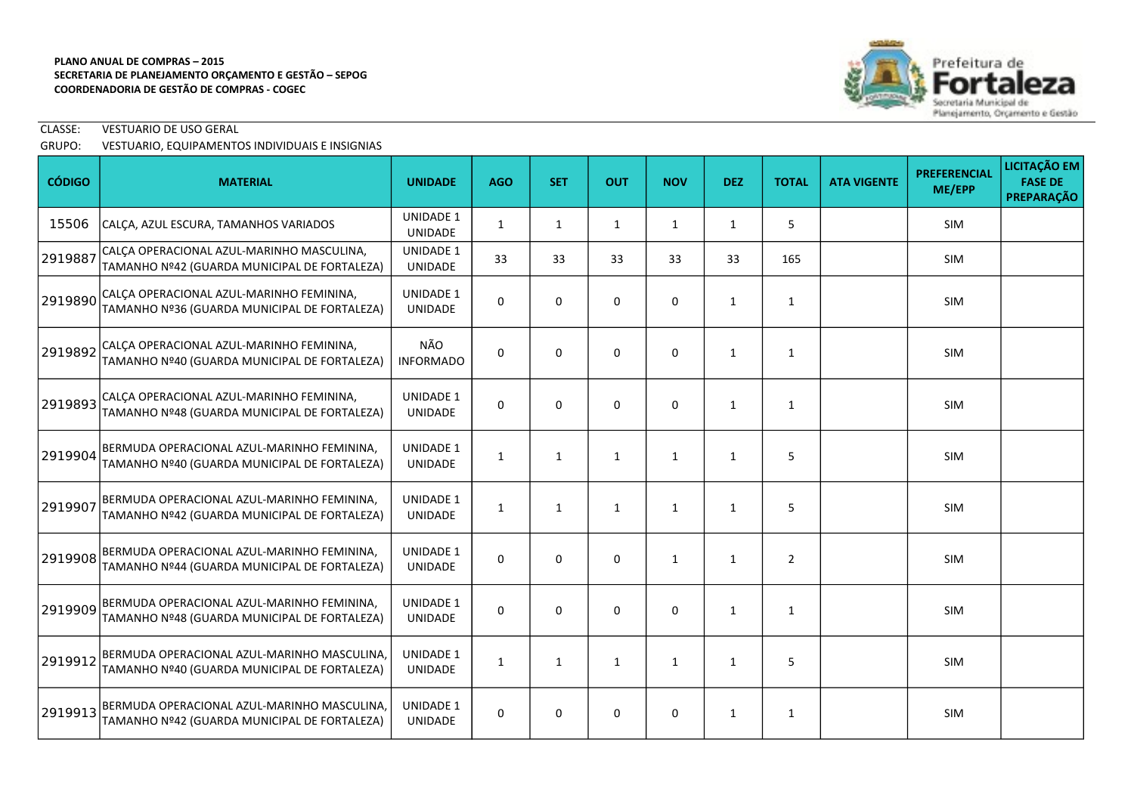

# CLASSE: VESTUARIO DE USO GERAL

## GRUPO: VESTUARIO, EQUIPAMENTOS INDIVIDUAIS E INSIGNIAS

| <b>CÓDIGO</b> | <b>MATERIAL</b>                                                                             | <b>UNIDADE</b>                     | <b>AGO</b>   | <b>SET</b>   | <b>OUT</b>   | <b>NOV</b>   | <b>DEZ</b>   | <b>TOTAL</b>   | <b>ATA VIGENTE</b> | <b>PREFERENCIAL</b><br>ME/EPP | LICITAÇÃO EM<br><b>FASE DE</b><br>PREPARAÇÃO |
|---------------|---------------------------------------------------------------------------------------------|------------------------------------|--------------|--------------|--------------|--------------|--------------|----------------|--------------------|-------------------------------|----------------------------------------------|
| 15506         | CALÇA, AZUL ESCURA, TAMANHOS VARIADOS                                                       | <b>UNIDADE 1</b><br><b>UNIDADE</b> | 1            | 1            | $\mathbf{1}$ | 1            | $\mathbf{1}$ | 5              |                    | SIM                           |                                              |
| 2919887       | CALÇA OPERACIONAL AZUL-MARINHO MASCULINA,<br>TAMANHO Nº42 (GUARDA MUNICIPAL DE FORTALEZA)   | UNIDADE 1<br>UNIDADE               | 33           | 33           | 33           | 33           | 33           | 165            |                    | SIM                           |                                              |
| 2919890       | CALÇA OPERACIONAL AZUL-MARINHO FEMININA,<br>TAMANHO Nº36 (GUARDA MUNICIPAL DE FORTALEZA)    | <b>UNIDADE 1</b><br><b>UNIDADE</b> | 0            | $\mathbf 0$  | $\mathbf 0$  | $\mathbf 0$  | $\mathbf{1}$ | 1              |                    | SIM                           |                                              |
| 2919892       | CALÇA OPERACIONAL AZUL-MARINHO FEMININA,<br>TAMANHO Nº40 (GUARDA MUNICIPAL DE FORTALEZA)    | NÃO<br><b>INFORMADO</b>            | 0            | 0            | 0            | 0            | 1            | 1              |                    | SIM                           |                                              |
| 2919893       | CALÇA OPERACIONAL AZUL-MARINHO FEMININA,<br>TAMANHO Nº48 (GUARDA MUNICIPAL DE FORTALEZA)    | <b>UNIDADE 1</b><br><b>UNIDADE</b> | 0            | $\mathbf 0$  | $\mathsf 0$  | $\mathbf 0$  | $\mathbf{1}$ | $\mathbf{1}$   |                    | SIM                           |                                              |
| 2919904       | BERMUDA OPERACIONAL AZUL-MARINHO FEMININA,<br>TAMANHO Nº40 (GUARDA MUNICIPAL DE FORTALEZA)  | <b>UNIDADE 1</b><br><b>UNIDADE</b> | $\mathbf{1}$ | $\mathbf{1}$ | $\mathbf{1}$ | $\mathbf{1}$ | $\mathbf{1}$ | 5              |                    | SIM                           |                                              |
| 2919907       | BERMUDA OPERACIONAL AZUL-MARINHO FEMININA,<br>TAMANHO Nº42 (GUARDA MUNICIPAL DE FORTALEZA)  | <b>UNIDADE 1</b><br>UNIDADE        | $\mathbf{1}$ | $\mathbf{1}$ | $\mathbf{1}$ | $\mathbf{1}$ | 1            | 5              |                    | <b>SIM</b>                    |                                              |
| 2919908       | BERMUDA OPERACIONAL AZUL-MARINHO FEMININA,<br>TAMANHO Nº44 (GUARDA MUNICIPAL DE FORTALEZA)  | <b>UNIDADE 1</b><br><b>UNIDADE</b> | 0            | $\mathbf 0$  | $\mathbf 0$  | $\mathbf{1}$ | 1            | $\overline{2}$ |                    | <b>SIM</b>                    |                                              |
| 2919909       | BERMUDA OPERACIONAL AZUL-MARINHO FEMININA,<br>TAMANHO Nº48 (GUARDA MUNICIPAL DE FORTALEZA)  | <b>UNIDADE 1</b><br><b>UNIDADE</b> | $\Omega$     | $\Omega$     | $\Omega$     | $\Omega$     | 1            | 1              |                    | <b>SIM</b>                    |                                              |
| 2919912       | BERMUDA OPERACIONAL AZUL-MARINHO MASCULINA,<br>TAMANHO Nº40 (GUARDA MUNICIPAL DE FORTALEZA) | <b>UNIDADE 1</b><br>UNIDADE        | $\mathbf{1}$ | $\mathbf{1}$ | $\mathbf{1}$ | $\mathbf{1}$ | 1            | 5              |                    | SIM                           |                                              |
| 2919913       | BERMUDA OPERACIONAL AZUL-MARINHO MASCULINA,<br>TAMANHO Nº42 (GUARDA MUNICIPAL DE FORTALEZA) | <b>UNIDADE 1</b><br><b>UNIDADE</b> | 0            | 0            | 0            | 0            | 1            | 1              |                    | <b>SIM</b>                    |                                              |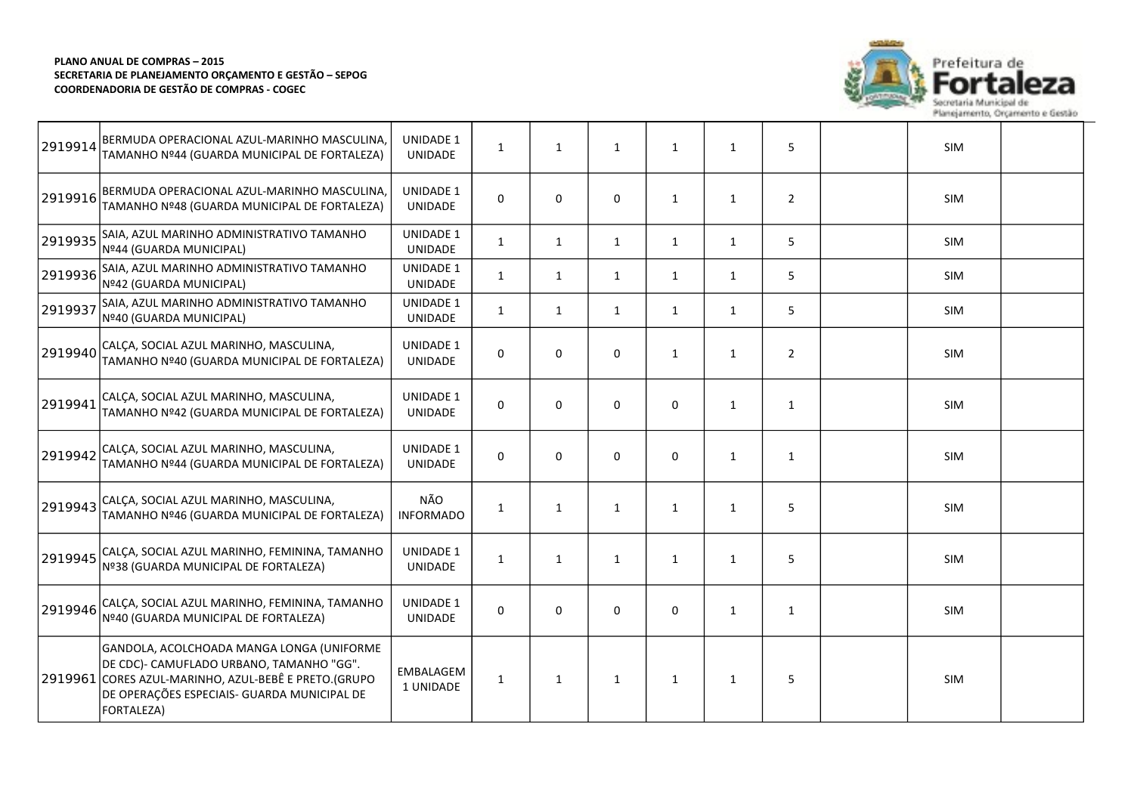

| 2919914 | BERMUDA OPERACIONAL AZUL-MARINHO MASCULINA,<br>TAMANHO Nº44 (GUARDA MUNICIPAL DE FORTALEZA)                                                                                                                | <b>UNIDADE 1</b><br><b>UNIDADE</b> | $\mathbf{1}$ | $\mathbf{1}$ | $\mathbf{1}$ | 1            | $\mathbf{1}$ | 5              | SIM        |  |
|---------|------------------------------------------------------------------------------------------------------------------------------------------------------------------------------------------------------------|------------------------------------|--------------|--------------|--------------|--------------|--------------|----------------|------------|--|
| 2919916 | BERMUDA OPERACIONAL AZUL-MARINHO MASCULINA,<br>TAMANHO Nº48 (GUARDA MUNICIPAL DE FORTALEZA)                                                                                                                | <b>UNIDADE 1</b><br><b>UNIDADE</b> | 0            | 0            | $\mathbf 0$  | $\mathbf{1}$ | 1            | $\overline{2}$ | SIM        |  |
| 2919935 | SAIA, AZUL MARINHO ADMINISTRATIVO TAMANHO<br>Nº44 (GUARDA MUNICIPAL)                                                                                                                                       | <b>UNIDADE 1</b><br>UNIDADE        | $\mathbf{1}$ | $\mathbf{1}$ | 1            | 1            | $\mathbf{1}$ | 5              | <b>SIM</b> |  |
| 2919936 | SAIA, AZUL MARINHO ADMINISTRATIVO TAMANHO<br>Nº42 (GUARDA MUNICIPAL)                                                                                                                                       | <b>UNIDADE 1</b><br>UNIDADE        | $\mathbf{1}$ | $\mathbf{1}$ | $\mathbf{1}$ | $\mathbf{1}$ | $\mathbf{1}$ | 5              | SIM        |  |
| 2919937 | SAIA, AZUL MARINHO ADMINISTRATIVO TAMANHO<br>Nº40 (GUARDA MUNICIPAL)                                                                                                                                       | <b>UNIDADE 1</b><br>UNIDADE        | $\mathbf{1}$ | $\mathbf{1}$ | $\mathbf{1}$ | $\mathbf{1}$ | 1            | 5              | SIM        |  |
| 2919940 | CALÇA, SOCIAL AZUL MARINHO, MASCULINA,<br>TAMANHO Nº40 (GUARDA MUNICIPAL DE FORTALEZA)                                                                                                                     | <b>UNIDADE 1</b><br><b>UNIDADE</b> | $\Omega$     | 0            | $\mathbf 0$  | $\mathbf{1}$ | $\mathbf{1}$ | $\overline{2}$ | SIM        |  |
| 2919941 | CALÇA, SOCIAL AZUL MARINHO, MASCULINA,<br>TAMANHO Nº42 (GUARDA MUNICIPAL DE FORTALEZA)                                                                                                                     | <b>UNIDADE 1</b><br><b>UNIDADE</b> | $\mathbf 0$  | 0            | $\mathbf 0$  | $\mathbf 0$  | 1            | $\mathbf{1}$   | <b>SIM</b> |  |
| 2919942 | CALÇA, SOCIAL AZUL MARINHO, MASCULINA,<br>TAMANHO Nº44 (GUARDA MUNICIPAL DE FORTALEZA)                                                                                                                     | <b>UNIDADE 1</b><br><b>UNIDADE</b> | $\mathbf 0$  | 0            | $\mathbf 0$  | 0            | $\mathbf{1}$ | $\mathbf{1}$   | SIM        |  |
| 2919943 | CALÇA, SOCIAL AZUL MARINHO, MASCULINA,<br>TAMANHO Nº46 (GUARDA MUNICIPAL DE FORTALEZA)                                                                                                                     | NÃO<br><b>INFORMADO</b>            | $\mathbf{1}$ | $\mathbf{1}$ | $\mathbf{1}$ | 1            | 1            | 5              | <b>SIM</b> |  |
| 2919945 | CALÇA, SOCIAL AZUL MARINHO, FEMININA, TAMANHO<br>Nº38 (GUARDA MUNICIPAL DE FORTALEZA)                                                                                                                      | <b>UNIDADE 1</b><br>UNIDADE        | $\mathbf{1}$ | $\mathbf{1}$ | $\mathbf{1}$ | $\mathbf{1}$ | $\mathbf{1}$ | 5              | <b>SIM</b> |  |
| 2919946 | CALÇA, SOCIAL AZUL MARINHO, FEMININA, TAMANHO<br>Nº40 (GUARDA MUNICIPAL DE FORTALEZA)                                                                                                                      | <b>UNIDADE 1</b><br><b>UNIDADE</b> | 0            | $\Omega$     | $\Omega$     | $\Omega$     | 1            | $\mathbf{1}$   | <b>SIM</b> |  |
|         | GANDOLA, ACOLCHOADA MANGA LONGA (UNIFORME<br>DE CDC)- CAMUFLADO URBANO, TAMANHO "GG".<br>2919961 CORES AZUL-MARINHO, AZUL-BEBÊ E PRETO.(GRUPO<br>DE OPERAÇÕES ESPECIAIS- GUARDA MUNICIPAL DE<br>FORTALEZA) | EMBALAGEM<br>1 UNIDADE             | $\mathbf{1}$ | $\mathbf{1}$ | $\mathbf{1}$ | $\mathbf{1}$ | $\mathbf{1}$ | 5              | SIM        |  |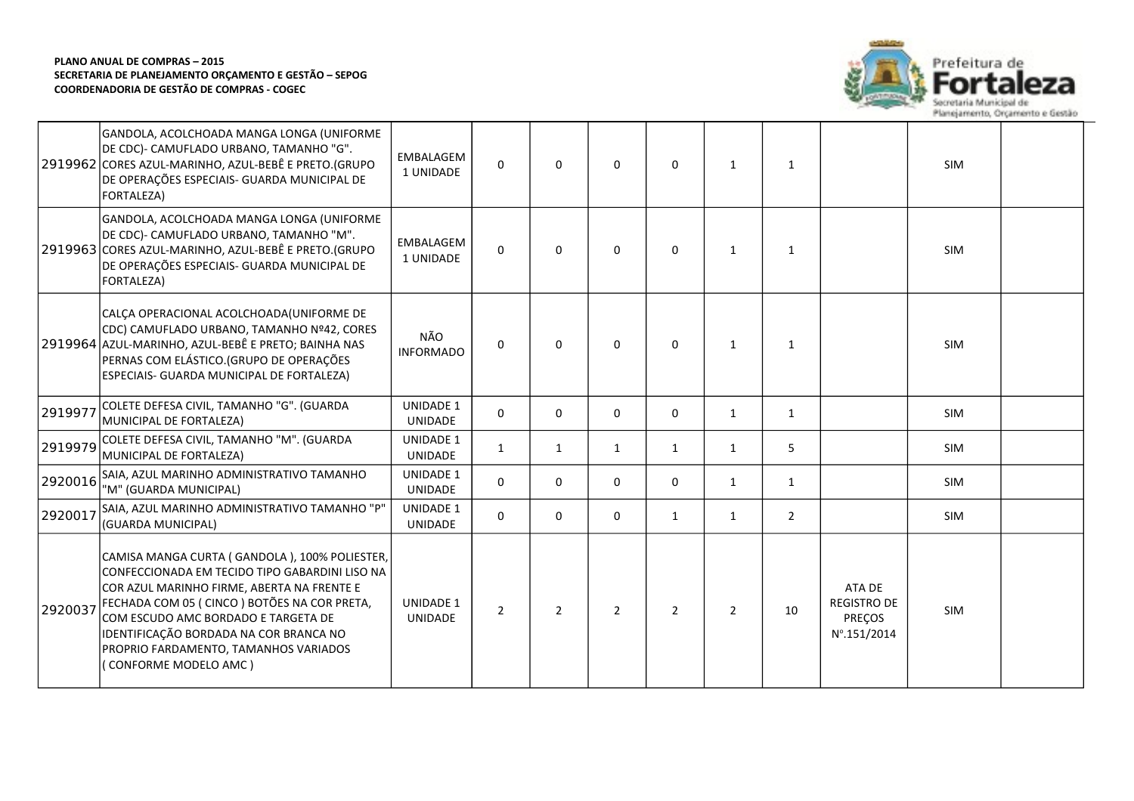

|         | GANDOLA, ACOLCHOADA MANGA LONGA (UNIFORME<br>DE CDC)- CAMUFLADO URBANO, TAMANHO "G".<br>2919962 CORES AZUL-MARINHO, AZUL-BEBÊ E PRETO.(GRUPO<br>DE OPERAÇÕES ESPECIAIS- GUARDA MUNICIPAL DE<br>FORTALEZA)                                                                                                                                       | EMBALAGEM<br>1 UNIDADE             | $\mathbf{0}$   | $\Omega$       | $\Omega$     | $\Omega$       | 1              | $\mathbf{1}$   |                                                       | <b>SIM</b> |  |
|---------|-------------------------------------------------------------------------------------------------------------------------------------------------------------------------------------------------------------------------------------------------------------------------------------------------------------------------------------------------|------------------------------------|----------------|----------------|--------------|----------------|----------------|----------------|-------------------------------------------------------|------------|--|
|         | GANDOLA, ACOLCHOADA MANGA LONGA (UNIFORME<br>DE CDC)- CAMUFLADO URBANO, TAMANHO "M".<br>2919963 CORES AZUL-MARINHO, AZUL-BEBÊ E PRETO.(GRUPO<br>DE OPERAÇÕES ESPECIAIS- GUARDA MUNICIPAL DE<br>FORTALEZA)                                                                                                                                       | <b>EMBALAGEM</b><br>1 UNIDADE      | $\Omega$       | $\Omega$       | $\mathbf{0}$ | $\mathbf{0}$   | $\mathbf{1}$   | $\mathbf{1}$   |                                                       | <b>SIM</b> |  |
|         | CALÇA OPERACIONAL ACOLCHOADA(UNIFORME DE<br>CDC) CAMUFLADO URBANO, TAMANHO Nº42, CORES<br>2919964 AZUL-MARINHO, AZUL-BEBÊ E PRETO; BAINHA NAS<br>PERNAS COM ELÁSTICO. (GRUPO DE OPERAÇÕES<br>ESPECIAIS- GUARDA MUNICIPAL DE FORTALEZA)                                                                                                          | NÃO<br><b>INFORMADO</b>            | $\Omega$       | $\Omega$       | $\Omega$     | $\Omega$       | 1              | $\mathbf{1}$   |                                                       | <b>SIM</b> |  |
| 2919977 | COLETE DEFESA CIVIL, TAMANHO "G". (GUARDA<br>MUNICIPAL DE FORTALEZA)                                                                                                                                                                                                                                                                            | <b>UNIDADE 1</b><br><b>UNIDADE</b> | $\Omega$       | 0              | $\mathbf 0$  | 0              | 1              | $\mathbf{1}$   |                                                       | SIM        |  |
| 2919979 | COLETE DEFESA CIVIL, TAMANHO "M". (GUARDA<br>MUNICIPAL DE FORTALEZA)                                                                                                                                                                                                                                                                            | <b>UNIDADE 1</b><br>UNIDADE        | $\mathbf{1}$   | $\mathbf{1}$   | $\mathbf{1}$ | $\mathbf{1}$   | 1              | 5              |                                                       | SIM        |  |
| 2920016 | SAIA, AZUL MARINHO ADMINISTRATIVO TAMANHO<br>"M" (GUARDA MUNICIPAL)                                                                                                                                                                                                                                                                             | <b>UNIDADE 1</b><br><b>UNIDADE</b> | $\mathbf 0$    | 0              | $\mathbf 0$  | 0              | 1              | $\mathbf{1}$   |                                                       | <b>SIM</b> |  |
| 2920017 | SAIA, AZUL MARINHO ADMINISTRATIVO TAMANHO "P"<br>(GUARDA MUNICIPAL)                                                                                                                                                                                                                                                                             | <b>UNIDADE 1</b><br><b>UNIDADE</b> | $\Omega$       | 0              | $\Omega$     | $\mathbf{1}$   | 1              | $\overline{2}$ |                                                       | <b>SIM</b> |  |
| 2920037 | CAMISA MANGA CURTA (GANDOLA), 100% POLIESTER,<br>CONFECCIONADA EM TECIDO TIPO GABARDINI LISO NA<br>COR AZUL MARINHO FIRME, ABERTA NA FRENTE E<br>FECHADA COM 05 (CINCO) BOTÕES NA COR PRETA,<br>COM ESCUDO AMC BORDADO E TARGETA DE<br>IDENTIFICAÇÃO BORDADA NA COR BRANCA NO<br>PROPRIO FARDAMENTO, TAMANHOS VARIADOS<br>(CONFORME MODELO AMC) | <b>UNIDADE 1</b><br><b>UNIDADE</b> | $\overline{2}$ | $\overline{2}$ | 2            | $\overline{2}$ | $\overline{2}$ | 10             | ATA DE<br><b>REGISTRO DE</b><br>PREÇOS<br>Nº.151/2014 | <b>SIM</b> |  |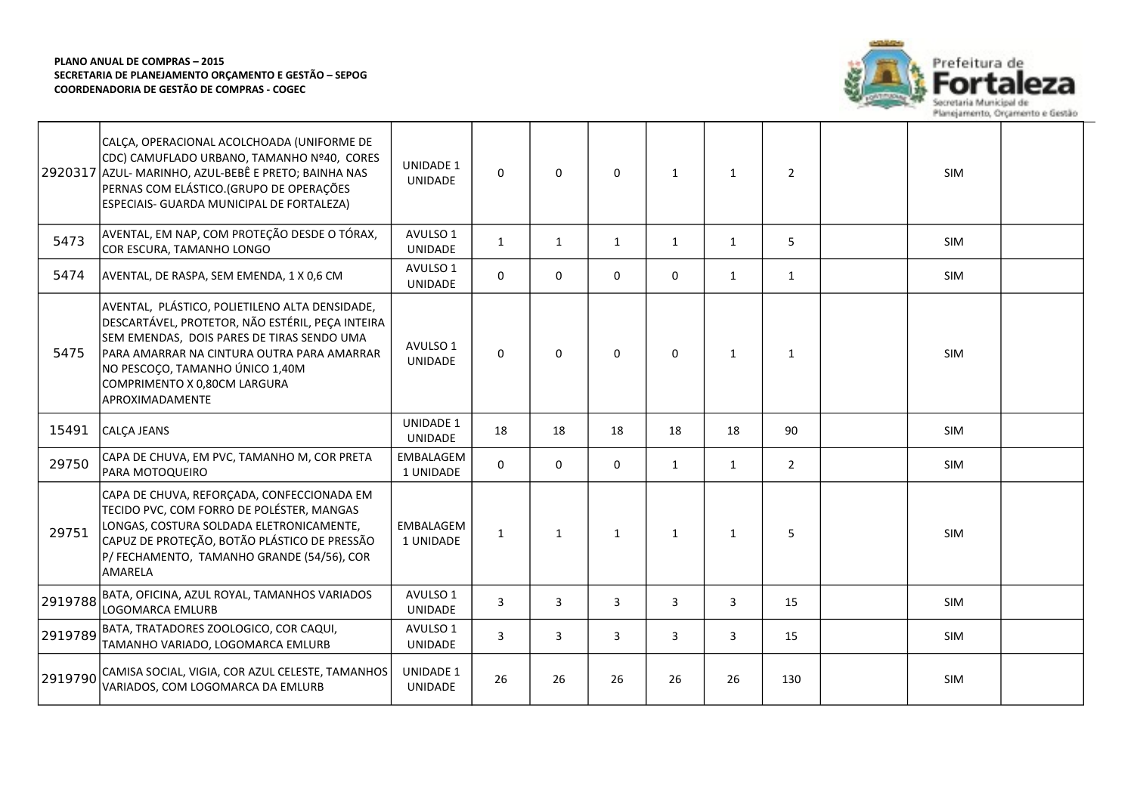

|         | CALÇA, OPERACIONAL ACOLCHOADA (UNIFORME DE<br>CDC) CAMUFLADO URBANO, TAMANHO Nº40, CORES<br>2920317 AZUL- MARINHO, AZUL-BEBÊ E PRETO; BAINHA NAS<br>PERNAS COM ELÁSTICO. (GRUPO DE OPERAÇÕES<br>ESPECIAIS- GUARDA MUNICIPAL DE FORTALEZA)                                            | <b>UNIDADE 1</b><br>UNIDADE        | $\Omega$       | $\Omega$     | $\Omega$     | 1            | 1            | $\overline{2}$ | <b>SIM</b> |  |
|---------|--------------------------------------------------------------------------------------------------------------------------------------------------------------------------------------------------------------------------------------------------------------------------------------|------------------------------------|----------------|--------------|--------------|--------------|--------------|----------------|------------|--|
| 5473    | AVENTAL, EM NAP, COM PROTEÇÃO DESDE O TÓRAX,<br>COR ESCURA, TAMANHO LONGO                                                                                                                                                                                                            | AVULSO 1<br>UNIDADE                | $\mathbf{1}$   | $\mathbf{1}$ | $\mathbf{1}$ | $\mathbf{1}$ | 1            | 5              | <b>SIM</b> |  |
| 5474    | AVENTAL, DE RASPA, SEM EMENDA, 1 X 0,6 CM                                                                                                                                                                                                                                            | AVULSO 1<br><b>UNIDADE</b>         | $\Omega$       | 0            | $\mathbf 0$  | $\mathbf 0$  | 1            | $\mathbf{1}$   | SIM        |  |
| 5475    | AVENTAL, PLÁSTICO, POLIETILENO ALTA DENSIDADE,<br>DESCARTÁVEL, PROTETOR, NÃO ESTÉRIL, PEÇA INTEIRA<br>SEM EMENDAS, DOIS PARES DE TIRAS SENDO UMA<br>PARA AMARRAR NA CINTURA OUTRA PARA AMARRAR<br>NO PESCOÇO, TAMANHO ÚNICO 1,40M<br>COMPRIMENTO X 0,80CM LARGURA<br>APROXIMADAMENTE | AVULSO 1<br><b>UNIDADE</b>         | $\Omega$       | 0            | 0            | $\Omega$     | $\mathbf{1}$ | $\mathbf{1}$   | <b>SIM</b> |  |
| 15491   | CALÇA JEANS                                                                                                                                                                                                                                                                          | <b>UNIDADE 1</b><br><b>UNIDADE</b> | 18             | 18           | 18           | 18           | 18           | 90             | SIM        |  |
| 29750   | CAPA DE CHUVA, EM PVC, TAMANHO M, COR PRETA<br>PARA MOTOQUEIRO                                                                                                                                                                                                                       | EMBALAGEM<br>1 UNIDADE             | $\Omega$       | $\Omega$     | $\Omega$     | $\mathbf{1}$ | $\mathbf{1}$ | $\overline{2}$ | <b>SIM</b> |  |
| 29751   | CAPA DE CHUVA, REFORÇADA, CONFECCIONADA EM<br>TECIDO PVC, COM FORRO DE POLÉSTER, MANGAS<br>LONGAS, COSTURA SOLDADA ELETRONICAMENTE,<br>CAPUZ DE PROTEÇÃO, BOTÃO PLÁSTICO DE PRESSÃO<br>P/ FECHAMENTO, TAMANHO GRANDE (54/56), COR<br><b>AMARELA</b>                                  | EMBALAGEM<br>1 UNIDADE             | 1              | $\mathbf{1}$ | $\mathbf{1}$ | $\mathbf{1}$ | 1            | 5              | <b>SIM</b> |  |
| 2919788 | BATA, OFICINA, AZUL ROYAL, TAMANHOS VARIADOS<br>LOGOMARCA EMLURB                                                                                                                                                                                                                     | AVULSO 1<br><b>UNIDADE</b>         | $\overline{3}$ | $\mathbf{3}$ | 3            | 3            | 3            | 15             | SIM        |  |
| 2919789 | BATA, TRATADORES ZOOLOGICO, COR CAQUI,<br>TAMANHO VARIADO, LOGOMARCA EMLURB                                                                                                                                                                                                          | AVULSO 1<br>UNIDADE                | $\overline{3}$ | $\mathbf{3}$ | 3            | 3            | 3            | 15             | <b>SIM</b> |  |
| 2919790 | CAMISA SOCIAL, VIGIA, COR AZUL CELESTE, TAMANHOS<br>VARIADOS, COM LOGOMARCA DA EMLURB                                                                                                                                                                                                | <b>UNIDADE 1</b><br>UNIDADE        | 26             | 26           | 26           | 26           | 26           | 130            | <b>SIM</b> |  |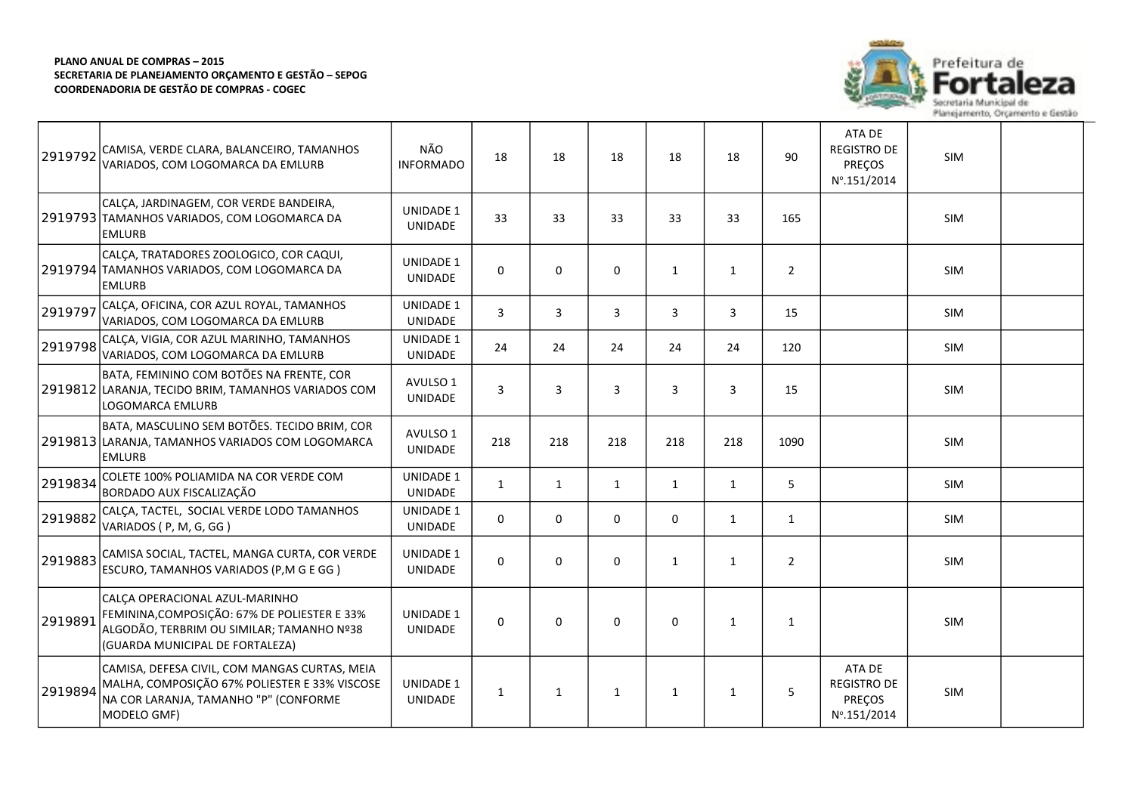

| 2919792 | CAMISA, VERDE CLARA, BALANCEIRO, TAMANHOS<br>VARIADOS, COM LOGOMARCA DA EMLURB                                                                                 | NÃO<br><b>INFORMADO</b>            | 18             | 18           | 18           | 18           | 18           | 90             | ATA DE<br><b>REGISTRO DE</b><br>PREÇOS<br>Nº.151/2014                  | <b>SIM</b> |  |
|---------|----------------------------------------------------------------------------------------------------------------------------------------------------------------|------------------------------------|----------------|--------------|--------------|--------------|--------------|----------------|------------------------------------------------------------------------|------------|--|
|         | CALÇA, JARDINAGEM, COR VERDE BANDEIRA,<br>2919793 TAMANHOS VARIADOS, COM LOGOMARCA DA<br><b>EMLURB</b>                                                         | <b>UNIDADE 1</b><br>UNIDADE        | 33             | 33           | 33           | 33           | 33           | 165            |                                                                        | <b>SIM</b> |  |
|         | CALÇA, TRATADORES ZOOLOGICO, COR CAQUI,<br>2919794 TAMANHOS VARIADOS, COM LOGOMARCA DA<br><b>EMLURB</b>                                                        | <b>UNIDADE 1</b><br>UNIDADE        | $\mathbf 0$    | 0            | $\mathbf 0$  | 1            | $\mathbf{1}$ | $\overline{2}$ |                                                                        | <b>SIM</b> |  |
| 2919797 | CALÇA, OFICINA, COR AZUL ROYAL, TAMANHOS<br>VARIADOS. COM LOGOMARCA DA EMLURB                                                                                  | <b>UNIDADE 1</b><br><b>UNIDADE</b> | $\overline{3}$ | 3            | 3            | 3            | 3            | 15             |                                                                        | <b>SIM</b> |  |
| 2919798 | CALÇA, VIGIA, COR AZUL MARINHO, TAMANHOS<br>VARIADOS, COM LOGOMARCA DA EMLURB                                                                                  | <b>UNIDADE 1</b><br><b>UNIDADE</b> | 24             | 24           | 24           | 24           | 24           | 120            |                                                                        | <b>SIM</b> |  |
|         | BATA, FEMININO COM BOTÕES NA FRENTE, COR<br>2919812 LARANJA, TECIDO BRIM, TAMANHOS VARIADOS COM<br>LOGOMARCA EMLURB                                            | AVULSO 1<br><b>UNIDADE</b>         | $\overline{3}$ | 3            | 3            | 3            | 3            | 15             |                                                                        | SIM        |  |
|         | BATA, MASCULINO SEM BOTÕES. TECIDO BRIM, COR<br>2919813 LARANJA, TAMANHOS VARIADOS COM LOGOMARCA<br><b>EMLURB</b>                                              | AVULSO 1<br>UNIDADE                | 218            | 218          | 218          | 218          | 218          | 1090           |                                                                        | <b>SIM</b> |  |
| 2919834 | COLETE 100% POLIAMIDA NA COR VERDE COM<br>BORDADO AUX FISCALIZAÇÃO                                                                                             | <b>UNIDADE 1</b><br>UNIDADE        | $\mathbf{1}$   | $\mathbf{1}$ | $\mathbf{1}$ | 1            | 1            | 5              |                                                                        | SIM        |  |
| 2919882 | CALÇA, TACTEL, SOCIAL VERDE LODO TAMANHOS<br>VARIADOS (P, M, G, GG)                                                                                            | <b>UNIDADE 1</b><br><b>UNIDADE</b> | $\mathbf 0$    | 0            | $\mathbf 0$  | $\mathbf 0$  | 1            | $\mathbf{1}$   |                                                                        | <b>SIM</b> |  |
| 2919883 | CAMISA SOCIAL, TACTEL, MANGA CURTA, COR VERDE<br>ESCURO, TAMANHOS VARIADOS (P,M G E GG)                                                                        | <b>UNIDADE 1</b><br><b>UNIDADE</b> | $\Omega$       | 0            | $\Omega$     | $\mathbf{1}$ | $\mathbf{1}$ | $\overline{2}$ |                                                                        | <b>SIM</b> |  |
| 2919891 | CALCA OPERACIONAL AZUL-MARINHO<br>FEMININA, COMPOSIÇÃO: 67% DE POLIESTER E 33%<br>ALGODÃO, TERBRIM OU SIMILAR; TAMANHO Nº38<br>(GUARDA MUNICIPAL DE FORTALEZA) | <b>UNIDADE 1</b><br><b>UNIDADE</b> | $\mathbf 0$    | 0            | $\mathbf 0$  | $\mathbf 0$  | $\mathbf{1}$ | 1              |                                                                        | <b>SIM</b> |  |
| 2919894 | CAMISA, DEFESA CIVIL, COM MANGAS CURTAS, MEIA<br>MALHA, COMPOSIÇÃO 67% POLIESTER E 33% VISCOSE<br>NA COR LARANJA, TAMANHO "P" (CONFORME<br>MODELO GMF)         | <b>UNIDADE 1</b><br><b>UNIDADE</b> | $\mathbf{1}$   | $\mathbf{1}$ | $\mathbf{1}$ | $\mathbf{1}$ | $\mathbf{1}$ | 5              | ATA DE<br><b>REGISTRO DE</b><br><b>PREÇOS</b><br>$N^{\circ}$ .151/2014 | SIM        |  |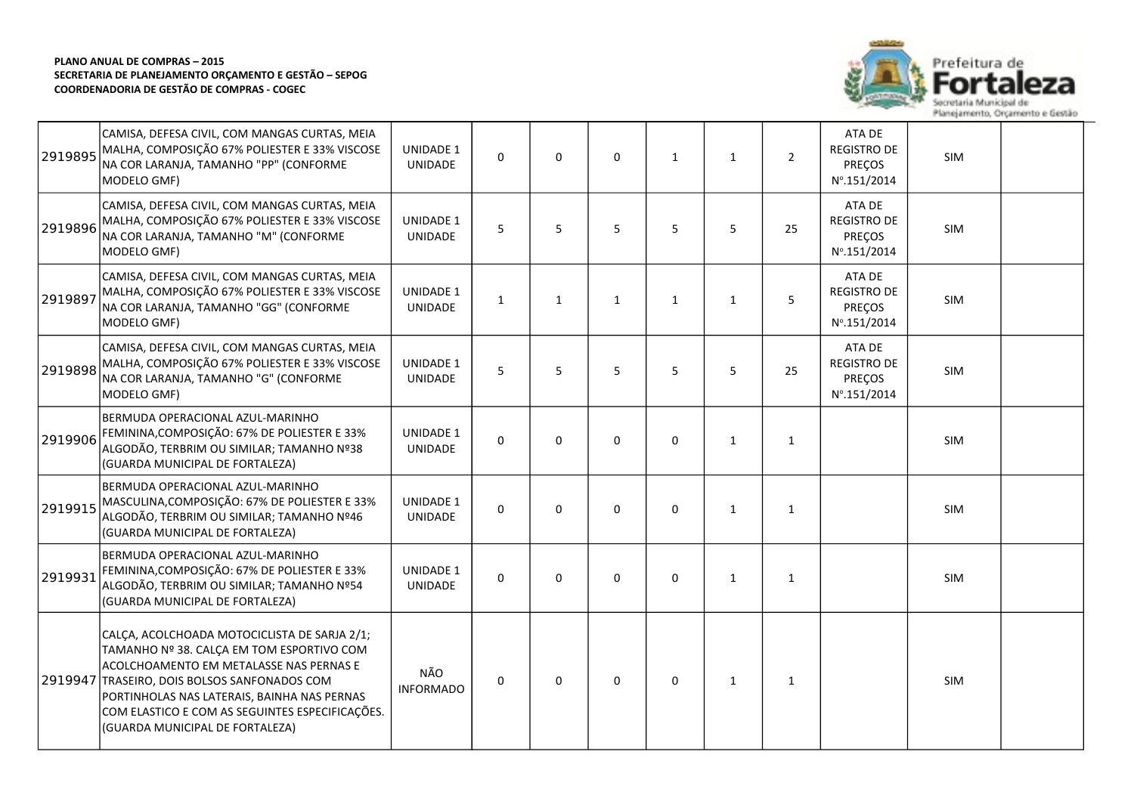

| 2919895 | CAMISA, DEFESA CIVIL, COM MANGAS CURTAS, MEIA<br>MALHA, COMPOSIÇÃO 67% POLIESTER E 33% VISCOSE<br>NA COR LARANJA, TAMANHO "PP" (CONFORME<br>MODELO GMF)                                                                                                                                                           | <b>UNIDADE 1</b><br><b>UNIDADE</b> | 0            | $\mathbf 0$  | 0            | $\mathbf{1}$ | $\mathbf{1}$ | $\overline{2}$ | ATA DE<br><b>REGISTRO DE</b><br>PREÇOS<br>Nº.151/2014           | SIM        |  |
|---------|-------------------------------------------------------------------------------------------------------------------------------------------------------------------------------------------------------------------------------------------------------------------------------------------------------------------|------------------------------------|--------------|--------------|--------------|--------------|--------------|----------------|-----------------------------------------------------------------|------------|--|
| 2919896 | CAMISA, DEFESA CIVIL, COM MANGAS CURTAS, MEIA<br>MALHA, COMPOSIÇÃO 67% POLIESTER E 33% VISCOSE<br>NA COR LARANJA, TAMANHO "M" (CONFORME<br>MODELO GMF)                                                                                                                                                            | <b>UNIDADE 1</b><br><b>UNIDADE</b> | 5            | 5            | 5            | 5            | 5            | 25             | ATA DE<br><b>REGISTRO DE</b><br>PREÇOS<br>Nº.151/2014           | SIM        |  |
| 2919897 | CAMISA, DEFESA CIVIL, COM MANGAS CURTAS, MEIA<br>MALHA, COMPOSIÇÃO 67% POLIESTER E 33% VISCOSE<br>NA COR LARANJA, TAMANHO "GG" (CONFORME<br>MODELO GMF)                                                                                                                                                           | <b>UNIDADE 1</b><br><b>UNIDADE</b> | $\mathbf{1}$ | $\mathbf{1}$ | $\mathbf{1}$ | $\mathbf{1}$ | $\mathbf{1}$ | 5              | ATA DE<br><b>REGISTRO DE</b><br>PREÇOS<br>Nº.151/2014           | SIM        |  |
| 2919898 | CAMISA, DEFESA CIVIL, COM MANGAS CURTAS, MEIA<br>MALHA, COMPOSIÇÃO 67% POLIESTER E 33% VISCOSE<br>NA COR LARANJA, TAMANHO "G" (CONFORME<br>MODELO GMF)                                                                                                                                                            | <b>UNIDADE 1</b><br><b>UNIDADE</b> | 5            | 5            | 5            | 5            | 5            | 25             | ATA DE<br><b>REGISTRO DE</b><br>PREÇOS<br>$N^{\circ}$ .151/2014 | SIM        |  |
| 2919906 | BERMUDA OPERACIONAL AZUL-MARINHO<br>FEMININA, COMPOSIÇÃO: 67% DE POLIESTER E 33%<br>ALGODÃO, TERBRIM OU SIMILAR; TAMANHO Nº38<br>(GUARDA MUNICIPAL DE FORTALEZA)                                                                                                                                                  | <b>UNIDADE 1</b><br><b>UNIDADE</b> | $\Omega$     | $\Omega$     | $\Omega$     | 0            | $\mathbf{1}$ | $\mathbf{1}$   |                                                                 | SIM        |  |
| 2919915 | BERMUDA OPERACIONAL AZUL-MARINHO<br>MASCULINA, COMPOSIÇÃO: 67% DE POLIESTER E 33%<br>ALGODÃO, TERBRIM OU SIMILAR; TAMANHO Nº46<br>(GUARDA MUNICIPAL DE FORTALEZA)                                                                                                                                                 | <b>UNIDADE 1</b><br>UNIDADE        | $\Omega$     | $\Omega$     | $\Omega$     | $\Omega$     | $\mathbf{1}$ | $\mathbf{1}$   |                                                                 | <b>SIM</b> |  |
| 2919931 | BERMUDA OPERACIONAL AZUL-MARINHO<br>FEMININA, COMPOSIÇÃO: 67% DE POLIESTER E 33%<br>ALGODÃO, TERBRIM OU SIMILAR; TAMANHO Nº54<br>(GUARDA MUNICIPAL DE FORTALEZA)                                                                                                                                                  | <b>UNIDADE 1</b><br><b>UNIDADE</b> | $\mathbf 0$  | $\Omega$     | $\Omega$     | 0            | $\mathbf{1}$ | $\mathbf{1}$   |                                                                 | SIM        |  |
| 2919947 | CALÇA, ACOLCHOADA MOTOCICLISTA DE SARJA 2/1;<br>TAMANHO Nº 38. CALÇA EM TOM ESPORTIVO COM<br>ACOLCHOAMENTO EM METALASSE NAS PERNAS E<br>TRASEIRO, DOIS BOLSOS SANFONADOS COM<br>PORTINHOLAS NAS LATERAIS, BAINHA NAS PERNAS<br>COM ELASTICO E COM AS SEGUINTES ESPECIFICAÇÕES.<br>(GUARDA MUNICIPAL DE FORTALEZA) | NÃO<br><b>INFORMADO</b>            | $\Omega$     | $\Omega$     | 0            | 0            | $\mathbf{1}$ | $\mathbf{1}$   |                                                                 | SIM        |  |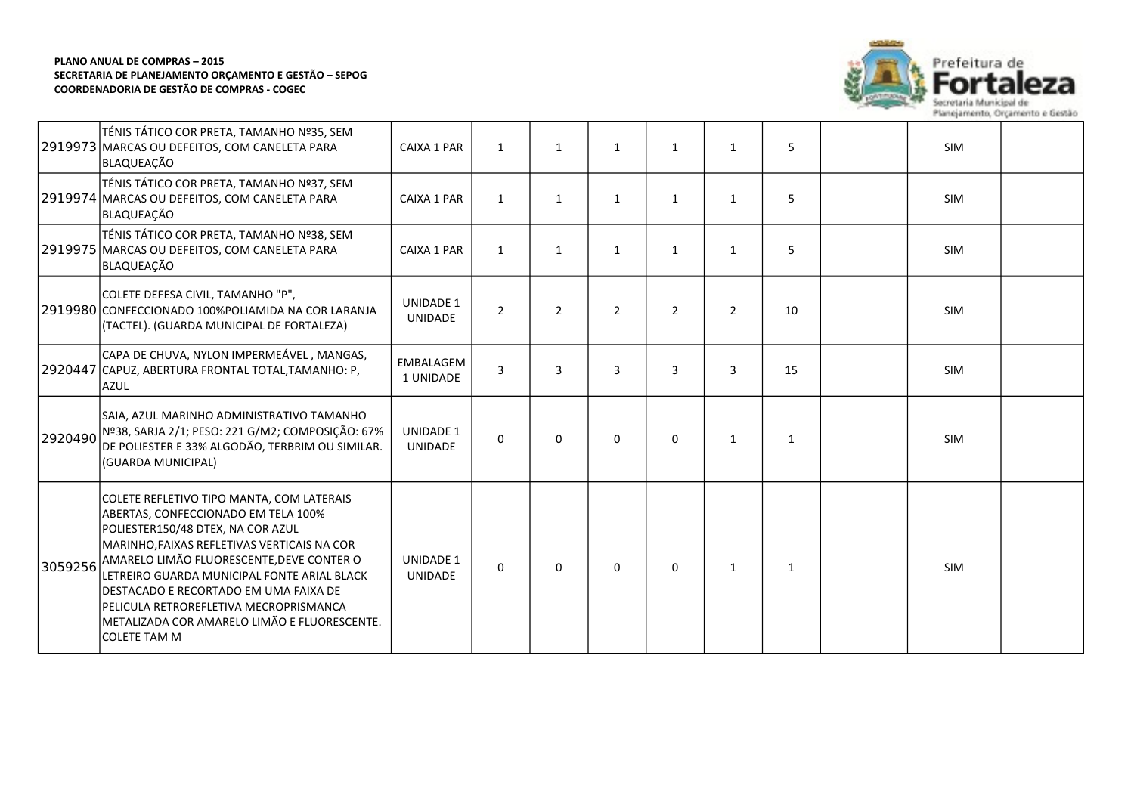

|         | TÉNIS TÁTICO COR PRETA, TAMANHO Nº35, SEM<br>2919973 MARCAS OU DEFEITOS, COM CANELETA PARA<br>BLAQUEAÇÃO                                                                                                                                                                                                                                                                                                                   | CAIXA 1 PAR                        | $\mathbf{1}$   | $\mathbf{1}$   | $\mathbf{1}$   | $\mathbf{1}$   | $\mathbf{1}$   | 5            | <b>SIM</b> |  |
|---------|----------------------------------------------------------------------------------------------------------------------------------------------------------------------------------------------------------------------------------------------------------------------------------------------------------------------------------------------------------------------------------------------------------------------------|------------------------------------|----------------|----------------|----------------|----------------|----------------|--------------|------------|--|
|         | TÉNIS TÁTICO COR PRETA, TAMANHO Nº37, SEM<br>2919974 MARCAS OU DEFEITOS, COM CANELETA PARA<br>BLAQUEAÇÃO                                                                                                                                                                                                                                                                                                                   | CAIXA 1 PAR                        | $\mathbf{1}$   | $\mathbf{1}$   | $\mathbf{1}$   | 1              | $\mathbf{1}$   | 5            | <b>SIM</b> |  |
|         | TÉNIS TÁTICO COR PRETA, TAMANHO Nº38, SEM<br>2919975 MARCAS OU DEFEITOS, COM CANELETA PARA<br>BLAQUEAÇÃO                                                                                                                                                                                                                                                                                                                   | CAIXA 1 PAR                        | $\mathbf{1}$   | $\mathbf{1}$   | $\mathbf{1}$   | $\mathbf{1}$   | $\mathbf{1}$   | 5            | SIM        |  |
|         | COLETE DEFESA CIVIL, TAMANHO "P",<br>2919980 CONFECCIONADO 100% POLIAMIDA NA COR LARANJA<br>(TACTEL). (GUARDA MUNICIPAL DE FORTALEZA)                                                                                                                                                                                                                                                                                      | <b>UNIDADE 1</b><br><b>UNIDADE</b> | $\overline{2}$ | $\overline{2}$ | $\overline{2}$ | $\overline{2}$ | $\overline{2}$ | 10           | <b>SIM</b> |  |
|         | CAPA DE CHUVA, NYLON IMPERMEÁVEL, MANGAS,<br>2920447 CAPUZ, ABERTURA FRONTAL TOTAL, TAMANHO: P,<br><b>AZUL</b>                                                                                                                                                                                                                                                                                                             | EMBALAGEM<br>1 UNIDADE             | $\overline{3}$ | 3              | 3              | 3              | $\overline{3}$ | 15           | <b>SIM</b> |  |
| 2920490 | SAIA, AZUL MARINHO ADMINISTRATIVO TAMANHO<br>Nº38, SARJA 2/1; PESO: 221 G/M2; COMPOSIÇÃO: 67%<br>DE POLIESTER E 33% ALGODÃO, TERBRIM OU SIMILAR.<br>(GUARDA MUNICIPAL)                                                                                                                                                                                                                                                     | <b>UNIDADE 1</b><br>UNIDADE        | $\Omega$       | 0              | $\Omega$       | $\Omega$       | 1              | $\mathbf{1}$ | <b>SIM</b> |  |
| 3059256 | COLETE REFLETIVO TIPO MANTA, COM LATERAIS<br>ABERTAS, CONFECCIONADO EM TELA 100%<br>POLIESTER150/48 DTEX, NA COR AZUL<br>MARINHO, FAIXAS REFLETIVAS VERTICAIS NA COR<br>AMARELO LIMÃO FLUORESCENTE, DEVE CONTER O<br>LETREIRO GUARDA MUNICIPAL FONTE ARIAL BLACK<br>DESTACADO E RECORTADO EM UMA FAIXA DE<br>PELICULA RETROREFLETIVA MECROPRISMANCA<br>METALIZADA COR AMARELO LIMÃO E FLUORESCENTE.<br><b>COLETE TAM M</b> | <b>UNIDADE 1</b><br><b>UNIDADE</b> | $\Omega$       | 0              | $\Omega$       | $\Omega$       | $\mathbf{1}$   | 1            | <b>SIM</b> |  |